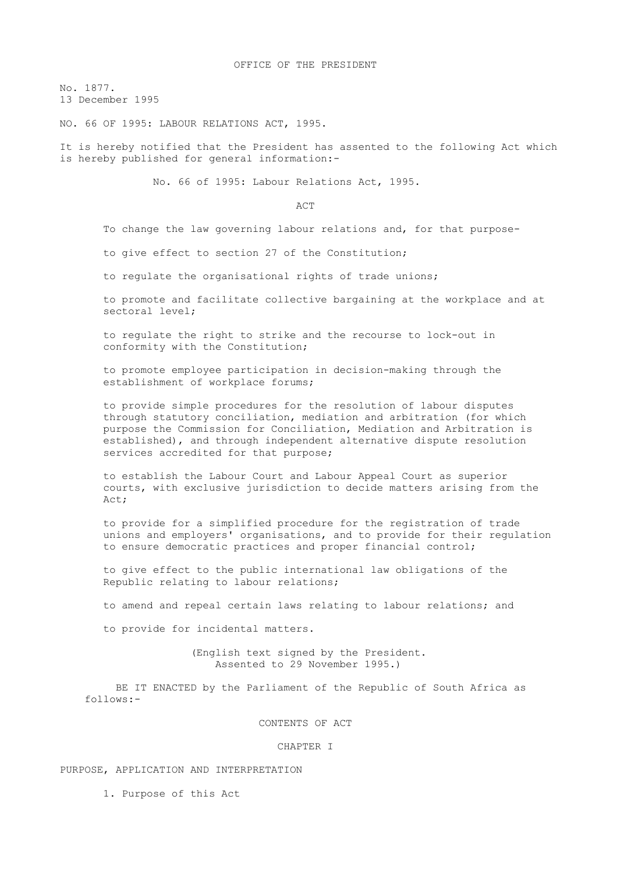No. 1877. 13 December 1995

NO. 66 OF 1995: LABOUR RELATIONS ACT, 1995.

It is hereby notified that the President has assented to the following Act which is hereby published for general information:-

No. 66 of 1995: Labour Relations Act, 1995.

ACT

To change the law governing labour relations and, for that purpose-

to give effect to section 27 of the Constitution;

to regulate the organisational rights of trade unions;

 to promote and facilitate collective bargaining at the workplace and at sectoral level;

 to regulate the right to strike and the recourse to lock-out in conformity with the Constitution;

 to promote employee participation in decision-making through the establishment of workplace forums;

 to provide simple procedures for the resolution of labour disputes through statutory conciliation, mediation and arbitration (for which purpose the Commission for Conciliation, Mediation and Arbitration is established), and through independent alternative dispute resolution services accredited for that purpose;

 to establish the Labour Court and Labour Appeal Court as superior courts, with exclusive jurisdiction to decide matters arising from the Act;

 to provide for a simplified procedure for the registration of trade unions and employers' organisations, and to provide for their regulation to ensure democratic practices and proper financial control;

 to give effect to the public international law obligations of the Republic relating to labour relations;

to amend and repeal certain laws relating to labour relations; and

to provide for incidental matters.

 (English text signed by the President. Assented to 29 November 1995.)

 BE IT ENACTED by the Parliament of the Republic of South Africa as follows:-

CONTENTS OF ACT

### CHAPTER I

## PURPOSE, APPLICATION AND INTERPRETATION

1. Purpose of this Act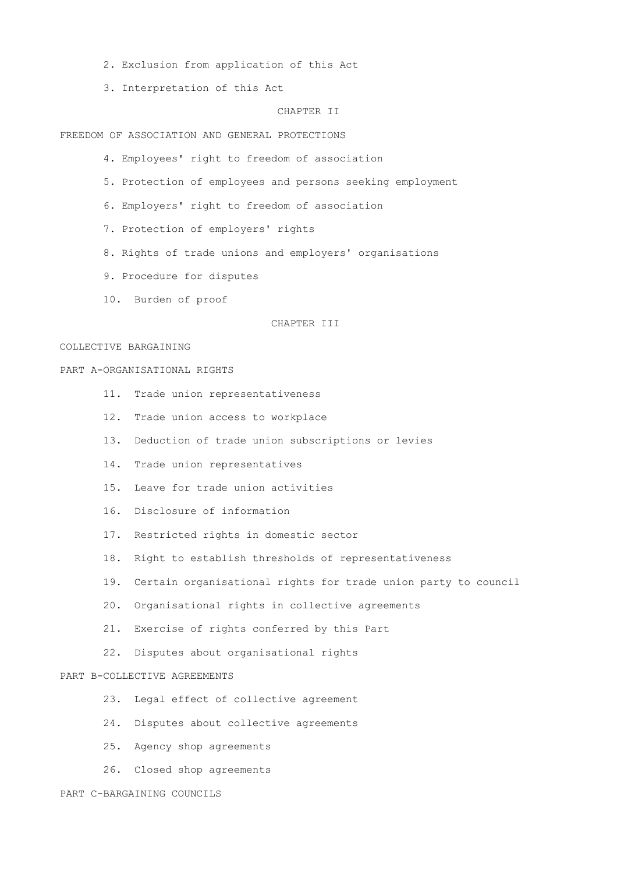- 2. Exclusion from application of this Act
- 3. Interpretation of this Act

### CHAPTER II

FREEDOM OF ASSOCIATION AND GENERAL PROTECTIONS

- 4. Employees' right to freedom of association
- 5. Protection of employees and persons seeking employment
- 6. Employers' right to freedom of association
- 7. Protection of employers' rights
- 8. Rights of trade unions and employers' organisations
- 9. Procedure for disputes
- 10. Burden of proof

## CHAPTER III

## COLLECTIVE BARGAINING

### PART A-ORGANISATIONAL RIGHTS

- 11. Trade union representativeness
- 12. Trade union access to workplace
- 13. Deduction of trade union subscriptions or levies
- 14. Trade union representatives
- 15. Leave for trade union activities
- 16. Disclosure of information
- 17. Restricted rights in domestic sector
- 18. Right to establish thresholds of representativeness
- 19. Certain organisational rights for trade union party to council
- 20. Organisational rights in collective agreements
- 21. Exercise of rights conferred by this Part
- 22. Disputes about organisational rights

## PART B-COLLECTIVE AGREEMENTS

- 23. Legal effect of collective agreement
- 24. Disputes about collective agreements
- 25. Agency shop agreements
- 26. Closed shop agreements

# PART C-BARGAINING COUNCILS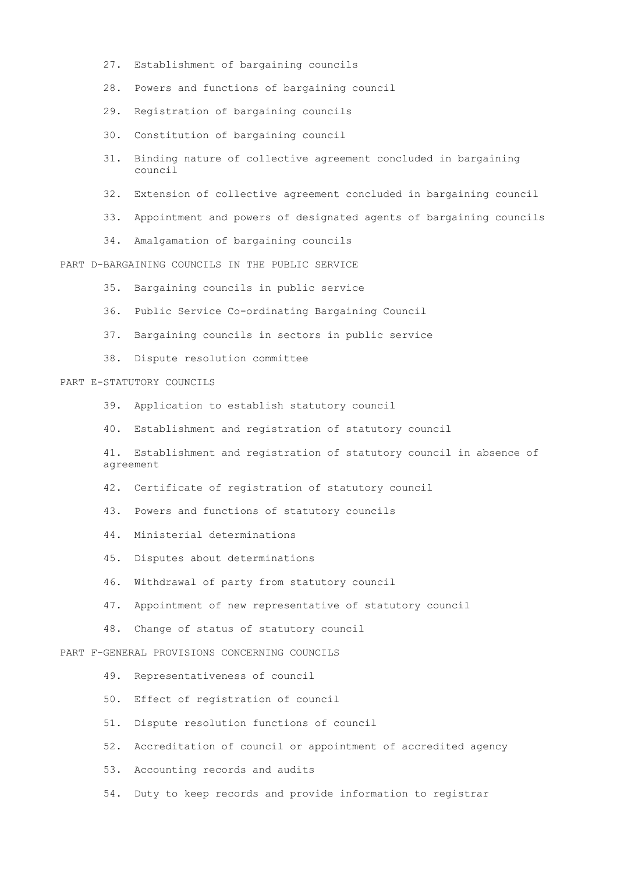- 27. Establishment of bargaining councils
- 28. Powers and functions of bargaining council
- 29. Registration of bargaining councils
- 30. Constitution of bargaining council
- 31. Binding nature of collective agreement concluded in bargaining council
- 32. Extension of collective agreement concluded in bargaining council
- 33. Appointment and powers of designated agents of bargaining councils
- 34. Amalgamation of bargaining councils

PART D-BARGAINING COUNCILS IN THE PUBLIC SERVICE

- 35. Bargaining councils in public service
- 36. Public Service Co-ordinating Bargaining Council
- 37. Bargaining councils in sectors in public service
- 38. Dispute resolution committee

## PART E-STATUTORY COUNCILS

- 39. Application to establish statutory council
- 40. Establishment and registration of statutory council

 41. Establishment and registration of statutory council in absence of agreement

- 42. Certificate of registration of statutory council
- 43. Powers and functions of statutory councils
- 44. Ministerial determinations
- 45. Disputes about determinations
- 46. Withdrawal of party from statutory council
- 47. Appointment of new representative of statutory council
- 48. Change of status of statutory council

## PART F-GENERAL PROVISIONS CONCERNING COUNCILS

- 49. Representativeness of council
- 50. Effect of registration of council
- 51. Dispute resolution functions of council
- 52. Accreditation of council or appointment of accredited agency
- 53. Accounting records and audits
- 54. Duty to keep records and provide information to registrar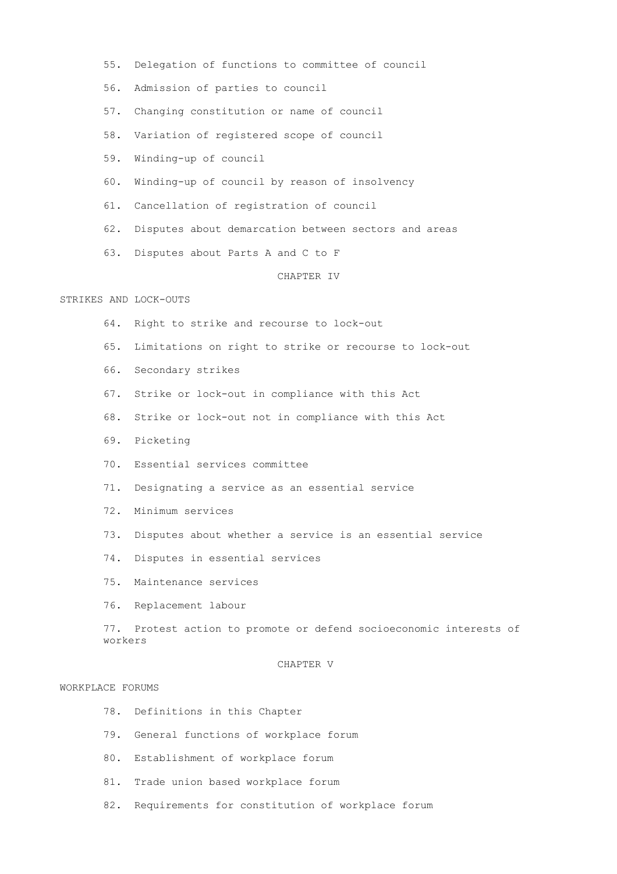- 55. Delegation of functions to committee of council
- 56. Admission of parties to council
- 57. Changing constitution or name of council
- 58. Variation of registered scope of council
- 59. Winding-up of council
- 60. Winding-up of council by reason of insolvency
- 61. Cancellation of registration of council
- 62. Disputes about demarcation between sectors and areas
- 63. Disputes about Parts A and C to F

#### CHAPTER IV

#### STRIKES AND LOCK-OUTS

- 64. Right to strike and recourse to lock-out
- 65. Limitations on right to strike or recourse to lock-out
- 66. Secondary strikes
- 67. Strike or lock-out in compliance with this Act
- 68. Strike or lock-out not in compliance with this Act
- 69. Picketing
- 70. Essential services committee
- 71. Designating a service as an essential service
- 72. Minimum services
- 73. Disputes about whether a service is an essential service
- 74. Disputes in essential services
- 75. Maintenance services
- 76. Replacement labour

 77. Protest action to promote or defend socioeconomic interests of workers

## CHAPTER V

#### WORKPLACE FORUMS

- 78. Definitions in this Chapter
- 79. General functions of workplace forum
- 80. Establishment of workplace forum
- 81. Trade union based workplace forum
- 82. Requirements for constitution of workplace forum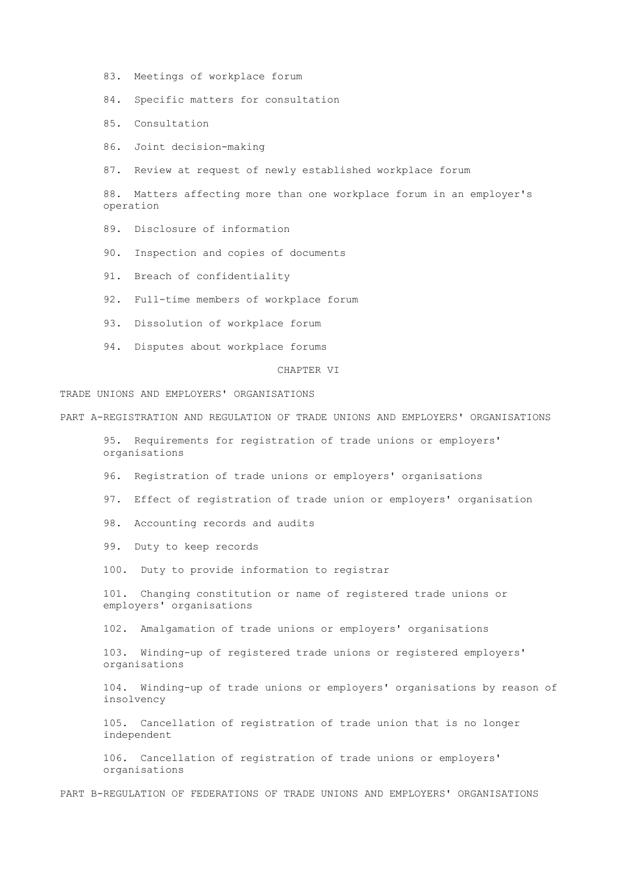- 83. Meetings of workplace forum
- 84. Specific matters for consultation
- 85. Consultation
- 86. Joint decision-making
- 87. Review at request of newly established workplace forum

 88. Matters affecting more than one workplace forum in an employer's operation

- 89. Disclosure of information
- 90. Inspection and copies of documents
- 91. Breach of confidentiality
- 92. Full-time members of workplace forum
- 93. Dissolution of workplace forum
- 94. Disputes about workplace forums

CHAPTER VI

TRADE UNIONS AND EMPLOYERS' ORGANISATIONS

PART A-REGISTRATION AND REGULATION OF TRADE UNIONS AND EMPLOYERS' ORGANISATIONS

 95. Requirements for registration of trade unions or employers' organisations

96. Registration of trade unions or employers' organisations

- 97. Effect of registration of trade union or employers' organisation
- 98. Accounting records and audits
- 99. Duty to keep records
- 100. Duty to provide information to registrar

 101. Changing constitution or name of registered trade unions or employers' organisations

102. Amalgamation of trade unions or employers' organisations

 103. Winding-up of registered trade unions or registered employers' organisations

 104. Winding-up of trade unions or employers' organisations by reason of insolvency

 105. Cancellation of registration of trade union that is no longer independent

 106. Cancellation of registration of trade unions or employers' organisations

PART B-REGULATION OF FEDERATIONS OF TRADE UNIONS AND EMPLOYERS' ORGANISATIONS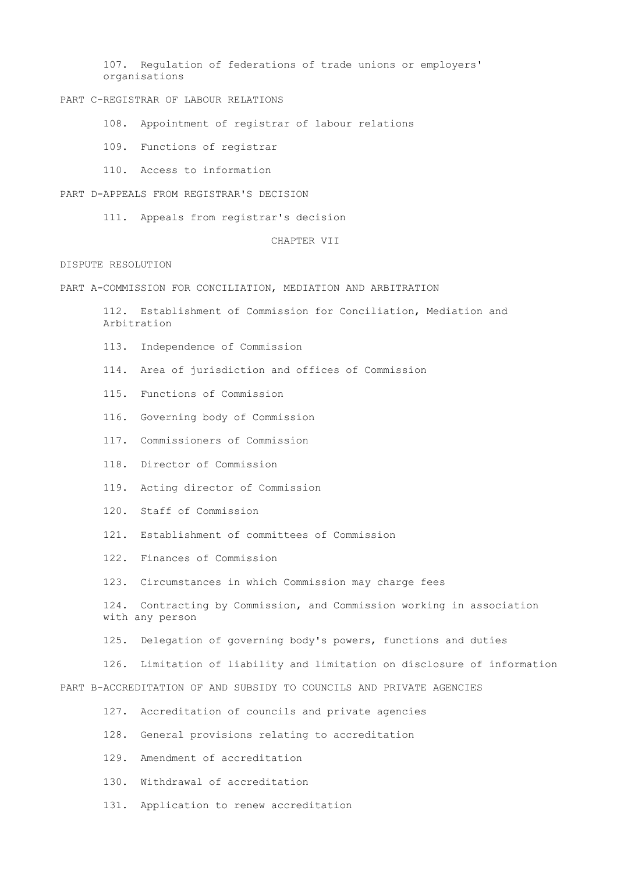107. Regulation of federations of trade unions or employers' organisations

### PART C-REGISTRAR OF LABOUR RELATIONS

108. Appointment of registrar of labour relations

109. Functions of registrar

110. Access to information

PART D-APPEALS FROM REGISTRAR'S DECISION

111. Appeals from registrar's decision

CHAPTER VII

#### DISPUTE RESOLUTION

PART A-COMMISSION FOR CONCILIATION, MEDIATION AND ARBITRATION

 112. Establishment of Commission for Conciliation, Mediation and Arbitration

- 113. Independence of Commission
- 114. Area of jurisdiction and offices of Commission
- 115. Functions of Commission
- 116. Governing body of Commission
- 117. Commissioners of Commission
- 118. Director of Commission
- 119. Acting director of Commission
- 120. Staff of Commission
- 121. Establishment of committees of Commission
- 122. Finances of Commission
- 123. Circumstances in which Commission may charge fees
- 124. Contracting by Commission, and Commission working in association with any person
- 125. Delegation of governing body's powers, functions and duties
- 126. Limitation of liability and limitation on disclosure of information

PART B-ACCREDITATION OF AND SUBSIDY TO COUNCILS AND PRIVATE AGENCIES

- 127. Accreditation of councils and private agencies
- 128. General provisions relating to accreditation
- 129. Amendment of accreditation
- 130. Withdrawal of accreditation
- 131. Application to renew accreditation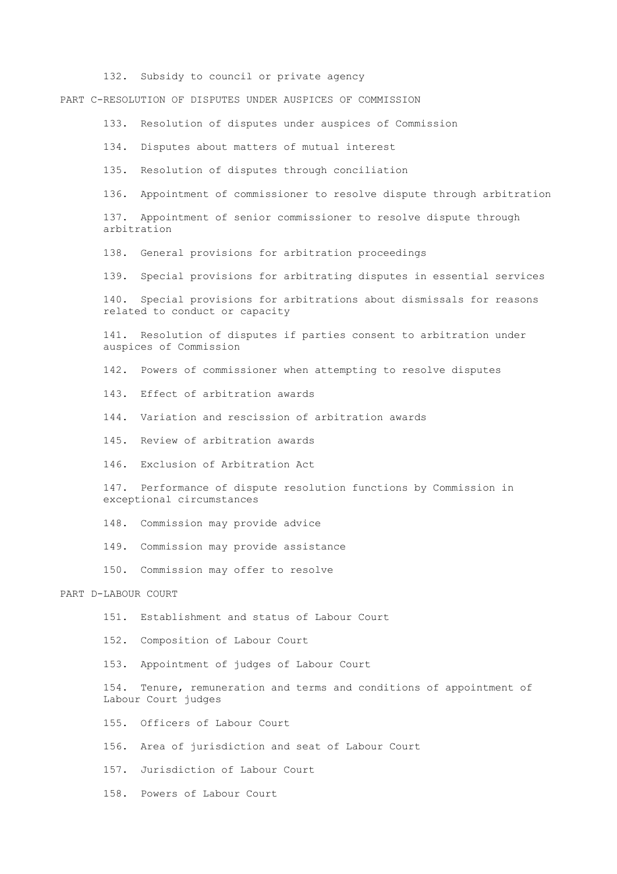132. Subsidy to council or private agency PART C-RESOLUTION OF DISPUTES UNDER AUSPICES OF COMMISSION 133. Resolution of disputes under auspices of Commission 134. Disputes about matters of mutual interest 135. Resolution of disputes through conciliation 136. Appointment of commissioner to resolve dispute through arbitration 137. Appointment of senior commissioner to resolve dispute through arbitration 138. General provisions for arbitration proceedings 139. Special provisions for arbitrating disputes in essential services 140. Special provisions for arbitrations about dismissals for reasons related to conduct or capacity 141. Resolution of disputes if parties consent to arbitration under auspices of Commission 142. Powers of commissioner when attempting to resolve disputes 143. Effect of arbitration awards 144. Variation and rescission of arbitration awards 145. Review of arbitration awards 146. Exclusion of Arbitration Act 147. Performance of dispute resolution functions by Commission in exceptional circumstances 148. Commission may provide advice 149. Commission may provide assistance 150. Commission may offer to resolve PART D-LABOUR COURT 151. Establishment and status of Labour Court 152. Composition of Labour Court 153. Appointment of judges of Labour Court 154. Tenure, remuneration and terms and conditions of appointment of Labour Court judges 155. Officers of Labour Court 156. Area of jurisdiction and seat of Labour Court 157. Jurisdiction of Labour Court 158. Powers of Labour Court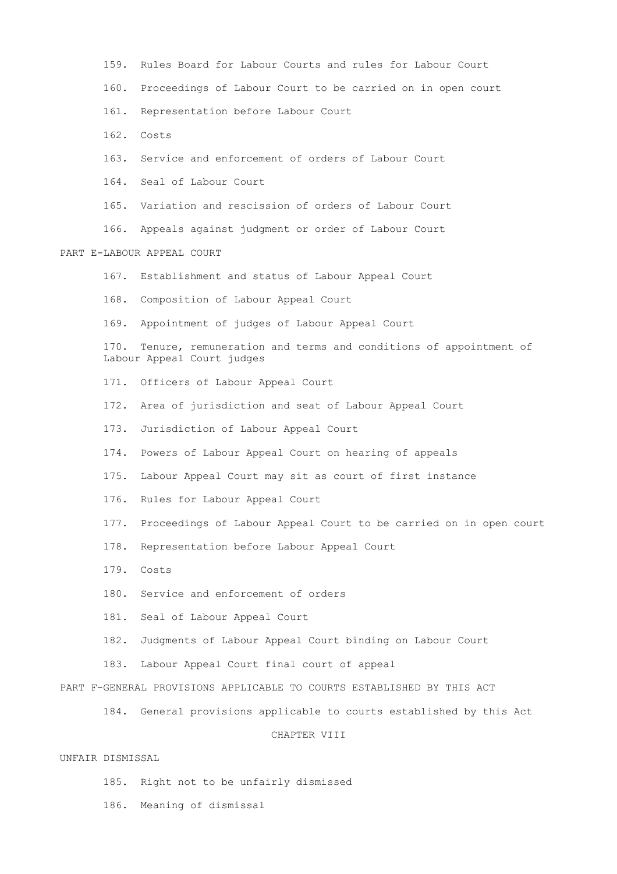- 159. Rules Board for Labour Courts and rules for Labour Court
- 160. Proceedings of Labour Court to be carried on in open court
- 161. Representation before Labour Court
- 162. Costs
- 163. Service and enforcement of orders of Labour Court
- 164. Seal of Labour Court
- 165. Variation and rescission of orders of Labour Court
- 166. Appeals against judgment or order of Labour Court

### PART E-LABOUR APPEAL COURT

- 167. Establishment and status of Labour Appeal Court
- 168. Composition of Labour Appeal Court
- 169. Appointment of judges of Labour Appeal Court

 170. Tenure, remuneration and terms and conditions of appointment of Labour Appeal Court judges

- 171. Officers of Labour Appeal Court
- 172. Area of jurisdiction and seat of Labour Appeal Court
- 173. Jurisdiction of Labour Appeal Court
- 174. Powers of Labour Appeal Court on hearing of appeals
- 175. Labour Appeal Court may sit as court of first instance
- 176. Rules for Labour Appeal Court
- 177. Proceedings of Labour Appeal Court to be carried on in open court
- 178. Representation before Labour Appeal Court
- 179. Costs
- 180. Service and enforcement of orders
- 181. Seal of Labour Appeal Court
- 182. Judgments of Labour Appeal Court binding on Labour Court
- 183. Labour Appeal Court final court of appeal
- PART F-GENERAL PROVISIONS APPLICABLE TO COURTS ESTABLISHED BY THIS ACT
	- 184. General provisions applicable to courts established by this Act

CHAPTER VIII

## UNFAIR DISMISSAL

- 185. Right not to be unfairly dismissed
- 186. Meaning of dismissal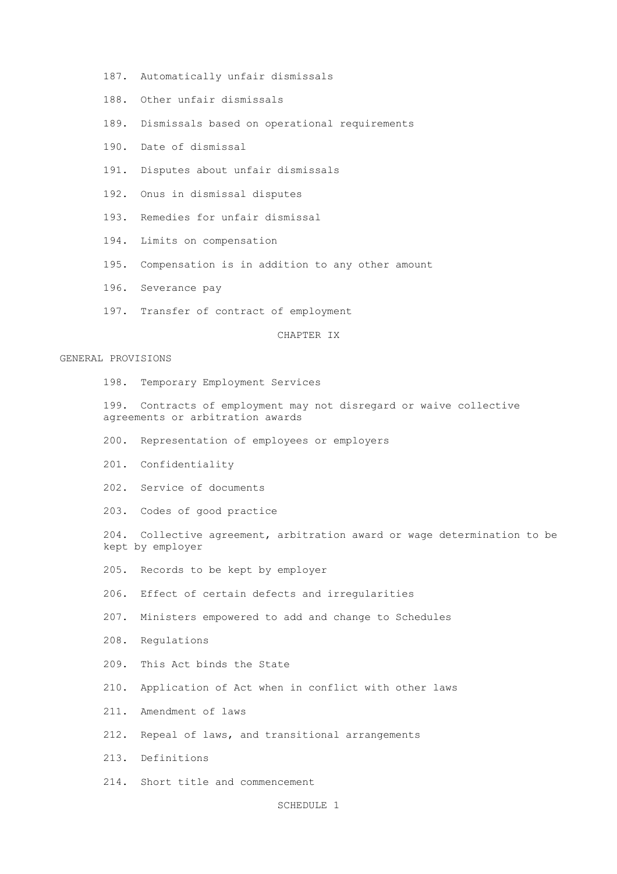- 187. Automatically unfair dismissals
- 188. Other unfair dismissals
- 189. Dismissals based on operational requirements
- 190. Date of dismissal
- 191. Disputes about unfair dismissals
- 192. Onus in dismissal disputes
- 193. Remedies for unfair dismissal
- 194. Limits on compensation
- 195. Compensation is in addition to any other amount
- 196. Severance pay
- 197. Transfer of contract of employment

CHAPTER IX

### GENERAL PROVISIONS

198. Temporary Employment Services

 199. Contracts of employment may not disregard or waive collective agreements or arbitration awards

- 200. Representation of employees or employers
- 201. Confidentiality
- 202. Service of documents
- 203. Codes of good practice

 204. Collective agreement, arbitration award or wage determination to be kept by employer

- 205. Records to be kept by employer
- 206. Effect of certain defects and irregularities
- 207. Ministers empowered to add and change to Schedules
- 208. Regulations
- 209. This Act binds the State
- 210. Application of Act when in conflict with other laws
- 211. Amendment of laws
- 212. Repeal of laws, and transitional arrangements
- 213. Definitions
- 214. Short title and commencement

SCHEDULE 1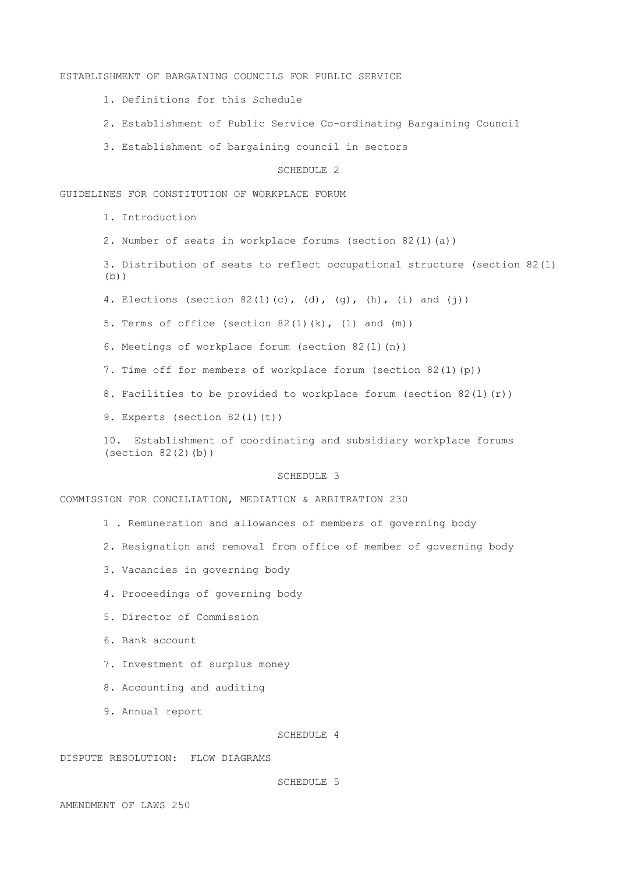ESTABLISHMENT OF BARGAINING COUNCILS FOR PUBLIC SERVICE

1. Definitions for this Schedule

2. Establishment of Public Service Co-ordinating Bargaining Council

3. Establishment of bargaining council in sectors

### SCHEDULE 2

GUIDELINES FOR CONSTITUTION OF WORKPLACE FORUM

1. Introduction

- 2. Number of seats in workplace forums (section 82(1)(a))
- 3. Distribution of seats to reflect occupational structure (section 82(l)  $(b)$ )
- 4. Elections (section 82(l)(c), (d), (g), (h), (i) and (j))
- 5. Terms of office (section  $82(1)(k)$ ,  $(1)$  and  $(m)$ )
- 6. Meetings of workplace forum (section 82(l)(n))
- 7. Time off for members of workplace forum (section 82(1)(p))

8. Facilities to be provided to workplace forum (section 82(1)(r))

9. Experts (section 82(1)(t))

 10. Establishment of coordinating and subsidiary workplace forums (section  $82(2)(b)$ )

## SCHEDULE 3

COMMISSION FOR CONCILIATION, MEDIATION & ARBITRATION 230

- 1 . Remuneration and allowances of members of governing body
- 2. Resignation and removal from office of member of governing body
- 3. Vacancies in governing body
- 4. Proceedings of governing body
- 5. Director of Commission
- 6. Bank account
- 7. Investment of surplus money
- 8. Accounting and auditing
- 9. Annual report

### SCHEDULE 4

## DISPUTE RESOLUTION: FLOW DIAGRAMS

### SCHEDULE 5

AMENDMENT OF LAWS 250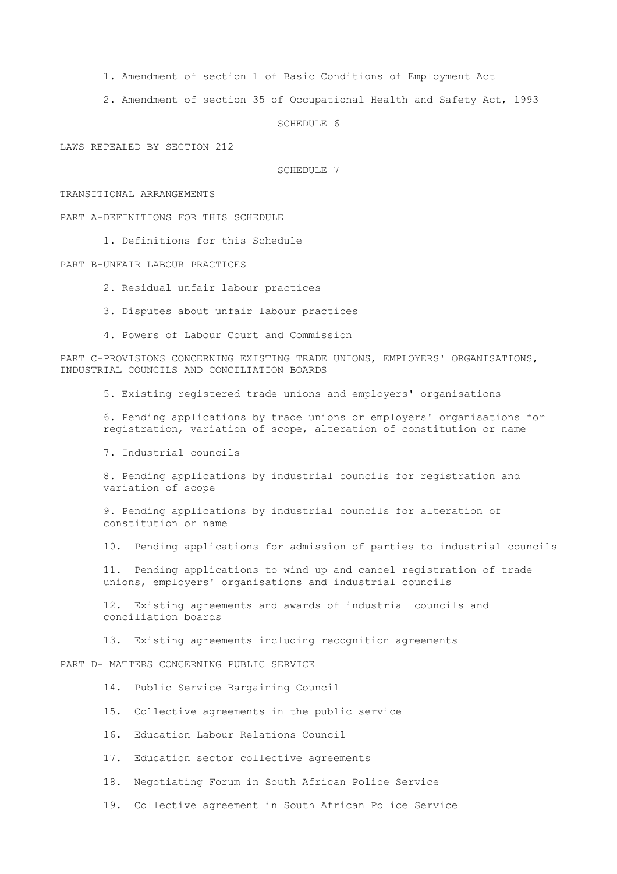1. Amendment of section 1 of Basic Conditions of Employment Act

2. Amendment of section 35 of Occupational Health and Safety Act, 1993

SCHEDULE 6

LAWS REPEALED BY SECTION 212

SCHEDULE 7

TRANSITIONAL ARRANGEMENTS

PART A-DEFINITIONS FOR THIS SCHEDULE

1. Definitions for this Schedule

PART B-UNFAIR LABOUR PRACTICES

2. Residual unfair labour practices

3. Disputes about unfair labour practices

4. Powers of Labour Court and Commission

PART C-PROVISIONS CONCERNING EXISTING TRADE UNIONS, EMPLOYERS' ORGANISATIONS, INDUSTRIAL COUNCILS AND CONCILIATION BOARDS

5. Existing registered trade unions and employers' organisations

 6. Pending applications by trade unions or employers' organisations for registration, variation of scope, alteration of constitution or name

7. Industrial councils

 8. Pending applications by industrial councils for registration and variation of scope

 9. Pending applications by industrial councils for alteration of constitution or name

10. Pending applications for admission of parties to industrial councils

 11. Pending applications to wind up and cancel registration of trade unions, employers' organisations and industrial councils

 12. Existing agreements and awards of industrial councils and conciliation boards

13. Existing agreements including recognition agreements

PART D- MATTERS CONCERNING PUBLIC SERVICE

- 14. Public Service Bargaining Council
- 15. Collective agreements in the public service
- 16. Education Labour Relations Council
- 17. Education sector collective agreements
- 18. Negotiating Forum in South African Police Service
- 19. Collective agreement in South African Police Service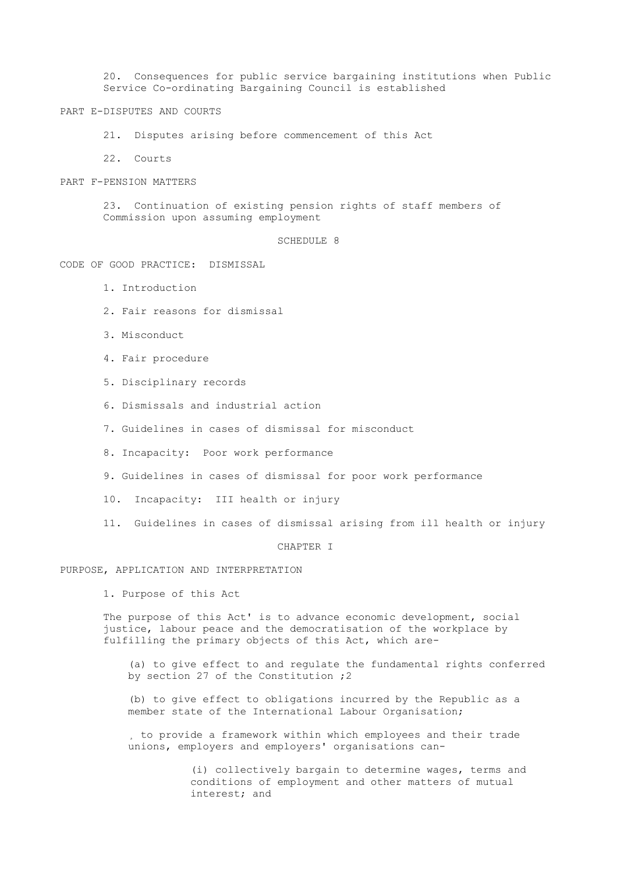20. Consequences for public service bargaining institutions when Public Service Co-ordinating Bargaining Council is established

PART E-DISPUTES AND COURTS

21. Disputes arising before commencement of this Act

22. Courts

### PART F-PENSION MATTERS

 23. Continuation of existing pension rights of staff members of Commission upon assuming employment

#### SCHEDULE 8

CODE OF GOOD PRACTICE: DISMISSAL

1. Introduction

- 2. Fair reasons for dismissal
- 3. Misconduct
- 4. Fair procedure
- 5. Disciplinary records
- 6. Dismissals and industrial action
- 7. Guidelines in cases of dismissal for misconduct
- 8. Incapacity: Poor work performance
- 9. Guidelines in cases of dismissal for poor work performance
- 10. Incapacity: III health or injury
- 11. Guidelines in cases of dismissal arising from ill health or injury

#### CHAPTER I

PURPOSE, APPLICATION AND INTERPRETATION

1. Purpose of this Act

 The purpose of this Act' is to advance economic development, social justice, labour peace and the democratisation of the workplace by fulfilling the primary objects of this Act, which are-

 (a) to give effect to and regulate the fundamental rights conferred by section 27 of the Constitution ;2

 (b) to give effect to obligations incurred by the Republic as a member state of the International Labour Organisation;

to provide a framework within which employees and their trade unions, employers and employers' organisations can-

> (i) collectively bargain to determine wages, terms and conditions of employment and other matters of mutual interest; and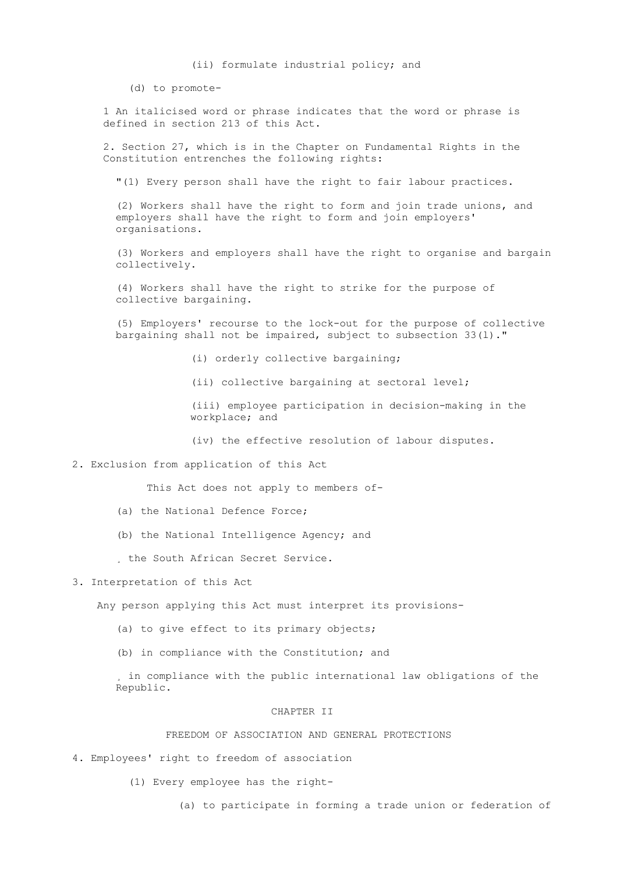(d) to promote-

 1 An italicised word or phrase indicates that the word or phrase is defined in section 213 of this Act.

 2. Section 27, which is in the Chapter on Fundamental Rights in the Constitution entrenches the following rights:

"(1) Every person shall have the right to fair labour practices.

 (2) Workers shall have the right to form and join trade unions, and employers shall have the right to form and join employers' organisations.

 (3) Workers and employers shall have the right to organise and bargain collectively.

 (4) Workers shall have the right to strike for the purpose of collective bargaining.

 (5) Employers' recourse to the lock-out for the purpose of collective bargaining shall not be impaired, subject to subsection 33(l)."

(i) orderly collective bargaining;

(ii) collective bargaining at sectoral level;

 (iii) employee participation in decision-making in the workplace; and

(iv) the effective resolution of labour disputes.

2. Exclusion from application of this Act

This Act does not apply to members of-

- (a) the National Defence Force;
- (b) the National Intelligence Agency; and
- ¸ the South African Secret Service.
- 3. Interpretation of this Act

Any person applying this Act must interpret its provisions-

- (a) to give effect to its primary objects;
- (b) in compliance with the Constitution; and

in compliance with the public international law obligations of the Republic.

### CHAPTER II

FREEDOM OF ASSOCIATION AND GENERAL PROTECTIONS

- 4. Employees' right to freedom of association
	- (1) Every employee has the right-

(a) to participate in forming a trade union or federation of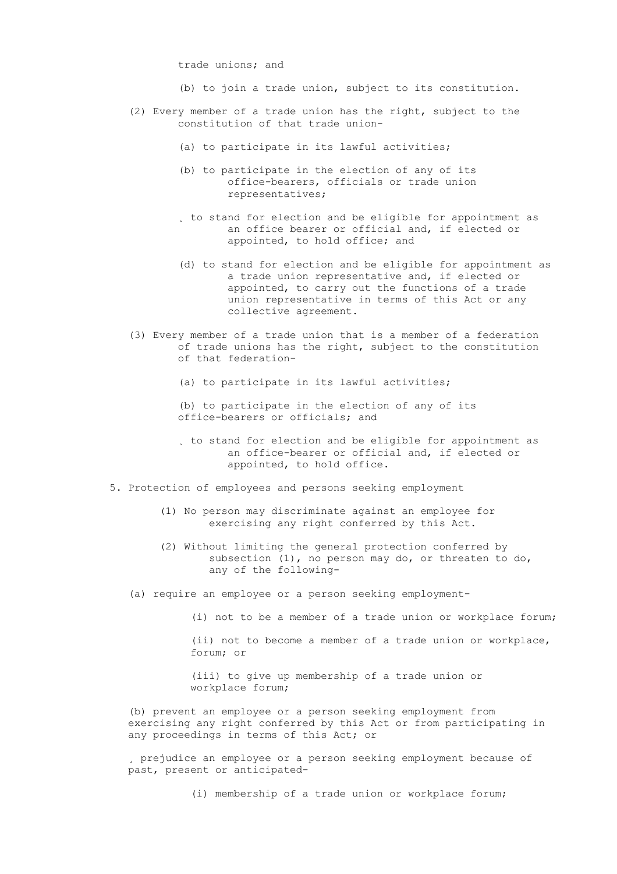trade unions; and

- (b) to join a trade union, subject to its constitution.
- (2) Every member of a trade union has the right, subject to the constitution of that trade union-
	- (a) to participate in its lawful activities;
	- (b) to participate in the election of any of its office-bearers, officials or trade union representatives;
	- ¸ to stand for election and be eligible for appointment as an office bearer or official and, if elected or appointed, to hold office; and
	- (d) to stand for election and be eligible for appointment as a trade union representative and, if elected or appointed, to carry out the functions of a trade union representative in terms of this Act or any collective agreement.
- (3) Every member of a trade union that is a member of a federation of trade unions has the right, subject to the constitution of that federation-
	- (a) to participate in its lawful activities;
	- (b) to participate in the election of any of its office-bearers or officials; and
	- ¸ to stand for election and be eligible for appointment as an office-bearer or official and, if elected or appointed, to hold office.
- 5. Protection of employees and persons seeking employment
	- (1) No person may discriminate against an employee for exercising any right conferred by this Act.
	- (2) Without limiting the general protection conferred by subsection (1), no person may do, or threaten to do, any of the following-
	- (a) require an employee or a person seeking employment-

(i) not to be a member of a trade union or workplace forum;

 (ii) not to become a member of a trade union or workplace, forum; or

 (iii) to give up membership of a trade union or workplace forum;

 (b) prevent an employee or a person seeking employment from exercising any right conferred by this Act or from participating in any proceedings in terms of this Act; or

 ¸ prejudice an employee or a person seeking employment because of past, present or anticipated-

(i) membership of a trade union or workplace forum;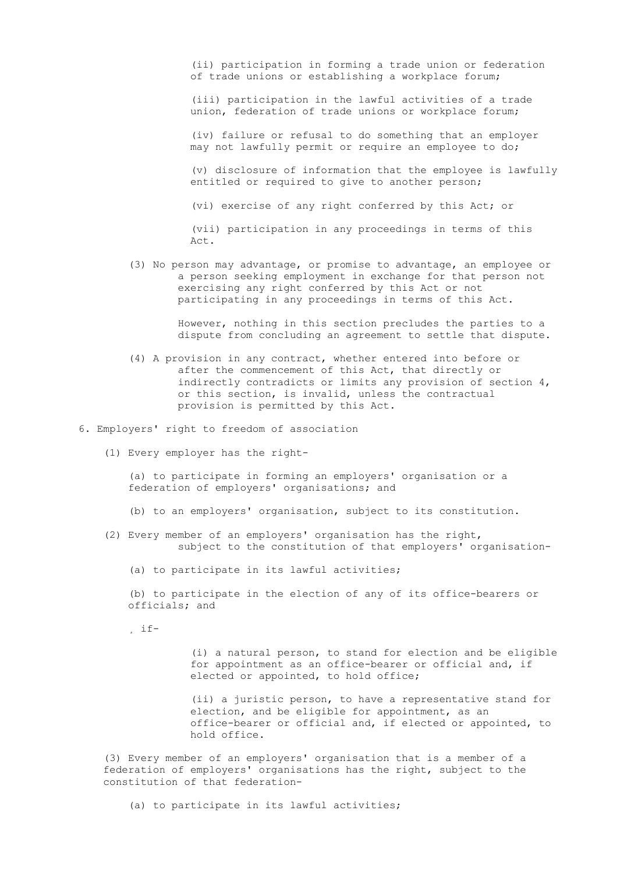(ii) participation in forming a trade union or federation of trade unions or establishing a workplace forum;

 (iii) participation in the lawful activities of a trade union, federation of trade unions or workplace forum;

 (iv) failure or refusal to do something that an employer may not lawfully permit or require an employee to do;

 (v) disclosure of information that the employee is lawfully entitled or required to give to another person;

(vi) exercise of any right conferred by this Act; or

 (vii) participation in any proceedings in terms of this Act.

 (3) No person may advantage, or promise to advantage, an employee or a person seeking employment in exchange for that person not exercising any right conferred by this Act or not participating in any proceedings in terms of this Act.

> However, nothing in this section precludes the parties to a dispute from concluding an agreement to settle that dispute.

- (4) A provision in any contract, whether entered into before or after the commencement of this Act, that directly or indirectly contradicts or limits any provision of section 4, or this section, is invalid, unless the contractual provision is permitted by this Act.
- 6. Employers' right to freedom of association
	- (1) Every employer has the right-

 (a) to participate in forming an employers' organisation or a federation of employers' organisations; and

- (b) to an employers' organisation, subject to its constitution.
- (2) Every member of an employers' organisation has the right, subject to the constitution of that employers' organisation-
	- (a) to participate in its lawful activities;

 (b) to participate in the election of any of its office-bearers or officials; and

¸ if-

 (i) a natural person, to stand for election and be eligible for appointment as an office-bearer or official and, if elected or appointed, to hold office;

 (ii) a juristic person, to have a representative stand for election, and be eligible for appointment, as an office-bearer or official and, if elected or appointed, to hold office.

 (3) Every member of an employers' organisation that is a member of a federation of employers' organisations has the right, subject to the constitution of that federation-

(a) to participate in its lawful activities;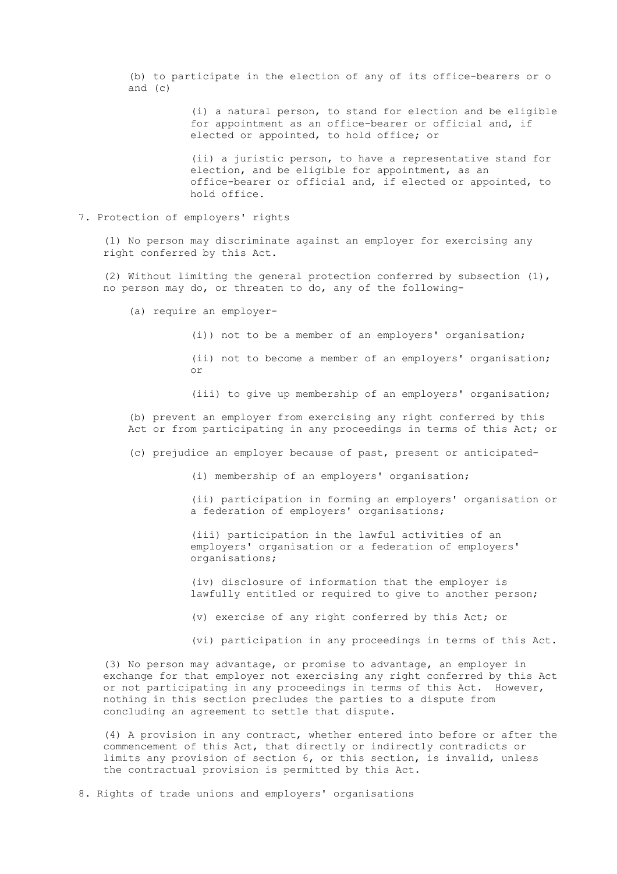(b) to participate in the election of any of its office-bearers or o and (c)

> (i) a natural person, to stand for election and be eligible for appointment as an office-bearer or official and, if elected or appointed, to hold office; or

 (ii) a juristic person, to have a representative stand for election, and be eligible for appointment, as an office-bearer or official and, if elected or appointed, to hold office.

7. Protection of employers' rights

 (1) No person may discriminate against an employer for exercising any right conferred by this Act.

 (2) Without limiting the general protection conferred by subsection (1), no person may do, or threaten to do, any of the following-

(a) require an employer-

- (i)) not to be a member of an employers' organisation;
- (ii) not to become a member of an employers' organisation; or
	- (iii) to give up membership of an employers' organisation;

 (b) prevent an employer from exercising any right conferred by this Act or from participating in any proceedings in terms of this Act; or

(c) prejudice an employer because of past, present or anticipated-

(i) membership of an employers' organisation;

 (ii) participation in forming an employers' organisation or a federation of employers' organisations;

 (iii) participation in the lawful activities of an employers' organisation or a federation of employers' organisations;

 (iv) disclosure of information that the employer is lawfully entitled or required to give to another person;

(v) exercise of any right conferred by this Act; or

(vi) participation in any proceedings in terms of this Act.

 (3) No person may advantage, or promise to advantage, an employer in exchange for that employer not exercising any right conferred by this Act or not participating in any proceedings in terms of this Act. However, nothing in this section precludes the parties to a dispute from concluding an agreement to settle that dispute.

 (4) A provision in any contract, whether entered into before or after the commencement of this Act, that directly or indirectly contradicts or limits any provision of section 6, or this section, is invalid, unless the contractual provision is permitted by this Act.

8. Rights of trade unions and employers' organisations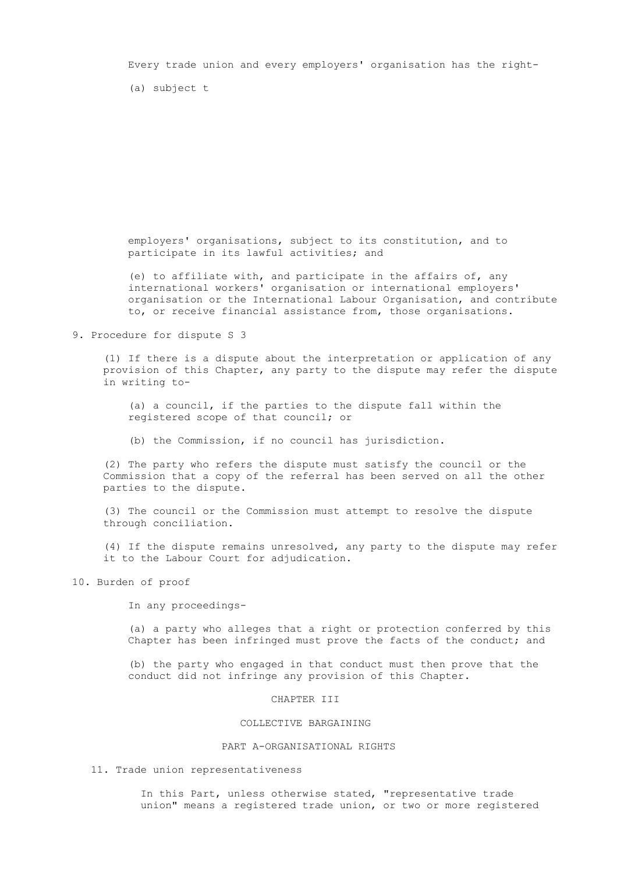Every trade union and every employers' organisation has the right-

(a) subject t

 employers' organisations, subject to its constitution, and to participate in its lawful activities; and

 (e) to affiliate with, and participate in the affairs of, any international workers' organisation or international employers' organisation or the International Labour Organisation, and contribute to, or receive financial assistance from, those organisations.

9. Procedure for dispute S 3

 (1) If there is a dispute about the interpretation or application of any provision of this Chapter, any party to the dispute may refer the dispute in writing to-

 (a) a council, if the parties to the dispute fall within the registered scope of that council; or

(b) the Commission, if no council has jurisdiction.

 (2) The party who refers the dispute must satisfy the council or the Commission that a copy of the referral has been served on all the other parties to the dispute.

 (3) The council or the Commission must attempt to resolve the dispute through conciliation.

 (4) If the dispute remains unresolved, any party to the dispute may refer it to the Labour Court for adjudication.

10. Burden of proof

In any proceedings-

 (a) a party who alleges that a right or protection conferred by this Chapter has been infringed must prove the facts of the conduct; and

 (b) the party who engaged in that conduct must then prove that the conduct did not infringe any provision of this Chapter.

## CHAPTER III

## COLLECTIVE BARGAINING

## PART A-ORGANISATIONAL RIGHTS

### 11. Trade union representativeness

 In this Part, unless otherwise stated, "representative trade union" means a registered trade union, or two or more registered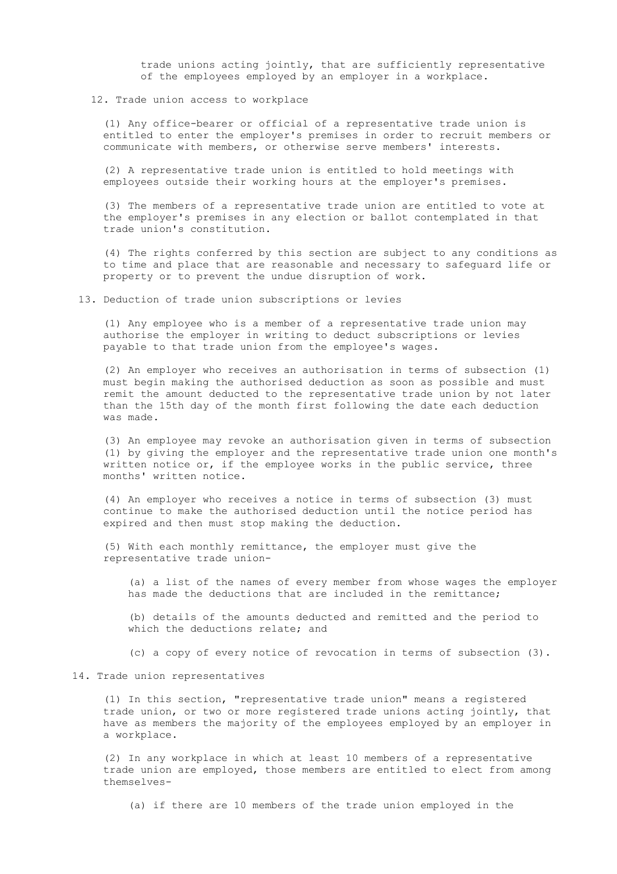trade unions acting jointly, that are sufficiently representative of the employees employed by an employer in a workplace.

#### 12. Trade union access to workplace

 (1) Any office-bearer or official of a representative trade union is entitled to enter the employer's premises in order to recruit members or communicate with members, or otherwise serve members' interests.

 (2) A representative trade union is entitled to hold meetings with employees outside their working hours at the employer's premises.

 (3) The members of a representative trade union are entitled to vote at the employer's premises in any election or ballot contemplated in that trade union's constitution.

 (4) The rights conferred by this section are subject to any conditions as to time and place that are reasonable and necessary to safeguard life or property or to prevent the undue disruption of work.

13. Deduction of trade union subscriptions or levies

 (1) Any employee who is a member of a representative trade union may authorise the employer in writing to deduct subscriptions or levies payable to that trade union from the employee's wages.

 (2) An employer who receives an authorisation in terms of subsection (1) must begin making the authorised deduction as soon as possible and must remit the amount deducted to the representative trade union by not later than the 15th day of the month first following the date each deduction was made.

 (3) An employee may revoke an authorisation given in terms of subsection (1) by giving the employer and the representative trade union one month's written notice or, if the employee works in the public service, three months' written notice.

 (4) An employer who receives a notice in terms of subsection (3) must continue to make the authorised deduction until the notice period has expired and then must stop making the deduction.

 (5) With each monthly remittance, the employer must give the representative trade union-

 (a) a list of the names of every member from whose wages the employer has made the deductions that are included in the remittance;

 (b) details of the amounts deducted and remitted and the period to which the deductions relate; and

(c) a copy of every notice of revocation in terms of subsection (3).

## 14. Trade union representatives

 (1) In this section, "representative trade union" means a registered trade union, or two or more registered trade unions acting jointly, that have as members the majority of the employees employed by an employer in a workplace.

 (2) In any workplace in which at least 10 members of a representative trade union are employed, those members are entitled to elect from among themselves-

(a) if there are 10 members of the trade union employed in the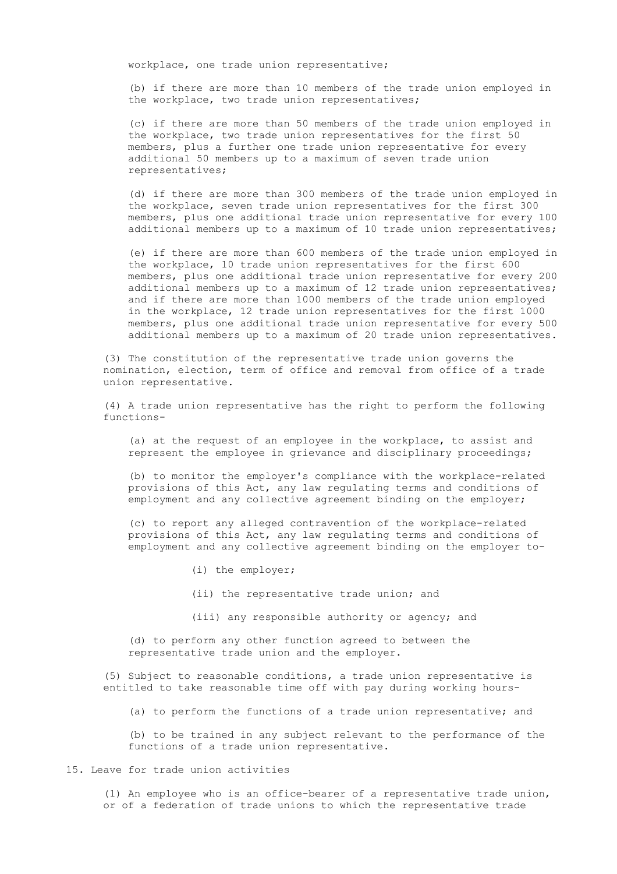workplace, one trade union representative;

 (b) if there are more than 10 members of the trade union employed in the workplace, two trade union representatives;

 (c) if there are more than 50 members of the trade union employed in the workplace, two trade union representatives for the first 50 members, plus a further one trade union representative for every additional 50 members up to a maximum of seven trade union representatives;

 (d) if there are more than 300 members of the trade union employed in the workplace, seven trade union representatives for the first 300 members, plus one additional trade union representative for every 100 additional members up to a maximum of 10 trade union representatives;

 (e) if there are more than 600 members of the trade union employed in the workplace, 10 trade union representatives for the first 600 members, plus one additional trade union representative for every 200 additional members up to a maximum of 12 trade union representatives; and if there are more than 1000 members of the trade union employed in the workplace, 12 trade union representatives for the first 1000 members, plus one additional trade union representative for every 500 additional members up to a maximum of 20 trade union representatives.

 (3) The constitution of the representative trade union governs the nomination, election, term of office and removal from office of a trade union representative.

 (4) A trade union representative has the right to perform the following functions-

 (a) at the request of an employee in the workplace, to assist and represent the employee in grievance and disciplinary proceedings;

 (b) to monitor the employer's compliance with the workplace-related provisions of this Act, any law regulating terms and conditions of employment and any collective agreement binding on the employer;

 (c) to report any alleged contravention of the workplace-related provisions of this Act, any law regulating terms and conditions of employment and any collective agreement binding on the employer to-

(i) the employer;

(ii) the representative trade union; and

(iii) any responsible authority or agency; and

 (d) to perform any other function agreed to between the representative trade union and the employer.

 (5) Subject to reasonable conditions, a trade union representative is entitled to take reasonable time off with pay during working hours-

(a) to perform the functions of a trade union representative; and

 (b) to be trained in any subject relevant to the performance of the functions of a trade union representative.

## 15. Leave for trade union activities

 (1) An employee who is an office-bearer of a representative trade union, or of a federation of trade unions to which the representative trade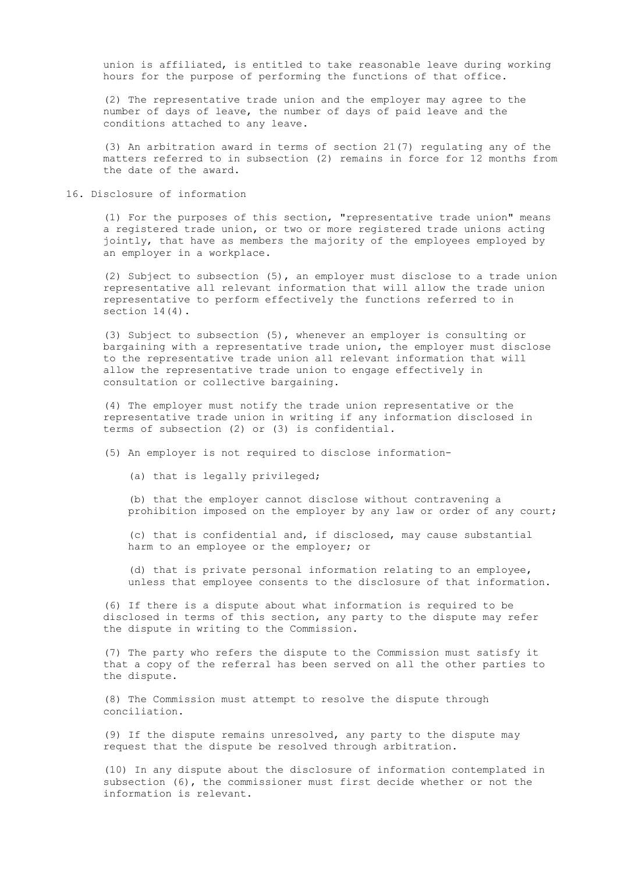union is affiliated, is entitled to take reasonable leave during working hours for the purpose of performing the functions of that office.

 (2) The representative trade union and the employer may agree to the number of days of leave, the number of days of paid leave and the conditions attached to any leave.

 (3) An arbitration award in terms of section 21(7) regulating any of the matters referred to in subsection (2) remains in force for 12 months from the date of the award.

## 16. Disclosure of information

 (1) For the purposes of this section, "representative trade union" means a registered trade union, or two or more registered trade unions acting jointly, that have as members the majority of the employees employed by an employer in a workplace.

 (2) Subject to subsection (5), an employer must disclose to a trade union representative all relevant information that will allow the trade union representative to perform effectively the functions referred to in section  $14(4)$ .

 (3) Subject to subsection (5), whenever an employer is consulting or bargaining with a representative trade union, the employer must disclose to the representative trade union all relevant information that will allow the representative trade union to engage effectively in consultation or collective bargaining.

 (4) The employer must notify the trade union representative or the representative trade union in writing if any information disclosed in terms of subsection (2) or (3) is confidential.

(5) An employer is not required to disclose information-

(a) that is legally privileged;

 (b) that the employer cannot disclose without contravening a prohibition imposed on the employer by any law or order of any court;

 (c) that is confidential and, if disclosed, may cause substantial harm to an employee or the employer; or

 (d) that is private personal information relating to an employee, unless that employee consents to the disclosure of that information.

 (6) If there is a dispute about what information is required to be disclosed in terms of this section, any party to the dispute may refer the dispute in writing to the Commission.

 (7) The party who refers the dispute to the Commission must satisfy it that a copy of the referral has been served on all the other parties to the dispute.

 (8) The Commission must attempt to resolve the dispute through conciliation.

 (9) If the dispute remains unresolved, any party to the dispute may request that the dispute be resolved through arbitration.

 (10) In any dispute about the disclosure of information contemplated in subsection (6), the commissioner must first decide whether or not the information is relevant.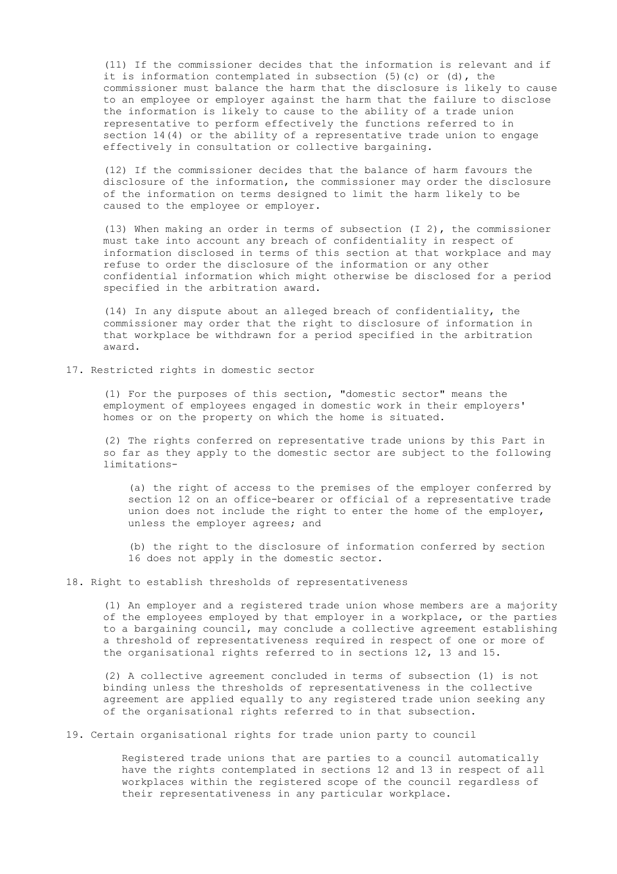(11) If the commissioner decides that the information is relevant and if it is information contemplated in subsection (5)(c) or (d), the commissioner must balance the harm that the disclosure is likely to cause to an employee or employer against the harm that the failure to disclose the information is likely to cause to the ability of a trade union representative to perform effectively the functions referred to in section 14(4) or the ability of a representative trade union to engage effectively in consultation or collective bargaining.

 (12) If the commissioner decides that the balance of harm favours the disclosure of the information, the commissioner may order the disclosure of the information on terms designed to limit the harm likely to be caused to the employee or employer.

 (13) When making an order in terms of subsection (I 2), the commissioner must take into account any breach of confidentiality in respect of information disclosed in terms of this section at that workplace and may refuse to order the disclosure of the information or any other confidential information which might otherwise be disclosed for a period specified in the arbitration award.

 (14) In any dispute about an alleged breach of confidentiality, the commissioner may order that the right to disclosure of information in that workplace be withdrawn for a period specified in the arbitration award.

17. Restricted rights in domestic sector

 (1) For the purposes of this section, "domestic sector" means the employment of employees engaged in domestic work in their employers' homes or on the property on which the home is situated.

 (2) The rights conferred on representative trade unions by this Part in so far as they apply to the domestic sector are subject to the following limitations-

 (a) the right of access to the premises of the employer conferred by section 12 on an office-bearer or official of a representative trade union does not include the right to enter the home of the employer, unless the employer agrees; and

 (b) the right to the disclosure of information conferred by section 16 does not apply in the domestic sector.

18. Right to establish thresholds of representativeness

 (1) An employer and a registered trade union whose members are a majority of the employees employed by that employer in a workplace, or the parties to a bargaining council, may conclude a collective agreement establishing a threshold of representativeness required in respect of one or more of the organisational rights referred to in sections 12, 13 and 15.

 (2) A collective agreement concluded in terms of subsection (1) is not binding unless the thresholds of representativeness in the collective agreement are applied equally to any registered trade union seeking any of the organisational rights referred to in that subsection.

19. Certain organisational rights for trade union party to council

 Registered trade unions that are parties to a council automatically have the rights contemplated in sections 12 and 13 in respect of all workplaces within the registered scope of the council regardless of their representativeness in any particular workplace.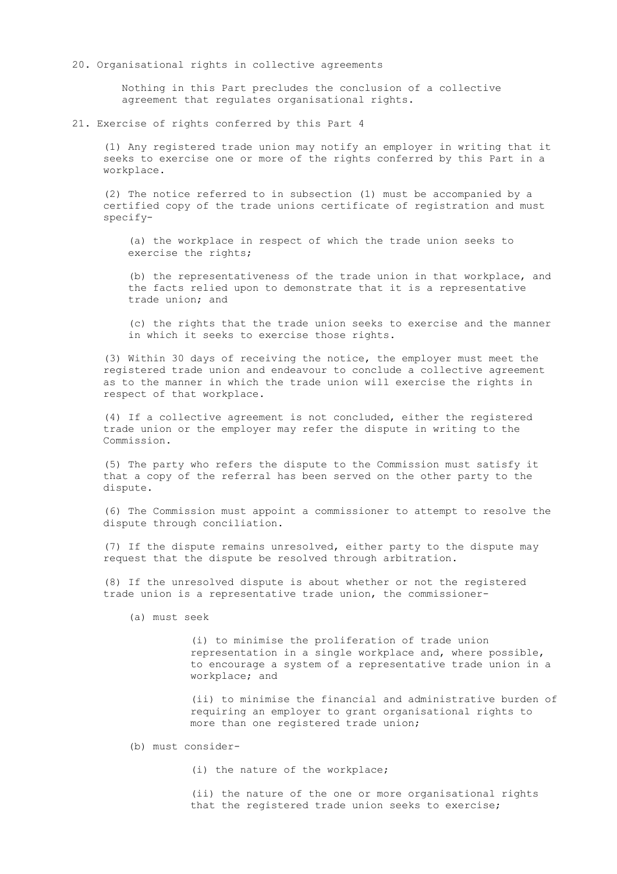20. Organisational rights in collective agreements

 Nothing in this Part precludes the conclusion of a collective agreement that regulates organisational rights.

21. Exercise of rights conferred by this Part 4

 (1) Any registered trade union may notify an employer in writing that it seeks to exercise one or more of the rights conferred by this Part in a workplace.

 (2) The notice referred to in subsection (1) must be accompanied by a certified copy of the trade unions certificate of registration and must specify-

 (a) the workplace in respect of which the trade union seeks to exercise the rights;

 (b) the representativeness of the trade union in that workplace, and the facts relied upon to demonstrate that it is a representative trade union; and

 (c) the rights that the trade union seeks to exercise and the manner in which it seeks to exercise those rights.

 (3) Within 30 days of receiving the notice, the employer must meet the registered trade union and endeavour to conclude a collective agreement as to the manner in which the trade union will exercise the rights in respect of that workplace.

 (4) If a collective agreement is not concluded, either the registered trade union or the employer may refer the dispute in writing to the Commission.

 (5) The party who refers the dispute to the Commission must satisfy it that a copy of the referral has been served on the other party to the dispute.

 (6) The Commission must appoint a commissioner to attempt to resolve the dispute through conciliation.

 (7) If the dispute remains unresolved, either party to the dispute may request that the dispute be resolved through arbitration.

 (8) If the unresolved dispute is about whether or not the registered trade union is a representative trade union, the commissioner-

(a) must seek

 (i) to minimise the proliferation of trade union representation in a single workplace and, where possible, to encourage a system of a representative trade union in a workplace; and

 (ii) to minimise the financial and administrative burden of requiring an employer to grant organisational rights to more than one registered trade union;

(b) must consider-

(i) the nature of the workplace;

 (ii) the nature of the one or more organisational rights that the registered trade union seeks to exercise;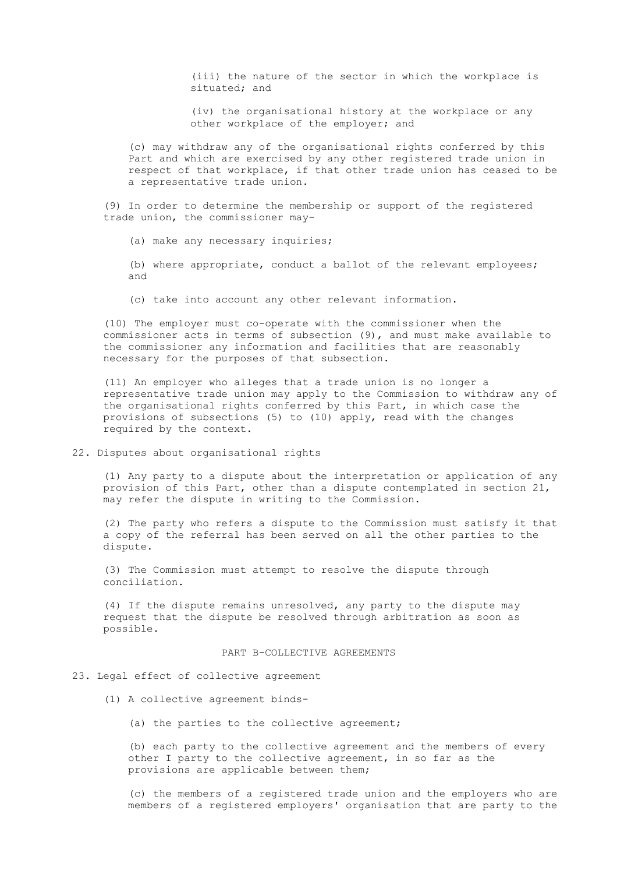(iii) the nature of the sector in which the workplace is situated; and

 (iv) the organisational history at the workplace or any other workplace of the employer; and

 (c) may withdraw any of the organisational rights conferred by this Part and which are exercised by any other registered trade union in respect of that workplace, if that other trade union has ceased to be a representative trade union.

 (9) In order to determine the membership or support of the registered trade union, the commissioner may-

(a) make any necessary inquiries;

 (b) where appropriate, conduct a ballot of the relevant employees; and

(c) take into account any other relevant information.

 (10) The employer must co-operate with the commissioner when the commissioner acts in terms of subsection (9), and must make available to the commissioner any information and facilities that are reasonably necessary for the purposes of that subsection.

 (11) An employer who alleges that a trade union is no longer a representative trade union may apply to the Commission to withdraw any of the organisational rights conferred by this Part, in which case the provisions of subsections (5) to (10) apply, read with the changes required by the context.

22. Disputes about organisational rights

 (1) Any party to a dispute about the interpretation or application of any provision of this Part, other than a dispute contemplated in section 21, may refer the dispute in writing to the Commission.

 (2) The party who refers a dispute to the Commission must satisfy it that a copy of the referral has been served on all the other parties to the dispute.

 (3) The Commission must attempt to resolve the dispute through conciliation.

 (4) If the dispute remains unresolved, any party to the dispute may request that the dispute be resolved through arbitration as soon as possible.

## PART B-COLLECTIVE AGREEMENTS

#### 23. Legal effect of collective agreement

- (1) A collective agreement binds-
	- (a) the parties to the collective agreement;

 (b) each party to the collective agreement and the members of every other I party to the collective agreement, in so far as the provisions are applicable between them;

 (c) the members of a registered trade union and the employers who are members of a registered employers' organisation that are party to the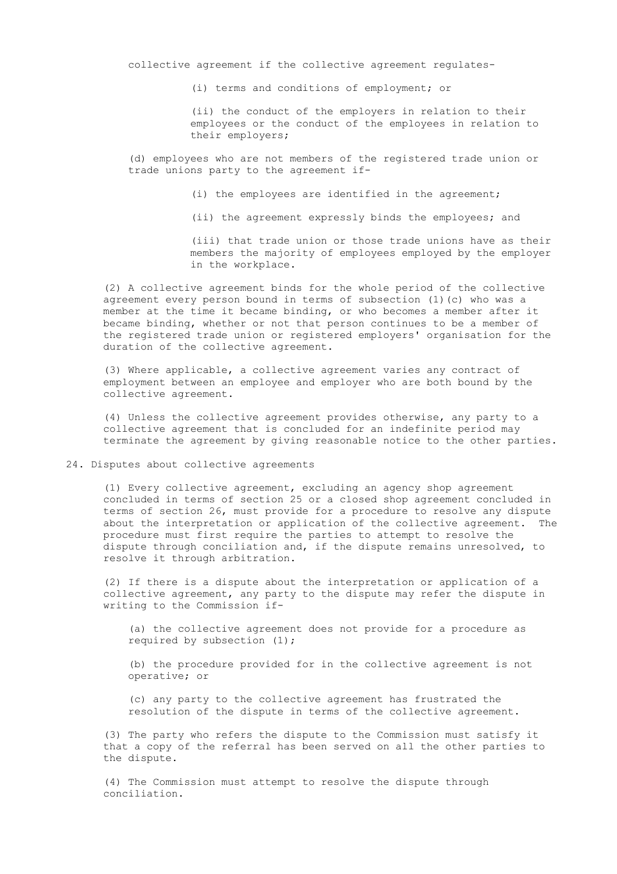collective agreement if the collective agreement regulates-

(i) terms and conditions of employment; or

 (ii) the conduct of the employers in relation to their employees or the conduct of the employees in relation to their employers;

 (d) employees who are not members of the registered trade union or trade unions party to the agreement if-

- (i) the employees are identified in the agreement;
- (ii) the agreement expressly binds the employees; and

 (iii) that trade union or those trade unions have as their members the majority of employees employed by the employer in the workplace.

 (2) A collective agreement binds for the whole period of the collective agreement every person bound in terms of subsection (1)(c) who was a member at the time it became binding, or who becomes a member after it became binding, whether or not that person continues to be a member of the registered trade union or registered employers' organisation for the duration of the collective agreement.

 (3) Where applicable, a collective agreement varies any contract of employment between an employee and employer who are both bound by the collective agreement.

 (4) Unless the collective agreement provides otherwise, any party to a collective agreement that is concluded for an indefinite period may terminate the agreement by giving reasonable notice to the other parties.

#### 24. Disputes about collective agreements

 (1) Every collective agreement, excluding an agency shop agreement concluded in terms of section 25 or a closed shop agreement concluded in terms of section 26, must provide for a procedure to resolve any dispute about the interpretation or application of the collective agreement. The procedure must first require the parties to attempt to resolve the dispute through conciliation and, if the dispute remains unresolved, to resolve it through arbitration.

 (2) If there is a dispute about the interpretation or application of a collective agreement, any party to the dispute may refer the dispute in writing to the Commission if-

 (a) the collective agreement does not provide for a procedure as required by subsection (1);

 (b) the procedure provided for in the collective agreement is not operative; or

 (c) any party to the collective agreement has frustrated the resolution of the dispute in terms of the collective agreement.

 (3) The party who refers the dispute to the Commission must satisfy it that a copy of the referral has been served on all the other parties to the dispute.

 (4) The Commission must attempt to resolve the dispute through conciliation.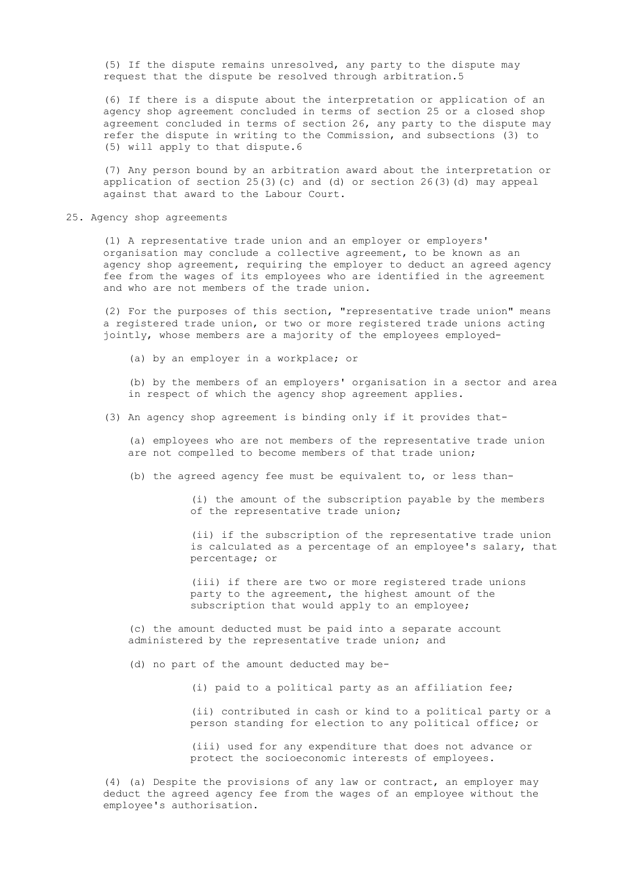(5) If the dispute remains unresolved, any party to the dispute may request that the dispute be resolved through arbitration.5

 (6) If there is a dispute about the interpretation or application of an agency shop agreement concluded in terms of section 25 or a closed shop agreement concluded in terms of section 26, any party to the dispute may refer the dispute in writing to the Commission, and subsections (3) to (5) will apply to that dispute.6

 (7) Any person bound by an arbitration award about the interpretation or application of section 25(3)(c) and (d) or section 26(3)(d) may appeal against that award to the Labour Court.

### 25. Agency shop agreements

 (1) A representative trade union and an employer or employers' organisation may conclude a collective agreement, to be known as an agency shop agreement, requiring the employer to deduct an agreed agency fee from the wages of its employees who are identified in the agreement and who are not members of the trade union.

 (2) For the purposes of this section, "representative trade union" means a registered trade union, or two or more registered trade unions acting jointly, whose members are a majority of the employees employed-

(a) by an employer in a workplace; or

 (b) by the members of an employers' organisation in a sector and area in respect of which the agency shop agreement applies.

(3) An agency shop agreement is binding only if it provides that-

 (a) employees who are not members of the representative trade union are not compelled to become members of that trade union;

(b) the agreed agency fee must be equivalent to, or less than-

 (i) the amount of the subscription payable by the members of the representative trade union;

 (ii) if the subscription of the representative trade union is calculated as a percentage of an employee's salary, that percentage; or

 (iii) if there are two or more registered trade unions party to the agreement, the highest amount of the subscription that would apply to an employee;

 (c) the amount deducted must be paid into a separate account administered by the representative trade union; and

(d) no part of the amount deducted may be-

(i) paid to a political party as an affiliation fee;

 (ii) contributed in cash or kind to a political party or a person standing for election to any political office; or

 (iii) used for any expenditure that does not advance or protect the socioeconomic interests of employees.

 (4) (a) Despite the provisions of any law or contract, an employer may deduct the agreed agency fee from the wages of an employee without the employee's authorisation.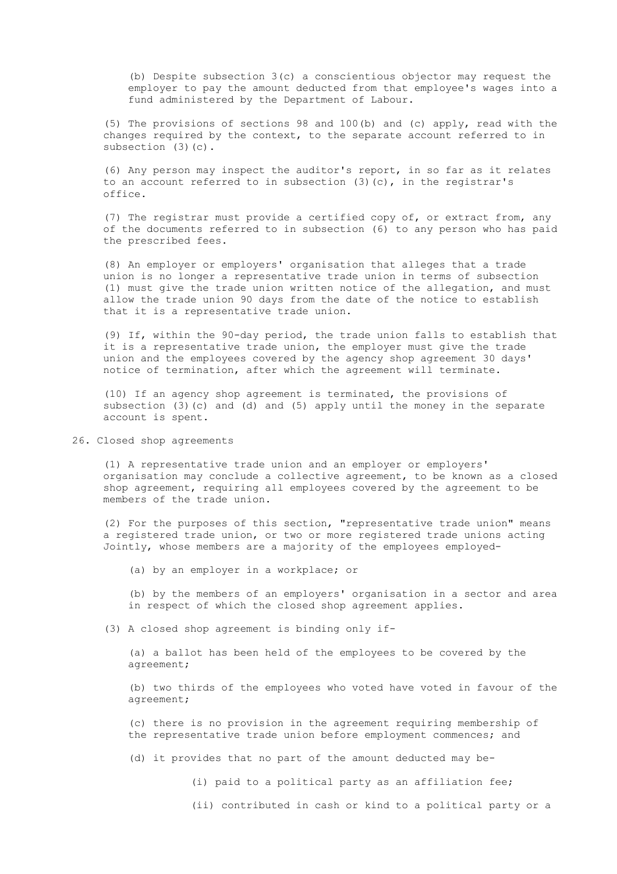(b) Despite subsection 3(c) a conscientious objector may request the employer to pay the amount deducted from that employee's wages into a fund administered by the Department of Labour.

 (5) The provisions of sections 98 and 100(b) and (c) apply, read with the changes required by the context, to the separate account referred to in subsection (3)(c).

 (6) Any person may inspect the auditor's report, in so far as it relates to an account referred to in subsection  $(3)(c)$ , in the registrar's office.

 (7) The registrar must provide a certified copy of, or extract from, any of the documents referred to in subsection (6) to any person who has paid the prescribed fees.

 (8) An employer or employers' organisation that alleges that a trade union is no longer a representative trade union in terms of subsection (1) must give the trade union written notice of the allegation, and must allow the trade union 90 days from the date of the notice to establish that it is a representative trade union.

 (9) If, within the 90-day period, the trade union falls to establish that it is a representative trade union, the employer must give the trade union and the employees covered by the agency shop agreement 30 days' notice of termination, after which the agreement will terminate.

 (10) If an agency shop agreement is terminated, the provisions of subsection (3)(c) and (d) and (5) apply until the money in the separate account is spent.

26. Closed shop agreements

 (1) A representative trade union and an employer or employers' organisation may conclude a collective agreement, to be known as a closed shop agreement, requiring all employees covered by the agreement to be members of the trade union.

 (2) For the purposes of this section, "representative trade union" means a registered trade union, or two or more registered trade unions acting Jointly, whose members are a majority of the employees employed-

(a) by an employer in a workplace; or

 (b) by the members of an employers' organisation in a sector and area in respect of which the closed shop agreement applies.

(3) A closed shop agreement is binding only if-

 (a) a ballot has been held of the employees to be covered by the agreement;

 (b) two thirds of the employees who voted have voted in favour of the agreement;

 (c) there is no provision in the agreement requiring membership of the representative trade union before employment commences; and

(d) it provides that no part of the amount deducted may be-

(i) paid to a political party as an affiliation fee;

(ii) contributed in cash or kind to a political party or a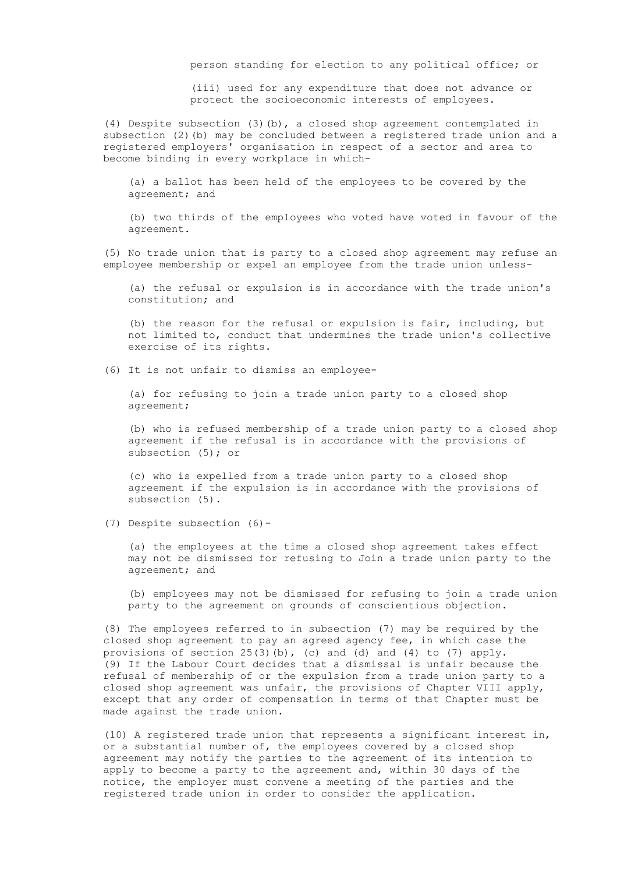person standing for election to any political office; or

 (iii) used for any expenditure that does not advance or protect the socioeconomic interests of employees.

 (4) Despite subsection (3)(b), a closed shop agreement contemplated in subsection (2)(b) may be concluded between a registered trade union and a registered employers' organisation in respect of a sector and area to become binding in every workplace in which-

 (a) a ballot has been held of the employees to be covered by the agreement; and

 (b) two thirds of the employees who voted have voted in favour of the agreement.

 (5) No trade union that is party to a closed shop agreement may refuse an employee membership or expel an employee from the trade union unless-

 (a) the refusal or expulsion is in accordance with the trade union's constitution; and

 (b) the reason for the refusal or expulsion is fair, including, but not limited to, conduct that undermines the trade union's collective exercise of its rights.

(6) It is not unfair to dismiss an employee-

 (a) for refusing to join a trade union party to a closed shop agreement;

 (b) who is refused membership of a trade union party to a closed shop agreement if the refusal is in accordance with the provisions of subsection (5); or

 (c) who is expelled from a trade union party to a closed shop agreement if the expulsion is in accordance with the provisions of subsection (5).

(7) Despite subsection (6)-

 (a) the employees at the time a closed shop agreement takes effect may not be dismissed for refusing to Join a trade union party to the agreement; and

 (b) employees may not be dismissed for refusing to join a trade union party to the agreement on grounds of conscientious objection.

 (8) The employees referred to in subsection (7) may be required by the closed shop agreement to pay an agreed agency fee, in which case the provisions of section  $25(3)(b)$ , (c) and (d) and (4) to (7) apply. (9) If the Labour Court decides that a dismissal is unfair because the refusal of membership of or the expulsion from a trade union party to a closed shop agreement was unfair, the provisions of Chapter VIII apply, except that any order of compensation in terms of that Chapter must be made against the trade union.

 (10) A registered trade union that represents a significant interest in, or a substantial number of, the employees covered by a closed shop agreement may notify the parties to the agreement of its intention to apply to become a party to the agreement and, within 30 days of the notice, the employer must convene a meeting of the parties and the registered trade union in order to consider the application.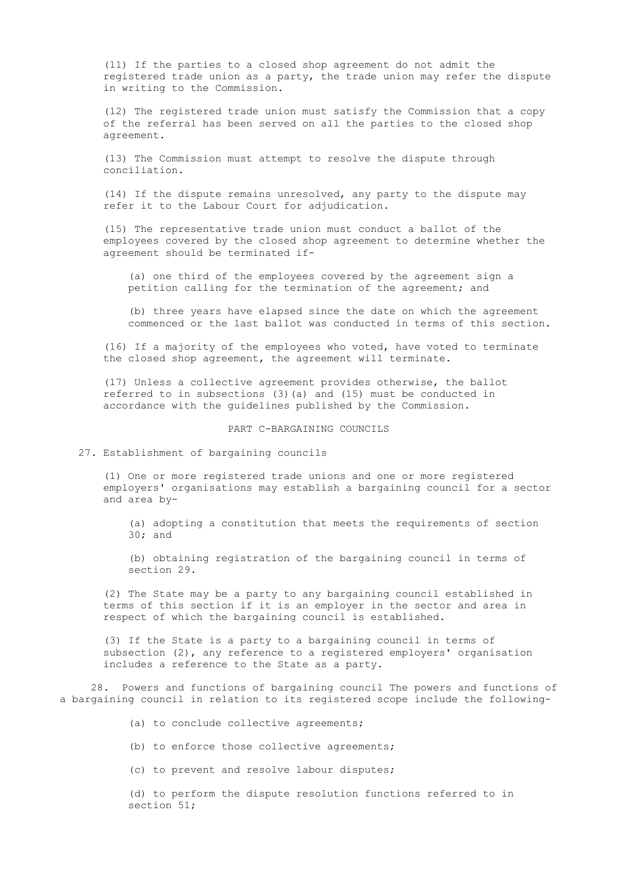(11) If the parties to a closed shop agreement do not admit the registered trade union as a party, the trade union may refer the dispute in writing to the Commission.

 (12) The registered trade union must satisfy the Commission that a copy of the referral has been served on all the parties to the closed shop agreement.

 (13) The Commission must attempt to resolve the dispute through conciliation.

 (14) If the dispute remains unresolved, any party to the dispute may refer it to the Labour Court for adjudication.

 (15) The representative trade union must conduct a ballot of the employees covered by the closed shop agreement to determine whether the agreement should be terminated if-

 (a) one third of the employees covered by the agreement sign a petition calling for the termination of the agreement; and

 (b) three years have elapsed since the date on which the agreement commenced or the last ballot was conducted in terms of this section.

 (16) If a majority of the employees who voted, have voted to terminate the closed shop agreement, the agreement will terminate.

 (17) Unless a collective agreement provides otherwise, the ballot referred to in subsections (3)(a) and (15) must be conducted in accordance with the guidelines published by the Commission.

### PART C-BARGAINING COUNCILS

27. Establishment of bargaining councils

 (1) One or more registered trade unions and one or more registered employers' organisations may establish a bargaining council for a sector and area by-

 (a) adopting a constitution that meets the requirements of section 30; and

 (b) obtaining registration of the bargaining council in terms of section 29.

 (2) The State may be a party to any bargaining council established in terms of this section if it is an employer in the sector and area in respect of which the bargaining council is established.

 (3) If the State is a party to a bargaining council in terms of subsection (2), any reference to a registered employers' organisation includes a reference to the State as a party.

 28. Powers and functions of bargaining council The powers and functions of a bargaining council in relation to its registered scope include the following-

- (a) to conclude collective agreements;
- (b) to enforce those collective agreements;
- (c) to prevent and resolve labour disputes;

 (d) to perform the dispute resolution functions referred to in section 51;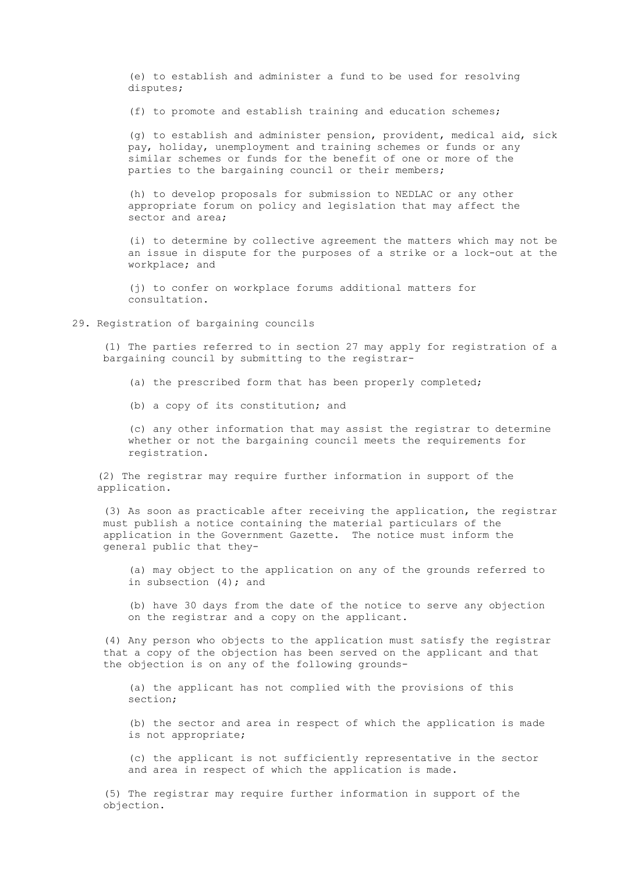(e) to establish and administer a fund to be used for resolving disputes;

(f) to promote and establish training and education schemes;

 (g) to establish and administer pension, provident, medical aid, sick pay, holiday, unemployment and training schemes or funds or any similar schemes or funds for the benefit of one or more of the parties to the bargaining council or their members;

 (h) to develop proposals for submission to NEDLAC or any other appropriate forum on policy and legislation that may affect the sector and area;

 (i) to determine by collective agreement the matters which may not be an issue in dispute for the purposes of a strike or a lock-out at the workplace; and

 (j) to confer on workplace forums additional matters for consultation.

29. Registration of bargaining councils

 (1) The parties referred to in section 27 may apply for registration of a bargaining council by submitting to the registrar-

(a) the prescribed form that has been properly completed;

(b) a copy of its constitution; and

 (c) any other information that may assist the registrar to determine whether or not the bargaining council meets the requirements for registration.

 (2) The registrar may require further information in support of the application.

 (3) As soon as practicable after receiving the application, the registrar must publish a notice containing the material particulars of the application in the Government Gazette. The notice must inform the general public that they-

 (a) may object to the application on any of the grounds referred to in subsection (4); and

 (b) have 30 days from the date of the notice to serve any objection on the registrar and a copy on the applicant.

 (4) Any person who objects to the application must satisfy the registrar that a copy of the objection has been served on the applicant and that the objection is on any of the following grounds-

 (a) the applicant has not complied with the provisions of this section;

 (b) the sector and area in respect of which the application is made is not appropriate;

 (c) the applicant is not sufficiently representative in the sector and area in respect of which the application is made.

 (5) The registrar may require further information in support of the objection.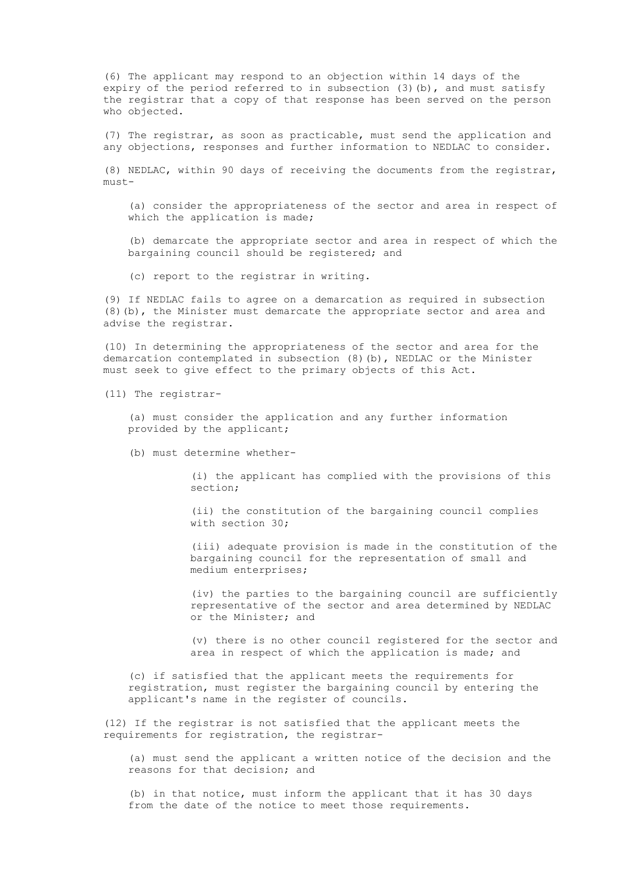(6) The applicant may respond to an objection within 14 days of the expiry of the period referred to in subsection (3)(b), and must satisfy the registrar that a copy of that response has been served on the person who objected.

 (7) The registrar, as soon as practicable, must send the application and any objections, responses and further information to NEDLAC to consider.

 (8) NEDLAC, within 90 days of receiving the documents from the registrar,  $m$ ust-

 (a) consider the appropriateness of the sector and area in respect of which the application is made;

 (b) demarcate the appropriate sector and area in respect of which the bargaining council should be registered; and

(c) report to the registrar in writing.

 (9) If NEDLAC fails to agree on a demarcation as required in subsection (8)(b), the Minister must demarcate the appropriate sector and area and advise the registrar.

 (10) In determining the appropriateness of the sector and area for the demarcation contemplated in subsection (8)(b), NEDLAC or the Minister must seek to give effect to the primary objects of this Act.

(11) The registrar-

 (a) must consider the application and any further information provided by the applicant;

(b) must determine whether-

 (i) the applicant has complied with the provisions of this section;

 (ii) the constitution of the bargaining council complies with section 30;

 (iii) adequate provision is made in the constitution of the bargaining council for the representation of small and medium enterprises;

 (iv) the parties to the bargaining council are sufficiently representative of the sector and area determined by NEDLAC or the Minister; and

 (v) there is no other council registered for the sector and area in respect of which the application is made; and

 (c) if satisfied that the applicant meets the requirements for registration, must register the bargaining council by entering the applicant's name in the register of councils.

 (12) If the registrar is not satisfied that the applicant meets the requirements for registration, the registrar-

 (a) must send the applicant a written notice of the decision and the reasons for that decision; and

 (b) in that notice, must inform the applicant that it has 30 days from the date of the notice to meet those requirements.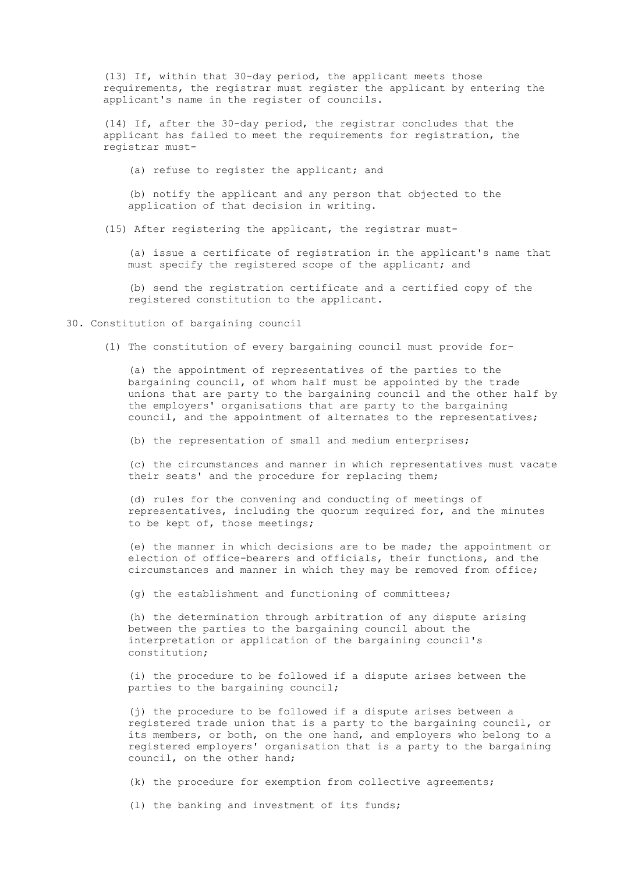(13) If, within that 30-day period, the applicant meets those requirements, the registrar must register the applicant by entering the applicant's name in the register of councils.

 (14) If, after the 30-day period, the registrar concludes that the applicant has failed to meet the requirements for registration, the registrar must-

(a) refuse to register the applicant; and

 (b) notify the applicant and any person that objected to the application of that decision in writing.

(15) After registering the applicant, the registrar must-

 (a) issue a certificate of registration in the applicant's name that must specify the registered scope of the applicant; and

 (b) send the registration certificate and a certified copy of the registered constitution to the applicant.

### 30. Constitution of bargaining council

(1) The constitution of every bargaining council must provide for-

 (a) the appointment of representatives of the parties to the bargaining council, of whom half must be appointed by the trade unions that are party to the bargaining council and the other half by the employers' organisations that are party to the bargaining council, and the appointment of alternates to the representatives;

(b) the representation of small and medium enterprises;

 (c) the circumstances and manner in which representatives must vacate their seats' and the procedure for replacing them;

 (d) rules for the convening and conducting of meetings of representatives, including the quorum required for, and the minutes to be kept of, those meetings;

 (e) the manner in which decisions are to be made; the appointment or election of office-bearers and officials, their functions, and the circumstances and manner in which they may be removed from office;

(g) the establishment and functioning of committees;

 (h) the determination through arbitration of any dispute arising between the parties to the bargaining council about the interpretation or application of the bargaining council's constitution;

 (i) the procedure to be followed if a dispute arises between the parties to the bargaining council;

 (j) the procedure to be followed if a dispute arises between a registered trade union that is a party to the bargaining council, or its members, or both, on the one hand, and employers who belong to a registered employers' organisation that is a party to the bargaining council, on the other hand;

(k) the procedure for exemption from collective agreements;

(l) the banking and investment of its funds;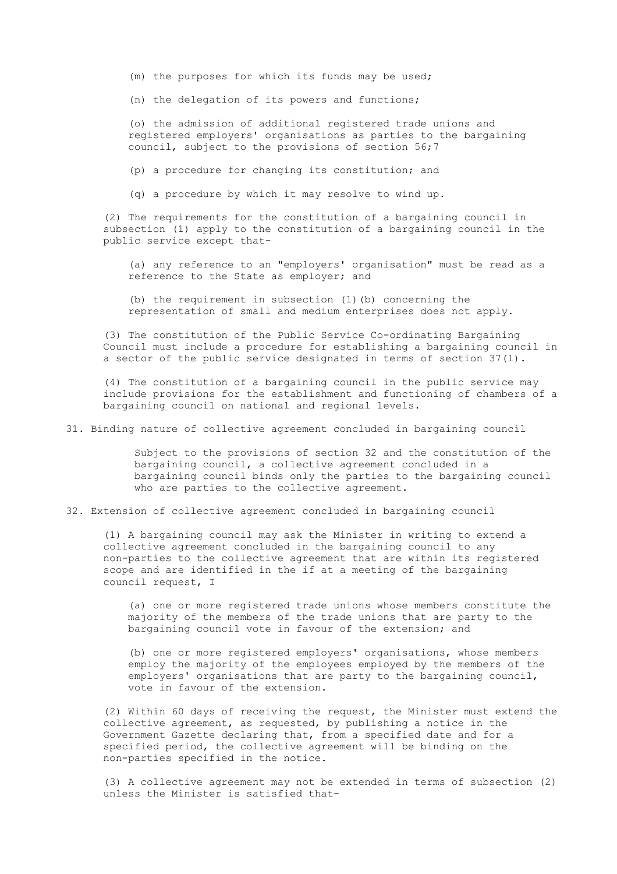(m) the purposes for which its funds may be used;

(n) the delegation of its powers and functions;

 (o) the admission of additional registered trade unions and registered employers' organisations as parties to the bargaining council, subject to the provisions of section 56;7

(p) a procedure for changing its constitution; and

(q) a procedure by which it may resolve to wind up.

 (2) The requirements for the constitution of a bargaining council in subsection (1) apply to the constitution of a bargaining council in the public service except that-

 (a) any reference to an "employers' organisation" must be read as a reference to the State as employer; and

 (b) the requirement in subsection (1)(b) concerning the representation of small and medium enterprises does not apply.

 (3) The constitution of the Public Service Co-ordinating Bargaining Council must include a procedure for establishing a bargaining council in a sector of the public service designated in terms of section 37(l).

 (4) The constitution of a bargaining council in the public service may include provisions for the establishment and functioning of chambers of a bargaining council on national and regional levels.

31. Binding nature of collective agreement concluded in bargaining council

 Subject to the provisions of section 32 and the constitution of the bargaining council, a collective agreement concluded in a bargaining council binds only the parties to the bargaining council who are parties to the collective agreement.

32. Extension of collective agreement concluded in bargaining council

 (1) A bargaining council may ask the Minister in writing to extend a collective agreement concluded in the bargaining council to any non-parties to the collective agreement that are within its registered scope and are identified in the if at a meeting of the bargaining council request, I

 (a) one or more registered trade unions whose members constitute the majority of the members of the trade unions that are party to the bargaining council vote in favour of the extension; and

 (b) one or more registered employers' organisations, whose members employ the majority of the employees employed by the members of the employers' organisations that are party to the bargaining council, vote in favour of the extension.

 (2) Within 60 days of receiving the request, the Minister must extend the collective agreement, as requested, by publishing a notice in the Government Gazette declaring that, from a specified date and for a specified period, the collective agreement will be binding on the non-parties specified in the notice.

 (3) A collective agreement may not be extended in terms of subsection (2) unless the Minister is satisfied that-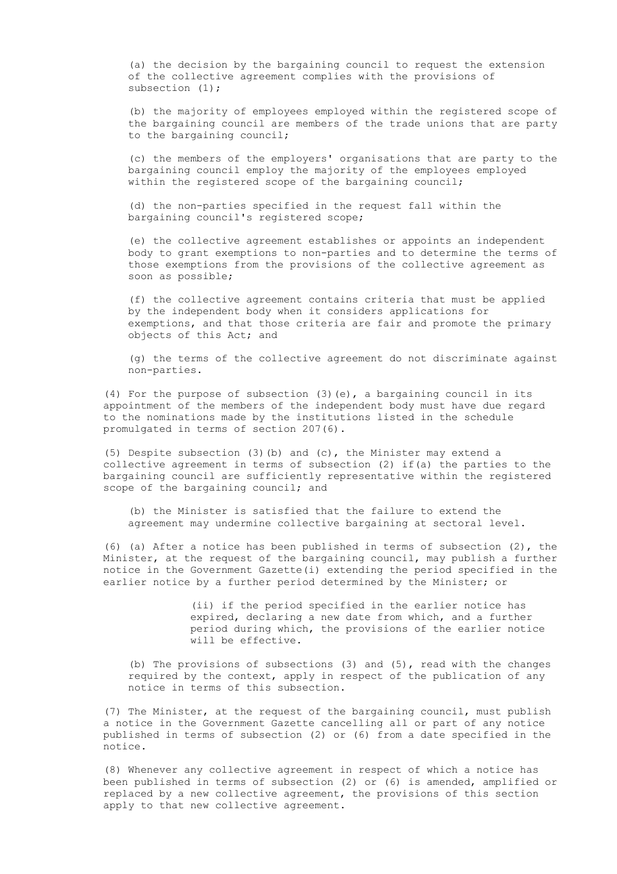(a) the decision by the bargaining council to request the extension of the collective agreement complies with the provisions of subsection (1);

 (b) the majority of employees employed within the registered scope of the bargaining council are members of the trade unions that are party to the bargaining council;

 (c) the members of the employers' organisations that are party to the bargaining council employ the majority of the employees employed within the registered scope of the bargaining council;

 (d) the non-parties specified in the request fall within the bargaining council's registered scope;

 (e) the collective agreement establishes or appoints an independent body to grant exemptions to non-parties and to determine the terms of those exemptions from the provisions of the collective agreement as soon as possible;

 (f) the collective agreement contains criteria that must be applied by the independent body when it considers applications for exemptions, and that those criteria are fair and promote the primary objects of this Act; and

 (g) the terms of the collective agreement do not discriminate against non-parties.

(4) For the purpose of subsection  $(3)$  (e), a bargaining council in its appointment of the members of the independent body must have due regard to the nominations made by the institutions listed in the schedule promulgated in terms of section 207(6).

(5) Despite subsection (3)(b) and (c), the Minister may extend a collective agreement in terms of subsection (2) if(a) the parties to the bargaining council are sufficiently representative within the registered scope of the bargaining council; and

 (b) the Minister is satisfied that the failure to extend the agreement may undermine collective bargaining at sectoral level.

 (6) (a) After a notice has been published in terms of subsection (2), the Minister, at the request of the bargaining council, may publish a further notice in the Government Gazette(i) extending the period specified in the earlier notice by a further period determined by the Minister; or

> (ii) if the period specified in the earlier notice has expired, declaring a new date from which, and a further period during which, the provisions of the earlier notice will be effective.

 (b) The provisions of subsections (3) and (5), read with the changes required by the context, apply in respect of the publication of any notice in terms of this subsection.

 (7) The Minister, at the request of the bargaining council, must publish a notice in the Government Gazette cancelling all or part of any notice published in terms of subsection (2) or (6) from a date specified in the notice.

 (8) Whenever any collective agreement in respect of which a notice has been published in terms of subsection (2) or (6) is amended, amplified or replaced by a new collective agreement, the provisions of this section apply to that new collective agreement.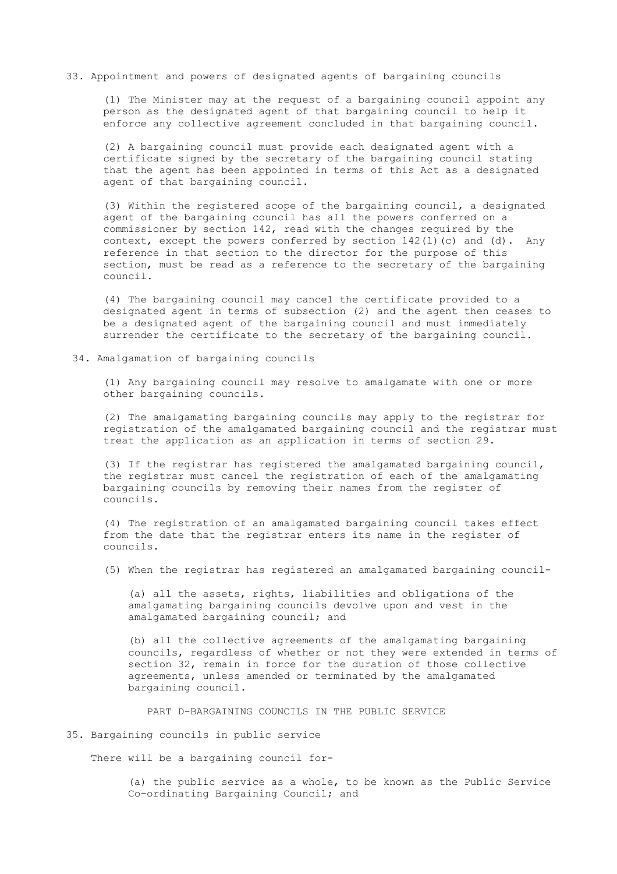## 33. Appointment and powers of designated agents of bargaining councils

 (1) The Minister may at the request of a bargaining council appoint any person as the designated agent of that bargaining council to help it enforce any collective agreement concluded in that bargaining council.

 (2) A bargaining council must provide each designated agent with a certificate signed by the secretary of the bargaining council stating that the agent has been appointed in terms of this Act as a designated agent of that bargaining council.

 (3) Within the registered scope of the bargaining council, a designated agent of the bargaining council has all the powers conferred on a commissioner by section 142, read with the changes required by the context, except the powers conferred by section 142(l)(c) and (d). Any reference in that section to the director for the purpose of this section, must be read as a reference to the secretary of the bargaining council.

 (4) The bargaining council may cancel the certificate provided to a designated agent in terms of subsection (2) and the agent then ceases to be a designated agent of the bargaining council and must immediately surrender the certificate to the secretary of the bargaining council.

## 34. Amalgamation of bargaining councils

 (1) Any bargaining council may resolve to amalgamate with one or more other bargaining councils.

 (2) The amalgamating bargaining councils may apply to the registrar for registration of the amalgamated bargaining council and the registrar must treat the application as an application in terms of section 29.

 (3) If the registrar has registered the amalgamated bargaining council, the registrar must cancel the registration of each of the amalgamating bargaining councils by removing their names from the register of councils.

 (4) The registration of an amalgamated bargaining council takes effect from the date that the registrar enters its name in the register of councils.

(5) When the registrar has registered an amalgamated bargaining council-

 (a) all the assets, rights, liabilities and obligations of the amalgamating bargaining councils devolve upon and vest in the amalgamated bargaining council; and

 (b) all the collective agreements of the amalgamating bargaining councils, regardless of whether or not they were extended in terms of section 32, remain in force for the duration of those collective agreements, unless amended or terminated by the amalgamated bargaining council.

PART D-BARGAINING COUNCILS IN THE PUBLIC SERVICE

35. Bargaining councils in public service

There will be a bargaining council for-

 (a) the public service as a whole, to be known as the Public Service Co-ordinating Bargaining Council; and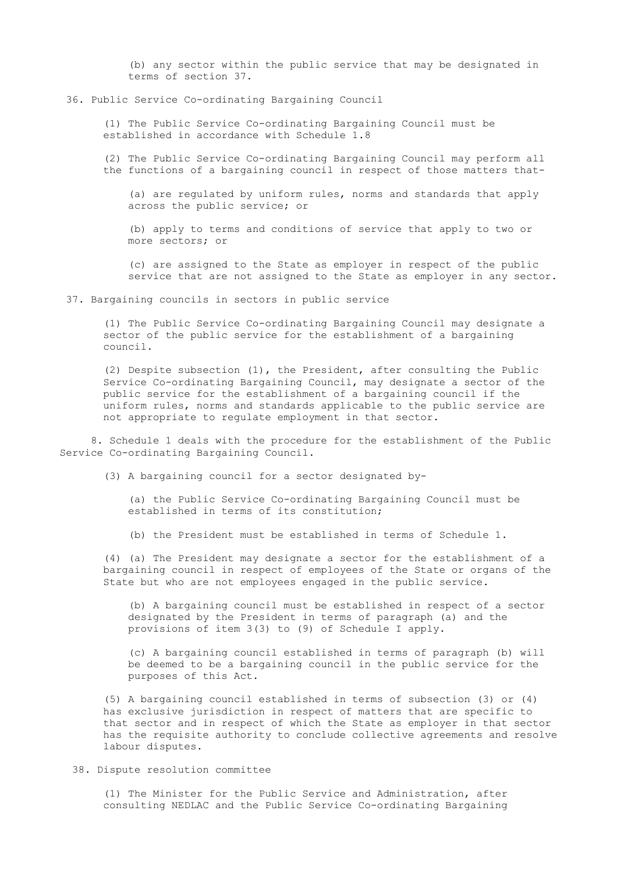(b) any sector within the public service that may be designated in terms of section 37.

36. Public Service Co-ordinating Bargaining Council

 (1) The Public Service Co-ordinating Bargaining Council must be established in accordance with Schedule 1.8

 (2) The Public Service Co-ordinating Bargaining Council may perform all the functions of a bargaining council in respect of those matters that-

 (a) are regulated by uniform rules, norms and standards that apply across the public service; or

 (b) apply to terms and conditions of service that apply to two or more sectors; or

 (c) are assigned to the State as employer in respect of the public service that are not assigned to the State as employer in any sector.

37. Bargaining councils in sectors in public service

 (1) The Public Service Co-ordinating Bargaining Council may designate a sector of the public service for the establishment of a bargaining council.

 (2) Despite subsection (1), the President, after consulting the Public Service Co-ordinating Bargaining Council, may designate a sector of the public service for the establishment of a bargaining council if the uniform rules, norms and standards applicable to the public service are not appropriate to regulate employment in that sector.

 8. Schedule 1 deals with the procedure for the establishment of the Public Service Co-ordinating Bargaining Council.

(3) A bargaining council for a sector designated by-

 (a) the Public Service Co-ordinating Bargaining Council must be established in terms of its constitution;

(b) the President must be established in terms of Schedule 1.

 (4) (a) The President may designate a sector for the establishment of a bargaining council in respect of employees of the State or organs of the State but who are not employees engaged in the public service.

 (b) A bargaining council must be established in respect of a sector designated by the President in terms of paragraph (a) and the provisions of item 3(3) to (9) of Schedule I apply.

 (c) A bargaining council established in terms of paragraph (b) will be deemed to be a bargaining council in the public service for the purposes of this Act.

 (5) A bargaining council established in terms of subsection (3) or (4) has exclusive jurisdiction in respect of matters that are specific to that sector and in respect of which the State as employer in that sector has the requisite authority to conclude collective agreements and resolve labour disputes.

### 38. Dispute resolution committee

 (1) The Minister for the Public Service and Administration, after consulting NEDLAC and the Public Service Co-ordinating Bargaining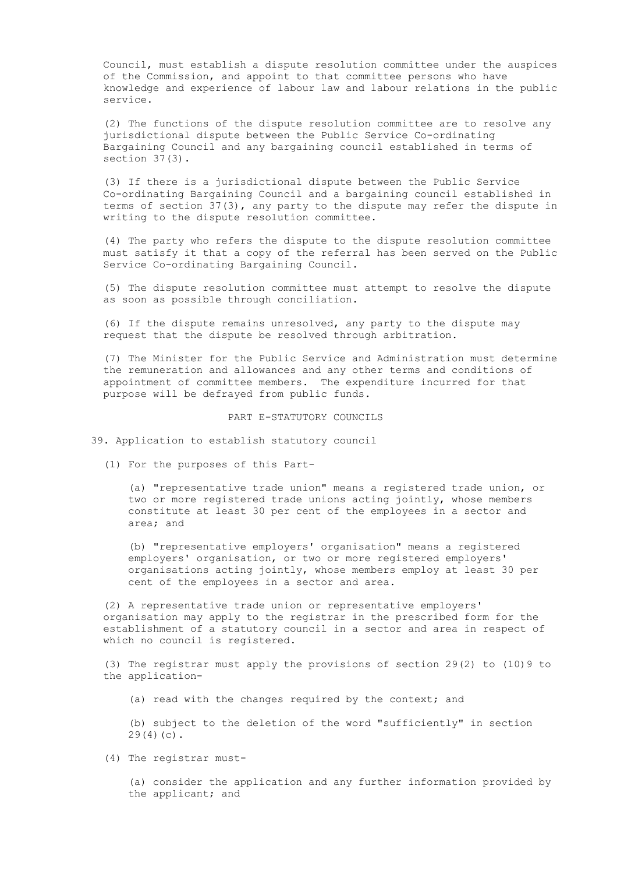Council, must establish a dispute resolution committee under the auspices of the Commission, and appoint to that committee persons who have knowledge and experience of labour law and labour relations in the public service.

 (2) The functions of the dispute resolution committee are to resolve any jurisdictional dispute between the Public Service Co-ordinating Bargaining Council and any bargaining council established in terms of section 37(3).

 (3) If there is a jurisdictional dispute between the Public Service Co-ordinating Bargaining Council and a bargaining council established in terms of section 37(3), any party to the dispute may refer the dispute in writing to the dispute resolution committee.

 (4) The party who refers the dispute to the dispute resolution committee must satisfy it that a copy of the referral has been served on the Public Service Co-ordinating Bargaining Council.

 (5) The dispute resolution committee must attempt to resolve the dispute as soon as possible through conciliation.

 (6) If the dispute remains unresolved, any party to the dispute may request that the dispute be resolved through arbitration.

 (7) The Minister for the Public Service and Administration must determine the remuneration and allowances and any other terms and conditions of appointment of committee members. The expenditure incurred for that purpose will be defrayed from public funds.

PART E-STATUTORY COUNCILS

39. Application to establish statutory council

(1) For the purposes of this Part-

 (a) "representative trade union" means a registered trade union, or two or more registered trade unions acting jointly, whose members constitute at least 30 per cent of the employees in a sector and area; and

 (b) "representative employers' organisation" means a registered employers' organisation, or two or more registered employers' organisations acting jointly, whose members employ at least 30 per cent of the employees in a sector and area.

 (2) A representative trade union or representative employers' organisation may apply to the registrar in the prescribed form for the establishment of a statutory council in a sector and area in respect of which no council is registered.

 (3) The registrar must apply the provisions of section 29(2) to (10)9 to the application-

(a) read with the changes required by the context; and

 (b) subject to the deletion of the word "sufficiently" in section  $29(4)(c)$ .

(4) The registrar must-

 (a) consider the application and any further information provided by the applicant; and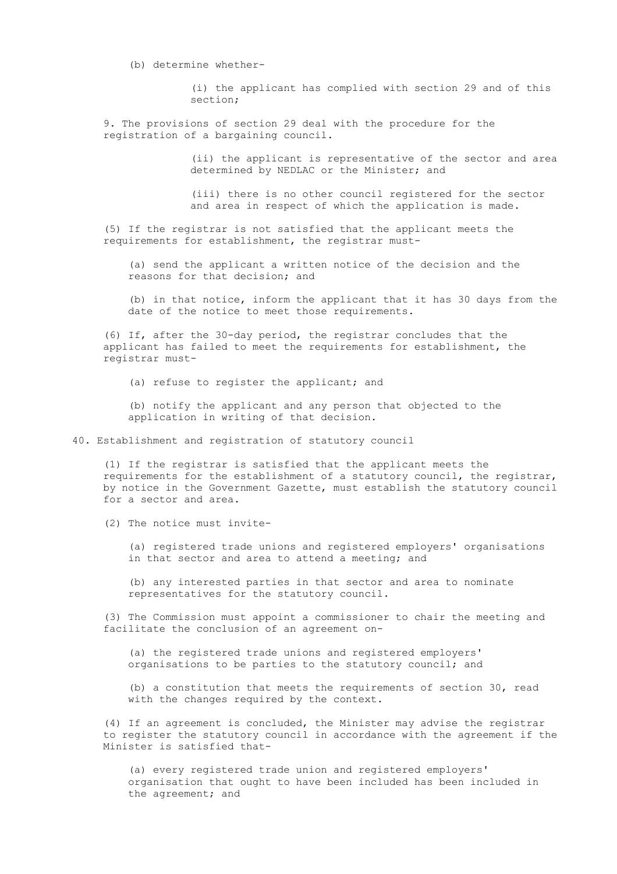(b) determine whether-

 (i) the applicant has complied with section 29 and of this section;

 9. The provisions of section 29 deal with the procedure for the registration of a bargaining council.

> (ii) the applicant is representative of the sector and area determined by NEDLAC or the Minister; and

 (iii) there is no other council registered for the sector and area in respect of which the application is made.

 (5) If the registrar is not satisfied that the applicant meets the requirements for establishment, the registrar must-

 (a) send the applicant a written notice of the decision and the reasons for that decision; and

 (b) in that notice, inform the applicant that it has 30 days from the date of the notice to meet those requirements.

 (6) If, after the 30-day period, the registrar concludes that the applicant has failed to meet the requirements for establishment, the registrar must-

(a) refuse to register the applicant; and

 (b) notify the applicant and any person that objected to the application in writing of that decision.

40. Establishment and registration of statutory council

 (1) If the registrar is satisfied that the applicant meets the requirements for the establishment of a statutory council, the registrar, by notice in the Government Gazette, must establish the statutory council for a sector and area.

(2) The notice must invite-

 (a) registered trade unions and registered employers' organisations in that sector and area to attend a meeting; and

 (b) any interested parties in that sector and area to nominate representatives for the statutory council.

 (3) The Commission must appoint a commissioner to chair the meeting and facilitate the conclusion of an agreement on-

 (a) the registered trade unions and registered employers' organisations to be parties to the statutory council; and

 (b) a constitution that meets the requirements of section 30, read with the changes required by the context.

 (4) If an agreement is concluded, the Minister may advise the registrar to register the statutory council in accordance with the agreement if the Minister is satisfied that-

 (a) every registered trade union and registered employers' organisation that ought to have been included has been included in the agreement; and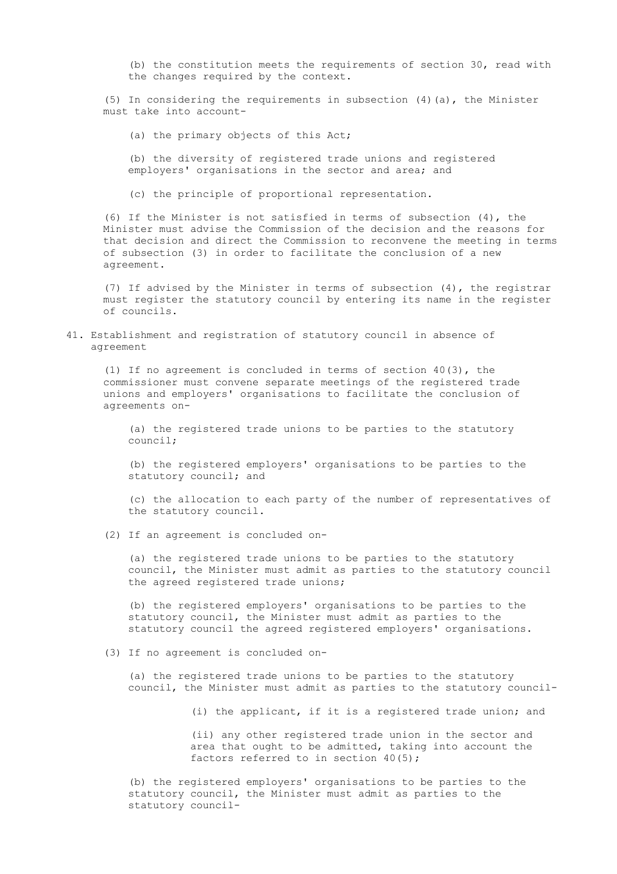(b) the constitution meets the requirements of section 30, read with the changes required by the context.

(5) In considering the requirements in subsection  $(4)(a)$ , the Minister must take into account-

(a) the primary objects of this Act;

 (b) the diversity of registered trade unions and registered employers' organisations in the sector and area; and

(c) the principle of proportional representation.

 (6) If the Minister is not satisfied in terms of subsection (4), the Minister must advise the Commission of the decision and the reasons for that decision and direct the Commission to reconvene the meeting in terms of subsection (3) in order to facilitate the conclusion of a new agreement.

 (7) If advised by the Minister in terms of subsection (4), the registrar must register the statutory council by entering its name in the register of councils.

 41. Establishment and registration of statutory council in absence of agreement

 (1) If no agreement is concluded in terms of section 40(3), the commissioner must convene separate meetings of the registered trade unions and employers' organisations to facilitate the conclusion of agreements on-

 (a) the registered trade unions to be parties to the statutory council;

 (b) the registered employers' organisations to be parties to the statutory council; and

 (c) the allocation to each party of the number of representatives of the statutory council.

(2) If an agreement is concluded on-

 (a) the registered trade unions to be parties to the statutory council, the Minister must admit as parties to the statutory council the agreed registered trade unions;

 (b) the registered employers' organisations to be parties to the statutory council, the Minister must admit as parties to the statutory council the agreed registered employers' organisations.

(3) If no agreement is concluded on-

 (a) the registered trade unions to be parties to the statutory council, the Minister must admit as parties to the statutory council-

(i) the applicant, if it is a registered trade union; and

 (ii) any other registered trade union in the sector and area that ought to be admitted, taking into account the factors referred to in section  $40(5)$ ;

 (b) the registered employers' organisations to be parties to the statutory council, the Minister must admit as parties to the statutory council-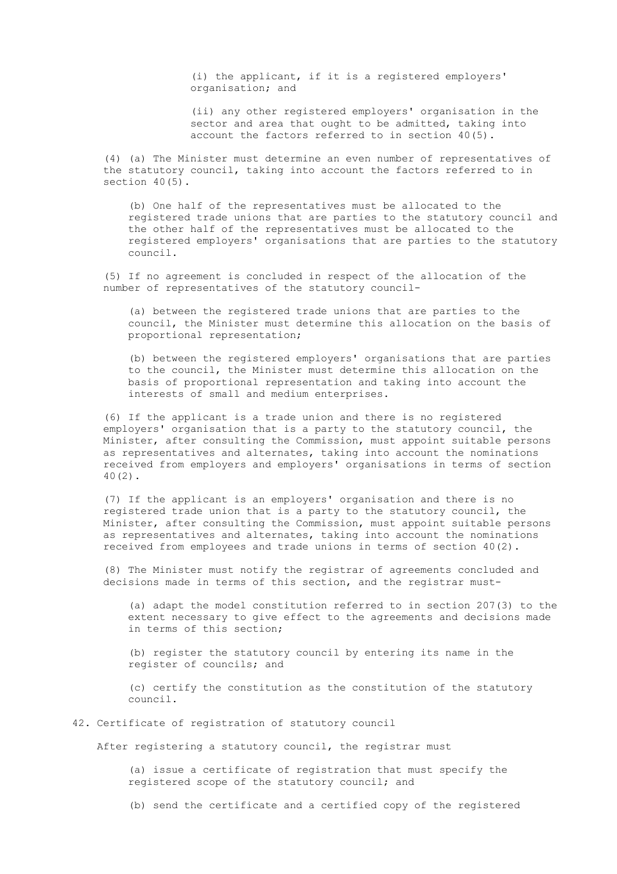(i) the applicant, if it is a registered employers' organisation; and

 (ii) any other registered employers' organisation in the sector and area that ought to be admitted, taking into account the factors referred to in section 40(5).

 (4) (a) The Minister must determine an even number of representatives of the statutory council, taking into account the factors referred to in section  $40(5)$ .

 (b) One half of the representatives must be allocated to the registered trade unions that are parties to the statutory council and the other half of the representatives must be allocated to the registered employers' organisations that are parties to the statutory council.

 (5) If no agreement is concluded in respect of the allocation of the number of representatives of the statutory council-

 (a) between the registered trade unions that are parties to the council, the Minister must determine this allocation on the basis of proportional representation;

 (b) between the registered employers' organisations that are parties to the council, the Minister must determine this allocation on the basis of proportional representation and taking into account the interests of small and medium enterprises.

 (6) If the applicant is a trade union and there is no registered employers' organisation that is a party to the statutory council, the Minister, after consulting the Commission, must appoint suitable persons as representatives and alternates, taking into account the nominations received from employers and employers' organisations in terms of section 40(2).

 (7) If the applicant is an employers' organisation and there is no registered trade union that is a party to the statutory council, the Minister, after consulting the Commission, must appoint suitable persons as representatives and alternates, taking into account the nominations received from employees and trade unions in terms of section 40(2).

 (8) The Minister must notify the registrar of agreements concluded and decisions made in terms of this section, and the registrar must-

 (a) adapt the model constitution referred to in section 207(3) to the extent necessary to give effect to the agreements and decisions made in terms of this section;

 (b) register the statutory council by entering its name in the register of councils; and

 (c) certify the constitution as the constitution of the statutory council.

# 42. Certificate of registration of statutory council

After registering a statutory council, the registrar must

 (a) issue a certificate of registration that must specify the registered scope of the statutory council; and

(b) send the certificate and a certified copy of the registered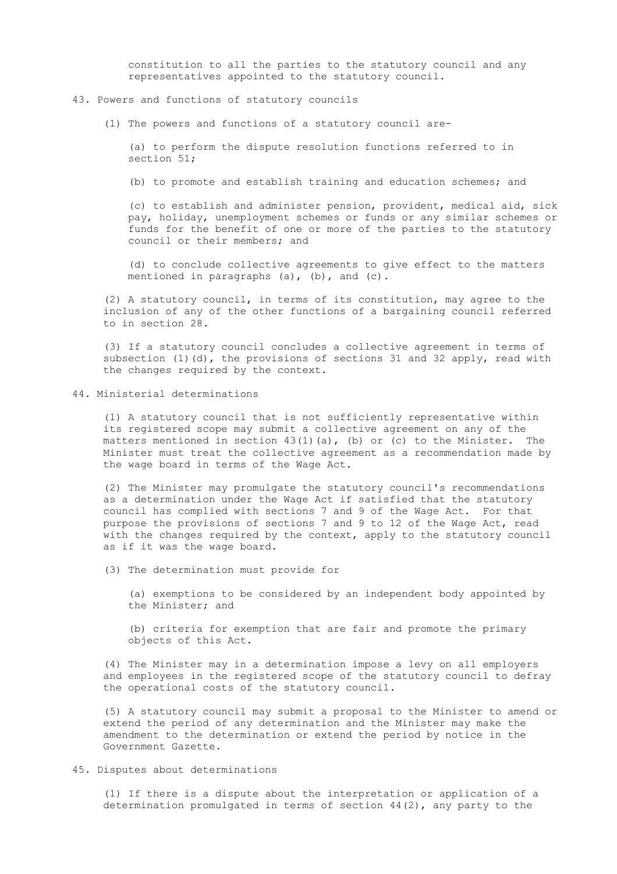constitution to all the parties to the statutory council and any representatives appointed to the statutory council.

## 43. Powers and functions of statutory councils

(1) The powers and functions of a statutory council are-

 (a) to perform the dispute resolution functions referred to in section 51;

(b) to promote and establish training and education schemes; and

 (c) to establish and administer pension, provident, medical aid, sick pay, holiday, unemployment schemes or funds or any similar schemes or funds for the benefit of one or more of the parties to the statutory council or their members; and

 (d) to conclude collective agreements to give effect to the matters mentioned in paragraphs (a), (b), and (c).

 (2) A statutory council, in terms of its constitution, may agree to the inclusion of any of the other functions of a bargaining council referred to in section 28.

 (3) If a statutory council concludes a collective agreement in terms of subsection (1)(d), the provisions of sections 31 and 32 apply, read with the changes required by the context.

44. Ministerial determinations

 (1) A statutory council that is not sufficiently representative within its registered scope may submit a collective agreement on any of the matters mentioned in section  $43(1)(a)$ , (b) or (c) to the Minister. The Minister must treat the collective agreement as a recommendation made by the wage board in terms of the Wage Act.

 (2) The Minister may promulgate the statutory council's recommendations as a determination under the Wage Act if satisfied that the statutory council has complied with sections 7 and 9 of the Wage Act. For that purpose the provisions of sections 7 and 9 to 12 of the Wage Act, read with the changes required by the context, apply to the statutory council as if it was the wage board.

(3) The determination must provide for

 (a) exemptions to be considered by an independent body appointed by the Minister; and

 (b) criteria for exemption that are fair and promote the primary objects of this Act.

 (4) The Minister may in a determination impose a levy on all employers and employees in the registered scope of the statutory council to defray the operational costs of the statutory council.

 (5) A statutory council may submit a proposal to the Minister to amend or extend the period of any determination and the Minister may make the amendment to the determination or extend the period by notice in the Government Gazette.

## 45. Disputes about determinations

 (1) If there is a dispute about the interpretation or application of a determination promulgated in terms of section  $44(2)$ , any party to the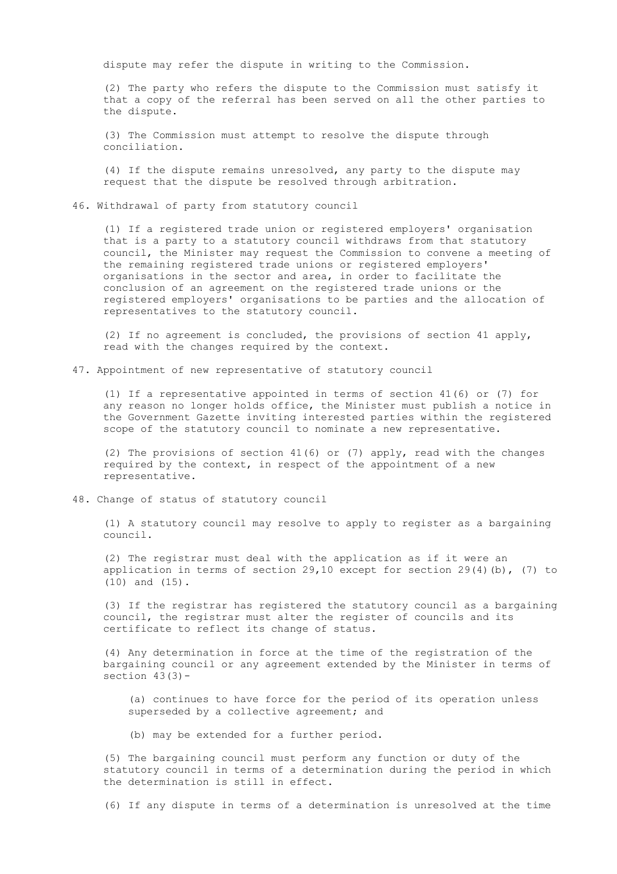dispute may refer the dispute in writing to the Commission.

 (2) The party who refers the dispute to the Commission must satisfy it that a copy of the referral has been served on all the other parties to the dispute.

 (3) The Commission must attempt to resolve the dispute through conciliation.

 (4) If the dispute remains unresolved, any party to the dispute may request that the dispute be resolved through arbitration.

46. Withdrawal of party from statutory council

 (1) If a registered trade union or registered employers' organisation that is a party to a statutory council withdraws from that statutory council, the Minister may request the Commission to convene a meeting of the remaining registered trade unions or registered employers' organisations in the sector and area, in order to facilitate the conclusion of an agreement on the registered trade unions or the registered employers' organisations to be parties and the allocation of representatives to the statutory council.

 (2) If no agreement is concluded, the provisions of section 41 apply, read with the changes required by the context.

47. Appointment of new representative of statutory council

 (1) If a representative appointed in terms of section 41(6) or (7) for any reason no longer holds office, the Minister must publish a notice in the Government Gazette inviting interested parties within the registered scope of the statutory council to nominate a new representative.

 (2) The provisions of section 41(6) or (7) apply, read with the changes required by the context, in respect of the appointment of a new representative.

## 48. Change of status of statutory council

 (1) A statutory council may resolve to apply to register as a bargaining council.

 (2) The registrar must deal with the application as if it were an application in terms of section 29,10 except for section 29(4)(b),  $(7)$  to (10) and (15).

 (3) If the registrar has registered the statutory council as a bargaining council, the registrar must alter the register of councils and its certificate to reflect its change of status.

 (4) Any determination in force at the time of the registration of the bargaining council or any agreement extended by the Minister in terms of section  $43(3)$  -

 (a) continues to have force for the period of its operation unless superseded by a collective agreement; and

(b) may be extended for a further period.

 (5) The bargaining council must perform any function or duty of the statutory council in terms of a determination during the period in which the determination is still in effect.

(6) If any dispute in terms of a determination is unresolved at the time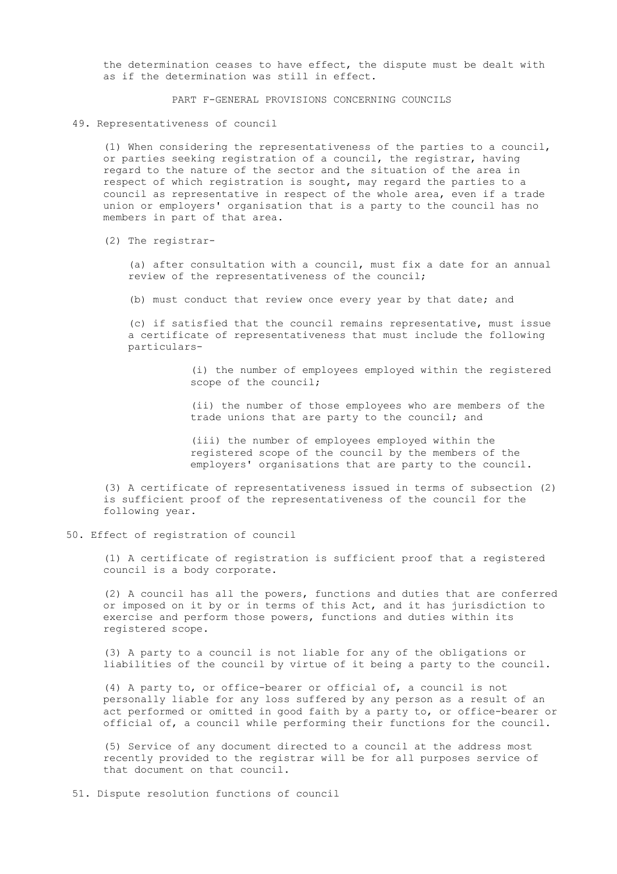the determination ceases to have effect, the dispute must be dealt with as if the determination was still in effect.

PART F-GENERAL PROVISIONS CONCERNING COUNCILS

49. Representativeness of council

 (1) When considering the representativeness of the parties to a council, or parties seeking registration of a council, the registrar, having regard to the nature of the sector and the situation of the area in respect of which registration is sought, may regard the parties to a council as representative in respect of the whole area, even if a trade union or employers' organisation that is a party to the council has no members in part of that area.

(2) The registrar-

 (a) after consultation with a council, must fix a date for an annual review of the representativeness of the council;

(b) must conduct that review once every year by that date; and

 (c) if satisfied that the council remains representative, must issue a certificate of representativeness that must include the following particulars-

> (i) the number of employees employed within the registered scope of the council;

 (ii) the number of those employees who are members of the trade unions that are party to the council; and

 (iii) the number of employees employed within the registered scope of the council by the members of the employers' organisations that are party to the council.

 (3) A certificate of representativeness issued in terms of subsection (2) is sufficient proof of the representativeness of the council for the following year.

50. Effect of registration of council

 (1) A certificate of registration is sufficient proof that a registered council is a body corporate.

 (2) A council has all the powers, functions and duties that are conferred or imposed on it by or in terms of this Act, and it has jurisdiction to exercise and perform those powers, functions and duties within its registered scope.

 (3) A party to a council is not liable for any of the obligations or liabilities of the council by virtue of it being a party to the council.

 (4) A party to, or office-bearer or official of, a council is not personally liable for any loss suffered by any person as a result of an act performed or omitted in good faith by a party to, or office-bearer or official of, a council while performing their functions for the council.

 (5) Service of any document directed to a council at the address most recently provided to the registrar will be for all purposes service of that document on that council.

51. Dispute resolution functions of council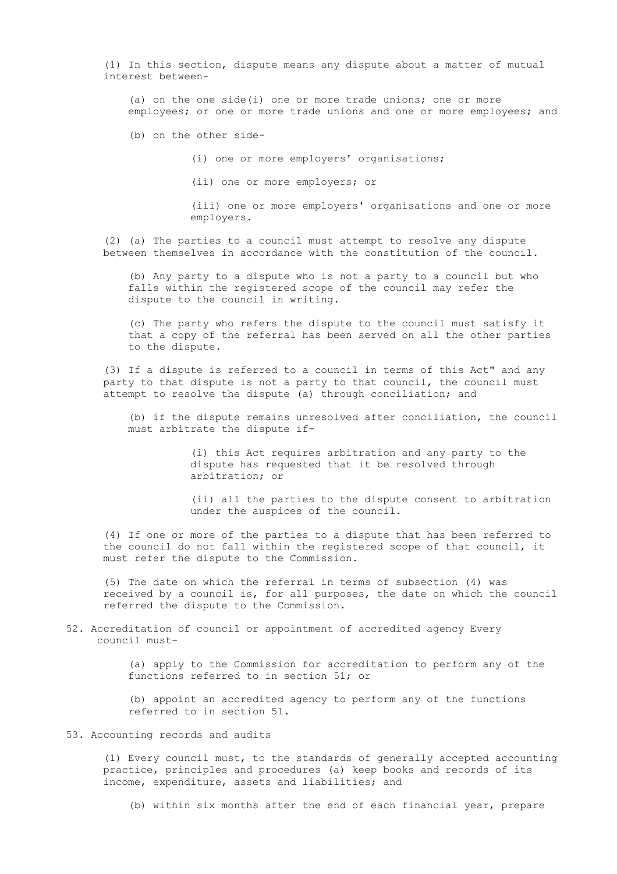(1) In this section, dispute means any dispute about a matter of mutual interest between-

 (a) on the one side(i) one or more trade unions; one or more employees; or one or more trade unions and one or more employees; and

(b) on the other side-

(i) one or more employers' organisations;

(ii) one or more employers; or

 (iii) one or more employers' organisations and one or more employers.

 (2) (a) The parties to a council must attempt to resolve any dispute between themselves in accordance with the constitution of the council.

 (b) Any party to a dispute who is not a party to a council but who falls within the registered scope of the council may refer the dispute to the council in writing.

 (c) The party who refers the dispute to the council must satisfy it that a copy of the referral has been served on all the other parties to the dispute.

 (3) If a dispute is referred to a council in terms of this Act" and any party to that dispute is not a party to that council, the council must attempt to resolve the dispute (a) through conciliation; and

 (b) if the dispute remains unresolved after conciliation, the council must arbitrate the dispute if-

> (i) this Act requires arbitration and any party to the dispute has requested that it be resolved through arbitration; or

 (ii) all the parties to the dispute consent to arbitration under the auspices of the council.

 (4) If one or more of the parties to a dispute that has been referred to the council do not fall within the registered scope of that council, it must refer the dispute to the Commission.

 (5) The date on which the referral in terms of subsection (4) was received by a council is, for all purposes, the date on which the council referred the dispute to the Commission.

 52. Accreditation of council or appointment of accredited agency Every council must-

> (a) apply to the Commission for accreditation to perform any of the functions referred to in section 51; or

 (b) appoint an accredited agency to perform any of the functions referred to in section 51.

# 53. Accounting records and audits

 (1) Every council must, to the standards of generally accepted accounting practice, principles and procedures (a) keep books and records of its income, expenditure, assets and liabilities; and

(b) within six months after the end of each financial year, prepare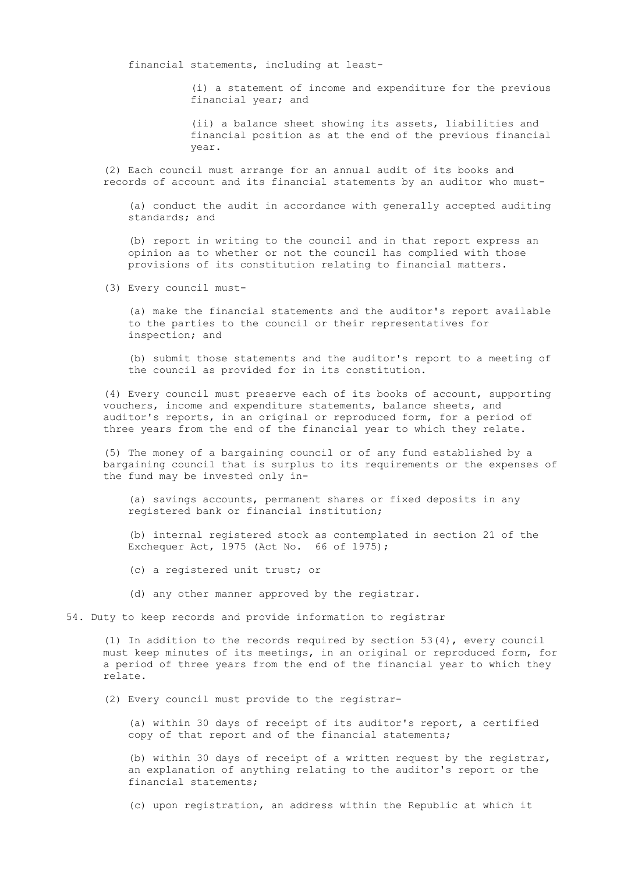financial statements, including at least-

 (i) a statement of income and expenditure for the previous financial year; and

 (ii) a balance sheet showing its assets, liabilities and financial position as at the end of the previous financial year.

 (2) Each council must arrange for an annual audit of its books and records of account and its financial statements by an auditor who must-

 (a) conduct the audit in accordance with generally accepted auditing standards; and

 (b) report in writing to the council and in that report express an opinion as to whether or not the council has complied with those provisions of its constitution relating to financial matters.

(3) Every council must-

 (a) make the financial statements and the auditor's report available to the parties to the council or their representatives for inspection; and

 (b) submit those statements and the auditor's report to a meeting of the council as provided for in its constitution.

 (4) Every council must preserve each of its books of account, supporting vouchers, income and expenditure statements, balance sheets, and auditor's reports, in an original or reproduced form, for a period of three years from the end of the financial year to which they relate.

 (5) The money of a bargaining council or of any fund established by a bargaining council that is surplus to its requirements or the expenses of the fund may be invested only in-

 (a) savings accounts, permanent shares or fixed deposits in any registered bank or financial institution;

 (b) internal registered stock as contemplated in section 21 of the Exchequer Act, 1975 (Act No. 66 of 1975);

(c) a registered unit trust; or

(d) any other manner approved by the registrar.

54. Duty to keep records and provide information to registrar

 (1) In addition to the records required by section 53(4), every council must keep minutes of its meetings, in an original or reproduced form, for a period of three years from the end of the financial year to which they relate.

(2) Every council must provide to the registrar-

 (a) within 30 days of receipt of its auditor's report, a certified copy of that report and of the financial statements;

 (b) within 30 days of receipt of a written request by the registrar, an explanation of anything relating to the auditor's report or the financial statements;

(c) upon registration, an address within the Republic at which it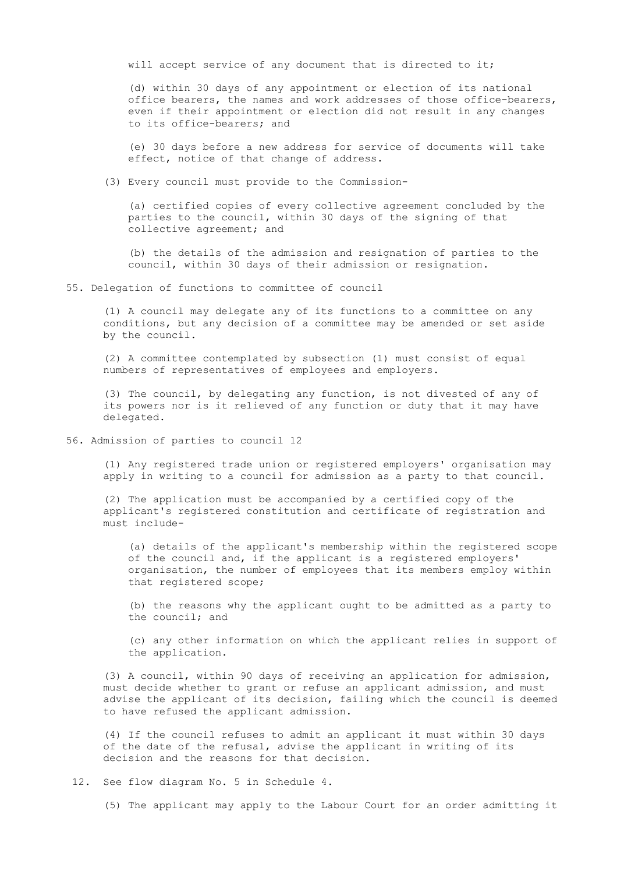will accept service of any document that is directed to it;

 (d) within 30 days of any appointment or election of its national office bearers, the names and work addresses of those office-bearers, even if their appointment or election did not result in any changes to its office-bearers; and

 (e) 30 days before a new address for service of documents will take effect, notice of that change of address.

(3) Every council must provide to the Commission-

 (a) certified copies of every collective agreement concluded by the parties to the council, within 30 days of the signing of that collective agreement; and

 (b) the details of the admission and resignation of parties to the council, within 30 days of their admission or resignation.

55. Delegation of functions to committee of council

 (1) A council may delegate any of its functions to a committee on any conditions, but any decision of a committee may be amended or set aside by the council.

 (2) A committee contemplated by subsection (1) must consist of equal numbers of representatives of employees and employers.

 (3) The council, by delegating any function, is not divested of any of its powers nor is it relieved of any function or duty that it may have delegated.

56. Admission of parties to council 12

 (1) Any registered trade union or registered employers' organisation may apply in writing to a council for admission as a party to that council.

 (2) The application must be accompanied by a certified copy of the applicant's registered constitution and certificate of registration and must include-

 (a) details of the applicant's membership within the registered scope of the council and, if the applicant is a registered employers' organisation, the number of employees that its members employ within that registered scope;

 (b) the reasons why the applicant ought to be admitted as a party to the council; and

 (c) any other information on which the applicant relies in support of the application.

 (3) A council, within 90 days of receiving an application for admission, must decide whether to grant or refuse an applicant admission, and must advise the applicant of its decision, failing which the council is deemed to have refused the applicant admission.

 (4) If the council refuses to admit an applicant it must within 30 days of the date of the refusal, advise the applicant in writing of its decision and the reasons for that decision.

12. See flow diagram No. 5 in Schedule 4.

(5) The applicant may apply to the Labour Court for an order admitting it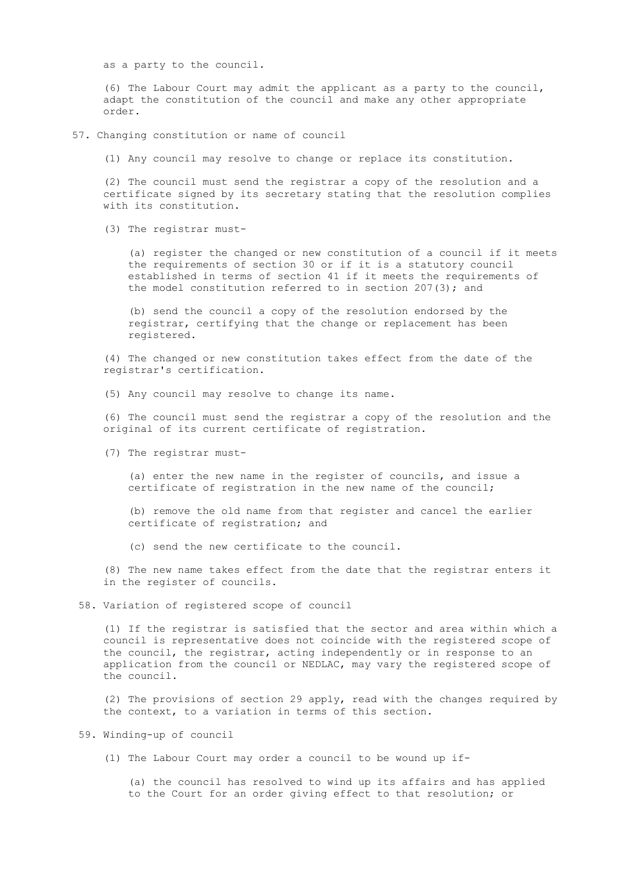as a party to the council.

 (6) The Labour Court may admit the applicant as a party to the council, adapt the constitution of the council and make any other appropriate order.

57. Changing constitution or name of council

(1) Any council may resolve to change or replace its constitution.

 (2) The council must send the registrar a copy of the resolution and a certificate signed by its secretary stating that the resolution complies with its constitution.

(3) The registrar must-

 (a) register the changed or new constitution of a council if it meets the requirements of section 30 or if it is a statutory council established in terms of section 41 if it meets the requirements of the model constitution referred to in section  $207(3)$ ; and

 (b) send the council a copy of the resolution endorsed by the registrar, certifying that the change or replacement has been registered.

 (4) The changed or new constitution takes effect from the date of the registrar's certification.

(5) Any council may resolve to change its name.

 (6) The council must send the registrar a copy of the resolution and the original of its current certificate of registration.

(7) The registrar must-

 (a) enter the new name in the register of councils, and issue a certificate of registration in the new name of the council;

 (b) remove the old name from that register and cancel the earlier certificate of registration; and

(c) send the new certificate to the council.

 (8) The new name takes effect from the date that the registrar enters it in the register of councils.

58. Variation of registered scope of council

 (1) If the registrar is satisfied that the sector and area within which a council is representative does not coincide with the registered scope of the council, the registrar, acting independently or in response to an application from the council or NEDLAC, may vary the registered scope of the council.

 (2) The provisions of section 29 apply, read with the changes required by the context, to a variation in terms of this section.

59. Winding-up of council

(1) The Labour Court may order a council to be wound up if-

 (a) the council has resolved to wind up its affairs and has applied to the Court for an order giving effect to that resolution; or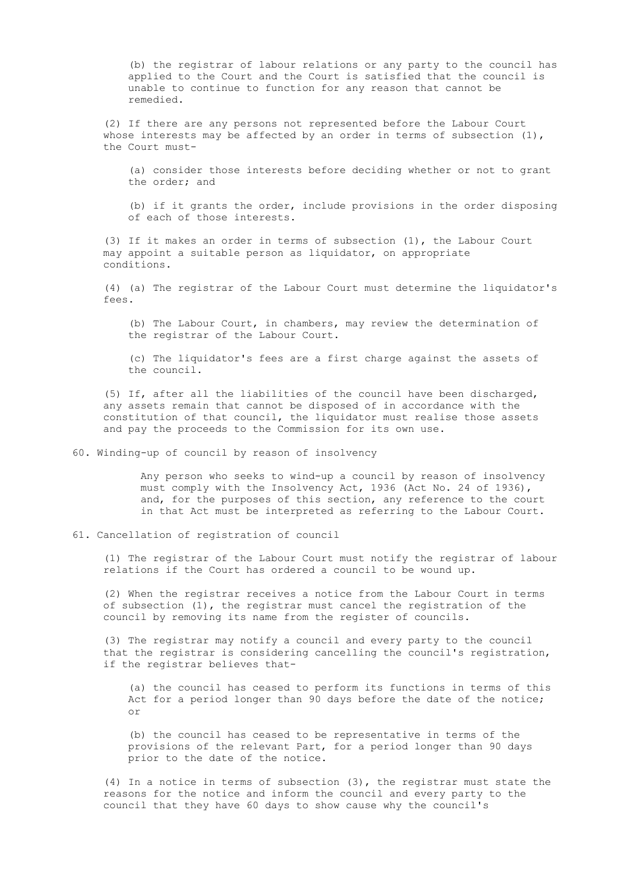(b) the registrar of labour relations or any party to the council has applied to the Court and the Court is satisfied that the council is unable to continue to function for any reason that cannot be remedied.

 (2) If there are any persons not represented before the Labour Court whose interests may be affected by an order in terms of subsection  $(1)$ , the Court must-

 (a) consider those interests before deciding whether or not to grant the order; and

 (b) if it grants the order, include provisions in the order disposing of each of those interests.

 (3) If it makes an order in terms of subsection (1), the Labour Court may appoint a suitable person as liquidator, on appropriate conditions.

 (4) (a) The registrar of the Labour Court must determine the liquidator's fees.

 (b) The Labour Court, in chambers, may review the determination of the registrar of the Labour Court.

 (c) The liquidator's fees are a first charge against the assets of the council.

 (5) If, after all the liabilities of the council have been discharged, any assets remain that cannot be disposed of in accordance with the constitution of that council, the liquidator must realise those assets and pay the proceeds to the Commission for its own use.

60. Winding-up of council by reason of insolvency

 Any person who seeks to wind-up a council by reason of insolvency must comply with the Insolvency Act, 1936 (Act No. 24 of 1936), and, for the purposes of this section, any reference to the court in that Act must be interpreted as referring to the Labour Court.

61. Cancellation of registration of council

 (1) The registrar of the Labour Court must notify the registrar of labour relations if the Court has ordered a council to be wound up.

 (2) When the registrar receives a notice from the Labour Court in terms of subsection (1), the registrar must cancel the registration of the council by removing its name from the register of councils.

 (3) The registrar may notify a council and every party to the council that the registrar is considering cancelling the council's registration, if the registrar believes that-

 (a) the council has ceased to perform its functions in terms of this Act for a period longer than 90 days before the date of the notice; or

 (b) the council has ceased to be representative in terms of the provisions of the relevant Part, for a period longer than 90 days prior to the date of the notice.

 (4) In a notice in terms of subsection (3), the registrar must state the reasons for the notice and inform the council and every party to the council that they have 60 days to show cause why the council's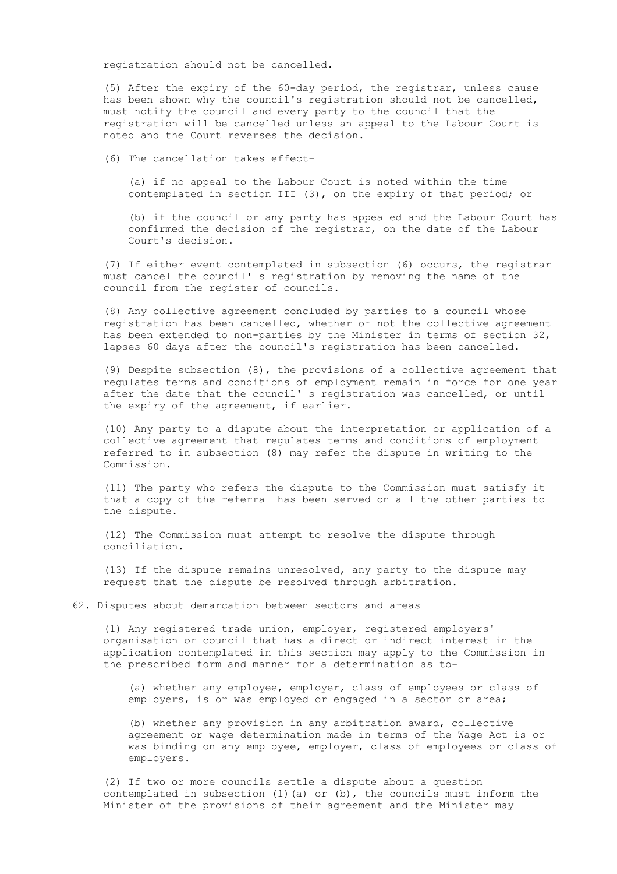registration should not be cancelled.

 (5) After the expiry of the 60-day period, the registrar, unless cause has been shown why the council's registration should not be cancelled, must notify the council and every party to the council that the registration will be cancelled unless an appeal to the Labour Court is noted and the Court reverses the decision.

(6) The cancellation takes effect-

 (a) if no appeal to the Labour Court is noted within the time contemplated in section III (3), on the expiry of that period; or

 (b) if the council or any party has appealed and the Labour Court has confirmed the decision of the registrar, on the date of the Labour Court's decision.

 (7) If either event contemplated in subsection (6) occurs, the registrar must cancel the council' s registration by removing the name of the council from the register of councils.

 (8) Any collective agreement concluded by parties to a council whose registration has been cancelled, whether or not the collective agreement has been extended to non-parties by the Minister in terms of section 32, lapses 60 days after the council's registration has been cancelled.

 (9) Despite subsection (8), the provisions of a collective agreement that regulates terms and conditions of employment remain in force for one year after the date that the council' s registration was cancelled, or until the expiry of the agreement, if earlier.

 (10) Any party to a dispute about the interpretation or application of a collective agreement that regulates terms and conditions of employment referred to in subsection (8) may refer the dispute in writing to the Commission.

 (11) The party who refers the dispute to the Commission must satisfy it that a copy of the referral has been served on all the other parties to the dispute.

 (12) The Commission must attempt to resolve the dispute through conciliation.

 (13) If the dispute remains unresolved, any party to the dispute may request that the dispute be resolved through arbitration.

62. Disputes about demarcation between sectors and areas

 (1) Any registered trade union, employer, registered employers' organisation or council that has a direct or indirect interest in the application contemplated in this section may apply to the Commission in the prescribed form and manner for a determination as to-

 (a) whether any employee, employer, class of employees or class of employers, is or was employed or engaged in a sector or area;

 (b) whether any provision in any arbitration award, collective agreement or wage determination made in terms of the Wage Act is or was binding on any employee, employer, class of employees or class of employers.

 (2) If two or more councils settle a dispute about a question contemplated in subsection (1)(a) or (b), the councils must inform the Minister of the provisions of their agreement and the Minister may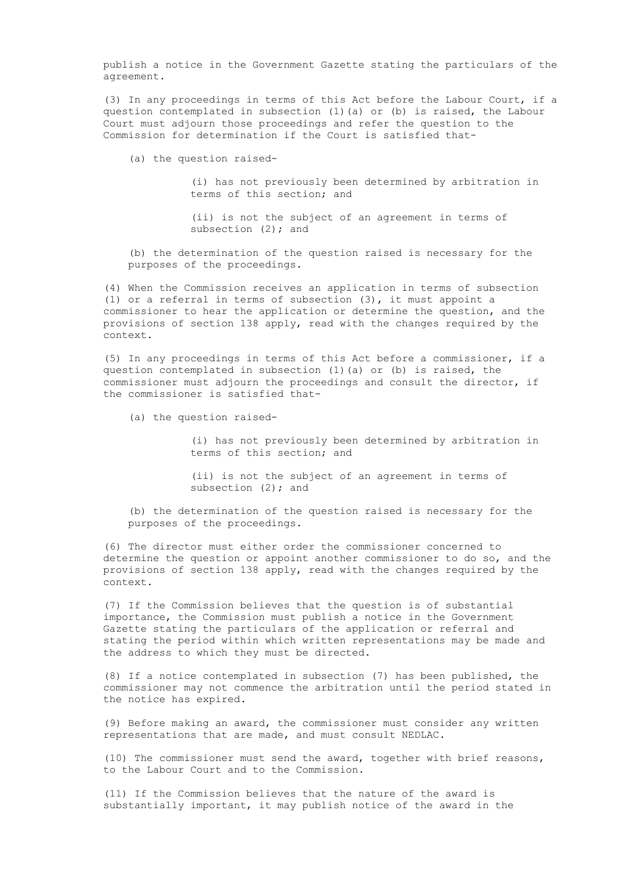publish a notice in the Government Gazette stating the particulars of the agreement.

 (3) In any proceedings in terms of this Act before the Labour Court, if a question contemplated in subsection (1)(a) or (b) is raised, the Labour Court must adjourn those proceedings and refer the question to the Commission for determination if the Court is satisfied that-

(a) the question raised-

 (i) has not previously been determined by arbitration in terms of this section; and

 (ii) is not the subject of an agreement in terms of subsection (2); and

 (b) the determination of the question raised is necessary for the purposes of the proceedings.

 (4) When the Commission receives an application in terms of subsection (1) or a referral in terms of subsection (3), it must appoint a commissioner to hear the application or determine the question, and the provisions of section 138 apply, read with the changes required by the context.

 (5) In any proceedings in terms of this Act before a commissioner, if a question contemplated in subsection (1)(a) or (b) is raised, the commissioner must adjourn the proceedings and consult the director, if the commissioner is satisfied that-

(a) the question raised-

 (i) has not previously been determined by arbitration in terms of this section; and

 (ii) is not the subject of an agreement in terms of subsection (2); and

 (b) the determination of the question raised is necessary for the purposes of the proceedings.

 (6) The director must either order the commissioner concerned to determine the question or appoint another commissioner to do so, and the provisions of section 138 apply, read with the changes required by the context.

 (7) If the Commission believes that the question is of substantial importance, the Commission must publish a notice in the Government Gazette stating the particulars of the application or referral and stating the period within which written representations may be made and the address to which they must be directed.

 (8) If a notice contemplated in subsection (7) has been published, the commissioner may not commence the arbitration until the period stated in the notice has expired.

 (9) Before making an award, the commissioner must consider any written representations that are made, and must consult NEDLAC.

 (10) The commissioner must send the award, together with brief reasons, to the Labour Court and to the Commission.

 (11) If the Commission believes that the nature of the award is substantially important, it may publish notice of the award in the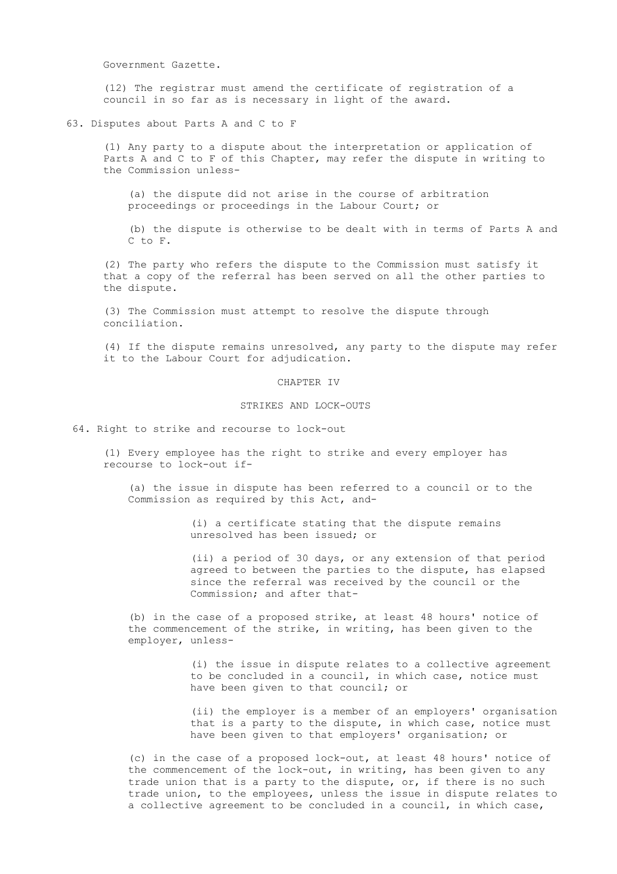Government Gazette.

 (12) The registrar must amend the certificate of registration of a council in so far as is necessary in light of the award.

63. Disputes about Parts A and C to F

 (1) Any party to a dispute about the interpretation or application of Parts A and C to F of this Chapter, may refer the dispute in writing to the Commission unless-

 (a) the dispute did not arise in the course of arbitration proceedings or proceedings in the Labour Court; or

 (b) the dispute is otherwise to be dealt with in terms of Parts A and C to F.

 (2) The party who refers the dispute to the Commission must satisfy it that a copy of the referral has been served on all the other parties to the dispute.

 (3) The Commission must attempt to resolve the dispute through conciliation.

 (4) If the dispute remains unresolved, any party to the dispute may refer it to the Labour Court for adjudication.

CHAPTER IV

## STRIKES AND LOCK-OUTS

64. Right to strike and recourse to lock-out

 (1) Every employee has the right to strike and every employer has recourse to lock-out if-

 (a) the issue in dispute has been referred to a council or to the Commission as required by this Act, and-

> (i) a certificate stating that the dispute remains unresolved has been issued; or

 (ii) a period of 30 days, or any extension of that period agreed to between the parties to the dispute, has elapsed since the referral was received by the council or the Commission; and after that-

 (b) in the case of a proposed strike, at least 48 hours' notice of the commencement of the strike, in writing, has been given to the employer, unless-

> (i) the issue in dispute relates to a collective agreement to be concluded in a council, in which case, notice must have been given to that council; or

 (ii) the employer is a member of an employers' organisation that is a party to the dispute, in which case, notice must have been given to that employers' organisation; or

 (c) in the case of a proposed lock-out, at least 48 hours' notice of the commencement of the lock-out, in writing, has been given to any trade union that is a party to the dispute, or, if there is no such trade union, to the employees, unless the issue in dispute relates to a collective agreement to be concluded in a council, in which case,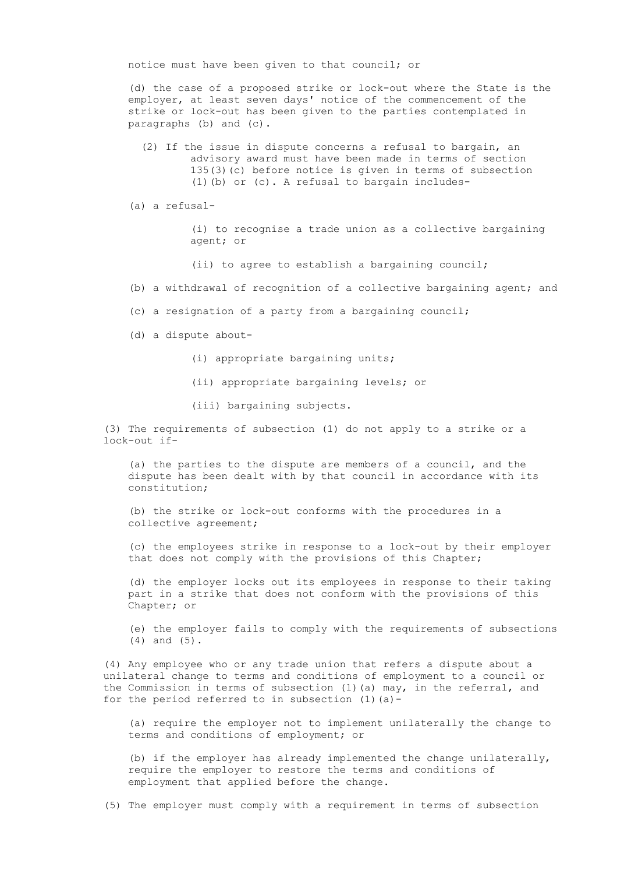notice must have been given to that council; or

 (d) the case of a proposed strike or lock-out where the State is the employer, at least seven days' notice of the commencement of the strike or lock-out has been given to the parties contemplated in paragraphs (b) and (c).

 (2) If the issue in dispute concerns a refusal to bargain, an advisory award must have been made in terms of section 135(3)(c) before notice is given in terms of subsection (1)(b) or (c). A refusal to bargain includes-

(a) a refusal-

 (i) to recognise a trade union as a collective bargaining agent; or

- (ii) to agree to establish a bargaining council;
- (b) a withdrawal of recognition of a collective bargaining agent; and
- (c) a resignation of a party from a bargaining council;
- (d) a dispute about-
	- (i) appropriate bargaining units;
	- (ii) appropriate bargaining levels; or
	- (iii) bargaining subjects.

 (3) The requirements of subsection (1) do not apply to a strike or a lock-out if-

 (a) the parties to the dispute are members of a council, and the dispute has been dealt with by that council in accordance with its constitution;

 (b) the strike or lock-out conforms with the procedures in a collective agreement;

 (c) the employees strike in response to a lock-out by their employer that does not comply with the provisions of this Chapter;

 (d) the employer locks out its employees in response to their taking part in a strike that does not conform with the provisions of this Chapter; or

 (e) the employer fails to comply with the requirements of subsections (4) and (5).

 (4) Any employee who or any trade union that refers a dispute about a unilateral change to terms and conditions of employment to a council or the Commission in terms of subsection  $(1)$  (a) may, in the referral, and for the period referred to in subsection  $(1)(a)$ -

 (a) require the employer not to implement unilaterally the change to terms and conditions of employment; or

 (b) if the employer has already implemented the change unilaterally, require the employer to restore the terms and conditions of employment that applied before the change.

(5) The employer must comply with a requirement in terms of subsection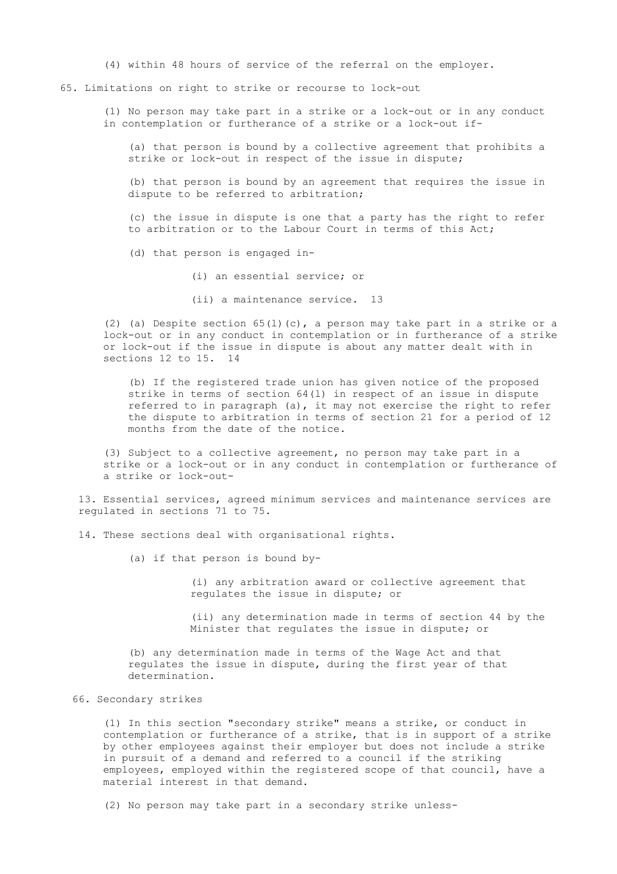(4) within 48 hours of service of the referral on the employer.

65. Limitations on right to strike or recourse to lock-out

 (1) No person may take part in a strike or a lock-out or in any conduct in contemplation or furtherance of a strike or a lock-out if-

 (a) that person is bound by a collective agreement that prohibits a strike or lock-out in respect of the issue in dispute;

 (b) that person is bound by an agreement that requires the issue in dispute to be referred to arbitration;

 (c) the issue in dispute is one that a party has the right to refer to arbitration or to the Labour Court in terms of this Act;

(d) that person is engaged in-

(i) an essential service; or

(ii) a maintenance service. 13

(2) (a) Despite section  $65(1)(c)$ , a person may take part in a strike or a lock-out or in any conduct in contemplation or in furtherance of a strike or lock-out if the issue in dispute is about any matter dealt with in sections 12 to 15. 14

 (b) If the registered trade union has given notice of the proposed strike in terms of section 64(l) in respect of an issue in dispute referred to in paragraph (a), it may not exercise the right to refer the dispute to arbitration in terms of section 21 for a period of 12 months from the date of the notice.

 (3) Subject to a collective agreement, no person may take part in a strike or a lock-out or in any conduct in contemplation or furtherance of a strike or lock-out-

 13. Essential services, agreed minimum services and maintenance services are regulated in sections 71 to 75.

14. These sections deal with organisational rights.

(a) if that person is bound by-

 (i) any arbitration award or collective agreement that regulates the issue in dispute; or

 (ii) any determination made in terms of section 44 by the Minister that regulates the issue in dispute; or

 (b) any determination made in terms of the Wage Act and that regulates the issue in dispute, during the first year of that determination.

# 66. Secondary strikes

 (1) In this section "secondary strike" means a strike, or conduct in contemplation or furtherance of a strike, that is in support of a strike by other employees against their employer but does not include a strike in pursuit of a demand and referred to a council if the striking employees, employed within the registered scope of that council, have a material interest in that demand.

(2) No person may take part in a secondary strike unless-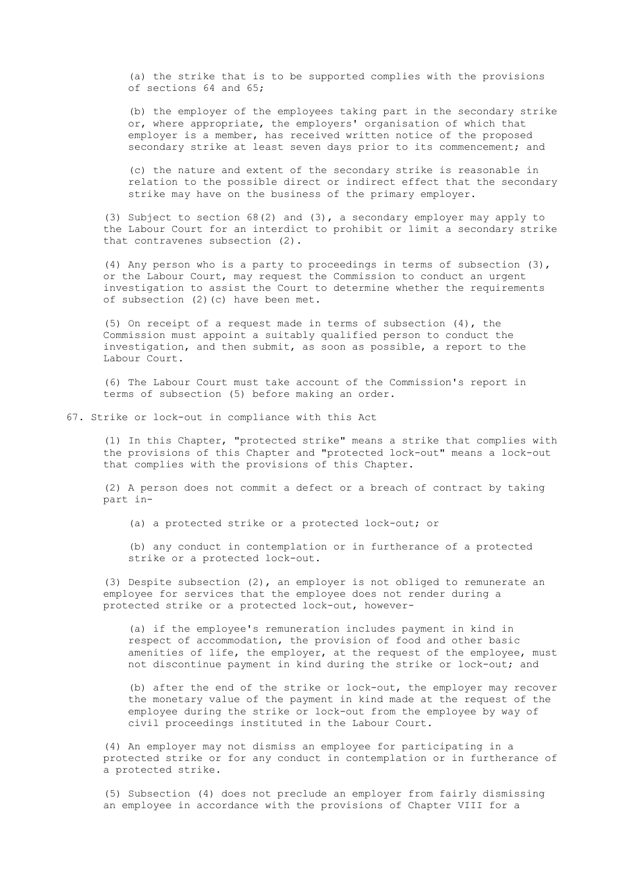(a) the strike that is to be supported complies with the provisions of sections 64 and 65;

 (b) the employer of the employees taking part in the secondary strike or, where appropriate, the employers' organisation of which that employer is a member, has received written notice of the proposed secondary strike at least seven days prior to its commencement; and

 (c) the nature and extent of the secondary strike is reasonable in relation to the possible direct or indirect effect that the secondary strike may have on the business of the primary employer.

 (3) Subject to section 68(2) and (3), a secondary employer may apply to the Labour Court for an interdict to prohibit or limit a secondary strike that contravenes subsection (2).

(4) Any person who is a party to proceedings in terms of subsection  $(3)$ , or the Labour Court, may request the Commission to conduct an urgent investigation to assist the Court to determine whether the requirements of subsection (2)(c) have been met.

 (5) On receipt of a request made in terms of subsection (4), the Commission must appoint a suitably qualified person to conduct the investigation, and then submit, as soon as possible, a report to the Labour Court.

 (6) The Labour Court must take account of the Commission's report in terms of subsection (5) before making an order.

67. Strike or lock-out in compliance with this Act

 (1) In this Chapter, "protected strike" means a strike that complies with the provisions of this Chapter and "protected lock-out" means a lock-out that complies with the provisions of this Chapter.

 (2) A person does not commit a defect or a breach of contract by taking part in-

(a) a protected strike or a protected lock-out; or

 (b) any conduct in contemplation or in furtherance of a protected strike or a protected lock-out.

 (3) Despite subsection (2), an employer is not obliged to remunerate an employee for services that the employee does not render during a protected strike or a protected lock-out, however-

 (a) if the employee's remuneration includes payment in kind in respect of accommodation, the provision of food and other basic amenities of life, the employer, at the request of the employee, must not discontinue payment in kind during the strike or lock-out; and

 (b) after the end of the strike or lock-out, the employer may recover the monetary value of the payment in kind made at the request of the employee during the strike or lock-out from the employee by way of civil proceedings instituted in the Labour Court.

 (4) An employer may not dismiss an employee for participating in a protected strike or for any conduct in contemplation or in furtherance of a protected strike.

 (5) Subsection (4) does not preclude an employer from fairly dismissing an employee in accordance with the provisions of Chapter VIII for a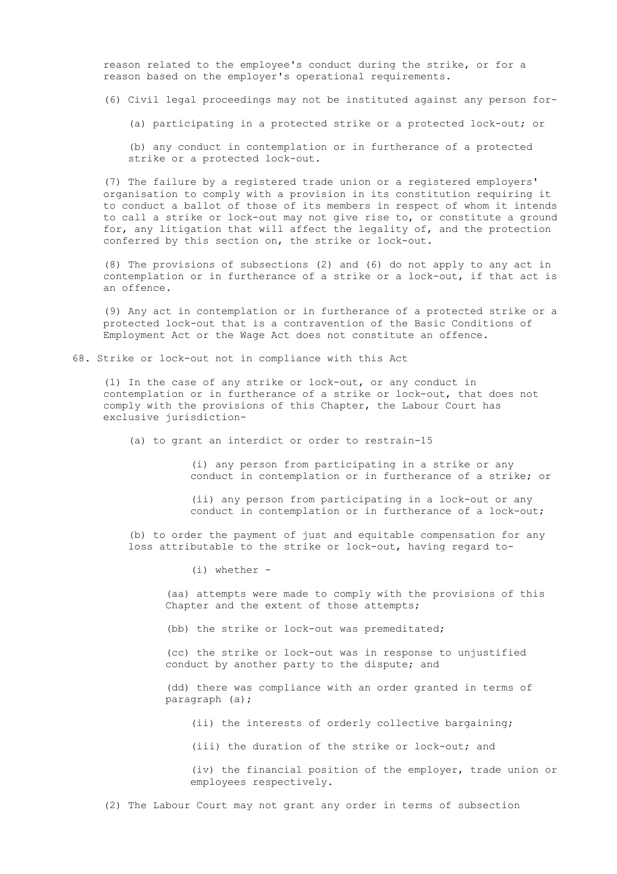reason related to the employee's conduct during the strike, or for a reason based on the employer's operational requirements.

(6) Civil legal proceedings may not be instituted against any person for-

(a) participating in a protected strike or a protected lock-out; or

 (b) any conduct in contemplation or in furtherance of a protected strike or a protected lock-out.

 (7) The failure by a registered trade union or a registered employers' organisation to comply with a provision in its constitution requiring it to conduct a ballot of those of its members in respect of whom it intends to call a strike or lock-out may not give rise to, or constitute a ground for, any litigation that will affect the legality of, and the protection conferred by this section on, the strike or lock-out.

 (8) The provisions of subsections (2) and (6) do not apply to any act in contemplation or in furtherance of a strike or a lock-out, if that act is an offence.

 (9) Any act in contemplation or in furtherance of a protected strike or a protected lock-out that is a contravention of the Basic Conditions of Employment Act or the Wage Act does not constitute an offence.

68. Strike or lock-out not in compliance with this Act

 (1) In the case of any strike or lock-out, or any conduct in contemplation or in furtherance of a strike or lock-out, that does not comply with the provisions of this Chapter, the Labour Court has exclusive jurisdiction-

(a) to grant an interdict or order to restrain-15

 (i) any person from participating in a strike or any conduct in contemplation or in furtherance of a strike; or

 (ii) any person from participating in a lock-out or any conduct in contemplation or in furtherance of a lock-out;

 (b) to order the payment of just and equitable compensation for any loss attributable to the strike or lock-out, having regard to-

(i) whether -

 (aa) attempts were made to comply with the provisions of this Chapter and the extent of those attempts;

(bb) the strike or lock-out was premeditated;

 (cc) the strike or lock-out was in response to unjustified conduct by another party to the dispute; and

 (dd) there was compliance with an order granted in terms of paragraph (a);

(ii) the interests of orderly collective bargaining;

(iii) the duration of the strike or lock-out; and

 (iv) the financial position of the employer, trade union or employees respectively.

(2) The Labour Court may not grant any order in terms of subsection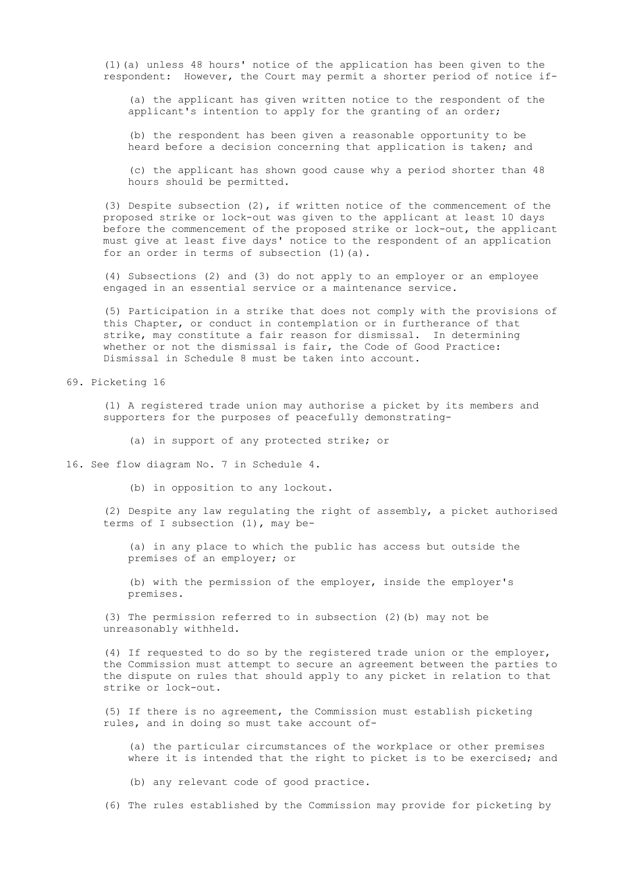(1)(a) unless 48 hours' notice of the application has been given to the respondent: However, the Court may permit a shorter period of notice if-

 (a) the applicant has given written notice to the respondent of the applicant's intention to apply for the granting of an order;

 (b) the respondent has been given a reasonable opportunity to be heard before a decision concerning that application is taken; and

 (c) the applicant has shown good cause why a period shorter than 48 hours should be permitted.

 (3) Despite subsection (2), if written notice of the commencement of the proposed strike or lock-out was given to the applicant at least 10 days before the commencement of the proposed strike or lock-out, the applicant must give at least five days' notice to the respondent of an application for an order in terms of subsection (1)(a).

 (4) Subsections (2) and (3) do not apply to an employer or an employee engaged in an essential service or a maintenance service.

 (5) Participation in a strike that does not comply with the provisions of this Chapter, or conduct in contemplation or in furtherance of that strike, may constitute a fair reason for dismissal. In determining whether or not the dismissal is fair, the Code of Good Practice: Dismissal in Schedule 8 must be taken into account.

69. Picketing 16

 (1) A registered trade union may authorise a picket by its members and supporters for the purposes of peacefully demonstrating-

(a) in support of any protected strike; or

16. See flow diagram No. 7 in Schedule 4.

(b) in opposition to any lockout.

 (2) Despite any law regulating the right of assembly, a picket authorised terms of I subsection (1), may be-

 (a) in any place to which the public has access but outside the premises of an employer; or

 (b) with the permission of the employer, inside the employer's premises.

 (3) The permission referred to in subsection (2)(b) may not be unreasonably withheld.

 (4) If requested to do so by the registered trade union or the employer, the Commission must attempt to secure an agreement between the parties to the dispute on rules that should apply to any picket in relation to that strike or lock-out.

 (5) If there is no agreement, the Commission must establish picketing rules, and in doing so must take account of-

 (a) the particular circumstances of the workplace or other premises where it is intended that the right to picket is to be exercised; and

(b) any relevant code of good practice.

(6) The rules established by the Commission may provide for picketing by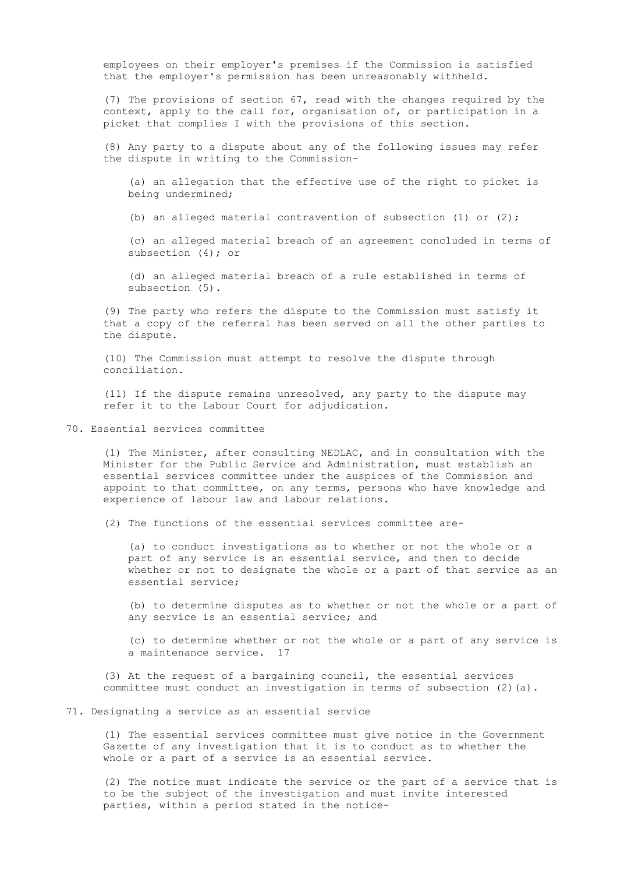employees on their employer's premises if the Commission is satisfied that the employer's permission has been unreasonably withheld.

 (7) The provisions of section 67, read with the changes required by the context, apply to the call for, organisation of, or participation in a picket that complies I with the provisions of this section.

 (8) Any party to a dispute about any of the following issues may refer the dispute in writing to the Commission-

 (a) an allegation that the effective use of the right to picket is being undermined;

(b) an alleged material contravention of subsection (1) or  $(2)$ ;

 (c) an alleged material breach of an agreement concluded in terms of subsection (4); or

 (d) an alleged material breach of a rule established in terms of subsection (5).

 (9) The party who refers the dispute to the Commission must satisfy it that a copy of the referral has been served on all the other parties to the dispute.

 (10) The Commission must attempt to resolve the dispute through conciliation.

 (11) If the dispute remains unresolved, any party to the dispute may refer it to the Labour Court for adjudication.

70. Essential services committee

 (1) The Minister, after consulting NEDLAC, and in consultation with the Minister for the Public Service and Administration, must establish an essential services committee under the auspices of the Commission and appoint to that committee, on any terms, persons who have knowledge and experience of labour law and labour relations.

(2) The functions of the essential services committee are-

 (a) to conduct investigations as to whether or not the whole or a part of any service is an essential service, and then to decide whether or not to designate the whole or a part of that service as an essential service;

 (b) to determine disputes as to whether or not the whole or a part of any service is an essential service; and

 (c) to determine whether or not the whole or a part of any service is a maintenance service. 17

 (3) At the request of a bargaining council, the essential services committee must conduct an investigation in terms of subsection (2)(a).

71. Designating a service as an essential service

 (1) The essential services committee must give notice in the Government Gazette of any investigation that it is to conduct as to whether the whole or a part of a service is an essential service.

 (2) The notice must indicate the service or the part of a service that is to be the subject of the investigation and must invite interested parties, within a period stated in the notice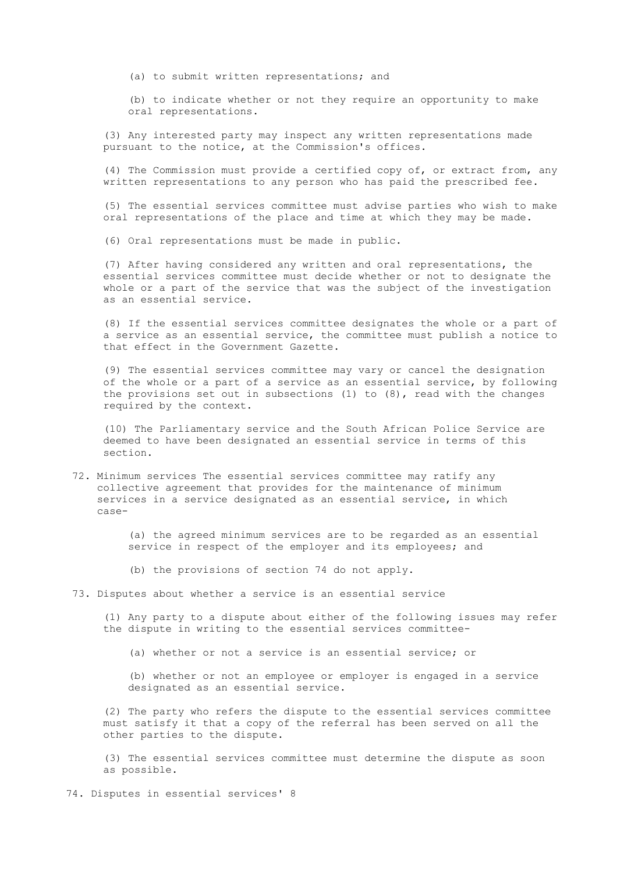(a) to submit written representations; and

 (b) to indicate whether or not they require an opportunity to make oral representations.

 (3) Any interested party may inspect any written representations made pursuant to the notice, at the Commission's offices.

 (4) The Commission must provide a certified copy of, or extract from, any written representations to any person who has paid the prescribed fee.

 (5) The essential services committee must advise parties who wish to make oral representations of the place and time at which they may be made.

(6) Oral representations must be made in public.

 (7) After having considered any written and oral representations, the essential services committee must decide whether or not to designate the whole or a part of the service that was the subject of the investigation as an essential service.

 (8) If the essential services committee designates the whole or a part of a service as an essential service, the committee must publish a notice to that effect in the Government Gazette.

 (9) The essential services committee may vary or cancel the designation of the whole or a part of a service as an essential service, by following the provisions set out in subsections (1) to  $(8)$ , read with the changes required by the context.

 (10) The Parliamentary service and the South African Police Service are deemed to have been designated an essential service in terms of this section.

 72. Minimum services The essential services committee may ratify any collective agreement that provides for the maintenance of minimum services in a service designated as an essential service, in which case-

> (a) the agreed minimum services are to be regarded as an essential service in respect of the employer and its employees; and

(b) the provisions of section 74 do not apply.

73. Disputes about whether a service is an essential service

 (1) Any party to a dispute about either of the following issues may refer the dispute in writing to the essential services committee-

(a) whether or not a service is an essential service; or

 (b) whether or not an employee or employer is engaged in a service designated as an essential service.

 (2) The party who refers the dispute to the essential services committee must satisfy it that a copy of the referral has been served on all the other parties to the dispute.

 (3) The essential services committee must determine the dispute as soon as possible.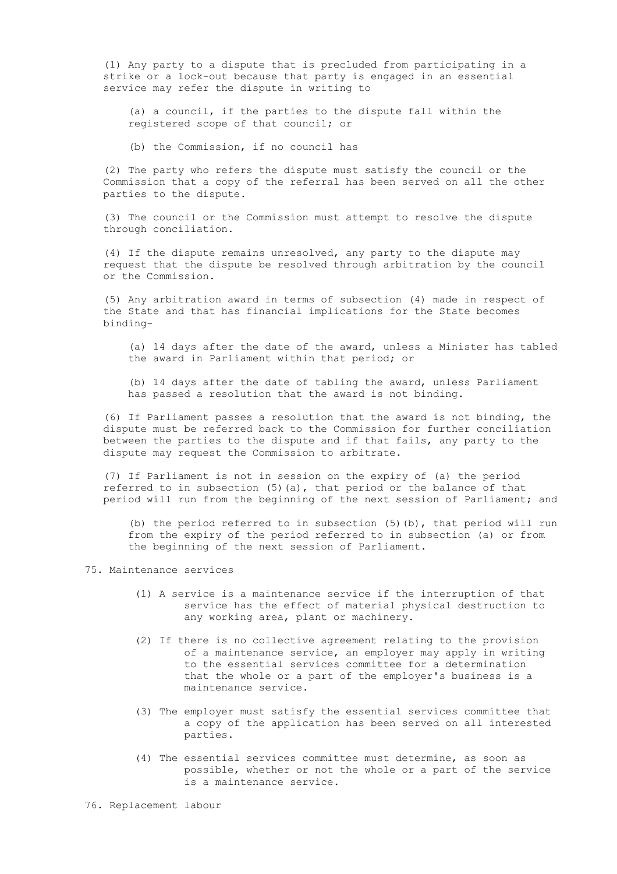(1) Any party to a dispute that is precluded from participating in a strike or a lock-out because that party is engaged in an essential service may refer the dispute in writing to

 (a) a council, if the parties to the dispute fall within the registered scope of that council; or

(b) the Commission, if no council has

 (2) The party who refers the dispute must satisfy the council or the Commission that a copy of the referral has been served on all the other parties to the dispute.

 (3) The council or the Commission must attempt to resolve the dispute through conciliation.

 (4) If the dispute remains unresolved, any party to the dispute may request that the dispute be resolved through arbitration by the council or the Commission.

 (5) Any arbitration award in terms of subsection (4) made in respect of the State and that has financial implications for the State becomes binding-

 (a) 14 days after the date of the award, unless a Minister has tabled the award in Parliament within that period; or

 (b) 14 days after the date of tabling the award, unless Parliament has passed a resolution that the award is not binding.

 (6) If Parliament passes a resolution that the award is not binding, the dispute must be referred back to the Commission for further conciliation between the parties to the dispute and if that fails, any party to the dispute may request the Commission to arbitrate.

 (7) If Parliament is not in session on the expiry of (a) the period referred to in subsection  $(5)(a)$ , that period or the balance of that period will run from the beginning of the next session of Parliament; and

 (b) the period referred to in subsection (5)(b), that period will run from the expiry of the period referred to in subsection (a) or from the beginning of the next session of Parliament.

## 75. Maintenance services

- (1) A service is a maintenance service if the interruption of that service has the effect of material physical destruction to any working area, plant or machinery.
- (2) If there is no collective agreement relating to the provision of a maintenance service, an employer may apply in writing to the essential services committee for a determination that the whole or a part of the employer's business is a maintenance service.
- (3) The employer must satisfy the essential services committee that a copy of the application has been served on all interested parties.
- (4) The essential services committee must determine, as soon as possible, whether or not the whole or a part of the service is a maintenance service.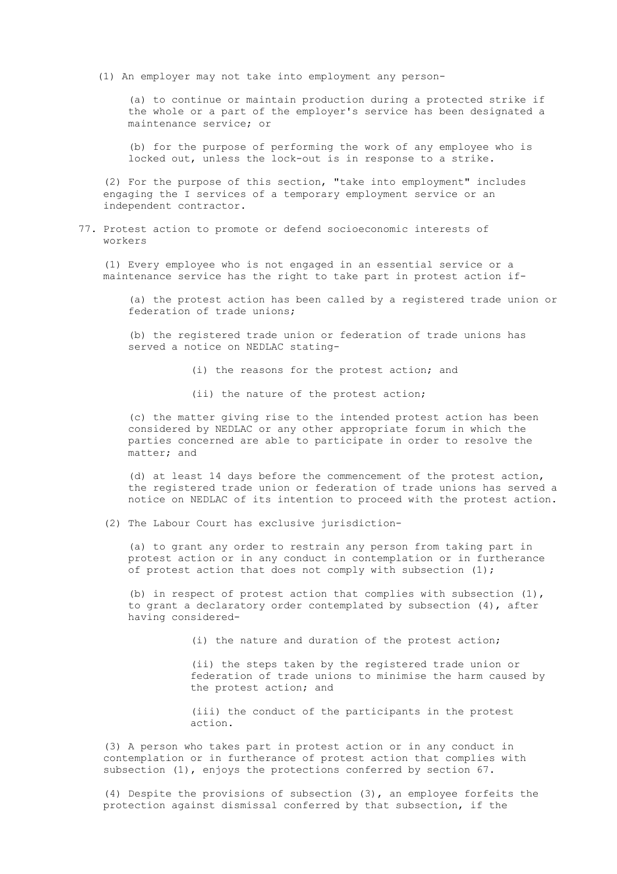(1) An employer may not take into employment any person-

 (a) to continue or maintain production during a protected strike if the whole or a part of the employer's service has been designated a maintenance service; or

 (b) for the purpose of performing the work of any employee who is locked out, unless the lock-out is in response to a strike.

 (2) For the purpose of this section, "take into employment" includes engaging the I services of a temporary employment service or an independent contractor.

 77. Protest action to promote or defend socioeconomic interests of workers

 (1) Every employee who is not engaged in an essential service or a maintenance service has the right to take part in protest action if-

 (a) the protest action has been called by a registered trade union or federation of trade unions;

 (b) the registered trade union or federation of trade unions has served a notice on NEDLAC stating-

- (i) the reasons for the protest action; and
- (ii) the nature of the protest action;

 (c) the matter giving rise to the intended protest action has been considered by NEDLAC or any other appropriate forum in which the parties concerned are able to participate in order to resolve the matter; and

 (d) at least 14 days before the commencement of the protest action, the registered trade union or federation of trade unions has served a notice on NEDLAC of its intention to proceed with the protest action.

(2) The Labour Court has exclusive jurisdiction-

 (a) to grant any order to restrain any person from taking part in protest action or in any conduct in contemplation or in furtherance of protest action that does not comply with subsection (1);

(b) in respect of protest action that complies with subsection  $(1)$ , to grant a declaratory order contemplated by subsection (4), after having considered-

(i) the nature and duration of the protest action;

 (ii) the steps taken by the registered trade union or federation of trade unions to minimise the harm caused by the protest action; and

 (iii) the conduct of the participants in the protest action.

 (3) A person who takes part in protest action or in any conduct in contemplation or in furtherance of protest action that complies with subsection (1), enjoys the protections conferred by section 67.

 (4) Despite the provisions of subsection (3), an employee forfeits the protection against dismissal conferred by that subsection, if the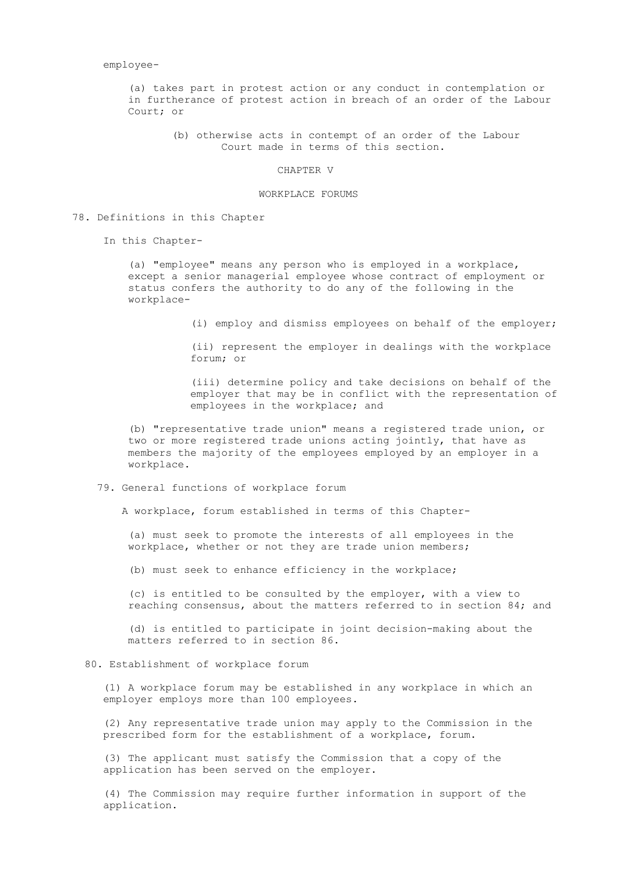(a) takes part in protest action or any conduct in contemplation or in furtherance of protest action in breach of an order of the Labour Court; or

> (b) otherwise acts in contempt of an order of the Labour Court made in terms of this section.

### CHAPTER V

## WORKPLACE FORUMS

### 78. Definitions in this Chapter

In this Chapter-

 (a) "employee" means any person who is employed in a workplace, except a senior managerial employee whose contract of employment or status confers the authority to do any of the following in the workplace-

(i) employ and dismiss employees on behalf of the employer;

 (ii) represent the employer in dealings with the workplace forum; or

 (iii) determine policy and take decisions on behalf of the employer that may be in conflict with the representation of employees in the workplace; and

 (b) "representative trade union" means a registered trade union, or two or more registered trade unions acting jointly, that have as members the majority of the employees employed by an employer in a workplace.

# 79. General functions of workplace forum

A workplace, forum established in terms of this Chapter-

 (a) must seek to promote the interests of all employees in the workplace, whether or not they are trade union members;

(b) must seek to enhance efficiency in the workplace;

 (c) is entitled to be consulted by the employer, with a view to reaching consensus, about the matters referred to in section 84; and

 (d) is entitled to participate in joint decision-making about the matters referred to in section 86.

# 80. Establishment of workplace forum

 (1) A workplace forum may be established in any workplace in which an employer employs more than 100 employees.

 (2) Any representative trade union may apply to the Commission in the prescribed form for the establishment of a workplace, forum.

 (3) The applicant must satisfy the Commission that a copy of the application has been served on the employer.

 (4) The Commission may require further information in support of the application.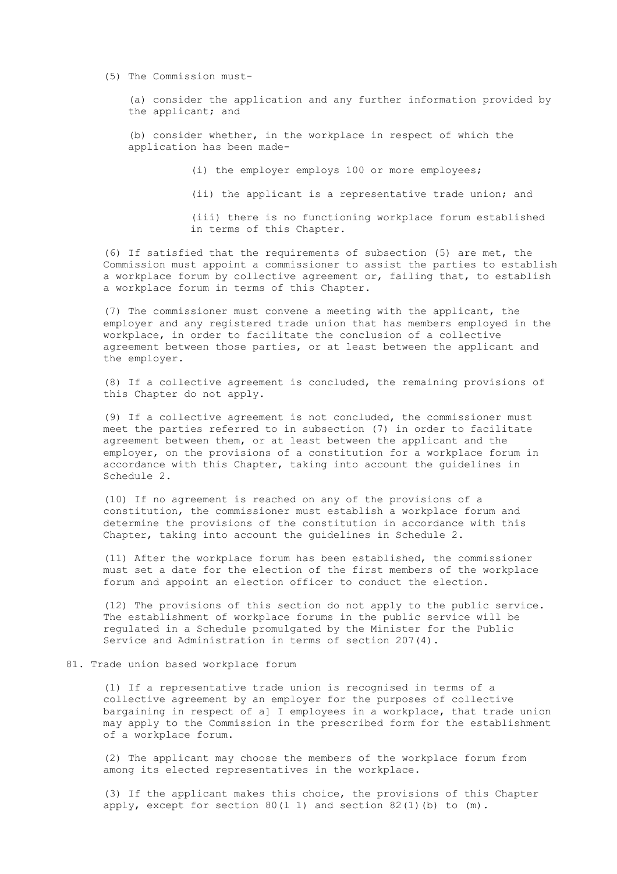(5) The Commission must-

 (a) consider the application and any further information provided by the applicant; and

 (b) consider whether, in the workplace in respect of which the application has been made-

(i) the employer employs 100 or more employees;

(ii) the applicant is a representative trade union; and

 (iii) there is no functioning workplace forum established in terms of this Chapter.

 (6) If satisfied that the requirements of subsection (5) are met, the Commission must appoint a commissioner to assist the parties to establish a workplace forum by collective agreement or, failing that, to establish a workplace forum in terms of this Chapter.

 (7) The commissioner must convene a meeting with the applicant, the employer and any registered trade union that has members employed in the workplace, in order to facilitate the conclusion of a collective agreement between those parties, or at least between the applicant and the employer.

 (8) If a collective agreement is concluded, the remaining provisions of this Chapter do not apply.

 (9) If a collective agreement is not concluded, the commissioner must meet the parties referred to in subsection (7) in order to facilitate agreement between them, or at least between the applicant and the employer, on the provisions of a constitution for a workplace forum in accordance with this Chapter, taking into account the guidelines in Schedule 2.

 (10) If no agreement is reached on any of the provisions of a constitution, the commissioner must establish a workplace forum and determine the provisions of the constitution in accordance with this Chapter, taking into account the guidelines in Schedule 2.

 (11) After the workplace forum has been established, the commissioner must set a date for the election of the first members of the workplace forum and appoint an election officer to conduct the election.

 (12) The provisions of this section do not apply to the public service. The establishment of workplace forums in the public service will be regulated in a Schedule promulgated by the Minister for the Public Service and Administration in terms of section 207(4).

81. Trade union based workplace forum

 (1) If a representative trade union is recognised in terms of a collective agreement by an employer for the purposes of collective bargaining in respect of a] I employees in a workplace, that trade union may apply to the Commission in the prescribed form for the establishment of a workplace forum.

 (2) The applicant may choose the members of the workplace forum from among its elected representatives in the workplace.

 (3) If the applicant makes this choice, the provisions of this Chapter apply, except for section  $80(1\ 1)$  and section  $82(1)(b)$  to  $(m)$ .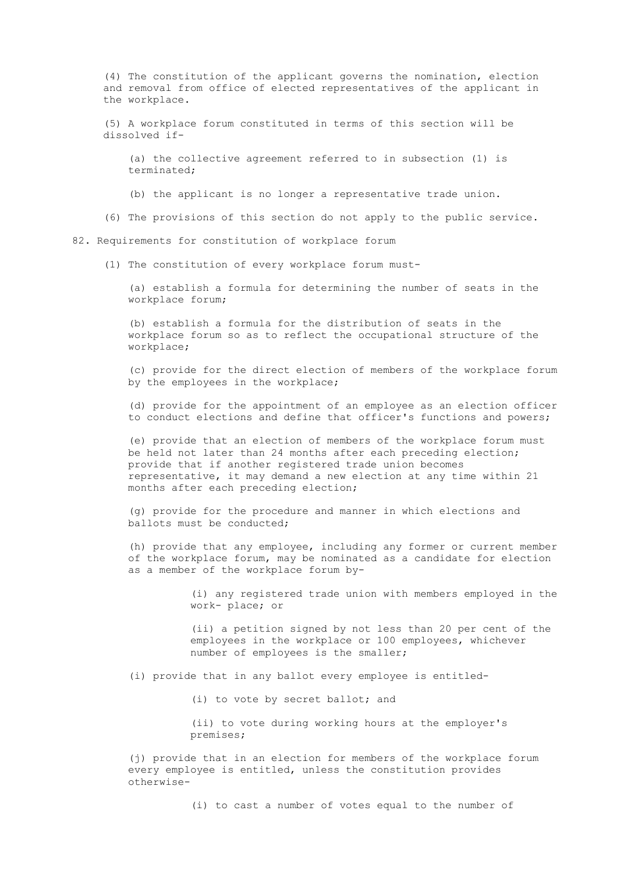(4) The constitution of the applicant governs the nomination, election and removal from office of elected representatives of the applicant in the workplace.

 (5) A workplace forum constituted in terms of this section will be dissolved if-

 (a) the collective agreement referred to in subsection (1) is terminated;

(b) the applicant is no longer a representative trade union.

(6) The provisions of this section do not apply to the public service.

82. Requirements for constitution of workplace forum

(1) The constitution of every workplace forum must-

 (a) establish a formula for determining the number of seats in the workplace forum;

 (b) establish a formula for the distribution of seats in the workplace forum so as to reflect the occupational structure of the workplace;

 (c) provide for the direct election of members of the workplace forum by the employees in the workplace;

 (d) provide for the appointment of an employee as an election officer to conduct elections and define that officer's functions and powers;

 (e) provide that an election of members of the workplace forum must be held not later than 24 months after each preceding election; provide that if another registered trade union becomes representative, it may demand a new election at any time within 21 months after each preceding election;

 (g) provide for the procedure and manner in which elections and ballots must be conducted;

 (h) provide that any employee, including any former or current member of the workplace forum, may be nominated as a candidate for election as a member of the workplace forum by-

> (i) any registered trade union with members employed in the work- place; or

 (ii) a petition signed by not less than 20 per cent of the employees in the workplace or 100 employees, whichever number of employees is the smaller;

(i) provide that in any ballot every employee is entitled-

(i) to vote by secret ballot; and

 (ii) to vote during working hours at the employer's premises;

 (j) provide that in an election for members of the workplace forum every employee is entitled, unless the constitution provides otherwise-

(i) to cast a number of votes equal to the number of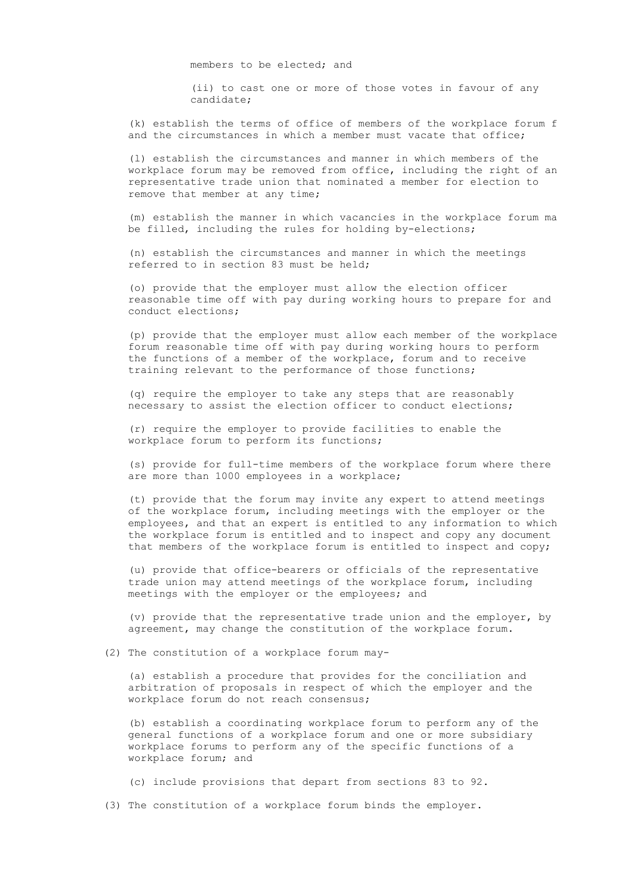members to be elected; and

 (ii) to cast one or more of those votes in favour of any candidate;

 (k) establish the terms of office of members of the workplace forum f and the circumstances in which a member must vacate that office;

 (l) establish the circumstances and manner in which members of the workplace forum may be removed from office, including the right of an representative trade union that nominated a member for election to remove that member at any time;

 (m) establish the manner in which vacancies in the workplace forum ma be filled, including the rules for holding by-elections;

 (n) establish the circumstances and manner in which the meetings referred to in section 83 must be held;

 (o) provide that the employer must allow the election officer reasonable time off with pay during working hours to prepare for and conduct elections;

 (p) provide that the employer must allow each member of the workplace forum reasonable time off with pay during working hours to perform the functions of a member of the workplace, forum and to receive training relevant to the performance of those functions;

 (q) require the employer to take any steps that are reasonably necessary to assist the election officer to conduct elections;

 (r) require the employer to provide facilities to enable the workplace forum to perform its functions;

 (s) provide for full-time members of the workplace forum where there are more than 1000 employees in a workplace;

 (t) provide that the forum may invite any expert to attend meetings of the workplace forum, including meetings with the employer or the employees, and that an expert is entitled to any information to which the workplace forum is entitled and to inspect and copy any document that members of the workplace forum is entitled to inspect and copy;

 (u) provide that office-bearers or officials of the representative trade union may attend meetings of the workplace forum, including meetings with the employer or the employees; and

 (v) provide that the representative trade union and the employer, by agreement, may change the constitution of the workplace forum.

(2) The constitution of a workplace forum may-

 (a) establish a procedure that provides for the conciliation and arbitration of proposals in respect of which the employer and the workplace forum do not reach consensus;

 (b) establish a coordinating workplace forum to perform any of the general functions of a workplace forum and one or more subsidiary workplace forums to perform any of the specific functions of a workplace forum; and

(c) include provisions that depart from sections 83 to 92.

(3) The constitution of a workplace forum binds the employer.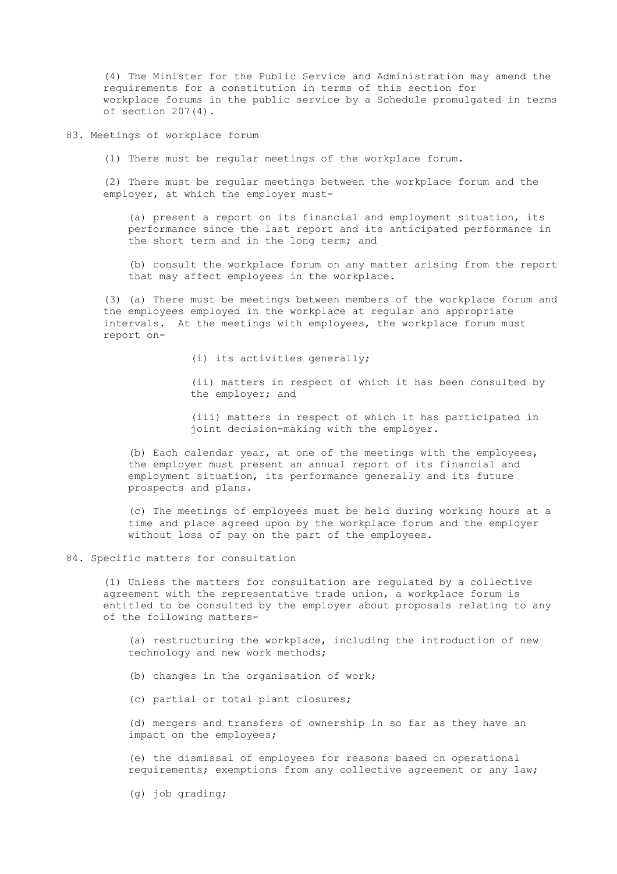(4) The Minister for the Public Service and Administration may amend the requirements for a constitution in terms of this section for workplace forums in the public service by a Schedule promulgated in terms of section 207(4).

83. Meetings of workplace forum

(1) There must be regular meetings of the workplace forum.

 (2) There must be regular meetings between the workplace forum and the employer, at which the employer must-

 (a) present a report on its financial and employment situation, its performance since the last report and its anticipated performance in the short term and in the long term; and

 (b) consult the workplace forum on any matter arising from the report that may affect employees in the workplace.

 (3) (a) There must be meetings between members of the workplace forum and the employees employed in the workplace at regular and appropriate intervals. At the meetings with employees, the workplace forum must report on-

(i) its activities generally;

 (ii) matters in respect of which it has been consulted by the employer; and

 (iii) matters in respect of which it has participated in joint decision-making with the employer.

 (b) Each calendar year, at one of the meetings with the employees, the employer must present an annual report of its financial and employment situation, its performance generally and its future prospects and plans.

 (c) The meetings of employees must be held during working hours at a time and place agreed upon by the workplace forum and the employer without loss of pay on the part of the employees.

### 84. Specific matters for consultation

 (1) Unless the matters for consultation are regulated by a collective agreement with the representative trade union, a workplace forum is entitled to be consulted by the employer about proposals relating to any of the following matters-

 (a) restructuring the workplace, including the introduction of new technology and new work methods;

(b) changes in the organisation of work;

(c) partial or total plant closures;

 (d) mergers and transfers of ownership in so far as they have an impact on the employees;

 (e) the dismissal of employees for reasons based on operational requirements; exemptions from any collective agreement or any law;

(g) job grading;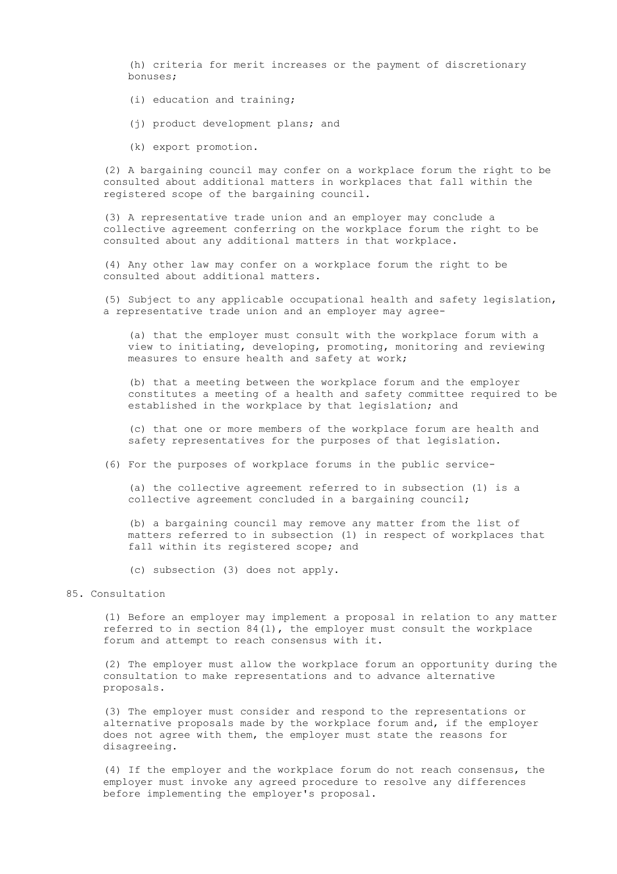(h) criteria for merit increases or the payment of discretionary bonuses;

- (i) education and training;
- (j) product development plans; and
- (k) export promotion.

 (2) A bargaining council may confer on a workplace forum the right to be consulted about additional matters in workplaces that fall within the registered scope of the bargaining council.

 (3) A representative trade union and an employer may conclude a collective agreement conferring on the workplace forum the right to be consulted about any additional matters in that workplace.

 (4) Any other law may confer on a workplace forum the right to be consulted about additional matters.

 (5) Subject to any applicable occupational health and safety legislation, a representative trade union and an employer may agree-

 (a) that the employer must consult with the workplace forum with a view to initiating, developing, promoting, monitoring and reviewing measures to ensure health and safety at work;

 (b) that a meeting between the workplace forum and the employer constitutes a meeting of a health and safety committee required to be established in the workplace by that legislation; and

 (c) that one or more members of the workplace forum are health and safety representatives for the purposes of that legislation.

(6) For the purposes of workplace forums in the public service-

 (a) the collective agreement referred to in subsection (1) is a collective agreement concluded in a bargaining council;

 (b) a bargaining council may remove any matter from the list of matters referred to in subsection (1) in respect of workplaces that fall within its registered scope; and

(c) subsection (3) does not apply.

# 85. Consultation

 (1) Before an employer may implement a proposal in relation to any matter referred to in section  $84(1)$ , the employer must consult the workplace forum and attempt to reach consensus with it.

 (2) The employer must allow the workplace forum an opportunity during the consultation to make representations and to advance alternative proposals.

 (3) The employer must consider and respond to the representations or alternative proposals made by the workplace forum and, if the employer does not agree with them, the employer must state the reasons for disagreeing.

 (4) If the employer and the workplace forum do not reach consensus, the employer must invoke any agreed procedure to resolve any differences before implementing the employer's proposal.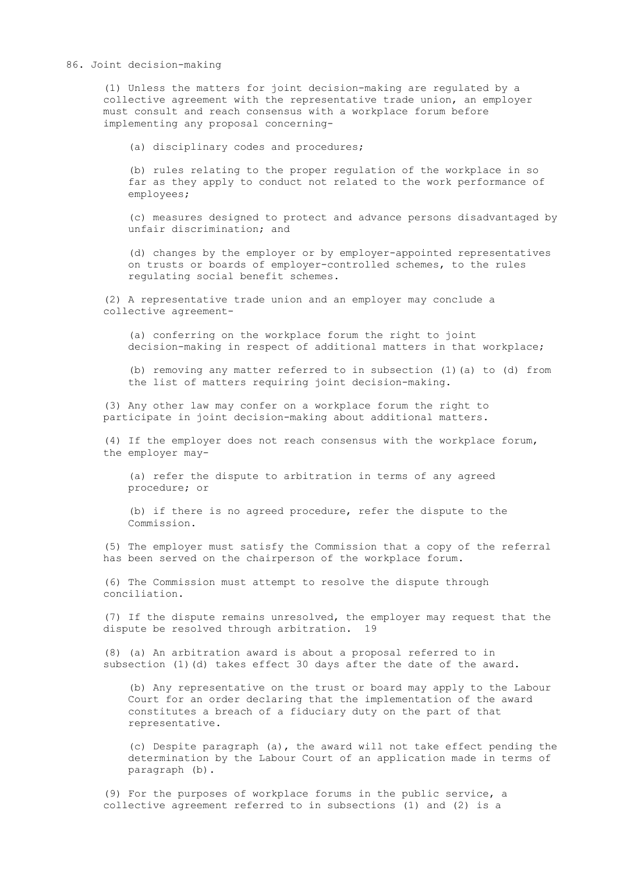# 86. Joint decision-making

 (1) Unless the matters for joint decision-making are regulated by a collective agreement with the representative trade union, an employer must consult and reach consensus with a workplace forum before implementing any proposal concerning-

(a) disciplinary codes and procedures;

 (b) rules relating to the proper regulation of the workplace in so far as they apply to conduct not related to the work performance of employees;

 (c) measures designed to protect and advance persons disadvantaged by unfair discrimination; and

 (d) changes by the employer or by employer-appointed representatives on trusts or boards of employer-controlled schemes, to the rules regulating social benefit schemes.

 (2) A representative trade union and an employer may conclude a collective agreement-

 (a) conferring on the workplace forum the right to joint decision-making in respect of additional matters in that workplace;

 (b) removing any matter referred to in subsection (1)(a) to (d) from the list of matters requiring joint decision-making.

 (3) Any other law may confer on a workplace forum the right to participate in joint decision-making about additional matters.

 (4) If the employer does not reach consensus with the workplace forum, the employer may-

 (a) refer the dispute to arbitration in terms of any agreed procedure; or

 (b) if there is no agreed procedure, refer the dispute to the Commission.

 (5) The employer must satisfy the Commission that a copy of the referral has been served on the chairperson of the workplace forum.

 (6) The Commission must attempt to resolve the dispute through conciliation.

 (7) If the dispute remains unresolved, the employer may request that the dispute be resolved through arbitration. 19

 (8) (a) An arbitration award is about a proposal referred to in subsection (1)(d) takes effect 30 days after the date of the award.

 (b) Any representative on the trust or board may apply to the Labour Court for an order declaring that the implementation of the award constitutes a breach of a fiduciary duty on the part of that representative.

 (c) Despite paragraph (a), the award will not take effect pending the determination by the Labour Court of an application made in terms of paragraph (b).

 (9) For the purposes of workplace forums in the public service, a collective agreement referred to in subsections (1) and (2) is a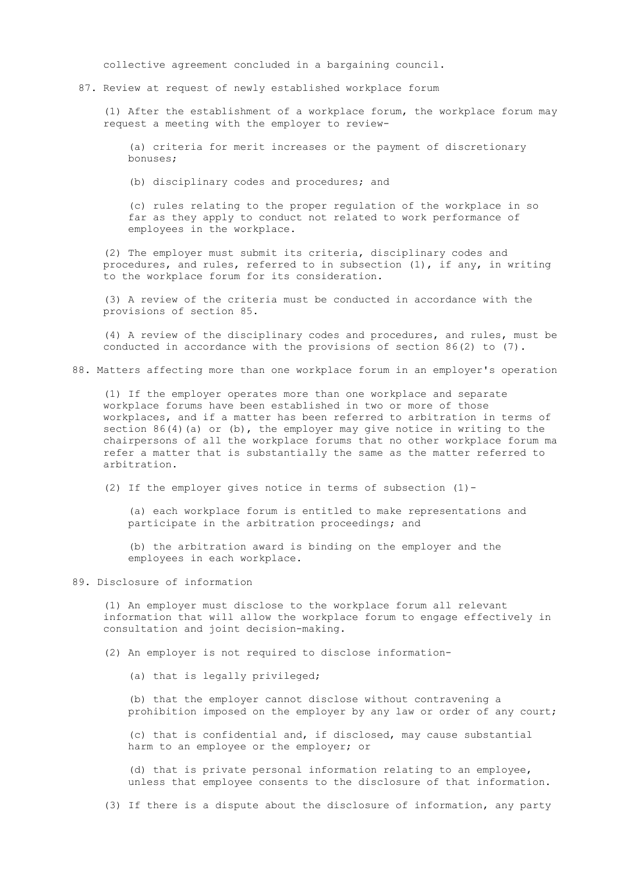collective agreement concluded in a bargaining council.

87. Review at request of newly established workplace forum

 (1) After the establishment of a workplace forum, the workplace forum may request a meeting with the employer to review-

 (a) criteria for merit increases or the payment of discretionary bonuses;

(b) disciplinary codes and procedures; and

 (c) rules relating to the proper regulation of the workplace in so far as they apply to conduct not related to work performance of employees in the workplace.

 (2) The employer must submit its criteria, disciplinary codes and procedures, and rules, referred to in subsection (1), if any, in writing to the workplace forum for its consideration.

 (3) A review of the criteria must be conducted in accordance with the provisions of section 85.

 (4) A review of the disciplinary codes and procedures, and rules, must be conducted in accordance with the provisions of section 86(2) to (7).

88. Matters affecting more than one workplace forum in an employer's operation

 (1) If the employer operates more than one workplace and separate workplace forums have been established in two or more of those workplaces, and if a matter has been referred to arbitration in terms of section  $86(4)$  (a) or (b), the employer may give notice in writing to the chairpersons of all the workplace forums that no other workplace forum ma refer a matter that is substantially the same as the matter referred to arbitration.

(2) If the employer gives notice in terms of subsection (1)-

 (a) each workplace forum is entitled to make representations and participate in the arbitration proceedings; and

 (b) the arbitration award is binding on the employer and the employees in each workplace.

## 89. Disclosure of information

 (1) An employer must disclose to the workplace forum all relevant information that will allow the workplace forum to engage effectively in consultation and joint decision-making.

(2) An employer is not required to disclose information-

(a) that is legally privileged;

 (b) that the employer cannot disclose without contravening a prohibition imposed on the employer by any law or order of any court;

 (c) that is confidential and, if disclosed, may cause substantial harm to an employee or the employer; or

 (d) that is private personal information relating to an employee, unless that employee consents to the disclosure of that information.

(3) If there is a dispute about the disclosure of information, any party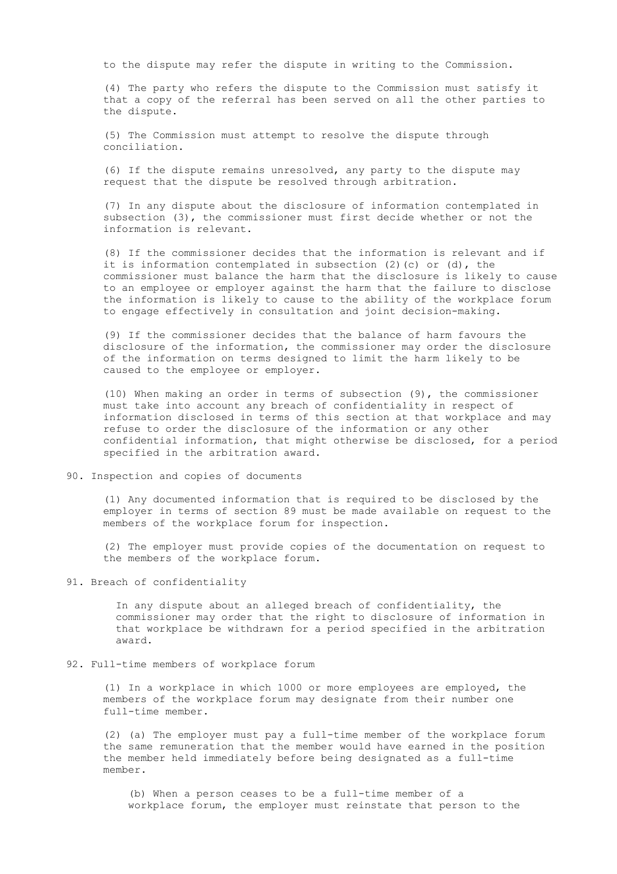to the dispute may refer the dispute in writing to the Commission.

 (4) The party who refers the dispute to the Commission must satisfy it that a copy of the referral has been served on all the other parties to the dispute.

 (5) The Commission must attempt to resolve the dispute through conciliation.

 (6) If the dispute remains unresolved, any party to the dispute may request that the dispute be resolved through arbitration.

 (7) In any dispute about the disclosure of information contemplated in subsection (3), the commissioner must first decide whether or not the information is relevant.

 (8) If the commissioner decides that the information is relevant and if it is information contemplated in subsection (2)(c) or (d), the commissioner must balance the harm that the disclosure is likely to cause to an employee or employer against the harm that the failure to disclose the information is likely to cause to the ability of the workplace forum to engage effectively in consultation and joint decision-making.

 (9) If the commissioner decides that the balance of harm favours the disclosure of the information, the commissioner may order the disclosure of the information on terms designed to limit the harm likely to be caused to the employee or employer.

 (10) When making an order in terms of subsection (9), the commissioner must take into account any breach of confidentiality in respect of information disclosed in terms of this section at that workplace and may refuse to order the disclosure of the information or any other confidential information, that might otherwise be disclosed, for a period specified in the arbitration award.

90. Inspection and copies of documents

 (1) Any documented information that is required to be disclosed by the employer in terms of section 89 must be made available on request to the members of the workplace forum for inspection.

 (2) The employer must provide copies of the documentation on request to the members of the workplace forum.

#### 91. Breach of confidentiality

 In any dispute about an alleged breach of confidentiality, the commissioner may order that the right to disclosure of information in that workplace be withdrawn for a period specified in the arbitration award.

# 92. Full-time members of workplace forum

 (1) In a workplace in which 1000 or more employees are employed, the members of the workplace forum may designate from their number one full-time member.

 (2) (a) The employer must pay a full-time member of the workplace forum the same remuneration that the member would have earned in the position the member held immediately before being designated as a full-time member.

 (b) When a person ceases to be a full-time member of a workplace forum, the employer must reinstate that person to the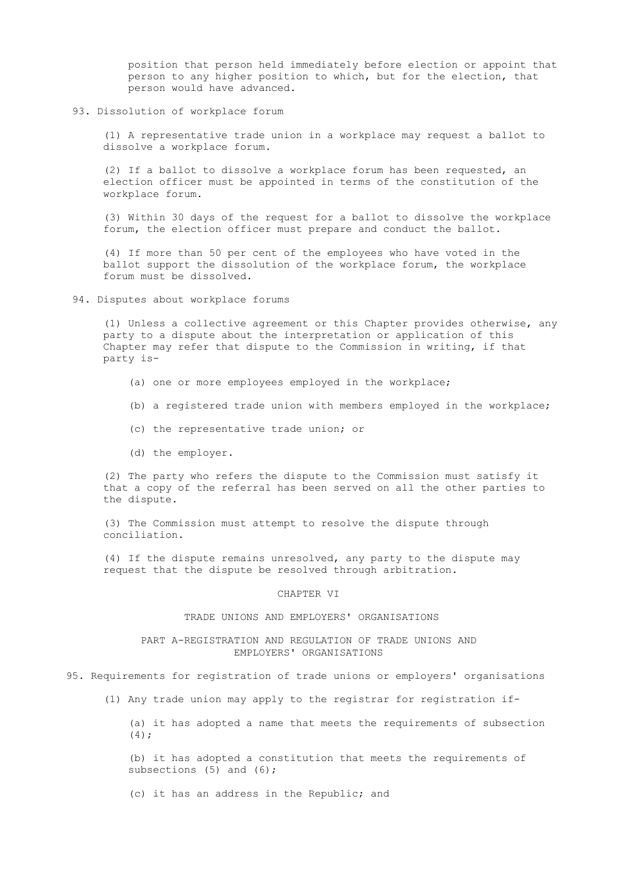position that person held immediately before election or appoint that person to any higher position to which, but for the election, that person would have advanced.

# 93. Dissolution of workplace forum

 (1) A representative trade union in a workplace may request a ballot to dissolve a workplace forum.

 (2) If a ballot to dissolve a workplace forum has been requested, an election officer must be appointed in terms of the constitution of the workplace forum.

 (3) Within 30 days of the request for a ballot to dissolve the workplace forum, the election officer must prepare and conduct the ballot.

 (4) If more than 50 per cent of the employees who have voted in the ballot support the dissolution of the workplace forum, the workplace forum must be dissolved.

94. Disputes about workplace forums

 (1) Unless a collective agreement or this Chapter provides otherwise, any party to a dispute about the interpretation or application of this Chapter may refer that dispute to the Commission in writing, if that party is-

- (a) one or more employees employed in the workplace;
- (b) a registered trade union with members employed in the workplace;
- (c) the representative trade union; or
- (d) the employer.

 (2) The party who refers the dispute to the Commission must satisfy it that a copy of the referral has been served on all the other parties to the dispute.

 (3) The Commission must attempt to resolve the dispute through conciliation.

 (4) If the dispute remains unresolved, any party to the dispute may request that the dispute be resolved through arbitration.

#### CHAPTER VI

#### TRADE UNIONS AND EMPLOYERS' ORGANISATIONS

## PART A-REGISTRATION AND REGULATION OF TRADE UNIONS AND EMPLOYERS' ORGANISATIONS

95. Requirements for registration of trade unions or employers' organisations

- (1) Any trade union may apply to the registrar for registration if-
	- (a) it has adopted a name that meets the requirements of subsection  $(4);$

 (b) it has adopted a constitution that meets the requirements of subsections  $(5)$  and  $(6)$ ;

(c) it has an address in the Republic; and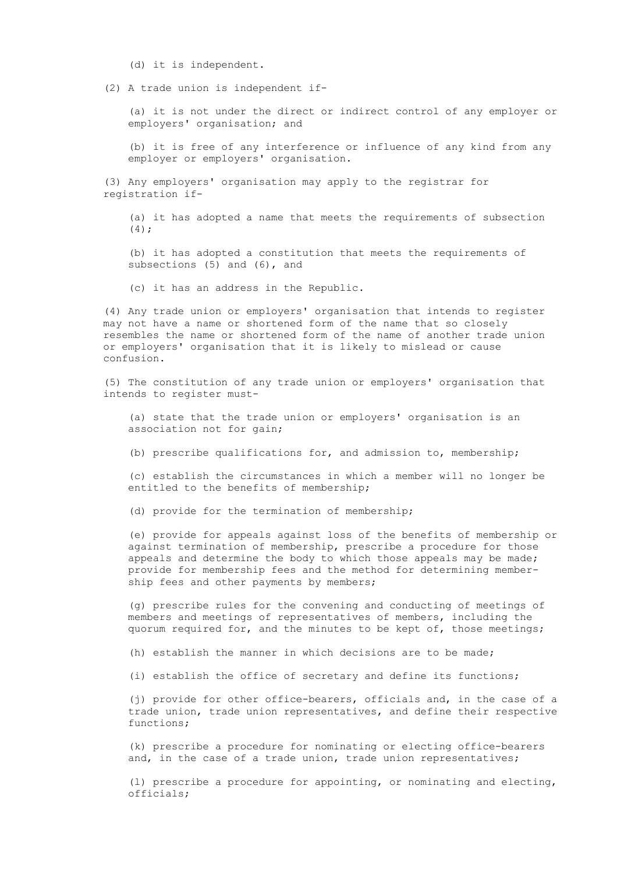(d) it is independent.

(2) A trade union is independent if-

 (a) it is not under the direct or indirect control of any employer or employers' organisation; and

 (b) it is free of any interference or influence of any kind from any employer or employers' organisation.

 (3) Any employers' organisation may apply to the registrar for registration if-

 (a) it has adopted a name that meets the requirements of subsection  $(4);$ 

 (b) it has adopted a constitution that meets the requirements of subsections (5) and (6), and

(c) it has an address in the Republic.

 (4) Any trade union or employers' organisation that intends to register may not have a name or shortened form of the name that so closely resembles the name or shortened form of the name of another trade union or employers' organisation that it is likely to mislead or cause confusion.

 (5) The constitution of any trade union or employers' organisation that intends to register must-

 (a) state that the trade union or employers' organisation is an association not for gain;

(b) prescribe qualifications for, and admission to, membership;

 (c) establish the circumstances in which a member will no longer be entitled to the benefits of membership;

(d) provide for the termination of membership;

 (e) provide for appeals against loss of the benefits of membership or against termination of membership, prescribe a procedure for those appeals and determine the body to which those appeals may be made; provide for membership fees and the method for determining member ship fees and other payments by members;

 (g) prescribe rules for the convening and conducting of meetings of members and meetings of representatives of members, including the quorum required for, and the minutes to be kept of, those meetings;

(h) establish the manner in which decisions are to be made;

(i) establish the office of secretary and define its functions;

 (j) provide for other office-bearers, officials and, in the case of a trade union, trade union representatives, and define their respective functions;

 (k) prescribe a procedure for nominating or electing office-bearers and, in the case of a trade union, trade union representatives;

 (l) prescribe a procedure for appointing, or nominating and electing, officials;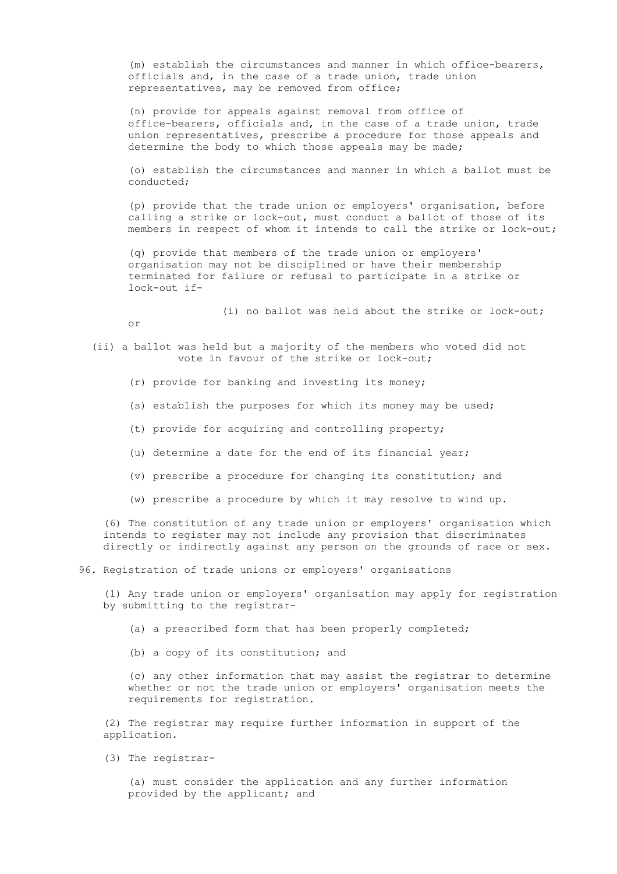(m) establish the circumstances and manner in which office-bearers, officials and, in the case of a trade union, trade union representatives, may be removed from office;

 (n) provide for appeals against removal from office of office-bearers, officials and, in the case of a trade union, trade union representatives, prescribe a procedure for those appeals and determine the body to which those appeals may be made;

 (o) establish the circumstances and manner in which a ballot must be conducted;

 (p) provide that the trade union or employers' organisation, before calling a strike or lock-out, must conduct a ballot of those of its members in respect of whom it intends to call the strike or lock-out;

 (q) provide that members of the trade union or employers' organisation may not be disciplined or have their membership terminated for failure or refusal to participate in a strike or lock-out if-

(i) no ballot was held about the strike or lock-out;

- (ii) a ballot was held but a majority of the members who voted did not vote in favour of the strike or lock-out;
	- (r) provide for banking and investing its money;
	- (s) establish the purposes for which its money may be used;
	- (t) provide for acquiring and controlling property;
	- (u) determine a date for the end of its financial year;
	- (v) prescribe a procedure for changing its constitution; and
	- (w) prescribe a procedure by which it may resolve to wind up.

 (6) The constitution of any trade union or employers' organisation which intends to register may not include any provision that discriminates directly or indirectly against any person on the grounds of race or sex.

96. Registration of trade unions or employers' organisations

 (1) Any trade union or employers' organisation may apply for registration by submitting to the registrar-

- (a) a prescribed form that has been properly completed;
- (b) a copy of its constitution; and

 (c) any other information that may assist the registrar to determine whether or not the trade union or employers' organisation meets the requirements for registration.

 (2) The registrar may require further information in support of the application.

(3) The registrar-

or

 (a) must consider the application and any further information provided by the applicant; and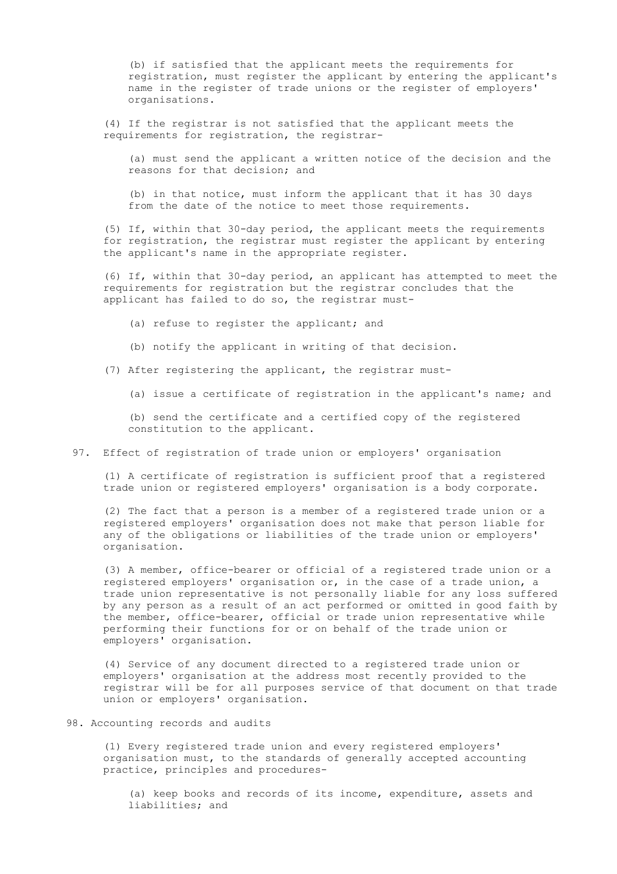(b) if satisfied that the applicant meets the requirements for registration, must register the applicant by entering the applicant's name in the register of trade unions or the register of employers' organisations.

 (4) If the registrar is not satisfied that the applicant meets the requirements for registration, the registrar-

 (a) must send the applicant a written notice of the decision and the reasons for that decision; and

 (b) in that notice, must inform the applicant that it has 30 days from the date of the notice to meet those requirements.

 (5) If, within that 30-day period, the applicant meets the requirements for registration, the registrar must register the applicant by entering the applicant's name in the appropriate register.

 (6) If, within that 30-day period, an applicant has attempted to meet the requirements for registration but the registrar concludes that the applicant has failed to do so, the registrar must-

(a) refuse to register the applicant; and

(b) notify the applicant in writing of that decision.

(7) After registering the applicant, the registrar must-

(a) issue a certificate of registration in the applicant's name; and

 (b) send the certificate and a certified copy of the registered constitution to the applicant.

97. Effect of registration of trade union or employers' organisation

 (1) A certificate of registration is sufficient proof that a registered trade union or registered employers' organisation is a body corporate.

 (2) The fact that a person is a member of a registered trade union or a registered employers' organisation does not make that person liable for any of the obligations or liabilities of the trade union or employers' organisation.

 (3) A member, office-bearer or official of a registered trade union or a registered employers' organisation or, in the case of a trade union, a trade union representative is not personally liable for any loss suffered by any person as a result of an act performed or omitted in good faith by the member, office-bearer, official or trade union representative while performing their functions for or on behalf of the trade union or employers' organisation.

 (4) Service of any document directed to a registered trade union or employers' organisation at the address most recently provided to the registrar will be for all purposes service of that document on that trade union or employers' organisation.

98. Accounting records and audits

 (1) Every registered trade union and every registered employers' organisation must, to the standards of generally accepted accounting practice, principles and procedures-

 (a) keep books and records of its income, expenditure, assets and liabilities; and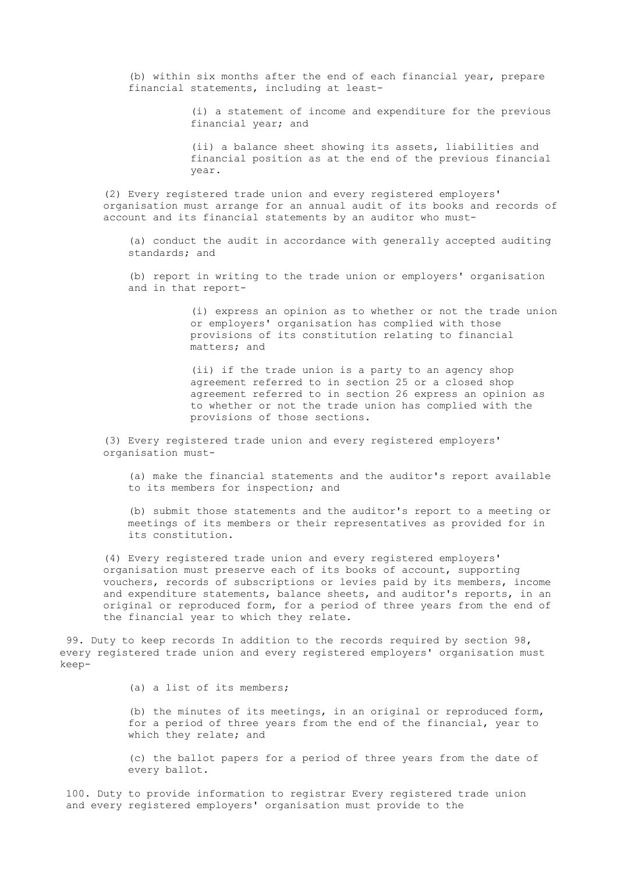(b) within six months after the end of each financial year, prepare financial statements, including at least-

> (i) a statement of income and expenditure for the previous financial year; and

> (ii) a balance sheet showing its assets, liabilities and financial position as at the end of the previous financial year.

 (2) Every registered trade union and every registered employers' organisation must arrange for an annual audit of its books and records of account and its financial statements by an auditor who must-

 (a) conduct the audit in accordance with generally accepted auditing standards; and

 (b) report in writing to the trade union or employers' organisation and in that report-

> (i) express an opinion as to whether or not the trade union or employers' organisation has complied with those provisions of its constitution relating to financial matters; and

 (ii) if the trade union is a party to an agency shop agreement referred to in section 25 or a closed shop agreement referred to in section 26 express an opinion as to whether or not the trade union has complied with the provisions of those sections.

 (3) Every registered trade union and every registered employers' organisation must-

 (a) make the financial statements and the auditor's report available to its members for inspection; and

 (b) submit those statements and the auditor's report to a meeting or meetings of its members or their representatives as provided for in its constitution.

 (4) Every registered trade union and every registered employers' organisation must preserve each of its books of account, supporting vouchers, records of subscriptions or levies paid by its members, income and expenditure statements, balance sheets, and auditor's reports, in an original or reproduced form, for a period of three years from the end of the financial year to which they relate.

 99. Duty to keep records In addition to the records required by section 98, every registered trade union and every registered employers' organisation must keep-

(a) a list of its members;

 (b) the minutes of its meetings, in an original or reproduced form, for a period of three years from the end of the financial, year to which they relate; and

 (c) the ballot papers for a period of three years from the date of every ballot.

 100. Duty to provide information to registrar Every registered trade union and every registered employers' organisation must provide to the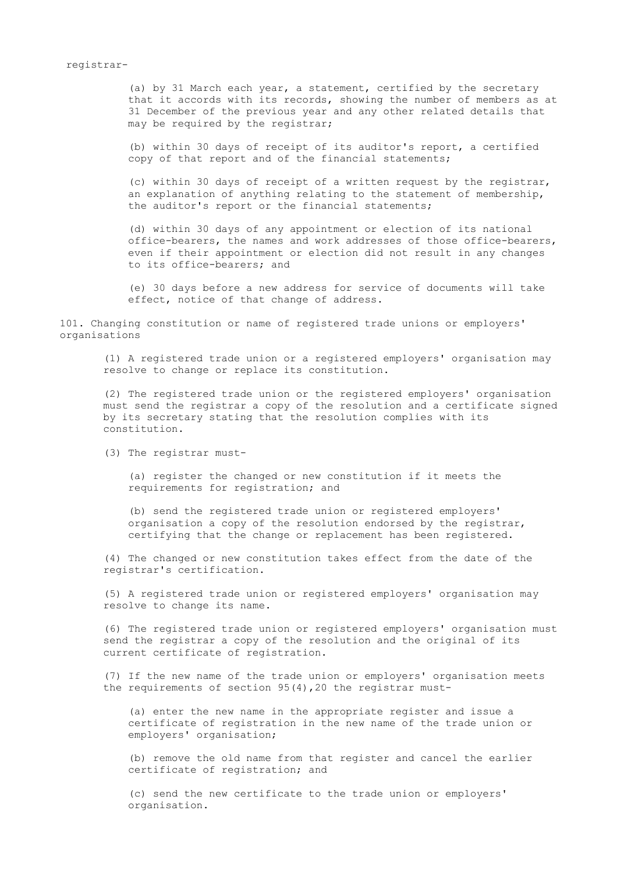(a) by 31 March each year, a statement, certified by the secretary that it accords with its records, showing the number of members as at 31 December of the previous year and any other related details that may be required by the registrar;

 (b) within 30 days of receipt of its auditor's report, a certified copy of that report and of the financial statements;

 (c) within 30 days of receipt of a written request by the registrar, an explanation of anything relating to the statement of membership, the auditor's report or the financial statements;

 (d) within 30 days of any appointment or election of its national office-bearers, the names and work addresses of those office-bearers, even if their appointment or election did not result in any changes to its office-bearers; and

 (e) 30 days before a new address for service of documents will take effect, notice of that change of address.

101. Changing constitution or name of registered trade unions or employers' organisations

 (1) A registered trade union or a registered employers' organisation may resolve to change or replace its constitution.

 (2) The registered trade union or the registered employers' organisation must send the registrar a copy of the resolution and a certificate signed by its secretary stating that the resolution complies with its constitution.

(3) The registrar must-

 (a) register the changed or new constitution if it meets the requirements for registration; and

 (b) send the registered trade union or registered employers' organisation a copy of the resolution endorsed by the registrar, certifying that the change or replacement has been registered.

 (4) The changed or new constitution takes effect from the date of the registrar's certification.

 (5) A registered trade union or registered employers' organisation may resolve to change its name.

 (6) The registered trade union or registered employers' organisation must send the registrar a copy of the resolution and the original of its current certificate of registration.

 (7) If the new name of the trade union or employers' organisation meets the requirements of section 95(4),20 the registrar must-

 (a) enter the new name in the appropriate register and issue a certificate of registration in the new name of the trade union or employers' organisation;

 (b) remove the old name from that register and cancel the earlier certificate of registration; and

 (c) send the new certificate to the trade union or employers' organisation.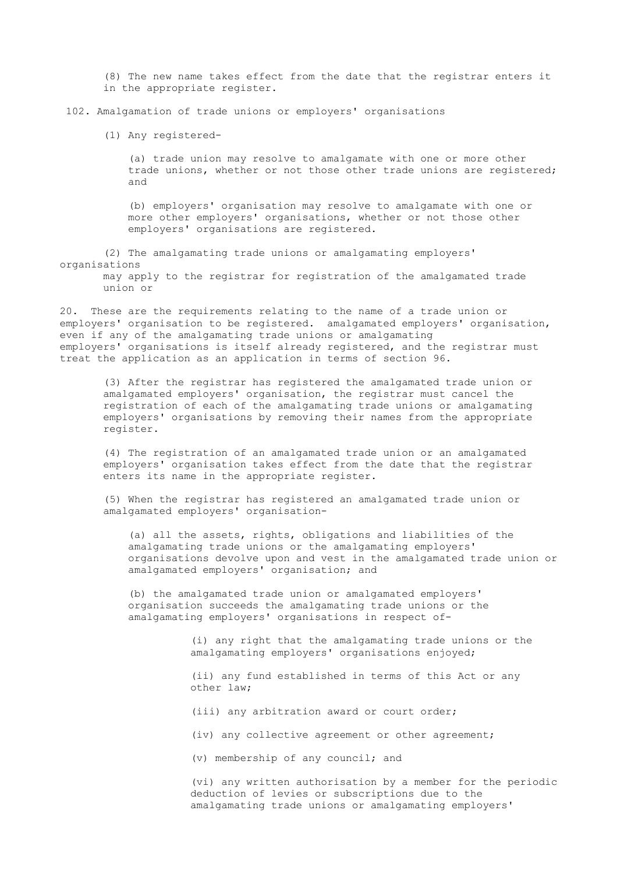(8) The new name takes effect from the date that the registrar enters it in the appropriate register.

102. Amalgamation of trade unions or employers' organisations

(1) Any registered-

 (a) trade union may resolve to amalgamate with one or more other trade unions, whether or not those other trade unions are registered; and

 (b) employers' organisation may resolve to amalgamate with one or more other employers' organisations, whether or not those other employers' organisations are registered.

 (2) The amalgamating trade unions or amalgamating employers' organisations

 may apply to the registrar for registration of the amalgamated trade union or

20. These are the requirements relating to the name of a trade union or employers' organisation to be registered. amalgamated employers' organisation, even if any of the amalgamating trade unions or amalgamating employers' organisations is itself already registered, and the registrar must treat the application as an application in terms of section 96.

 (3) After the registrar has registered the amalgamated trade union or amalgamated employers' organisation, the registrar must cancel the registration of each of the amalgamating trade unions or amalgamating employers' organisations by removing their names from the appropriate register.

 (4) The registration of an amalgamated trade union or an amalgamated employers' organisation takes effect from the date that the registrar enters its name in the appropriate register.

 (5) When the registrar has registered an amalgamated trade union or amalgamated employers' organisation-

 (a) all the assets, rights, obligations and liabilities of the amalgamating trade unions or the amalgamating employers' organisations devolve upon and vest in the amalgamated trade union or amalgamated employers' organisation; and

 (b) the amalgamated trade union or amalgamated employers' organisation succeeds the amalgamating trade unions or the amalgamating employers' organisations in respect of-

> (i) any right that the amalgamating trade unions or the amalgamating employers' organisations enjoyed;

 (ii) any fund established in terms of this Act or any other law;

(iii) any arbitration award or court order;

(iv) any collective agreement or other agreement;

(v) membership of any council; and

 (vi) any written authorisation by a member for the periodic deduction of levies or subscriptions due to the amalgamating trade unions or amalgamating employers'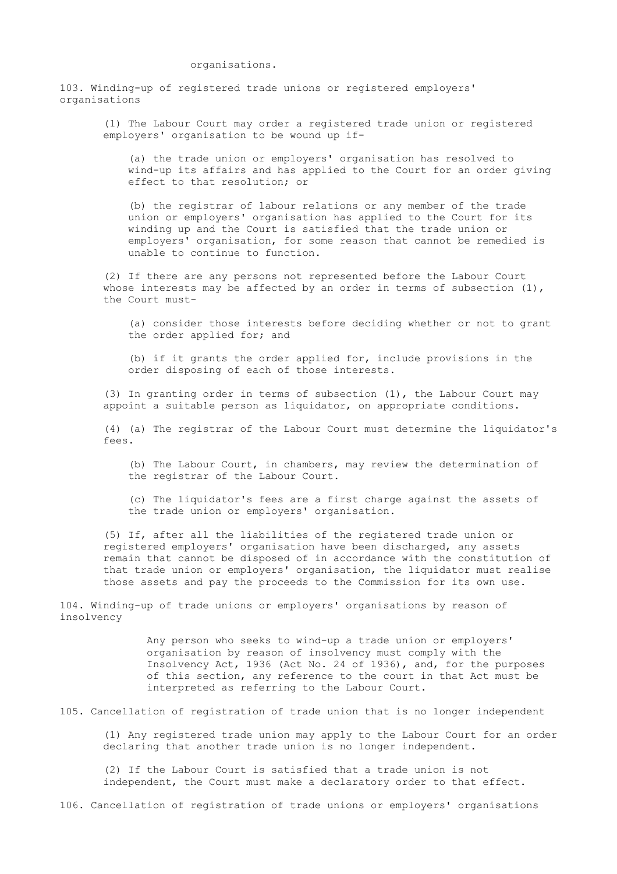#### organisations.

103. Winding-up of registered trade unions or registered employers' organisations

> (1) The Labour Court may order a registered trade union or registered employers' organisation to be wound up if-

 (a) the trade union or employers' organisation has resolved to wind-up its affairs and has applied to the Court for an order giving effect to that resolution; or

 (b) the registrar of labour relations or any member of the trade union or employers' organisation has applied to the Court for its winding up and the Court is satisfied that the trade union or employers' organisation, for some reason that cannot be remedied is unable to continue to function.

 (2) If there are any persons not represented before the Labour Court whose interests may be affected by an order in terms of subsection  $(1)$ , the Court must-

 (a) consider those interests before deciding whether or not to grant the order applied for; and

 (b) if it grants the order applied for, include provisions in the order disposing of each of those interests.

 (3) In granting order in terms of subsection (1), the Labour Court may appoint a suitable person as liquidator, on appropriate conditions.

 (4) (a) The registrar of the Labour Court must determine the liquidator's fees.

 (b) The Labour Court, in chambers, may review the determination of the registrar of the Labour Court.

 (c) The liquidator's fees are a first charge against the assets of the trade union or employers' organisation.

 (5) If, after all the liabilities of the registered trade union or registered employers' organisation have been discharged, any assets remain that cannot be disposed of in accordance with the constitution of that trade union or employers' organisation, the liquidator must realise those assets and pay the proceeds to the Commission for its own use.

104. Winding-up of trade unions or employers' organisations by reason of insolvency

> Any person who seeks to wind-up a trade union or employers' organisation by reason of insolvency must comply with the Insolvency Act, 1936 (Act No. 24 of 1936), and, for the purposes of this section, any reference to the court in that Act must be interpreted as referring to the Labour Court.

105. Cancellation of registration of trade union that is no longer independent

 (1) Any registered trade union may apply to the Labour Court for an order declaring that another trade union is no longer independent.

 (2) If the Labour Court is satisfied that a trade union is not independent, the Court must make a declaratory order to that effect.

106. Cancellation of registration of trade unions or employers' organisations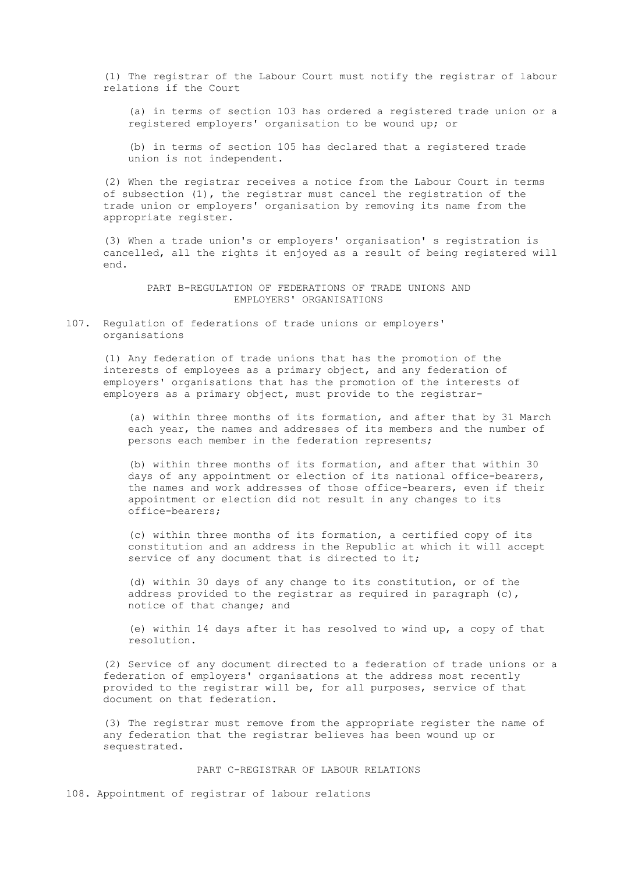(1) The registrar of the Labour Court must notify the registrar of labour relations if the Court

 (a) in terms of section 103 has ordered a registered trade union or a registered employers' organisation to be wound up; or

 (b) in terms of section 105 has declared that a registered trade union is not independent.

 (2) When the registrar receives a notice from the Labour Court in terms of subsection (1), the registrar must cancel the registration of the trade union or employers' organisation by removing its name from the appropriate register.

 (3) When a trade union's or employers' organisation' s registration is cancelled, all the rights it enjoyed as a result of being registered will end.

 PART B-REGULATION OF FEDERATIONS OF TRADE UNIONS AND EMPLOYERS' ORGANISATIONS

 107. Regulation of federations of trade unions or employers' organisations

 (1) Any federation of trade unions that has the promotion of the interests of employees as a primary object, and any federation of employers' organisations that has the promotion of the interests of employers as a primary object, must provide to the registrar-

 (a) within three months of its formation, and after that by 31 March each year, the names and addresses of its members and the number of persons each member in the federation represents;

 (b) within three months of its formation, and after that within 30 days of any appointment or election of its national office-bearers, the names and work addresses of those office-bearers, even if their appointment or election did not result in any changes to its office-bearers;

 (c) within three months of its formation, a certified copy of its constitution and an address in the Republic at which it will accept service of any document that is directed to it;

 (d) within 30 days of any change to its constitution, or of the address provided to the registrar as required in paragraph  $(c)$ , notice of that change; and

 (e) within 14 days after it has resolved to wind up, a copy of that resolution.

 (2) Service of any document directed to a federation of trade unions or a federation of employers' organisations at the address most recently provided to the registrar will be, for all purposes, service of that document on that federation.

 (3) The registrar must remove from the appropriate register the name of any federation that the registrar believes has been wound up or sequestrated.

# PART C-REGISTRAR OF LABOUR RELATIONS

108. Appointment of registrar of labour relations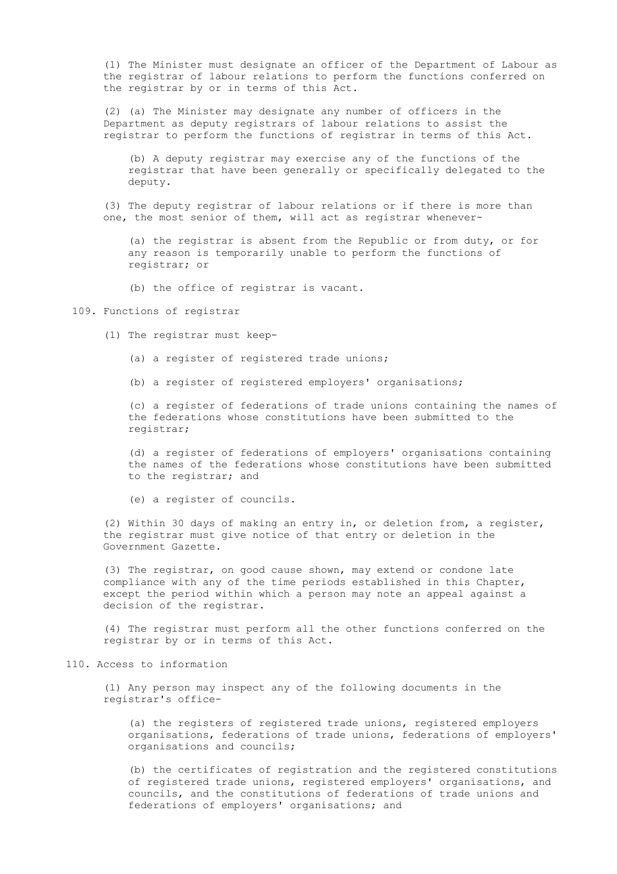(1) The Minister must designate an officer of the Department of Labour as the registrar of labour relations to perform the functions conferred on the registrar by or in terms of this Act.

 (2) (a) The Minister may designate any number of officers in the Department as deputy registrars of labour relations to assist the registrar to perform the functions of registrar in terms of this Act.

 (b) A deputy registrar may exercise any of the functions of the registrar that have been generally or specifically delegated to the deputy.

 (3) The deputy registrar of labour relations or if there is more than one, the most senior of them, will act as registrar whenever-

 (a) the registrar is absent from the Republic or from duty, or for any reason is temporarily unable to perform the functions of registrar; or

(b) the office of registrar is vacant.

### 109. Functions of registrar

(1) The registrar must keep-

(a) a register of registered trade unions;

(b) a register of registered employers' organisations;

 (c) a register of federations of trade unions containing the names of the federations whose constitutions have been submitted to the registrar;

 (d) a register of federations of employers' organisations containing the names of the federations whose constitutions have been submitted to the registrar; and

(e) a register of councils.

 (2) Within 30 days of making an entry in, or deletion from, a register, the registrar must give notice of that entry or deletion in the Government Gazette.

 (3) The registrar, on good cause shown, may extend or condone late compliance with any of the time periods established in this Chapter, except the period within which a person may note an appeal against a decision of the registrar.

 (4) The registrar must perform all the other functions conferred on the registrar by or in terms of this Act.

### 110. Access to information

 (1) Any person may inspect any of the following documents in the registrar's office-

 (a) the registers of registered trade unions, registered employers organisations, federations of trade unions, federations of employers' organisations and councils;

 (b) the certificates of registration and the registered constitutions of registered trade unions, registered employers' organisations, and councils, and the constitutions of federations of trade unions and federations of employers' organisations; and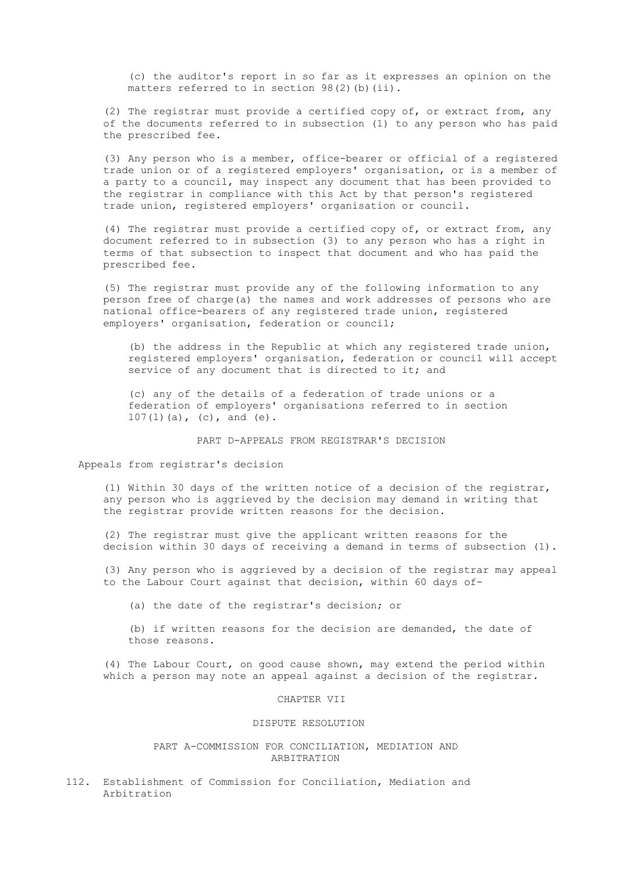(c) the auditor's report in so far as it expresses an opinion on the matters referred to in section 98(2)(b)(ii).

 (2) The registrar must provide a certified copy of, or extract from, any of the documents referred to in subsection (1) to any person who has paid the prescribed fee.

 (3) Any person who is a member, office-bearer or official of a registered trade union or of a registered employers' organisation, or is a member of a party to a council, may inspect any document that has been provided to the registrar in compliance with this Act by that person's registered trade union, registered employers' organisation or council.

 (4) The registrar must provide a certified copy of, or extract from, any document referred to in subsection (3) to any person who has a right in terms of that subsection to inspect that document and who has paid the prescribed fee.

 (5) The registrar must provide any of the following information to any person free of charge(a) the names and work addresses of persons who are national office-bearers of any registered trade union, registered employers' organisation, federation or council;

 (b) the address in the Republic at which any registered trade union, registered employers' organisation, federation or council will accept service of any document that is directed to it; and

 (c) any of the details of a federation of trade unions or a federation of employers' organisations referred to in section  $107(1)(a)$ , (c), and (e).

PART D-APPEALS FROM REGISTRAR'S DECISION

Appeals from registrar's decision

 (1) Within 30 days of the written notice of a decision of the registrar, any person who is aggrieved by the decision may demand in writing that the registrar provide written reasons for the decision.

 (2) The registrar must give the applicant written reasons for the decision within 30 days of receiving a demand in terms of subsection (1).

 (3) Any person who is aggrieved by a decision of the registrar may appeal to the Labour Court against that decision, within 60 days of-

(a) the date of the registrar's decision; or

 (b) if written reasons for the decision are demanded, the date of those reasons.

 (4) The Labour Court, on good cause shown, may extend the period within which a person may note an appeal against a decision of the registrar.

# CHAPTER VII

### DISPUTE RESOLUTION

## PART A-COMMISSION FOR CONCILIATION, MEDIATION AND ARBITRATION

 112. Establishment of Commission for Conciliation, Mediation and Arbitration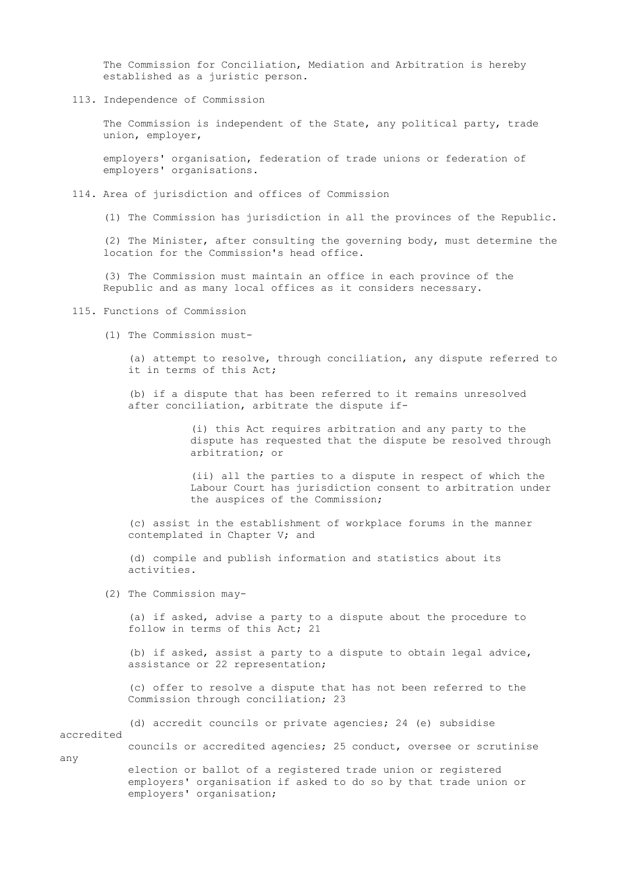The Commission for Conciliation, Mediation and Arbitration is hereby established as a juristic person.

113. Independence of Commission

 The Commission is independent of the State, any political party, trade union, employer,

 employers' organisation, federation of trade unions or federation of employers' organisations.

114. Area of jurisdiction and offices of Commission

(1) The Commission has jurisdiction in all the provinces of the Republic.

 (2) The Minister, after consulting the governing body, must determine the location for the Commission's head office.

 (3) The Commission must maintain an office in each province of the Republic and as many local offices as it considers necessary.

# 115. Functions of Commission

(1) The Commission must-

 (a) attempt to resolve, through conciliation, any dispute referred to it in terms of this Act;

 (b) if a dispute that has been referred to it remains unresolved after conciliation, arbitrate the dispute if-

> (i) this Act requires arbitration and any party to the dispute has requested that the dispute be resolved through arbitration; or

> (ii) all the parties to a dispute in respect of which the Labour Court has jurisdiction consent to arbitration under the auspices of the Commission;

 (c) assist in the establishment of workplace forums in the manner contemplated in Chapter V; and

 (d) compile and publish information and statistics about its activities.

(2) The Commission may-

 (a) if asked, advise a party to a dispute about the procedure to follow in terms of this Act; 21

 (b) if asked, assist a party to a dispute to obtain legal advice, assistance or 22 representation;

 (c) offer to resolve a dispute that has not been referred to the Commission through conciliation; 23

 (d) accredit councils or private agencies; 24 (e) subsidise accredited

councils or accredited agencies; 25 conduct, oversee or scrutinise

any

 election or ballot of a registered trade union or registered employers' organisation if asked to do so by that trade union or employers' organisation;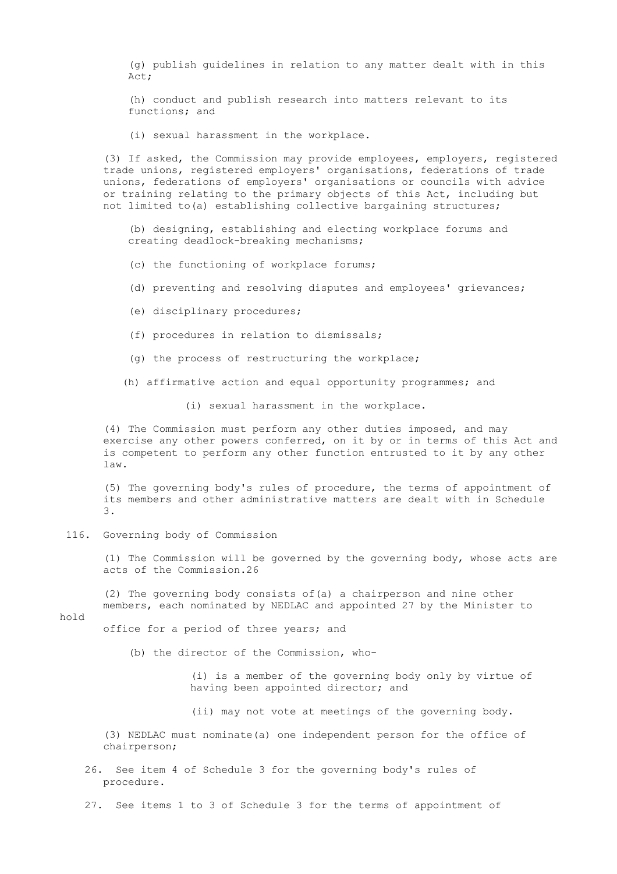(g) publish guidelines in relation to any matter dealt with in this Act;

 (h) conduct and publish research into matters relevant to its functions; and

(i) sexual harassment in the workplace.

 (3) If asked, the Commission may provide employees, employers, registered trade unions, registered employers' organisations, federations of trade unions, federations of employers' organisations or councils with advice or training relating to the primary objects of this Act, including but not limited to(a) establishing collective bargaining structures;

 (b) designing, establishing and electing workplace forums and creating deadlock-breaking mechanisms;

- (c) the functioning of workplace forums;
- (d) preventing and resolving disputes and employees' grievances;
- (e) disciplinary procedures;
- (f) procedures in relation to dismissals;
- (g) the process of restructuring the workplace;
- (h) affirmative action and equal opportunity programmes; and

(i) sexual harassment in the workplace.

 (4) The Commission must perform any other duties imposed, and may exercise any other powers conferred, on it by or in terms of this Act and is competent to perform any other function entrusted to it by any other law.

 (5) The governing body's rules of procedure, the terms of appointment of its members and other administrative matters are dealt with in Schedule 3.

116. Governing body of Commission

 (1) The Commission will be governed by the governing body, whose acts are acts of the Commission.26

 (2) The governing body consists of(a) a chairperson and nine other members, each nominated by NEDLAC and appointed 27 by the Minister to

hold

office for a period of three years; and

(b) the director of the Commission, who-

 (i) is a member of the governing body only by virtue of having been appointed director; and

(ii) may not vote at meetings of the governing body.

 (3) NEDLAC must nominate(a) one independent person for the office of chairperson;

 26. See item 4 of Schedule 3 for the governing body's rules of procedure.

27. See items 1 to 3 of Schedule 3 for the terms of appointment of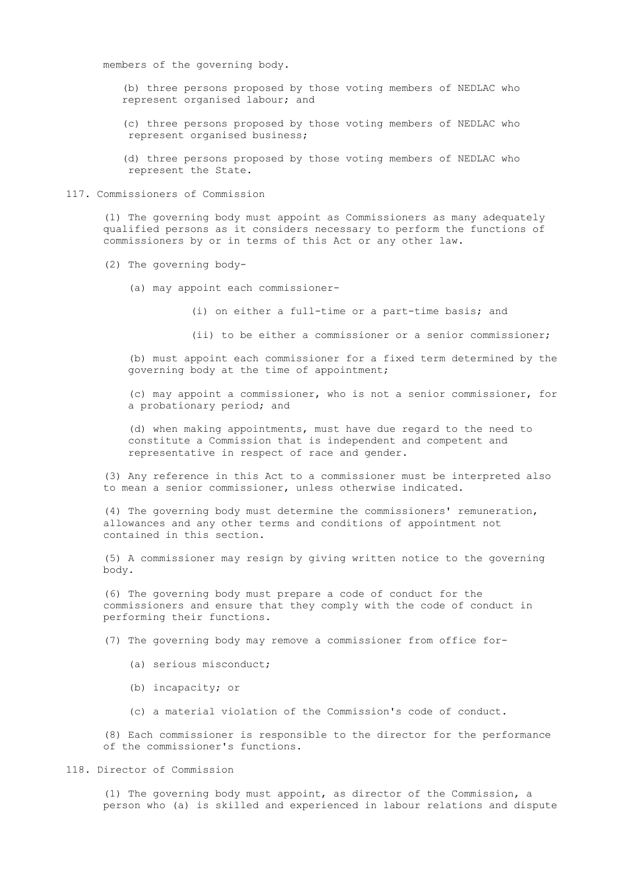members of the governing body.

 (b) three persons proposed by those voting members of NEDLAC who represent organised labour; and

 (c) three persons proposed by those voting members of NEDLAC who represent organised business;

 (d) three persons proposed by those voting members of NEDLAC who represent the State.

### 117. Commissioners of Commission

 (1) The governing body must appoint as Commissioners as many adequately qualified persons as it considers necessary to perform the functions of commissioners by or in terms of this Act or any other law.

- (2) The governing body-
	- (a) may appoint each commissioner-
		- (i) on either a full-time or a part-time basis; and

(ii) to be either a commissioner or a senior commissioner;

 (b) must appoint each commissioner for a fixed term determined by the governing body at the time of appointment;

 (c) may appoint a commissioner, who is not a senior commissioner, for a probationary period; and

 (d) when making appointments, must have due regard to the need to constitute a Commission that is independent and competent and representative in respect of race and gender.

 (3) Any reference in this Act to a commissioner must be interpreted also to mean a senior commissioner, unless otherwise indicated.

 (4) The governing body must determine the commissioners' remuneration, allowances and any other terms and conditions of appointment not contained in this section.

 (5) A commissioner may resign by giving written notice to the governing body.

 (6) The governing body must prepare a code of conduct for the commissioners and ensure that they comply with the code of conduct in performing their functions.

(7) The governing body may remove a commissioner from office for-

- (a) serious misconduct;
- (b) incapacity; or

(c) a material violation of the Commission's code of conduct.

 (8) Each commissioner is responsible to the director for the performance of the commissioner's functions.

118. Director of Commission

 (1) The governing body must appoint, as director of the Commission, a person who (a) is skilled and experienced in labour relations and dispute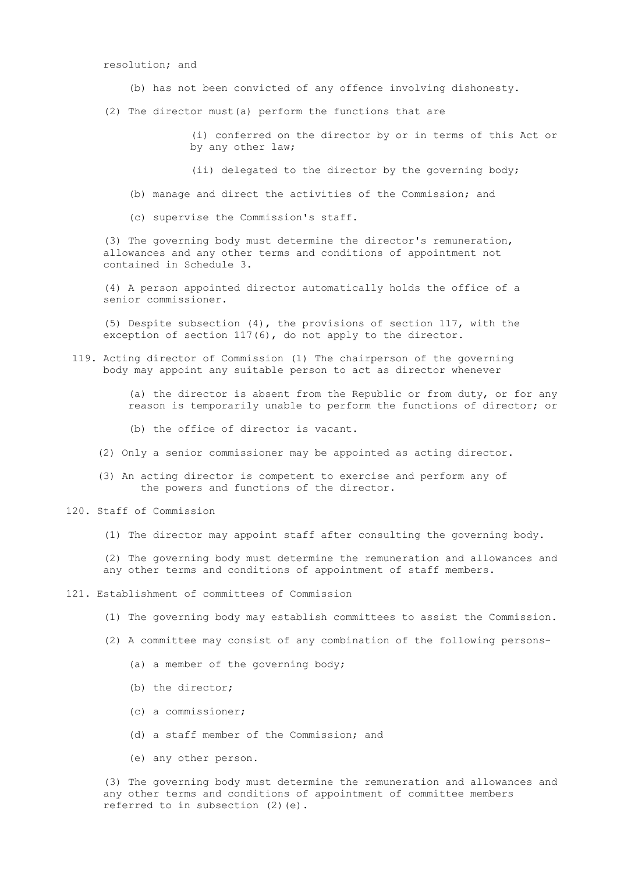resolution; and

(b) has not been convicted of any offence involving dishonesty.

(2) The director must(a) perform the functions that are

 (i) conferred on the director by or in terms of this Act or by any other law;

(ii) delegated to the director by the governing body;

(b) manage and direct the activities of the Commission; and

(c) supervise the Commission's staff.

 (3) The governing body must determine the director's remuneration, allowances and any other terms and conditions of appointment not contained in Schedule 3.

 (4) A person appointed director automatically holds the office of a senior commissioner.

 (5) Despite subsection (4), the provisions of section 117, with the exception of section 117(6), do not apply to the director.

 119. Acting director of Commission (1) The chairperson of the governing body may appoint any suitable person to act as director whenever

> (a) the director is absent from the Republic or from duty, or for any reason is temporarily unable to perform the functions of director; or

(b) the office of director is vacant.

- (2) Only a senior commissioner may be appointed as acting director.
- (3) An acting director is competent to exercise and perform any of the powers and functions of the director.

120. Staff of Commission

(1) The director may appoint staff after consulting the governing body.

 (2) The governing body must determine the remuneration and allowances and any other terms and conditions of appointment of staff members.

121. Establishment of committees of Commission

- (1) The governing body may establish committees to assist the Commission.
- (2) A committee may consist of any combination of the following persons-
	- (a) a member of the governing body;
	- (b) the director;
	- (c) a commissioner;
	- (d) a staff member of the Commission; and
	- (e) any other person.

 (3) The governing body must determine the remuneration and allowances and any other terms and conditions of appointment of committee members referred to in subsection (2)(e).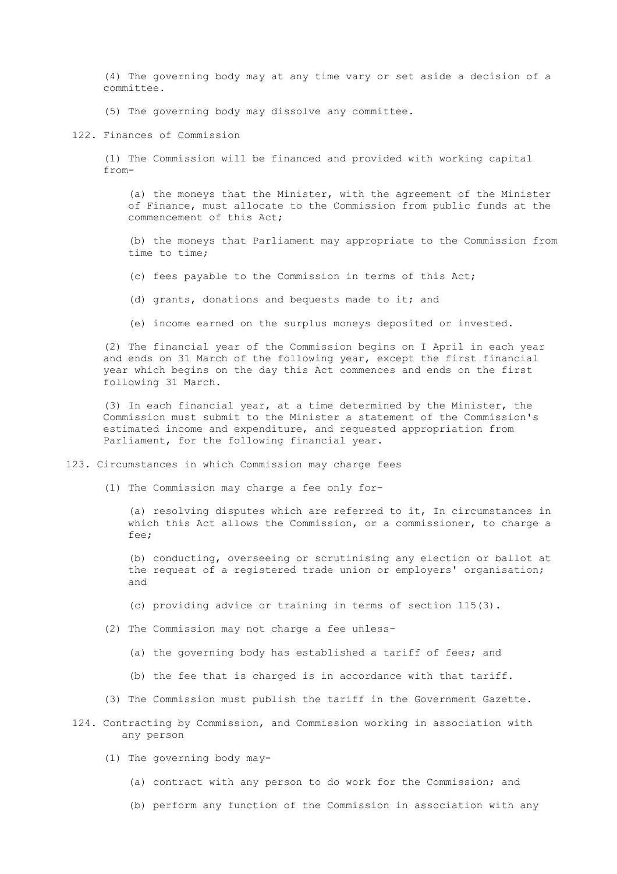(4) The governing body may at any time vary or set aside a decision of a committee.

(5) The governing body may dissolve any committee.

#### 122. Finances of Commission

 (1) The Commission will be financed and provided with working capital from-

 (a) the moneys that the Minister, with the agreement of the Minister of Finance, must allocate to the Commission from public funds at the commencement of this Act;

 (b) the moneys that Parliament may appropriate to the Commission from time to time;

- (c) fees payable to the Commission in terms of this Act;
- (d) grants, donations and bequests made to it; and
- (e) income earned on the surplus moneys deposited or invested.

 (2) The financial year of the Commission begins on I April in each year and ends on 31 March of the following year, except the first financial year which begins on the day this Act commences and ends on the first following 31 March.

 (3) In each financial year, at a time determined by the Minister, the Commission must submit to the Minister a statement of the Commission's estimated income and expenditure, and requested appropriation from Parliament, for the following financial year.

- 123. Circumstances in which Commission may charge fees
	- (1) The Commission may charge a fee only for-

 (a) resolving disputes which are referred to it, In circumstances in which this Act allows the Commission, or a commissioner, to charge a fee;

 (b) conducting, overseeing or scrutinising any election or ballot at the request of a registered trade union or employers' organisation; and

- (c) providing advice or training in terms of section 115(3).
- (2) The Commission may not charge a fee unless-
	- (a) the governing body has established a tariff of fees; and
	- (b) the fee that is charged is in accordance with that tariff.
- (3) The Commission must publish the tariff in the Government Gazette.
- 124. Contracting by Commission, and Commission working in association with any person
	- (1) The governing body may-
		- (a) contract with any person to do work for the Commission; and
		- (b) perform any function of the Commission in association with any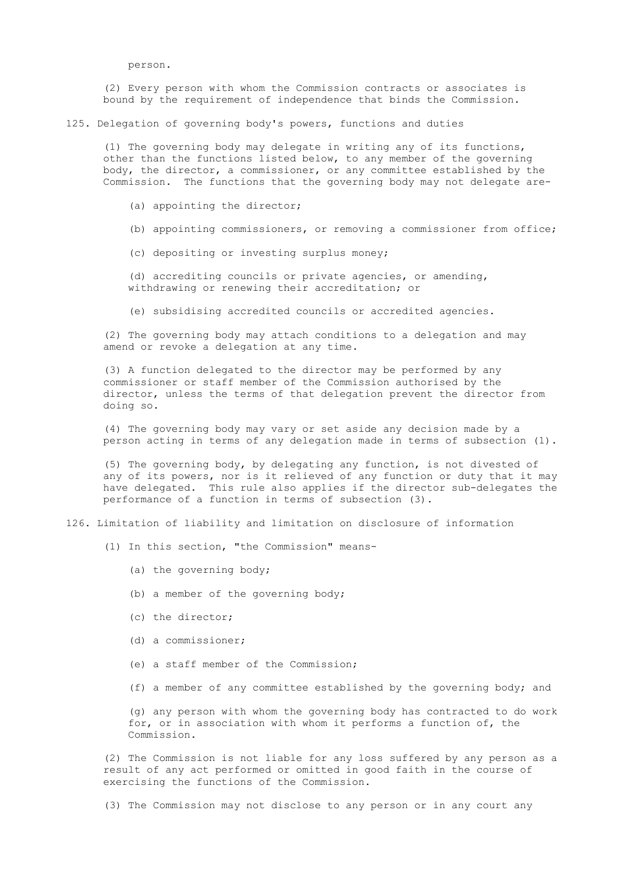person.

 (2) Every person with whom the Commission contracts or associates is bound by the requirement of independence that binds the Commission.

125. Delegation of governing body's powers, functions and duties

 (1) The governing body may delegate in writing any of its functions, other than the functions listed below, to any member of the governing body, the director, a commissioner, or any committee established by the Commission. The functions that the governing body may not delegate are-

- (a) appointing the director;
- (b) appointing commissioners, or removing a commissioner from office;
- (c) depositing or investing surplus money;

 (d) accrediting councils or private agencies, or amending, withdrawing or renewing their accreditation; or

(e) subsidising accredited councils or accredited agencies.

 (2) The governing body may attach conditions to a delegation and may amend or revoke a delegation at any time.

 (3) A function delegated to the director may be performed by any commissioner or staff member of the Commission authorised by the director, unless the terms of that delegation prevent the director from doing so.

 (4) The governing body may vary or set aside any decision made by a person acting in terms of any delegation made in terms of subsection (1).

 (5) The governing body, by delegating any function, is not divested of any of its powers, nor is it relieved of any function or duty that it may have delegated. This rule also applies if the director sub-delegates the performance of a function in terms of subsection (3).

126. Limitation of liability and limitation on disclosure of information

- (1) In this section, "the Commission" means-
	- (a) the governing body;
	- (b) a member of the governing body;
	- (c) the director;
	- (d) a commissioner;
	- (e) a staff member of the Commission;
	- (f) a member of any committee established by the governing body; and

 (g) any person with whom the governing body has contracted to do work for, or in association with whom it performs a function of, the Commission.

 (2) The Commission is not liable for any loss suffered by any person as a result of any act performed or omitted in good faith in the course of exercising the functions of the Commission.

(3) The Commission may not disclose to any person or in any court any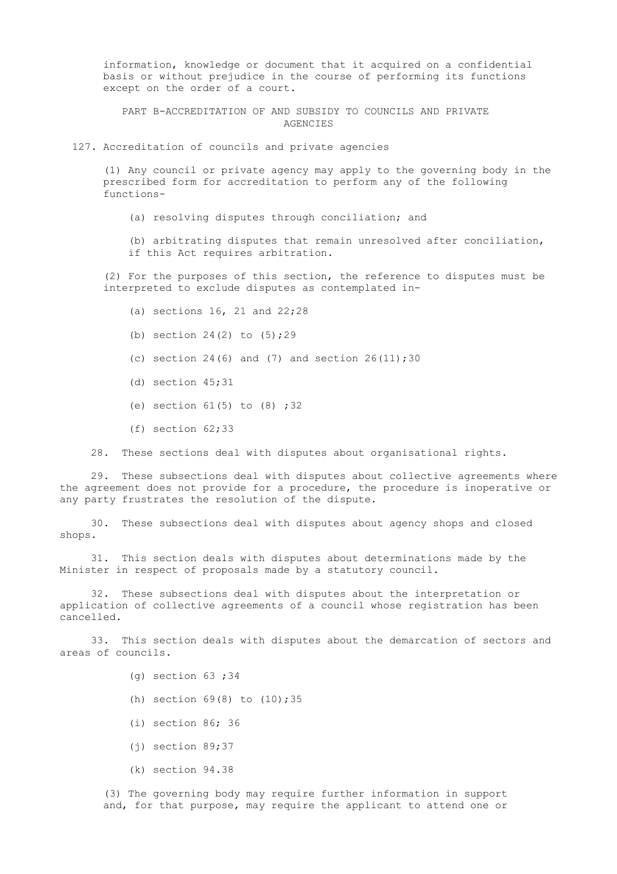information, knowledge or document that it acquired on a confidential basis or without prejudice in the course of performing its functions except on the order of a court.

 PART B-ACCREDITATION OF AND SUBSIDY TO COUNCILS AND PRIVATE AGENCIES

### 127. Accreditation of councils and private agencies

 (1) Any council or private agency may apply to the governing body in the prescribed form for accreditation to perform any of the following functions-

(a) resolving disputes through conciliation; and

 (b) arbitrating disputes that remain unresolved after conciliation, if this Act requires arbitration.

 (2) For the purposes of this section, the reference to disputes must be interpreted to exclude disputes as contemplated in-

- (a) sections 16, 21 and 22;28
- (b) section  $24(2)$  to  $(5);29$
- (c) section  $24(6)$  and  $(7)$  and section  $26(11);30$
- (d) section  $45:31$
- (e) section 61(5) to (8) ;32
- (f) section 62;33

28. These sections deal with disputes about organisational rights.

 29. These subsections deal with disputes about collective agreements where the agreement does not provide for a procedure, the procedure is inoperative or any party frustrates the resolution of the dispute.

 30. These subsections deal with disputes about agency shops and closed shops.

 31. This section deals with disputes about determinations made by the Minister in respect of proposals made by a statutory council.

These subsections deal with disputes about the interpretation or application of collective agreements of a council whose registration has been cancelled.

 33. This section deals with disputes about the demarcation of sectors and areas of councils.

- (g) section  $63$  ; 34
- (h) section 69(8) to (10);35
- (i) section 86; 36
- $(i)$  section 89;37
- (k) section 94.38

 (3) The governing body may require further information in support and, for that purpose, may require the applicant to attend one or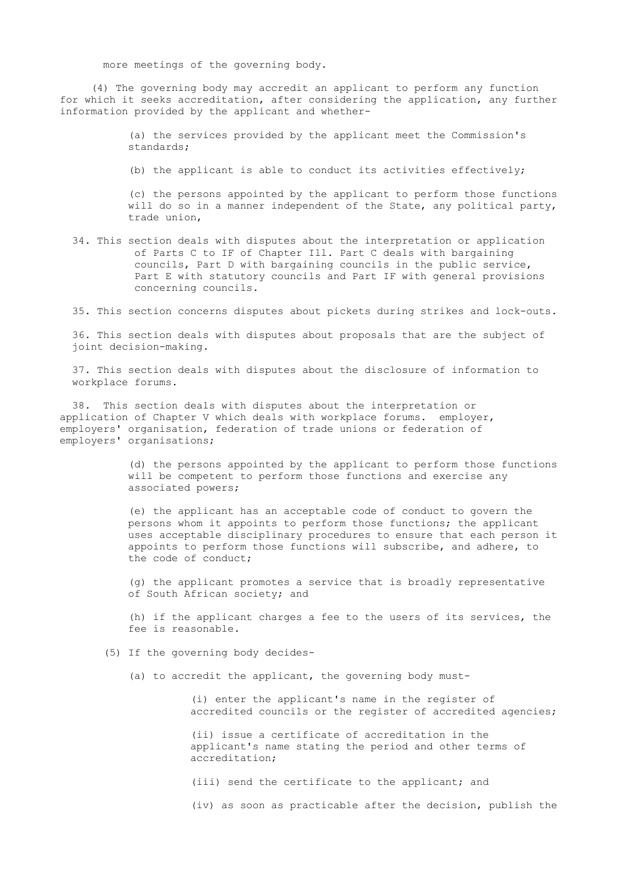more meetings of the governing body.

 (4) The governing body may accredit an applicant to perform any function for which it seeks accreditation, after considering the application, any further information provided by the applicant and whether-

> (a) the services provided by the applicant meet the Commission's standards;

> (b) the applicant is able to conduct its activities effectively;

 (c) the persons appointed by the applicant to perform those functions will do so in a manner independent of the State, any political party, trade union,

 34. This section deals with disputes about the interpretation or application of Parts C to IF of Chapter Ill. Part C deals with bargaining councils, Part D with bargaining councils in the public service, Part E with statutory councils and Part IF with general provisions concerning councils.

35. This section concerns disputes about pickets during strikes and lock-outs.

 36. This section deals with disputes about proposals that are the subject of joint decision-making.

 37. This section deals with disputes about the disclosure of information to workplace forums.

 38. This section deals with disputes about the interpretation or application of Chapter V which deals with workplace forums. employer, employers' organisation, federation of trade unions or federation of employers' organisations;

> (d) the persons appointed by the applicant to perform those functions will be competent to perform those functions and exercise any associated powers;

> (e) the applicant has an acceptable code of conduct to govern the persons whom it appoints to perform those functions; the applicant uses acceptable disciplinary procedures to ensure that each person it appoints to perform those functions will subscribe, and adhere, to the code of conduct;

 (g) the applicant promotes a service that is broadly representative of South African society; and

 (h) if the applicant charges a fee to the users of its services, the fee is reasonable.

- (5) If the governing body decides-
	- (a) to accredit the applicant, the governing body must-

 (i) enter the applicant's name in the register of accredited councils or the register of accredited agencies;

 (ii) issue a certificate of accreditation in the applicant's name stating the period and other terms of accreditation;

- (iii) send the certificate to the applicant; and
- (iv) as soon as practicable after the decision, publish the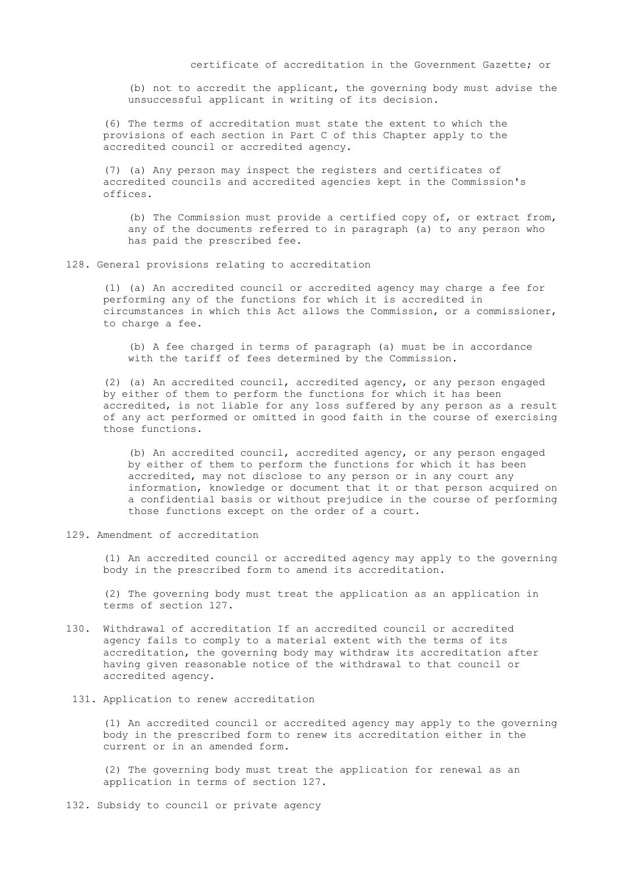(b) not to accredit the applicant, the governing body must advise the unsuccessful applicant in writing of its decision.

 (6) The terms of accreditation must state the extent to which the provisions of each section in Part C of this Chapter apply to the accredited council or accredited agency.

 (7) (a) Any person may inspect the registers and certificates of accredited councils and accredited agencies kept in the Commission's offices.

 (b) The Commission must provide a certified copy of, or extract from, any of the documents referred to in paragraph (a) to any person who has paid the prescribed fee.

#### 128. General provisions relating to accreditation

 (1) (a) An accredited council or accredited agency may charge a fee for performing any of the functions for which it is accredited in circumstances in which this Act allows the Commission, or a commissioner, to charge a fee.

 (b) A fee charged in terms of paragraph (a) must be in accordance with the tariff of fees determined by the Commission.

 (2) (a) An accredited council, accredited agency, or any person engaged by either of them to perform the functions for which it has been accredited, is not liable for any loss suffered by any person as a result of any act performed or omitted in good faith in the course of exercising those functions.

 (b) An accredited council, accredited agency, or any person engaged by either of them to perform the functions for which it has been accredited, may not disclose to any person or in any court any information, knowledge or document that it or that person acquired on a confidential basis or without prejudice in the course of performing those functions except on the order of a court.

# 129. Amendment of accreditation

 (1) An accredited council or accredited agency may apply to the governing body in the prescribed form to amend its accreditation.

 (2) The governing body must treat the application as an application in terms of section 127.

- 130. Withdrawal of accreditation If an accredited council or accredited agency fails to comply to a material extent with the terms of its accreditation, the governing body may withdraw its accreditation after having given reasonable notice of the withdrawal to that council or accredited agency.
- 131. Application to renew accreditation

 (1) An accredited council or accredited agency may apply to the governing body in the prescribed form to renew its accreditation either in the current or in an amended form.

 (2) The governing body must treat the application for renewal as an application in terms of section 127.

132. Subsidy to council or private agency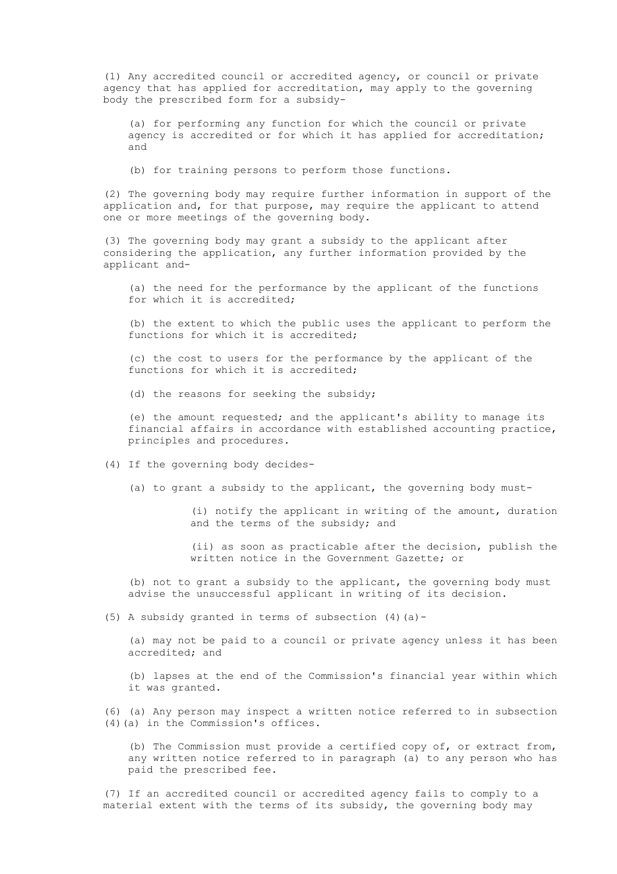(1) Any accredited council or accredited agency, or council or private agency that has applied for accreditation, may apply to the governing body the prescribed form for a subsidy-

 (a) for performing any function for which the council or private agency is accredited or for which it has applied for accreditation; and

(b) for training persons to perform those functions.

 (2) The governing body may require further information in support of the application and, for that purpose, may require the applicant to attend one or more meetings of the governing body.

 (3) The governing body may grant a subsidy to the applicant after considering the application, any further information provided by the applicant and-

 (a) the need for the performance by the applicant of the functions for which it is accredited;

 (b) the extent to which the public uses the applicant to perform the functions for which it is accredited;

 (c) the cost to users for the performance by the applicant of the functions for which it is accredited;

(d) the reasons for seeking the subsidy;

 (e) the amount requested; and the applicant's ability to manage its financial affairs in accordance with established accounting practice, principles and procedures.

(4) If the governing body decides-

(a) to grant a subsidy to the applicant, the governing body must-

 (i) notify the applicant in writing of the amount, duration and the terms of the subsidy; and

 (ii) as soon as practicable after the decision, publish the written notice in the Government Gazette; or

 (b) not to grant a subsidy to the applicant, the governing body must advise the unsuccessful applicant in writing of its decision.

(5) A subsidy granted in terms of subsection  $(4)(a)$ -

 (a) may not be paid to a council or private agency unless it has been accredited; and

 (b) lapses at the end of the Commission's financial year within which it was granted.

 (6) (a) Any person may inspect a written notice referred to in subsection (4)(a) in the Commission's offices.

 (b) The Commission must provide a certified copy of, or extract from, any written notice referred to in paragraph (a) to any person who has paid the prescribed fee.

 (7) If an accredited council or accredited agency fails to comply to a material extent with the terms of its subsidy, the governing body may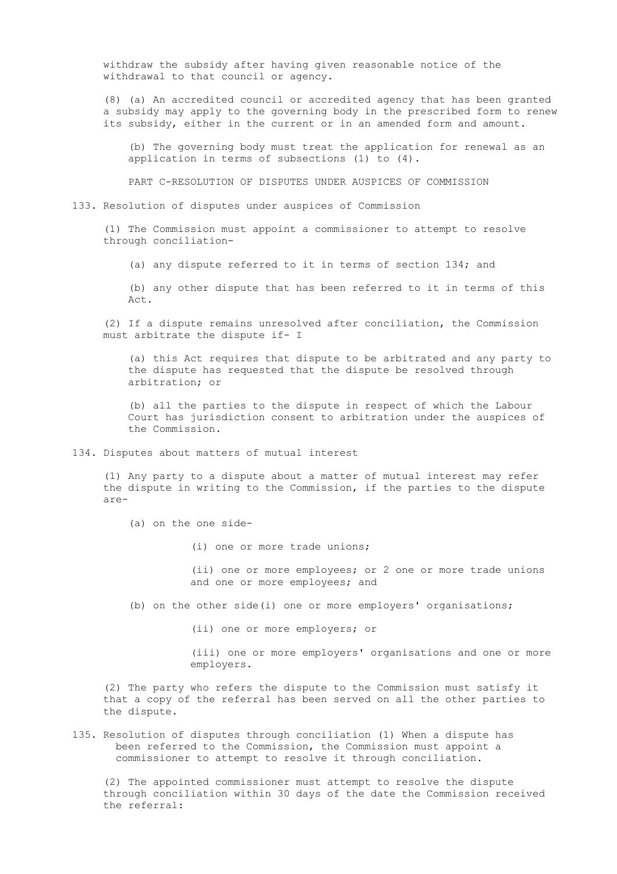withdraw the subsidy after having given reasonable notice of the withdrawal to that council or agency.

 (8) (a) An accredited council or accredited agency that has been granted a subsidy may apply to the governing body in the prescribed form to renew its subsidy, either in the current or in an amended form and amount.

 (b) The governing body must treat the application for renewal as an application in terms of subsections (1) to (4).

PART C-RESOLUTION OF DISPUTES UNDER AUSPICES OF COMMISSION

133. Resolution of disputes under auspices of Commission

 (1) The Commission must appoint a commissioner to attempt to resolve through conciliation-

(a) any dispute referred to it in terms of section 134; and

 (b) any other dispute that has been referred to it in terms of this Act.

 (2) If a dispute remains unresolved after conciliation, the Commission must arbitrate the dispute if- I

 (a) this Act requires that dispute to be arbitrated and any party to the dispute has requested that the dispute be resolved through arbitration; or

 (b) all the parties to the dispute in respect of which the Labour Court has jurisdiction consent to arbitration under the auspices of the Commission.

134. Disputes about matters of mutual interest

 (1) Any party to a dispute about a matter of mutual interest may refer the dispute in writing to the Commission, if the parties to the dispute are-

(a) on the one side-

(i) one or more trade unions;

 (ii) one or more employees; or 2 one or more trade unions and one or more employees; and

(b) on the other side(i) one or more employers' organisations;

(ii) one or more employers; or

 (iii) one or more employers' organisations and one or more employers.

 (2) The party who refers the dispute to the Commission must satisfy it that a copy of the referral has been served on all the other parties to the dispute.

 135. Resolution of disputes through conciliation (1) When a dispute has been referred to the Commission, the Commission must appoint a commissioner to attempt to resolve it through conciliation.

 (2) The appointed commissioner must attempt to resolve the dispute through conciliation within 30 days of the date the Commission received the referral: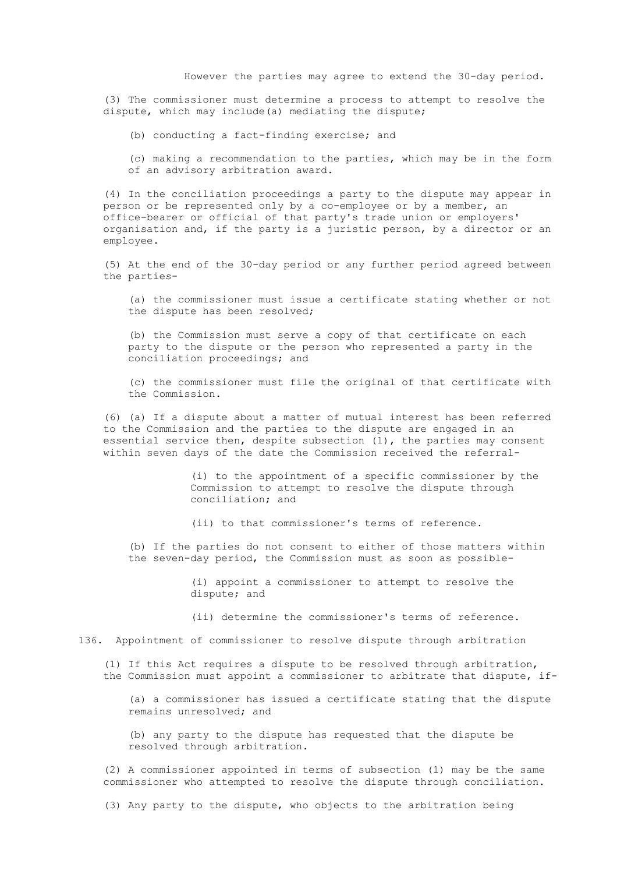However the parties may agree to extend the 30-day period.

 (3) The commissioner must determine a process to attempt to resolve the dispute, which may include(a) mediating the dispute;

(b) conducting a fact-finding exercise; and

 (c) making a recommendation to the parties, which may be in the form of an advisory arbitration award.

 (4) In the conciliation proceedings a party to the dispute may appear in person or be represented only by a co-employee or by a member, an office-bearer or official of that party's trade union or employers' organisation and, if the party is a juristic person, by a director or an employee.

 (5) At the end of the 30-day period or any further period agreed between the parties-

 (a) the commissioner must issue a certificate stating whether or not the dispute has been resolved;

 (b) the Commission must serve a copy of that certificate on each party to the dispute or the person who represented a party in the conciliation proceedings; and

 (c) the commissioner must file the original of that certificate with the Commission.

 (6) (a) If a dispute about a matter of mutual interest has been referred to the Commission and the parties to the dispute are engaged in an essential service then, despite subsection (1), the parties may consent within seven days of the date the Commission received the referral-

> (i) to the appointment of a specific commissioner by the Commission to attempt to resolve the dispute through conciliation; and

(ii) to that commissioner's terms of reference.

 (b) If the parties do not consent to either of those matters within the seven-day period, the Commission must as soon as possible-

> (i) appoint a commissioner to attempt to resolve the dispute; and

(ii) determine the commissioner's terms of reference.

136. Appointment of commissioner to resolve dispute through arbitration

 (1) If this Act requires a dispute to be resolved through arbitration, the Commission must appoint a commissioner to arbitrate that dispute, if-

 (a) a commissioner has issued a certificate stating that the dispute remains unresolved; and

 (b) any party to the dispute has requested that the dispute be resolved through arbitration.

 (2) A commissioner appointed in terms of subsection (1) may be the same commissioner who attempted to resolve the dispute through conciliation.

(3) Any party to the dispute, who objects to the arbitration being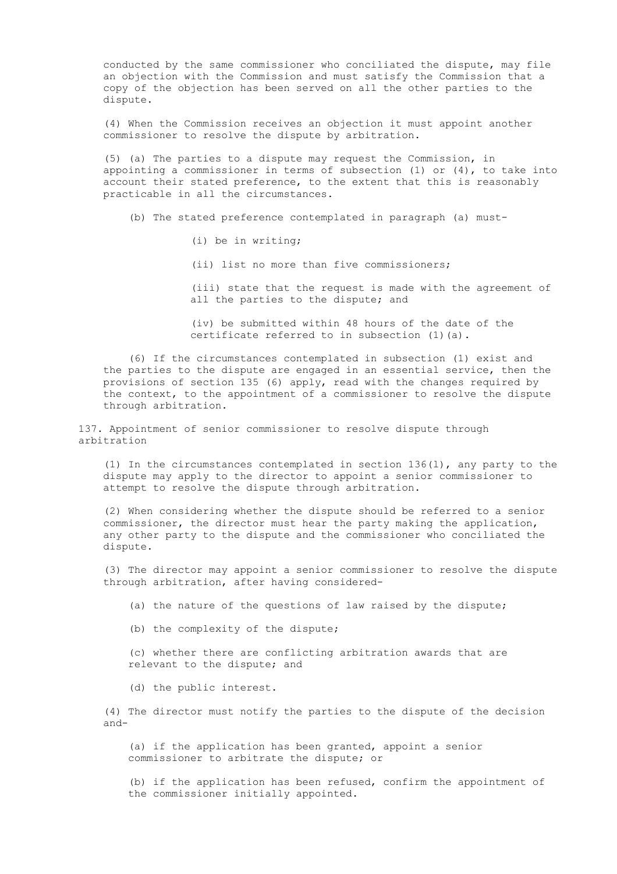conducted by the same commissioner who conciliated the dispute, may file an objection with the Commission and must satisfy the Commission that a copy of the objection has been served on all the other parties to the dispute.

 (4) When the Commission receives an objection it must appoint another commissioner to resolve the dispute by arbitration.

 (5) (a) The parties to a dispute may request the Commission, in appointing a commissioner in terms of subsection (1) or (4), to take into account their stated preference, to the extent that this is reasonably practicable in all the circumstances.

- (b) The stated preference contemplated in paragraph (a) must-
	- (i) be in writing;
	- (ii) list no more than five commissioners;

 (iii) state that the request is made with the agreement of all the parties to the dispute; and

 (iv) be submitted within 48 hours of the date of the certificate referred to in subsection (1)(a).

 (6) If the circumstances contemplated in subsection (1) exist and the parties to the dispute are engaged in an essential service, then the provisions of section 135 (6) apply, read with the changes required by the context, to the appointment of a commissioner to resolve the dispute through arbitration.

 137. Appointment of senior commissioner to resolve dispute through arbitration

 (1) In the circumstances contemplated in section 136(l), any party to the dispute may apply to the director to appoint a senior commissioner to attempt to resolve the dispute through arbitration.

 (2) When considering whether the dispute should be referred to a senior commissioner, the director must hear the party making the application, any other party to the dispute and the commissioner who conciliated the dispute.

 (3) The director may appoint a senior commissioner to resolve the dispute through arbitration, after having considered-

(a) the nature of the questions of law raised by the dispute;

(b) the complexity of the dispute;

 (c) whether there are conflicting arbitration awards that are relevant to the dispute; and

(d) the public interest.

 (4) The director must notify the parties to the dispute of the decision and-

 (a) if the application has been granted, appoint a senior commissioner to arbitrate the dispute; or

 (b) if the application has been refused, confirm the appointment of the commissioner initially appointed.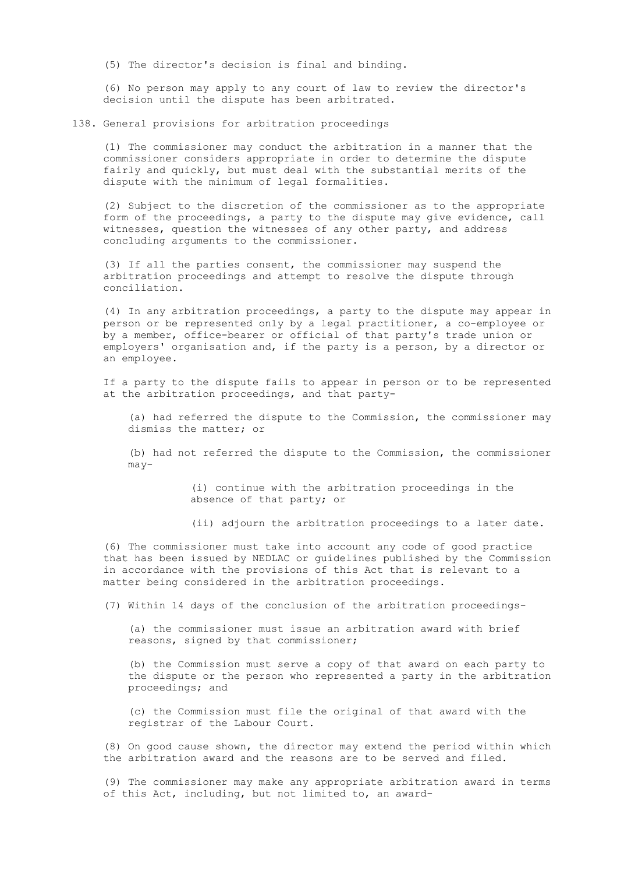(5) The director's decision is final and binding.

 (6) No person may apply to any court of law to review the director's decision until the dispute has been arbitrated.

138. General provisions for arbitration proceedings

 (1) The commissioner may conduct the arbitration in a manner that the commissioner considers appropriate in order to determine the dispute fairly and quickly, but must deal with the substantial merits of the dispute with the minimum of legal formalities.

 (2) Subject to the discretion of the commissioner as to the appropriate form of the proceedings, a party to the dispute may give evidence, call witnesses, question the witnesses of any other party, and address concluding arguments to the commissioner.

 (3) If all the parties consent, the commissioner may suspend the arbitration proceedings and attempt to resolve the dispute through conciliation.

 (4) In any arbitration proceedings, a party to the dispute may appear in person or be represented only by a legal practitioner, a co-employee or by a member, office-bearer or official of that party's trade union or employers' organisation and, if the party is a person, by a director or an employee.

 If a party to the dispute fails to appear in person or to be represented at the arbitration proceedings, and that party-

 (a) had referred the dispute to the Commission, the commissioner may dismiss the matter; or

 (b) had not referred the dispute to the Commission, the commissioner may-

> (i) continue with the arbitration proceedings in the absence of that party; or

(ii) adjourn the arbitration proceedings to a later date.

 (6) The commissioner must take into account any code of good practice that has been issued by NEDLAC or guidelines published by the Commission in accordance with the provisions of this Act that is relevant to a matter being considered in the arbitration proceedings.

(7) Within 14 days of the conclusion of the arbitration proceedings-

 (a) the commissioner must issue an arbitration award with brief reasons, signed by that commissioner;

 (b) the Commission must serve a copy of that award on each party to the dispute or the person who represented a party in the arbitration proceedings; and

 (c) the Commission must file the original of that award with the registrar of the Labour Court.

 (8) On good cause shown, the director may extend the period within which the arbitration award and the reasons are to be served and filed.

 (9) The commissioner may make any appropriate arbitration award in terms of this Act, including, but not limited to, an award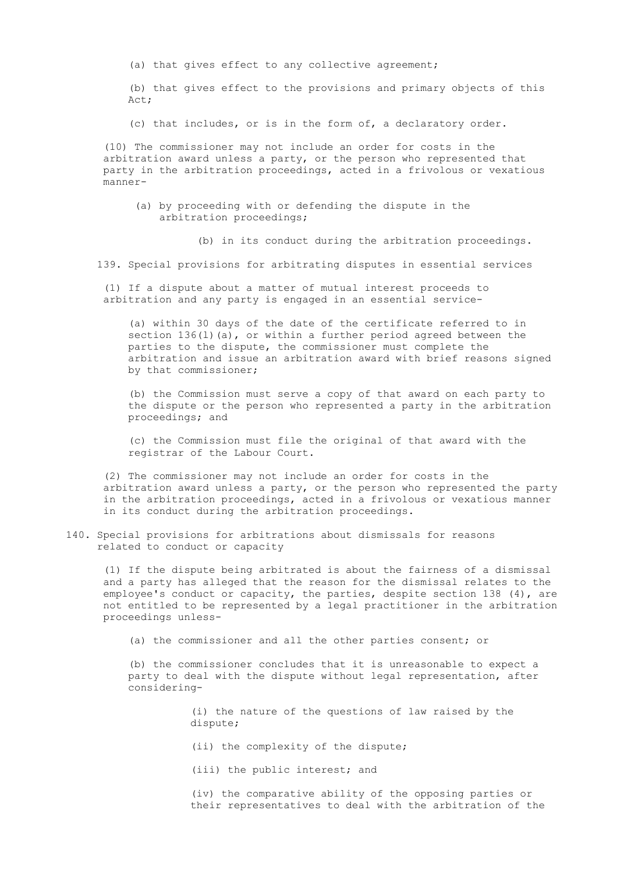(a) that gives effect to any collective agreement;

 (b) that gives effect to the provisions and primary objects of this Act;

(c) that includes, or is in the form of, a declaratory order.

 (10) The commissioner may not include an order for costs in the arbitration award unless a party, or the person who represented that party in the arbitration proceedings, acted in a frivolous or vexatious manner-

 (a) by proceeding with or defending the dispute in the arbitration proceedings;

(b) in its conduct during the arbitration proceedings.

139. Special provisions for arbitrating disputes in essential services

 (1) If a dispute about a matter of mutual interest proceeds to arbitration and any party is engaged in an essential service-

 (a) within 30 days of the date of the certificate referred to in section  $136(1)(a)$ , or within a further period agreed between the parties to the dispute, the commissioner must complete the arbitration and issue an arbitration award with brief reasons signed by that commissioner;

 (b) the Commission must serve a copy of that award on each party to the dispute or the person who represented a party in the arbitration proceedings; and

 (c) the Commission must file the original of that award with the registrar of the Labour Court.

 (2) The commissioner may not include an order for costs in the arbitration award unless a party, or the person who represented the party in the arbitration proceedings, acted in a frivolous or vexatious manner in its conduct during the arbitration proceedings.

 140. Special provisions for arbitrations about dismissals for reasons related to conduct or capacity

 (1) If the dispute being arbitrated is about the fairness of a dismissal and a party has alleged that the reason for the dismissal relates to the employee's conduct or capacity, the parties, despite section 138 (4), are not entitled to be represented by a legal practitioner in the arbitration proceedings unless-

(a) the commissioner and all the other parties consent; or

 (b) the commissioner concludes that it is unreasonable to expect a party to deal with the dispute without legal representation, after considering-

> (i) the nature of the questions of law raised by the dispute;

(ii) the complexity of the dispute;

(iii) the public interest; and

 (iv) the comparative ability of the opposing parties or their representatives to deal with the arbitration of the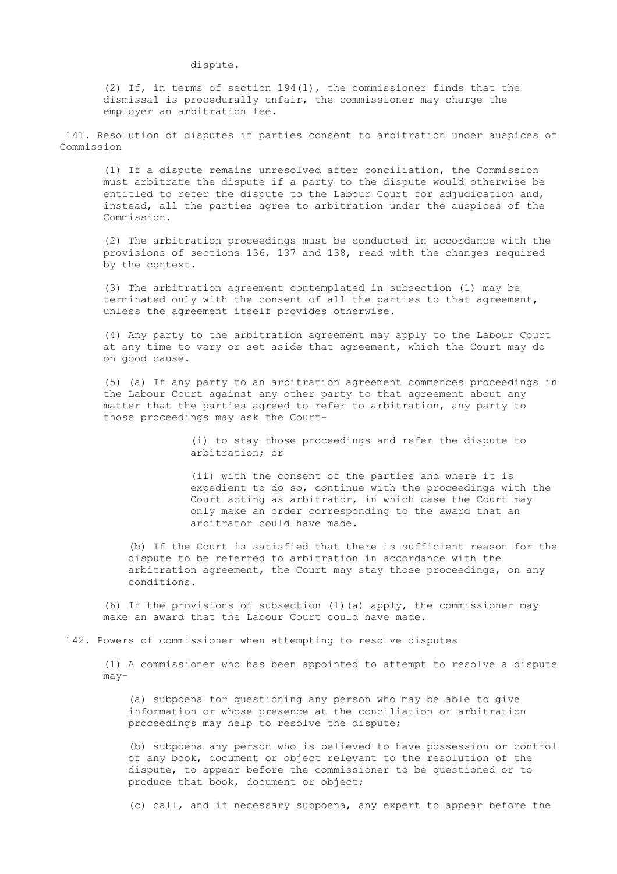#### dispute.

 (2) If, in terms of section 194(l), the commissioner finds that the dismissal is procedurally unfair, the commissioner may charge the employer an arbitration fee.

 141. Resolution of disputes if parties consent to arbitration under auspices of Commission

 (1) If a dispute remains unresolved after conciliation, the Commission must arbitrate the dispute if a party to the dispute would otherwise be entitled to refer the dispute to the Labour Court for adjudication and, instead, all the parties agree to arbitration under the auspices of the Commission.

 (2) The arbitration proceedings must be conducted in accordance with the provisions of sections 136, 137 and 138, read with the changes required by the context.

 (3) The arbitration agreement contemplated in subsection (1) may be terminated only with the consent of all the parties to that agreement, unless the agreement itself provides otherwise.

 (4) Any party to the arbitration agreement may apply to the Labour Court at any time to vary or set aside that agreement, which the Court may do on good cause.

 (5) (a) If any party to an arbitration agreement commences proceedings in the Labour Court against any other party to that agreement about any matter that the parties agreed to refer to arbitration, any party to those proceedings may ask the Court-

> (i) to stay those proceedings and refer the dispute to arbitration; or

 (ii) with the consent of the parties and where it is expedient to do so, continue with the proceedings with the Court acting as arbitrator, in which case the Court may only make an order corresponding to the award that an arbitrator could have made.

 (b) If the Court is satisfied that there is sufficient reason for the dispute to be referred to arbitration in accordance with the arbitration agreement, the Court may stay those proceedings, on any conditions.

 (6) If the provisions of subsection (1)(a) apply, the commissioner may make an award that the Labour Court could have made.

142. Powers of commissioner when attempting to resolve disputes

 (1) A commissioner who has been appointed to attempt to resolve a dispute may-

 (a) subpoena for questioning any person who may be able to give information or whose presence at the conciliation or arbitration proceedings may help to resolve the dispute;

 (b) subpoena any person who is believed to have possession or control of any book, document or object relevant to the resolution of the dispute, to appear before the commissioner to be questioned or to produce that book, document or object;

(c) call, and if necessary subpoena, any expert to appear before the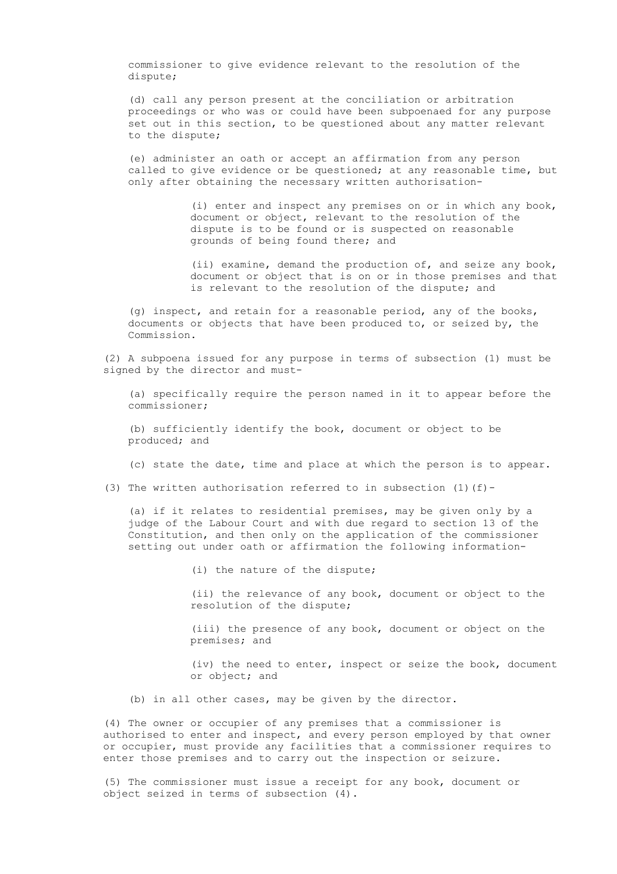commissioner to give evidence relevant to the resolution of the dispute;

 (d) call any person present at the conciliation or arbitration proceedings or who was or could have been subpoenaed for any purpose set out in this section, to be questioned about any matter relevant to the dispute;

 (e) administer an oath or accept an affirmation from any person called to give evidence or be questioned; at any reasonable time, but only after obtaining the necessary written authorisation-

> (i) enter and inspect any premises on or in which any book, document or object, relevant to the resolution of the dispute is to be found or is suspected on reasonable grounds of being found there; and

> (ii) examine, demand the production of, and seize any book, document or object that is on or in those premises and that is relevant to the resolution of the dispute; and

 (g) inspect, and retain for a reasonable period, any of the books, documents or objects that have been produced to, or seized by, the Commission.

 (2) A subpoena issued for any purpose in terms of subsection (1) must be signed by the director and must-

 (a) specifically require the person named in it to appear before the commissioner;

 (b) sufficiently identify the book, document or object to be produced; and

(c) state the date, time and place at which the person is to appear.

(3) The written authorisation referred to in subsection (1)(f) -

 (a) if it relates to residential premises, may be given only by a judge of the Labour Court and with due regard to section 13 of the Constitution, and then only on the application of the commissioner setting out under oath or affirmation the following information-

(i) the nature of the dispute;

 (ii) the relevance of any book, document or object to the resolution of the dispute;

 (iii) the presence of any book, document or object on the premises; and

 (iv) the need to enter, inspect or seize the book, document or object; and

(b) in all other cases, may be given by the director.

 (4) The owner or occupier of any premises that a commissioner is authorised to enter and inspect, and every person employed by that owner or occupier, must provide any facilities that a commissioner requires to enter those premises and to carry out the inspection or seizure.

 (5) The commissioner must issue a receipt for any book, document or object seized in terms of subsection (4).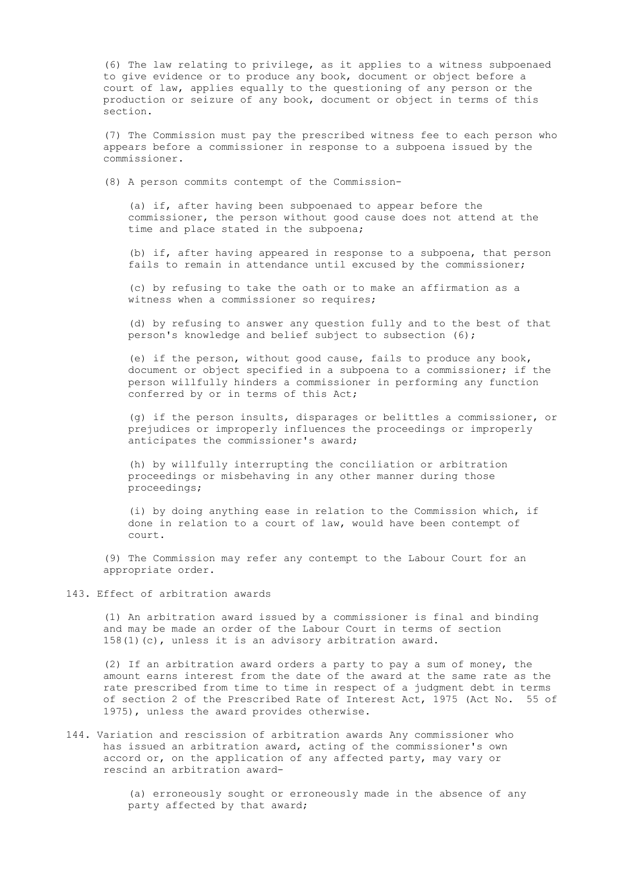(6) The law relating to privilege, as it applies to a witness subpoenaed to give evidence or to produce any book, document or object before a court of law, applies equally to the questioning of any person or the production or seizure of any book, document or object in terms of this section.

 (7) The Commission must pay the prescribed witness fee to each person who appears before a commissioner in response to a subpoena issued by the commissioner.

(8) A person commits contempt of the Commission-

 (a) if, after having been subpoenaed to appear before the commissioner, the person without good cause does not attend at the time and place stated in the subpoena;

 (b) if, after having appeared in response to a subpoena, that person fails to remain in attendance until excused by the commissioner;

 (c) by refusing to take the oath or to make an affirmation as a witness when a commissioner so requires;

 (d) by refusing to answer any question fully and to the best of that person's knowledge and belief subject to subsection (6);

 (e) if the person, without good cause, fails to produce any book, document or object specified in a subpoena to a commissioner; if the person willfully hinders a commissioner in performing any function conferred by or in terms of this Act;

 (g) if the person insults, disparages or belittles a commissioner, or prejudices or improperly influences the proceedings or improperly anticipates the commissioner's award;

 (h) by willfully interrupting the conciliation or arbitration proceedings or misbehaving in any other manner during those proceedings;

 (i) by doing anything ease in relation to the Commission which, if done in relation to a court of law, would have been contempt of court.

 (9) The Commission may refer any contempt to the Labour Court for an appropriate order.

143. Effect of arbitration awards

 (1) An arbitration award issued by a commissioner is final and binding and may be made an order of the Labour Court in terms of section 158(1)(c), unless it is an advisory arbitration award.

 (2) If an arbitration award orders a party to pay a sum of money, the amount earns interest from the date of the award at the same rate as the rate prescribed from time to time in respect of a judgment debt in terms of section 2 of the Prescribed Rate of Interest Act, 1975 (Act No. 55 of 1975), unless the award provides otherwise.

 144. Variation and rescission of arbitration awards Any commissioner who has issued an arbitration award, acting of the commissioner's own accord or, on the application of any affected party, may vary or rescind an arbitration award-

> (a) erroneously sought or erroneously made in the absence of any party affected by that award;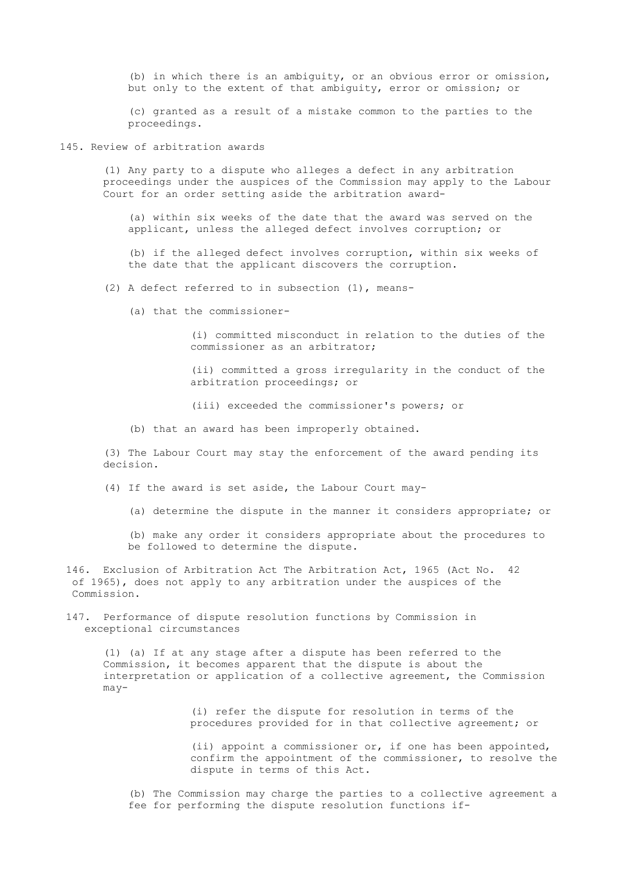(b) in which there is an ambiguity, or an obvious error or omission, but only to the extent of that ambiguity, error or omission; or

 (c) granted as a result of a mistake common to the parties to the proceedings.

# 145. Review of arbitration awards

 (1) Any party to a dispute who alleges a defect in any arbitration proceedings under the auspices of the Commission may apply to the Labour Court for an order setting aside the arbitration award-

 (a) within six weeks of the date that the award was served on the applicant, unless the alleged defect involves corruption; or

 (b) if the alleged defect involves corruption, within six weeks of the date that the applicant discovers the corruption.

(2) A defect referred to in subsection (1), means-

(a) that the commissioner-

 (i) committed misconduct in relation to the duties of the commissioner as an arbitrator;

 (ii) committed a gross irregularity in the conduct of the arbitration proceedings; or

(iii) exceeded the commissioner's powers; or

(b) that an award has been improperly obtained.

 (3) The Labour Court may stay the enforcement of the award pending its decision.

(4) If the award is set aside, the Labour Court may-

(a) determine the dispute in the manner it considers appropriate; or

 (b) make any order it considers appropriate about the procedures to be followed to determine the dispute.

 146. Exclusion of Arbitration Act The Arbitration Act, 1965 (Act No. 42 of 1965), does not apply to any arbitration under the auspices of the Commission.

 147. Performance of dispute resolution functions by Commission in exceptional circumstances

 (1) (a) If at any stage after a dispute has been referred to the Commission, it becomes apparent that the dispute is about the interpretation or application of a collective agreement, the Commission may-

> (i) refer the dispute for resolution in terms of the procedures provided for in that collective agreement; or

 (ii) appoint a commissioner or, if one has been appointed, confirm the appointment of the commissioner, to resolve the dispute in terms of this Act.

 (b) The Commission may charge the parties to a collective agreement a fee for performing the dispute resolution functions if-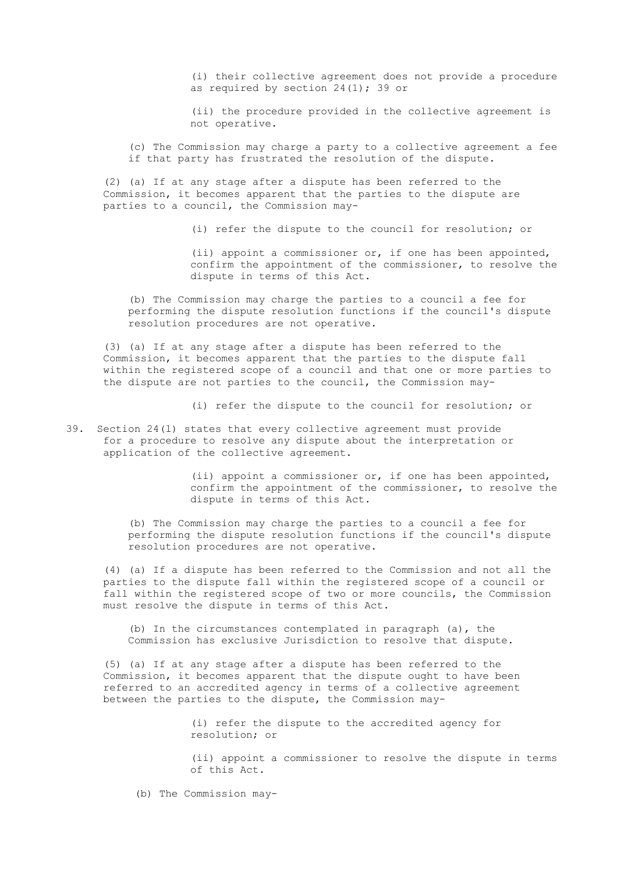(i) their collective agreement does not provide a procedure as required by section 24(1); 39 or

 (ii) the procedure provided in the collective agreement is not operative.

 (c) The Commission may charge a party to a collective agreement a fee if that party has frustrated the resolution of the dispute.

 (2) (a) If at any stage after a dispute has been referred to the Commission, it becomes apparent that the parties to the dispute are parties to a council, the Commission may-

(i) refer the dispute to the council for resolution; or

 (ii) appoint a commissioner or, if one has been appointed, confirm the appointment of the commissioner, to resolve the dispute in terms of this Act.

 (b) The Commission may charge the parties to a council a fee for performing the dispute resolution functions if the council's dispute resolution procedures are not operative.

 (3) (a) If at any stage after a dispute has been referred to the Commission, it becomes apparent that the parties to the dispute fall within the registered scope of a council and that one or more parties to the dispute are not parties to the council, the Commission may-

(i) refer the dispute to the council for resolution; or

 39. Section 24(l) states that every collective agreement must provide for a procedure to resolve any dispute about the interpretation or application of the collective agreement.

> (ii) appoint a commissioner or, if one has been appointed, confirm the appointment of the commissioner, to resolve the dispute in terms of this Act.

 (b) The Commission may charge the parties to a council a fee for performing the dispute resolution functions if the council's dispute resolution procedures are not operative.

 (4) (a) If a dispute has been referred to the Commission and not all the parties to the dispute fall within the registered scope of a council or fall within the registered scope of two or more councils, the Commission must resolve the dispute in terms of this Act.

 (b) In the circumstances contemplated in paragraph (a), the Commission has exclusive Jurisdiction to resolve that dispute.

 (5) (a) If at any stage after a dispute has been referred to the Commission, it becomes apparent that the dispute ought to have been referred to an accredited agency in terms of a collective agreement between the parties to the dispute, the Commission may-

> (i) refer the dispute to the accredited agency for resolution; or

 (ii) appoint a commissioner to resolve the dispute in terms of this Act.

(b) The Commission may-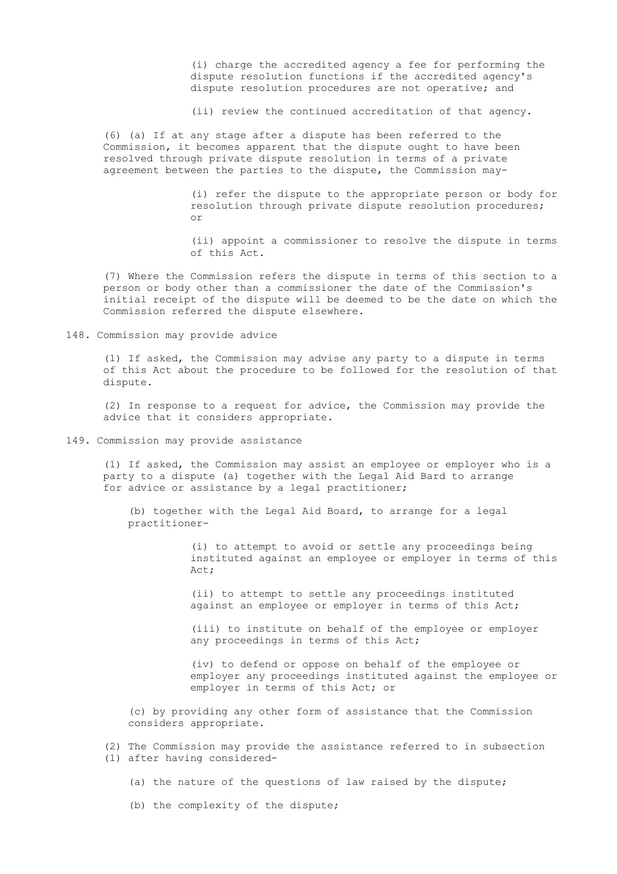(i) charge the accredited agency a fee for performing the dispute resolution functions if the accredited agency's dispute resolution procedures are not operative; and

(ii) review the continued accreditation of that agency.

 (6) (a) If at any stage after a dispute has been referred to the Commission, it becomes apparent that the dispute ought to have been resolved through private dispute resolution in terms of a private agreement between the parties to the dispute, the Commission may-

 (i) refer the dispute to the appropriate person or body for resolution through private dispute resolution procedures; or

> (ii) appoint a commissioner to resolve the dispute in terms of this Act.

 (7) Where the Commission refers the dispute in terms of this section to a person or body other than a commissioner the date of the Commission's initial receipt of the dispute will be deemed to be the date on which the Commission referred the dispute elsewhere.

148. Commission may provide advice

 (1) If asked, the Commission may advise any party to a dispute in terms of this Act about the procedure to be followed for the resolution of that dispute.

 (2) In response to a request for advice, the Commission may provide the advice that it considers appropriate.

# 149. Commission may provide assistance

 (1) If asked, the Commission may assist an employee or employer who is a party to a dispute (a) together with the Legal Aid Bard to arrange for advice or assistance by a legal practitioner;

 (b) together with the Legal Aid Board, to arrange for a legal practitioner-

> (i) to attempt to avoid or settle any proceedings being instituted against an employee or employer in terms of this Act;

 (ii) to attempt to settle any proceedings instituted against an employee or employer in terms of this Act;

 (iii) to institute on behalf of the employee or employer any proceedings in terms of this Act;

 (iv) to defend or oppose on behalf of the employee or employer any proceedings instituted against the employee or employer in terms of this Act; or

 (c) by providing any other form of assistance that the Commission considers appropriate.

 (2) The Commission may provide the assistance referred to in subsection (1) after having considered-

- (a) the nature of the questions of law raised by the dispute;
- (b) the complexity of the dispute;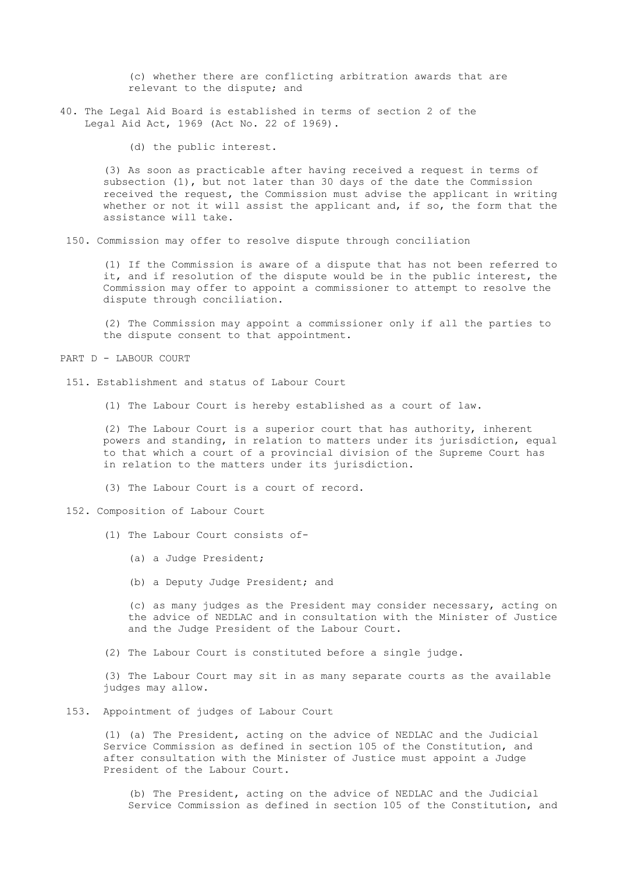(c) whether there are conflicting arbitration awards that are relevant to the dispute; and

40. The Legal Aid Board is established in terms of section 2 of the Legal Aid Act, 1969 (Act No. 22 of 1969).

(d) the public interest.

 (3) As soon as practicable after having received a request in terms of subsection (1), but not later than 30 days of the date the Commission received the request, the Commission must advise the applicant in writing whether or not it will assist the applicant and, if so, the form that the assistance will take.

150. Commission may offer to resolve dispute through conciliation

 (1) If the Commission is aware of a dispute that has not been referred to it, and if resolution of the dispute would be in the public interest, the Commission may offer to appoint a commissioner to attempt to resolve the dispute through conciliation.

 (2) The Commission may appoint a commissioner only if all the parties to the dispute consent to that appointment.

#### PART D - LABOUR COURT

151. Establishment and status of Labour Court

(1) The Labour Court is hereby established as a court of law.

 (2) The Labour Court is a superior court that has authority, inherent powers and standing, in relation to matters under its jurisdiction, equal to that which a court of a provincial division of the Supreme Court has in relation to the matters under its jurisdiction.

(3) The Labour Court is a court of record.

152. Composition of Labour Court

- (1) The Labour Court consists of-
	- (a) a Judge President;
	- (b) a Deputy Judge President; and

 (c) as many judges as the President may consider necessary, acting on the advice of NEDLAC and in consultation with the Minister of Justice and the Judge President of the Labour Court.

(2) The Labour Court is constituted before a single judge.

 (3) The Labour Court may sit in as many separate courts as the available judges may allow.

153. Appointment of judges of Labour Court

 (1) (a) The President, acting on the advice of NEDLAC and the Judicial Service Commission as defined in section 105 of the Constitution, and after consultation with the Minister of Justice must appoint a Judge President of the Labour Court.

 (b) The President, acting on the advice of NEDLAC and the Judicial Service Commission as defined in section 105 of the Constitution, and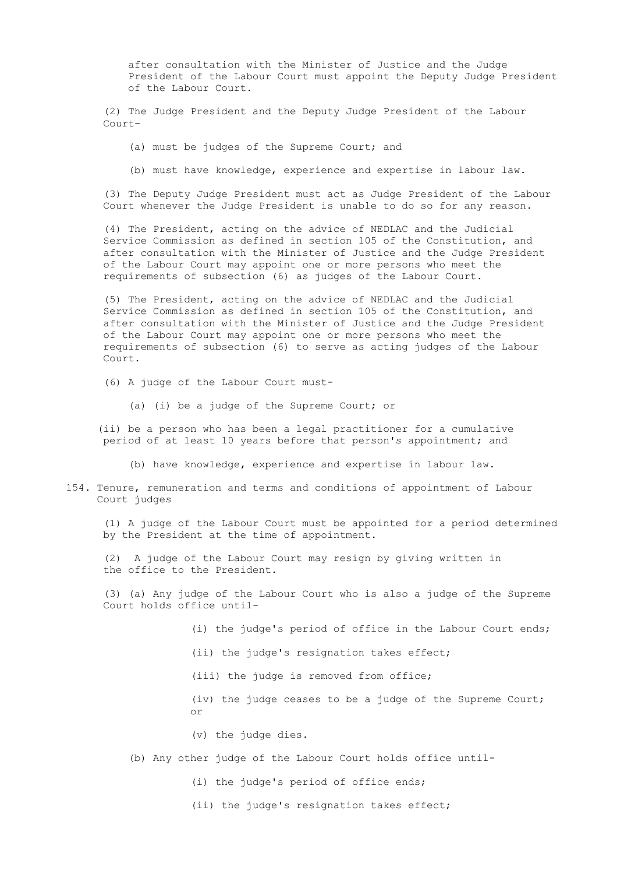after consultation with the Minister of Justice and the Judge President of the Labour Court must appoint the Deputy Judge President of the Labour Court.

 (2) The Judge President and the Deputy Judge President of the Labour Court-

(a) must be judges of the Supreme Court; and

(b) must have knowledge, experience and expertise in labour law.

 (3) The Deputy Judge President must act as Judge President of the Labour Court whenever the Judge President is unable to do so for any reason.

 (4) The President, acting on the advice of NEDLAC and the Judicial Service Commission as defined in section 105 of the Constitution, and after consultation with the Minister of Justice and the Judge President of the Labour Court may appoint one or more persons who meet the requirements of subsection (6) as judges of the Labour Court.

 (5) The President, acting on the advice of NEDLAC and the Judicial Service Commission as defined in section 105 of the Constitution, and after consultation with the Minister of Justice and the Judge President of the Labour Court may appoint one or more persons who meet the requirements of subsection (6) to serve as acting judges of the Labour Court.

- (6) A judge of the Labour Court must-
	- (a) (i) be a judge of the Supreme Court; or
- (ii) be a person who has been a legal practitioner for a cumulative period of at least 10 years before that person's appointment; and
	- (b) have knowledge, experience and expertise in labour law.
- 154. Tenure, remuneration and terms and conditions of appointment of Labour Court judges

 (1) A judge of the Labour Court must be appointed for a period determined by the President at the time of appointment.

 (2) A judge of the Labour Court may resign by giving written in the office to the President.

 (3) (a) Any judge of the Labour Court who is also a judge of the Supreme Court holds office until-

- (i) the judge's period of office in the Labour Court ends;
- (ii) the judge's resignation takes effect;
- (iii) the judge is removed from office;
- (iv) the judge ceases to be a judge of the Supreme Court; or
	- (v) the judge dies.
	- (b) Any other judge of the Labour Court holds office until-
		- (i) the judge's period of office ends;
		- (ii) the judge's resignation takes effect;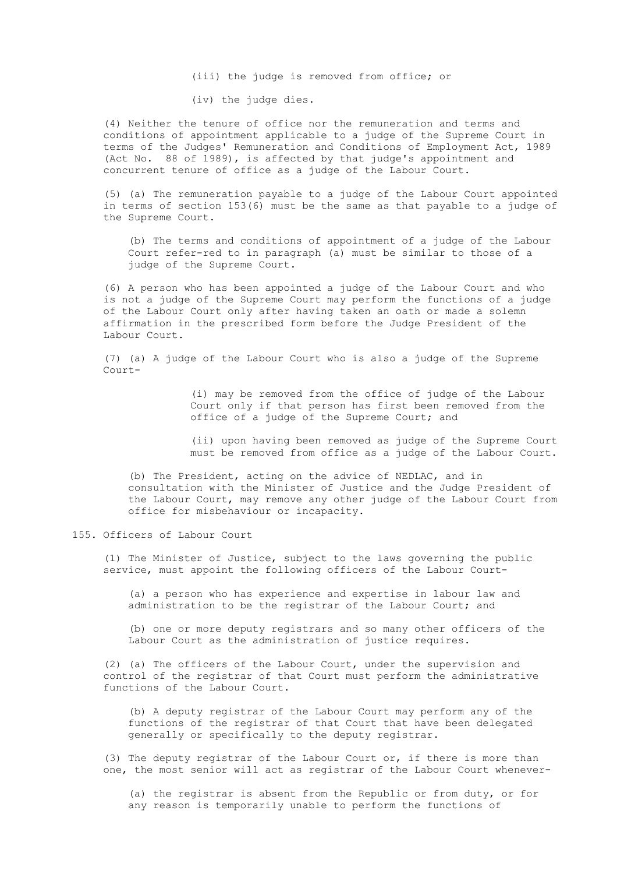(iii) the judge is removed from office; or

(iv) the judge dies.

 (4) Neither the tenure of office nor the remuneration and terms and conditions of appointment applicable to a judge of the Supreme Court in terms of the Judges' Remuneration and Conditions of Employment Act, 1989 (Act No. 88 of 1989), is affected by that judge's appointment and concurrent tenure of office as a judge of the Labour Court.

 (5) (a) The remuneration payable to a judge of the Labour Court appointed in terms of section 153(6) must be the same as that payable to a judge of the Supreme Court.

 (b) The terms and conditions of appointment of a judge of the Labour Court refer-red to in paragraph (a) must be similar to those of a judge of the Supreme Court.

 (6) A person who has been appointed a judge of the Labour Court and who is not a judge of the Supreme Court may perform the functions of a judge of the Labour Court only after having taken an oath or made a solemn affirmation in the prescribed form before the Judge President of the Labour Court.

 (7) (a) A judge of the Labour Court who is also a judge of the Supreme Court-

> (i) may be removed from the office of judge of the Labour Court only if that person has first been removed from the office of a judge of the Supreme Court; and

 (ii) upon having been removed as judge of the Supreme Court must be removed from office as a judge of the Labour Court.

 (b) The President, acting on the advice of NEDLAC, and in consultation with the Minister of Justice and the Judge President of the Labour Court, may remove any other judge of the Labour Court from office for misbehaviour or incapacity.

155. Officers of Labour Court

 (1) The Minister of Justice, subject to the laws governing the public service, must appoint the following officers of the Labour Court-

 (a) a person who has experience and expertise in labour law and administration to be the registrar of the Labour Court; and

 (b) one or more deputy registrars and so many other officers of the Labour Court as the administration of justice requires.

 (2) (a) The officers of the Labour Court, under the supervision and control of the registrar of that Court must perform the administrative functions of the Labour Court.

 (b) A deputy registrar of the Labour Court may perform any of the functions of the registrar of that Court that have been delegated generally or specifically to the deputy registrar.

 (3) The deputy registrar of the Labour Court or, if there is more than one, the most senior will act as registrar of the Labour Court whenever-

 (a) the registrar is absent from the Republic or from duty, or for any reason is temporarily unable to perform the functions of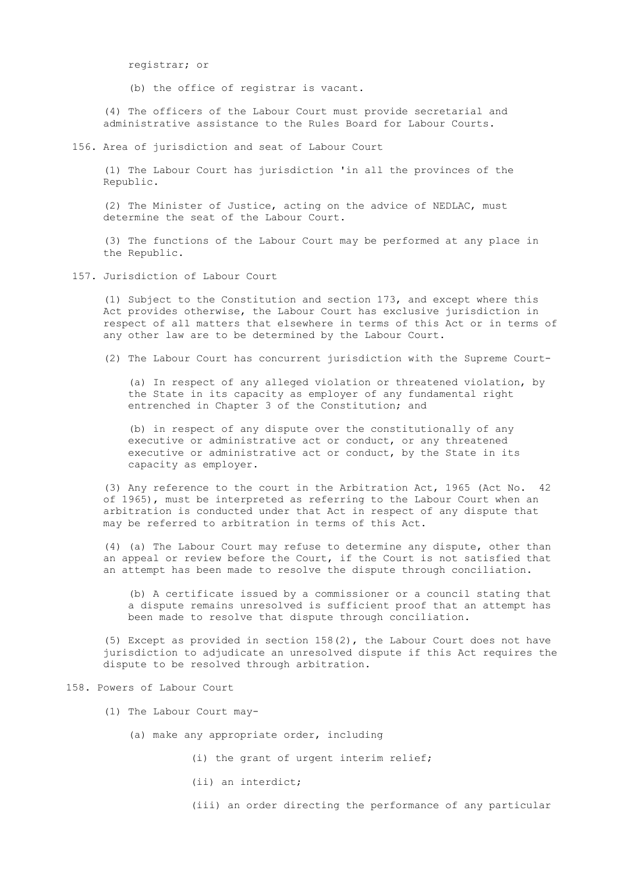registrar; or

(b) the office of registrar is vacant.

 (4) The officers of the Labour Court must provide secretarial and administrative assistance to the Rules Board for Labour Courts.

156. Area of jurisdiction and seat of Labour Court

 (1) The Labour Court has jurisdiction 'in all the provinces of the Republic.

 (2) The Minister of Justice, acting on the advice of NEDLAC, must determine the seat of the Labour Court.

 (3) The functions of the Labour Court may be performed at any place in the Republic.

157. Jurisdiction of Labour Court

 (1) Subject to the Constitution and section 173, and except where this Act provides otherwise, the Labour Court has exclusive jurisdiction in respect of all matters that elsewhere in terms of this Act or in terms of any other law are to be determined by the Labour Court.

(2) The Labour Court has concurrent jurisdiction with the Supreme Court-

 (a) In respect of any alleged violation or threatened violation, by the State in its capacity as employer of any fundamental right entrenched in Chapter 3 of the Constitution; and

 (b) in respect of any dispute over the constitutionally of any executive or administrative act or conduct, or any threatened executive or administrative act or conduct, by the State in its capacity as employer.

 (3) Any reference to the court in the Arbitration Act, 1965 (Act No. 42 of 1965), must be interpreted as referring to the Labour Court when an arbitration is conducted under that Act in respect of any dispute that may be referred to arbitration in terms of this Act.

 (4) (a) The Labour Court may refuse to determine any dispute, other than an appeal or review before the Court, if the Court is not satisfied that an attempt has been made to resolve the dispute through conciliation.

 (b) A certificate issued by a commissioner or a council stating that a dispute remains unresolved is sufficient proof that an attempt has been made to resolve that dispute through conciliation.

 (5) Except as provided in section 158(2), the Labour Court does not have jurisdiction to adjudicate an unresolved dispute if this Act requires the dispute to be resolved through arbitration.

# 158. Powers of Labour Court

- (1) The Labour Court may-
	- (a) make any appropriate order, including
		- (i) the grant of urgent interim relief;
		- (ii) an interdict;
		- (iii) an order directing the performance of any particular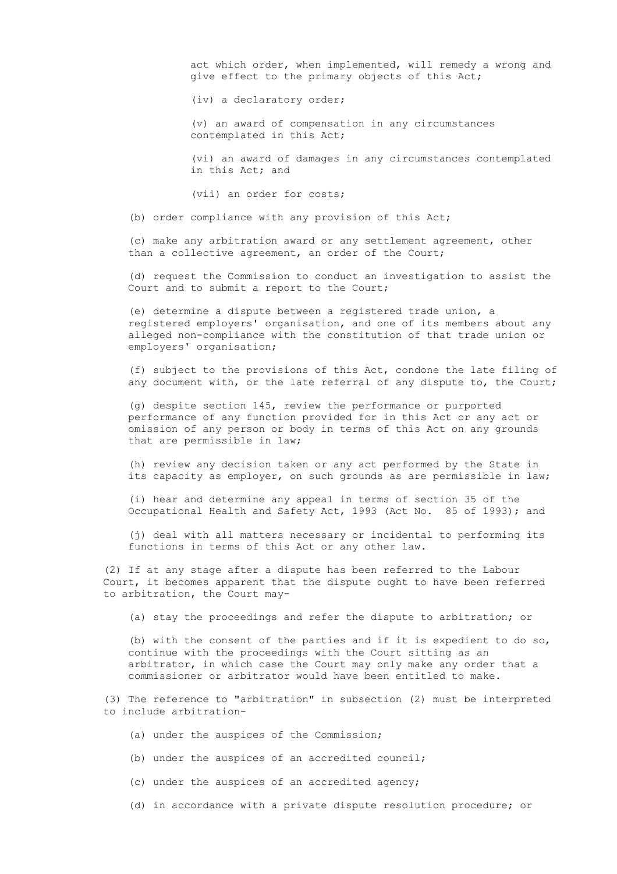act which order, when implemented, will remedy a wrong and give effect to the primary objects of this Act;

(iv) a declaratory order;

 (v) an award of compensation in any circumstances contemplated in this Act;

 (vi) an award of damages in any circumstances contemplated in this Act; and

(vii) an order for costs;

(b) order compliance with any provision of this Act;

 (c) make any arbitration award or any settlement agreement, other than a collective agreement, an order of the Court;

 (d) request the Commission to conduct an investigation to assist the Court and to submit a report to the Court;

 (e) determine a dispute between a registered trade union, a registered employers' organisation, and one of its members about any alleged non-compliance with the constitution of that trade union or employers' organisation;

 (f) subject to the provisions of this Act, condone the late filing of any document with, or the late referral of any dispute to, the Court;

 (g) despite section 145, review the performance or purported performance of any function provided for in this Act or any act or omission of any person or body in terms of this Act on any grounds that are permissible in law;

 (h) review any decision taken or any act performed by the State in its capacity as employer, on such grounds as are permissible in law;

 (i) hear and determine any appeal in terms of section 35 of the Occupational Health and Safety Act, 1993 (Act No. 85 of 1993); and

 (j) deal with all matters necessary or incidental to performing its functions in terms of this Act or any other law.

 (2) If at any stage after a dispute has been referred to the Labour Court, it becomes apparent that the dispute ought to have been referred to arbitration, the Court may-

(a) stay the proceedings and refer the dispute to arbitration; or

 (b) with the consent of the parties and if it is expedient to do so, continue with the proceedings with the Court sitting as an arbitrator, in which case the Court may only make any order that a commissioner or arbitrator would have been entitled to make.

 (3) The reference to "arbitration" in subsection (2) must be interpreted to include arbitration-

- (a) under the auspices of the Commission;
- (b) under the auspices of an accredited council;
- (c) under the auspices of an accredited agency;
- (d) in accordance with a private dispute resolution procedure; or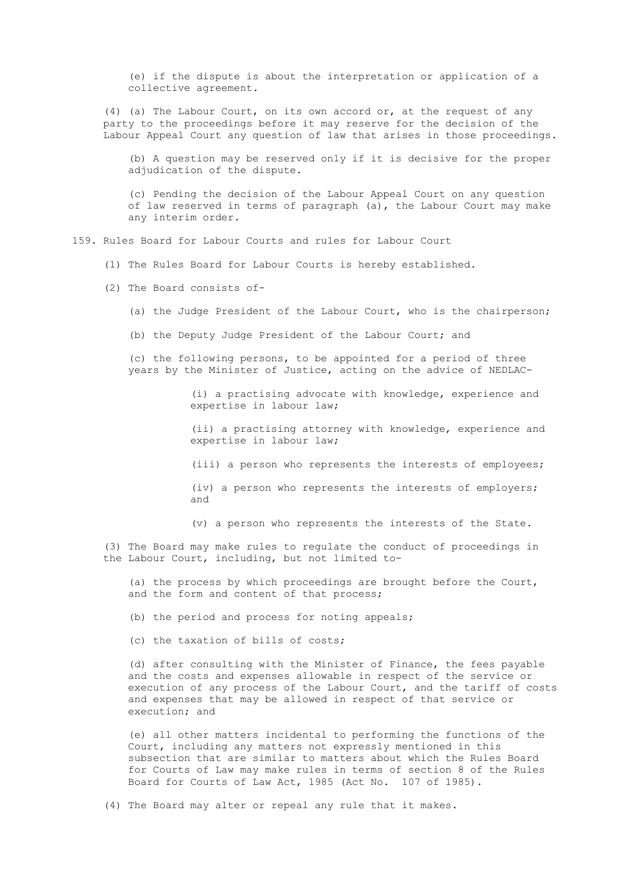(e) if the dispute is about the interpretation or application of a collective agreement.

 (4) (a) The Labour Court, on its own accord or, at the request of any party to the proceedings before it may reserve for the decision of the Labour Appeal Court any question of law that arises in those proceedings.

 (b) A question may be reserved only if it is decisive for the proper adjudication of the dispute.

 (c) Pending the decision of the Labour Appeal Court on any question of law reserved in terms of paragraph (a), the Labour Court may make any interim order.

159. Rules Board for Labour Courts and rules for Labour Court

- (1) The Rules Board for Labour Courts is hereby established.
- (2) The Board consists of-
	- (a) the Judge President of the Labour Court, who is the chairperson;
	- (b) the Deputy Judge President of the Labour Court; and

 (c) the following persons, to be appointed for a period of three years by the Minister of Justice, acting on the advice of NEDLAC-

> (i) a practising advocate with knowledge, experience and expertise in labour law;

 (ii) a practising attorney with knowledge, experience and expertise in labour law;

(iii) a person who represents the interests of employees;

 (iv) a person who represents the interests of employers; and

(v) a person who represents the interests of the State.

 (3) The Board may make rules to regulate the conduct of proceedings in the Labour Court, including, but not limited to-

 (a) the process by which proceedings are brought before the Court, and the form and content of that process;

- (b) the period and process for noting appeals;
- (c) the taxation of bills of costs;

 (d) after consulting with the Minister of Finance, the fees payable and the costs and expenses allowable in respect of the service or execution of any process of the Labour Court, and the tariff of costs and expenses that may be allowed in respect of that service or execution; and

 (e) all other matters incidental to performing the functions of the Court, including any matters not expressly mentioned in this subsection that are similar to matters about which the Rules Board for Courts of Law may make rules in terms of section 8 of the Rules Board for Courts of Law Act, 1985 (Act No. 107 of 1985).

(4) The Board may alter or repeal any rule that it makes.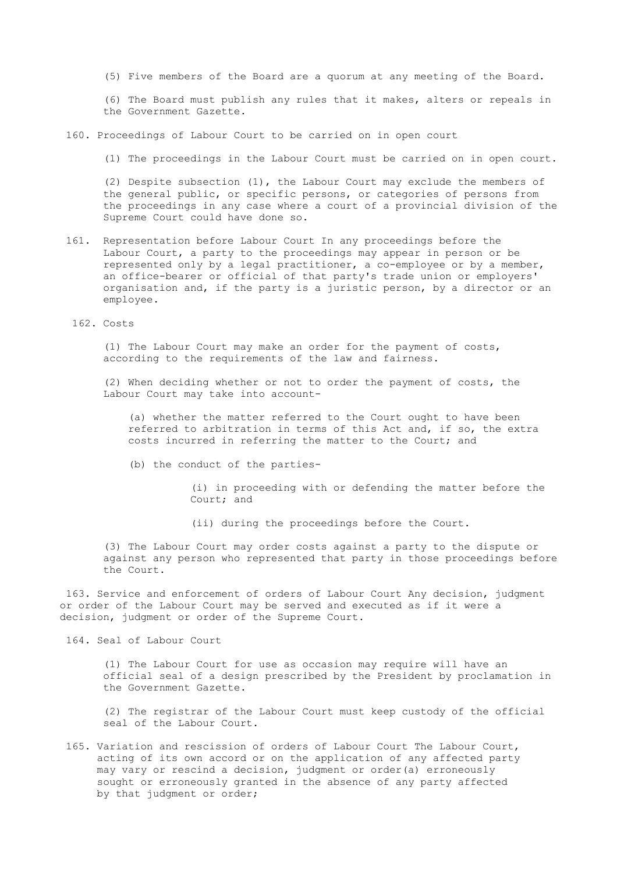(5) Five members of the Board are a quorum at any meeting of the Board.

 (6) The Board must publish any rules that it makes, alters or repeals in the Government Gazette.

160. Proceedings of Labour Court to be carried on in open court

(1) The proceedings in the Labour Court must be carried on in open court.

 (2) Despite subsection (1), the Labour Court may exclude the members of the general public, or specific persons, or categories of persons from the proceedings in any case where a court of a provincial division of the Supreme Court could have done so.

 161. Representation before Labour Court In any proceedings before the Labour Court, a party to the proceedings may appear in person or be represented only by a legal practitioner, a co-employee or by a member, an office-bearer or official of that party's trade union or employers' organisation and, if the party is a juristic person, by a director or an employee.

162. Costs

 (1) The Labour Court may make an order for the payment of costs, according to the requirements of the law and fairness.

 (2) When deciding whether or not to order the payment of costs, the Labour Court may take into account-

 (a) whether the matter referred to the Court ought to have been referred to arbitration in terms of this Act and, if so, the extra costs incurred in referring the matter to the Court; and

(b) the conduct of the parties-

 (i) in proceeding with or defending the matter before the Court; and

(ii) during the proceedings before the Court.

 (3) The Labour Court may order costs against a party to the dispute or against any person who represented that party in those proceedings before the Court.

 163. Service and enforcement of orders of Labour Court Any decision, judgment or order of the Labour Court may be served and executed as if it were a decision, judgment or order of the Supreme Court.

164. Seal of Labour Court

 (1) The Labour Court for use as occasion may require will have an official seal of a design prescribed by the President by proclamation in the Government Gazette.

 (2) The registrar of the Labour Court must keep custody of the official seal of the Labour Court.

 165. Variation and rescission of orders of Labour Court The Labour Court, acting of its own accord or on the application of any affected party may vary or rescind a decision, judgment or order(a) erroneously sought or erroneously granted in the absence of any party affected by that judgment or order;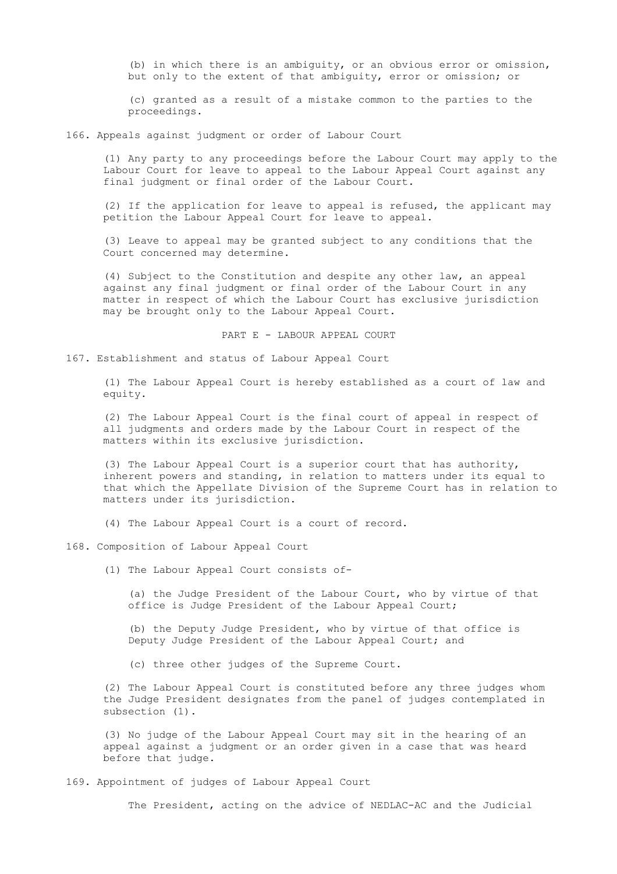(b) in which there is an ambiguity, or an obvious error or omission, but only to the extent of that ambiguity, error or omission; or

 (c) granted as a result of a mistake common to the parties to the proceedings.

166. Appeals against judgment or order of Labour Court

 (1) Any party to any proceedings before the Labour Court may apply to the Labour Court for leave to appeal to the Labour Appeal Court against any final judgment or final order of the Labour Court.

 (2) If the application for leave to appeal is refused, the applicant may petition the Labour Appeal Court for leave to appeal.

 (3) Leave to appeal may be granted subject to any conditions that the Court concerned may determine.

 (4) Subject to the Constitution and despite any other law, an appeal against any final judgment or final order of the Labour Court in any matter in respect of which the Labour Court has exclusive jurisdiction may be brought only to the Labour Appeal Court.

PART E - LABOUR APPEAL COURT

167. Establishment and status of Labour Appeal Court

 (1) The Labour Appeal Court is hereby established as a court of law and equity.

 (2) The Labour Appeal Court is the final court of appeal in respect of all judgments and orders made by the Labour Court in respect of the matters within its exclusive jurisdiction.

 (3) The Labour Appeal Court is a superior court that has authority, inherent powers and standing, in relation to matters under its equal to that which the Appellate Division of the Supreme Court has in relation to matters under its jurisdiction.

(4) The Labour Appeal Court is a court of record.

168. Composition of Labour Appeal Court

(1) The Labour Appeal Court consists of-

 (a) the Judge President of the Labour Court, who by virtue of that office is Judge President of the Labour Appeal Court;

 (b) the Deputy Judge President, who by virtue of that office is Deputy Judge President of the Labour Appeal Court; and

(c) three other judges of the Supreme Court.

 (2) The Labour Appeal Court is constituted before any three judges whom the Judge President designates from the panel of judges contemplated in subsection (1).

 (3) No judge of the Labour Appeal Court may sit in the hearing of an appeal against a judgment or an order given in a case that was heard before that judge.

169. Appointment of judges of Labour Appeal Court

The President, acting on the advice of NEDLAC-AC and the Judicial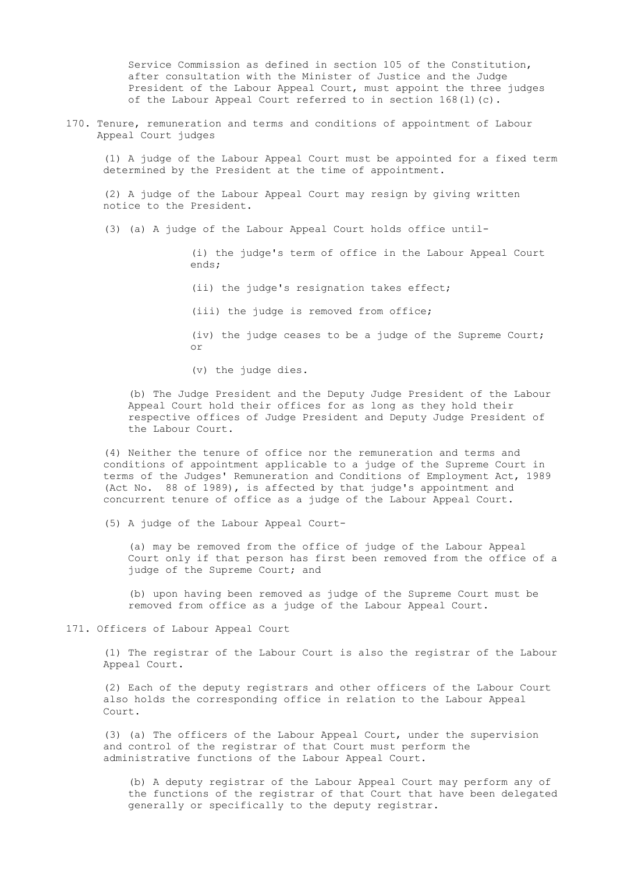Service Commission as defined in section 105 of the Constitution, after consultation with the Minister of Justice and the Judge President of the Labour Appeal Court, must appoint the three judges of the Labour Appeal Court referred to in section 168(l)(c).

 170. Tenure, remuneration and terms and conditions of appointment of Labour Appeal Court judges

 (1) A judge of the Labour Appeal Court must be appointed for a fixed term determined by the President at the time of appointment.

 (2) A judge of the Labour Appeal Court may resign by giving written notice to the President.

(3) (a) A judge of the Labour Appeal Court holds office until-

 (i) the judge's term of office in the Labour Appeal Court ends;

(ii) the judge's resignation takes effect;

(iii) the judge is removed from office;

 (iv) the judge ceases to be a judge of the Supreme Court; or

(v) the judge dies.

 (b) The Judge President and the Deputy Judge President of the Labour Appeal Court hold their offices for as long as they hold their respective offices of Judge President and Deputy Judge President of the Labour Court.

 (4) Neither the tenure of office nor the remuneration and terms and conditions of appointment applicable to a judge of the Supreme Court in terms of the Judges' Remuneration and Conditions of Employment Act, 1989 (Act No. 88 of 1989), is affected by that judge's appointment and concurrent tenure of office as a judge of the Labour Appeal Court.

(5) A judge of the Labour Appeal Court-

 (a) may be removed from the office of judge of the Labour Appeal Court only if that person has first been removed from the office of a judge of the Supreme Court; and

 (b) upon having been removed as judge of the Supreme Court must be removed from office as a judge of the Labour Appeal Court.

### 171. Officers of Labour Appeal Court

 (1) The registrar of the Labour Court is also the registrar of the Labour Appeal Court.

 (2) Each of the deputy registrars and other officers of the Labour Court also holds the corresponding office in relation to the Labour Appeal Court.

 (3) (a) The officers of the Labour Appeal Court, under the supervision and control of the registrar of that Court must perform the administrative functions of the Labour Appeal Court.

 (b) A deputy registrar of the Labour Appeal Court may perform any of the functions of the registrar of that Court that have been delegated generally or specifically to the deputy registrar.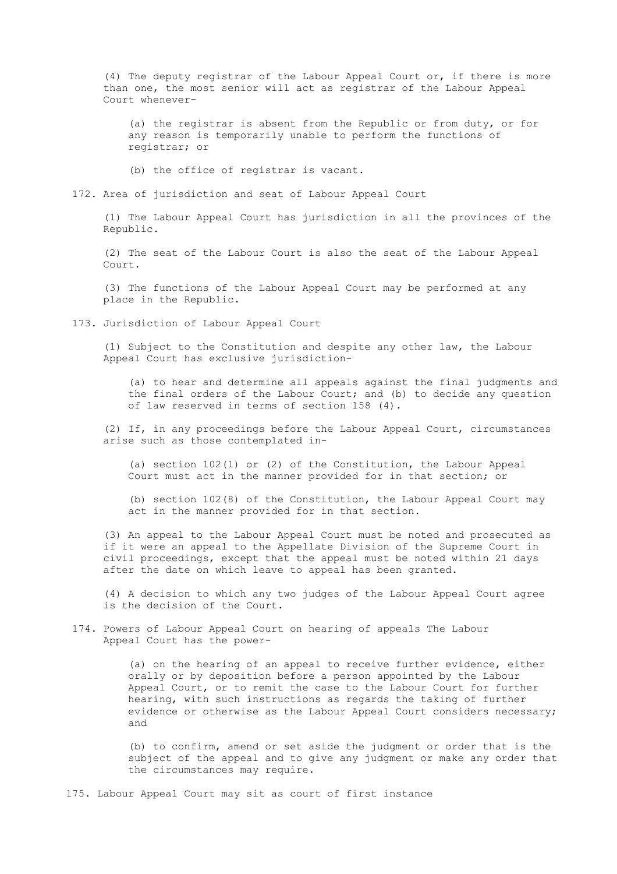(4) The deputy registrar of the Labour Appeal Court or, if there is more than one, the most senior will act as registrar of the Labour Appeal Court whenever-

 (a) the registrar is absent from the Republic or from duty, or for any reason is temporarily unable to perform the functions of registrar; or

(b) the office of registrar is vacant.

#### 172. Area of jurisdiction and seat of Labour Appeal Court

 (1) The Labour Appeal Court has jurisdiction in all the provinces of the Republic.

 (2) The seat of the Labour Court is also the seat of the Labour Appeal Court.

 (3) The functions of the Labour Appeal Court may be performed at any place in the Republic.

173. Jurisdiction of Labour Appeal Court

 (1) Subject to the Constitution and despite any other law, the Labour Appeal Court has exclusive jurisdiction-

 (a) to hear and determine all appeals against the final judgments and the final orders of the Labour Court; and (b) to decide any question of law reserved in terms of section 158 (4).

 (2) If, in any proceedings before the Labour Appeal Court, circumstances arise such as those contemplated in-

 (a) section 102(l) or (2) of the Constitution, the Labour Appeal Court must act in the manner provided for in that section; or

 (b) section 102(8) of the Constitution, the Labour Appeal Court may act in the manner provided for in that section.

 (3) An appeal to the Labour Appeal Court must be noted and prosecuted as if it were an appeal to the Appellate Division of the Supreme Court in civil proceedings, except that the appeal must be noted within 21 days after the date on which leave to appeal has been granted.

 (4) A decision to which any two judges of the Labour Appeal Court agree is the decision of the Court.

 174. Powers of Labour Appeal Court on hearing of appeals The Labour Appeal Court has the power-

> (a) on the hearing of an appeal to receive further evidence, either orally or by deposition before a person appointed by the Labour Appeal Court, or to remit the case to the Labour Court for further hearing, with such instructions as regards the taking of further evidence or otherwise as the Labour Appeal Court considers necessary; and

> (b) to confirm, amend or set aside the judgment or order that is the subject of the appeal and to give any judgment or make any order that the circumstances may require.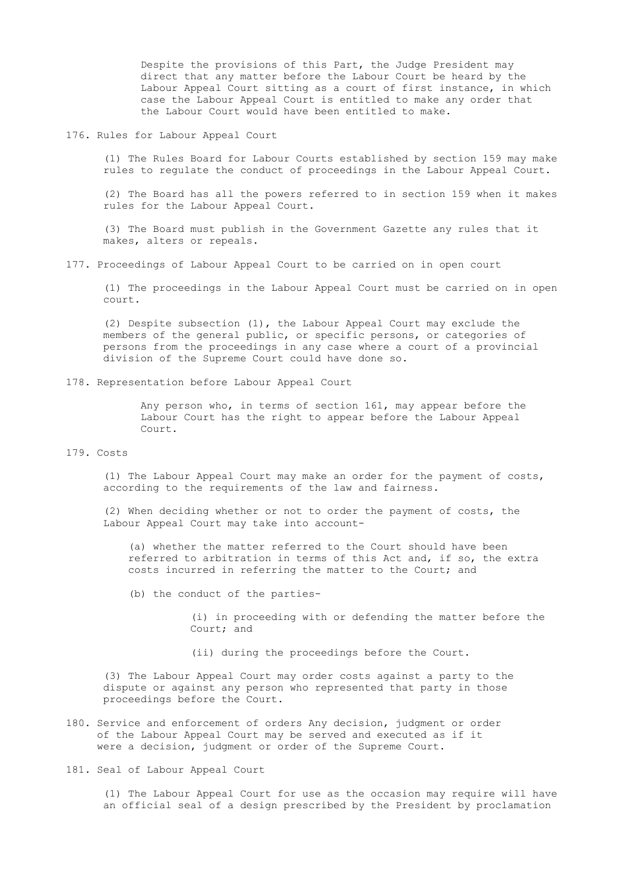Despite the provisions of this Part, the Judge President may direct that any matter before the Labour Court be heard by the Labour Appeal Court sitting as a court of first instance, in which case the Labour Appeal Court is entitled to make any order that the Labour Court would have been entitled to make.

176. Rules for Labour Appeal Court

 (1) The Rules Board for Labour Courts established by section 159 may make rules to regulate the conduct of proceedings in the Labour Appeal Court.

 (2) The Board has all the powers referred to in section 159 when it makes rules for the Labour Appeal Court.

 (3) The Board must publish in the Government Gazette any rules that it makes, alters or repeals.

177. Proceedings of Labour Appeal Court to be carried on in open court

 (1) The proceedings in the Labour Appeal Court must be carried on in open court.

 (2) Despite subsection (1), the Labour Appeal Court may exclude the members of the general public, or specific persons, or categories of persons from the proceedings in any case where a court of a provincial division of the Supreme Court could have done so.

178. Representation before Labour Appeal Court

 Any person who, in terms of section 161, may appear before the Labour Court has the right to appear before the Labour Appeal Court.

179. Costs

 (1) The Labour Appeal Court may make an order for the payment of costs, according to the requirements of the law and fairness.

 (2) When deciding whether or not to order the payment of costs, the Labour Appeal Court may take into account-

 (a) whether the matter referred to the Court should have been referred to arbitration in terms of this Act and, if so, the extra costs incurred in referring the matter to the Court; and

(b) the conduct of the parties-

 (i) in proceeding with or defending the matter before the Court; and

(ii) during the proceedings before the Court.

 (3) The Labour Appeal Court may order costs against a party to the dispute or against any person who represented that party in those proceedings before the Court.

 180. Service and enforcement of orders Any decision, judgment or order of the Labour Appeal Court may be served and executed as if it were a decision, judgment or order of the Supreme Court.

181. Seal of Labour Appeal Court

 (1) The Labour Appeal Court for use as the occasion may require will have an official seal of a design prescribed by the President by proclamation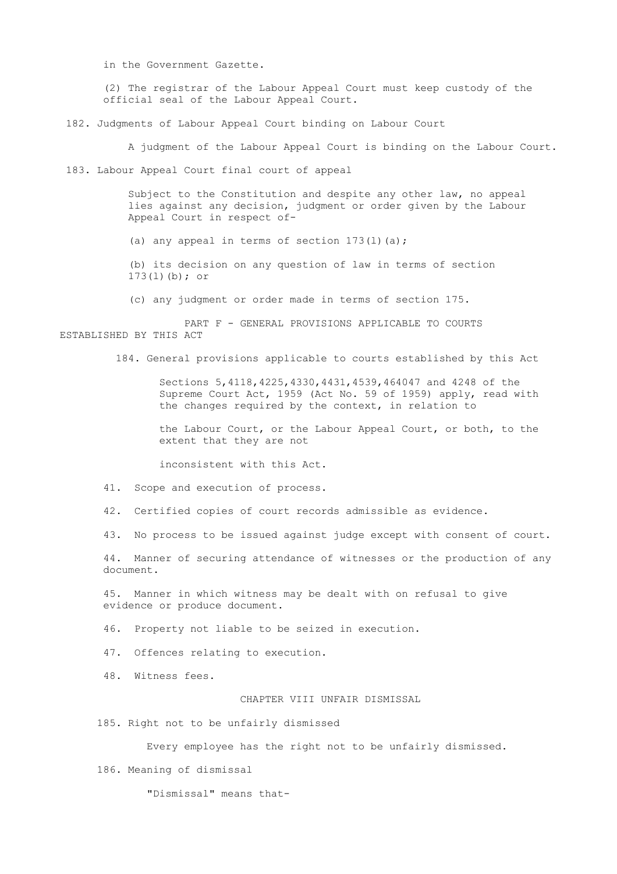in the Government Gazette.

 (2) The registrar of the Labour Appeal Court must keep custody of the official seal of the Labour Appeal Court.

182. Judgments of Labour Appeal Court binding on Labour Court

A judgment of the Labour Appeal Court is binding on the Labour Court.

183. Labour Appeal Court final court of appeal

 Subject to the Constitution and despite any other law, no appeal lies against any decision, judgment or order given by the Labour Appeal Court in respect of-

(a) any appeal in terms of section  $173(1)(a)$ ;

 (b) its decision on any question of law in terms of section 173(l)(b); or

(c) any judgment or order made in terms of section 175.

 PART F - GENERAL PROVISIONS APPLICABLE TO COURTS ESTABLISHED BY THIS ACT

184. General provisions applicable to courts established by this Act

 Sections 5,4118,4225,4330,4431,4539,464047 and 4248 of the Supreme Court Act, 1959 (Act No. 59 of 1959) apply, read with the changes required by the context, in relation to

 the Labour Court, or the Labour Appeal Court, or both, to the extent that they are not

inconsistent with this Act.

41. Scope and execution of process.

42. Certified copies of court records admissible as evidence.

43. No process to be issued against judge except with consent of court.

 44. Manner of securing attendance of witnesses or the production of any document.

 45. Manner in which witness may be dealt with on refusal to give evidence or produce document.

46. Property not liable to be seized in execution.

47. Offences relating to execution.

48. Witness fees.

# CHAPTER VIII UNFAIR DISMISSAL

185. Right not to be unfairly dismissed

Every employee has the right not to be unfairly dismissed.

186. Meaning of dismissal

"Dismissal" means that-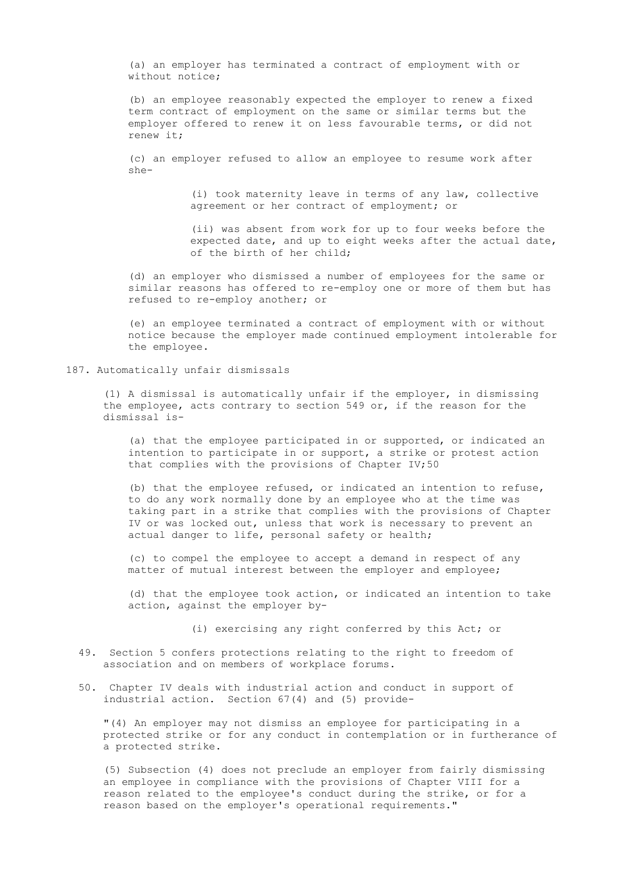(a) an employer has terminated a contract of employment with or without notice;

 (b) an employee reasonably expected the employer to renew a fixed term contract of employment on the same or similar terms but the employer offered to renew it on less favourable terms, or did not renew it;

 (c) an employer refused to allow an employee to resume work after she-

> (i) took maternity leave in terms of any law, collective agreement or her contract of employment; or

 (ii) was absent from work for up to four weeks before the expected date, and up to eight weeks after the actual date, of the birth of her child;

 (d) an employer who dismissed a number of employees for the same or similar reasons has offered to re-employ one or more of them but has refused to re-employ another; or

 (e) an employee terminated a contract of employment with or without notice because the employer made continued employment intolerable for the employee.

187. Automatically unfair dismissals

 (1) A dismissal is automatically unfair if the employer, in dismissing the employee, acts contrary to section 549 or, if the reason for the dismissal is-

 (a) that the employee participated in or supported, or indicated an intention to participate in or support, a strike or protest action that complies with the provisions of Chapter IV;50

 (b) that the employee refused, or indicated an intention to refuse, to do any work normally done by an employee who at the time was taking part in a strike that complies with the provisions of Chapter IV or was locked out, unless that work is necessary to prevent an actual danger to life, personal safety or health;

 (c) to compel the employee to accept a demand in respect of any matter of mutual interest between the employer and employee;

 (d) that the employee took action, or indicated an intention to take action, against the employer by-

(i) exercising any right conferred by this Act; or

- 49. Section 5 confers protections relating to the right to freedom of association and on members of workplace forums.
- 50. Chapter IV deals with industrial action and conduct in support of industrial action. Section 67(4) and (5) provide-

 "(4) An employer may not dismiss an employee for participating in a protected strike or for any conduct in contemplation or in furtherance of a protected strike.

 (5) Subsection (4) does not preclude an employer from fairly dismissing an employee in compliance with the provisions of Chapter VIII for a reason related to the employee's conduct during the strike, or for a reason based on the employer's operational requirements."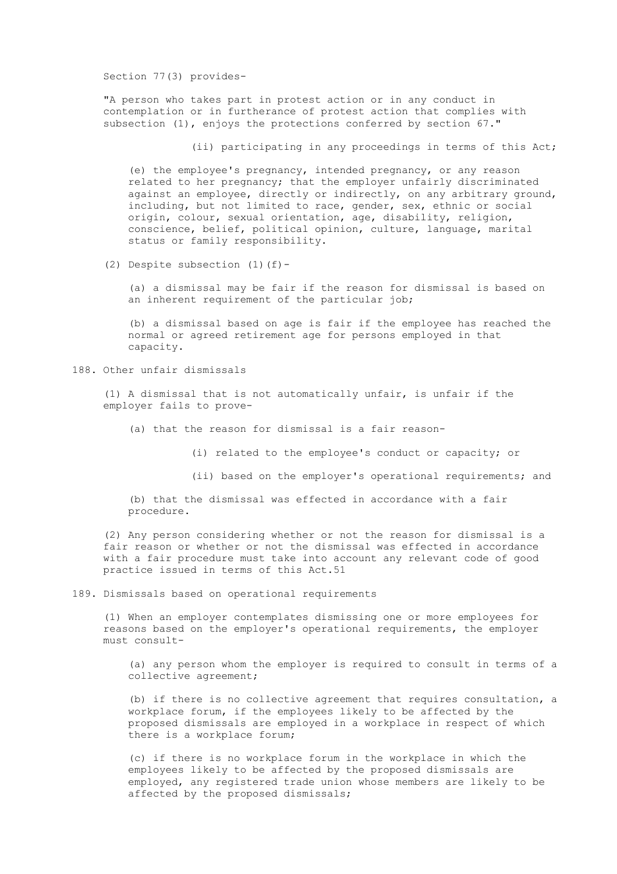Section 77(3) provides-

 "A person who takes part in protest action or in any conduct in contemplation or in furtherance of protest action that complies with subsection (1), enjoys the protections conferred by section 67."

(ii) participating in any proceedings in terms of this Act;

 (e) the employee's pregnancy, intended pregnancy, or any reason related to her pregnancy; that the employer unfairly discriminated against an employee, directly or indirectly, on any arbitrary ground, including, but not limited to race, gender, sex, ethnic or social origin, colour, sexual orientation, age, disability, religion, conscience, belief, political opinion, culture, language, marital status or family responsibility.

(2) Despite subsection (1)(f)-

 (a) a dismissal may be fair if the reason for dismissal is based on an inherent requirement of the particular job;

 (b) a dismissal based on age is fair if the employee has reached the normal or agreed retirement age for persons employed in that capacity.

188. Other unfair dismissals

 (1) A dismissal that is not automatically unfair, is unfair if the employer fails to prove-

(a) that the reason for dismissal is a fair reason-

(i) related to the employee's conduct or capacity; or

(ii) based on the employer's operational requirements; and

 (b) that the dismissal was effected in accordance with a fair procedure.

 (2) Any person considering whether or not the reason for dismissal is a fair reason or whether or not the dismissal was effected in accordance with a fair procedure must take into account any relevant code of good practice issued in terms of this Act.51

189. Dismissals based on operational requirements

 (1) When an employer contemplates dismissing one or more employees for reasons based on the employer's operational requirements, the employer must consult-

 (a) any person whom the employer is required to consult in terms of a collective agreement;

 (b) if there is no collective agreement that requires consultation, a workplace forum, if the employees likely to be affected by the proposed dismissals are employed in a workplace in respect of which there is a workplace forum;

 (c) if there is no workplace forum in the workplace in which the employees likely to be affected by the proposed dismissals are employed, any registered trade union whose members are likely to be affected by the proposed dismissals;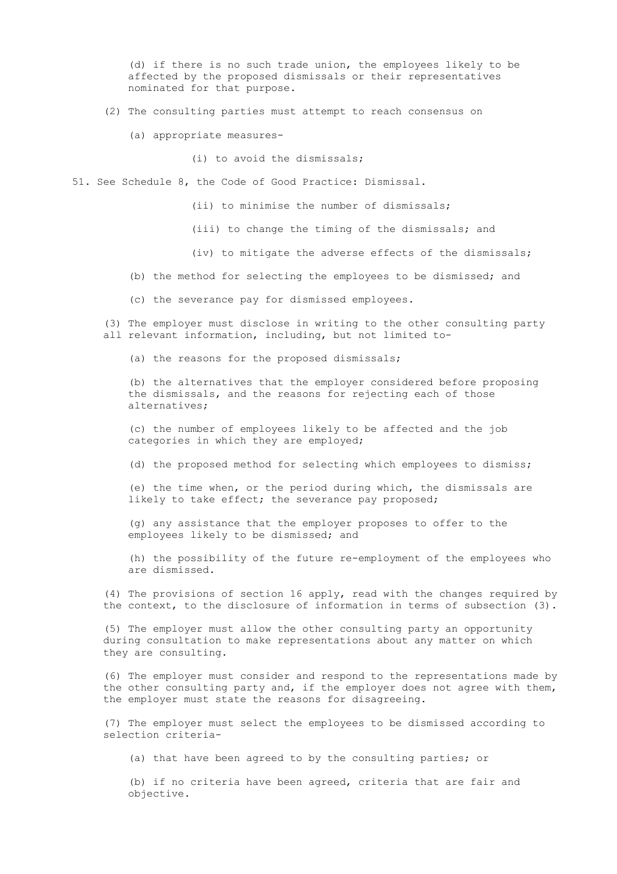(d) if there is no such trade union, the employees likely to be affected by the proposed dismissals or their representatives nominated for that purpose.

- (2) The consulting parties must attempt to reach consensus on
	- (a) appropriate measures-

(i) to avoid the dismissals;

51. See Schedule 8, the Code of Good Practice: Dismissal.

- (ii) to minimise the number of dismissals;
- (iii) to change the timing of the dismissals; and
- (iv) to mitigate the adverse effects of the dismissals;
- (b) the method for selecting the employees to be dismissed; and
- (c) the severance pay for dismissed employees.

 (3) The employer must disclose in writing to the other consulting party all relevant information, including, but not limited to-

(a) the reasons for the proposed dismissals;

 (b) the alternatives that the employer considered before proposing the dismissals, and the reasons for rejecting each of those alternatives;

 (c) the number of employees likely to be affected and the job categories in which they are employed;

(d) the proposed method for selecting which employees to dismiss;

 (e) the time when, or the period during which, the dismissals are likely to take effect; the severance pay proposed;

 (g) any assistance that the employer proposes to offer to the employees likely to be dismissed; and

 (h) the possibility of the future re-employment of the employees who are dismissed.

 (4) The provisions of section 16 apply, read with the changes required by the context, to the disclosure of information in terms of subsection (3).

 (5) The employer must allow the other consulting party an opportunity during consultation to make representations about any matter on which they are consulting.

 (6) The employer must consider and respond to the representations made by the other consulting party and, if the employer does not agree with them, the employer must state the reasons for disagreeing.

 (7) The employer must select the employees to be dismissed according to selection criteria-

(a) that have been agreed to by the consulting parties; or

 (b) if no criteria have been agreed, criteria that are fair and objective.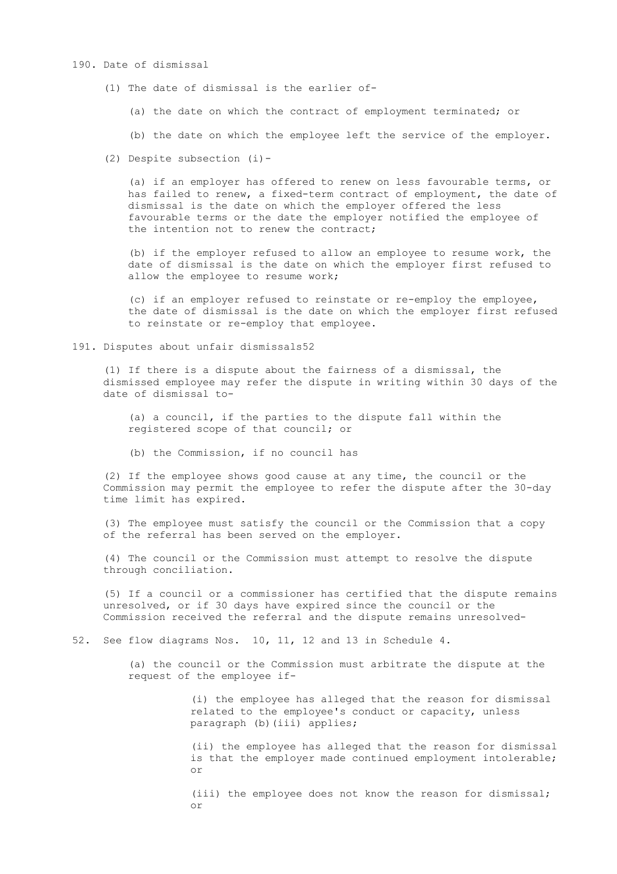# 190. Date of dismissal

(1) The date of dismissal is the earlier of-

(a) the date on which the contract of employment terminated; or

- (b) the date on which the employee left the service of the employer.
- (2) Despite subsection (i)-

 (a) if an employer has offered to renew on less favourable terms, or has failed to renew, a fixed-term contract of employment, the date of dismissal is the date on which the employer offered the less favourable terms or the date the employer notified the employee of the intention not to renew the contract;

 (b) if the employer refused to allow an employee to resume work, the date of dismissal is the date on which the employer first refused to allow the employee to resume work;

 (c) if an employer refused to reinstate or re-employ the employee, the date of dismissal is the date on which the employer first refused to reinstate or re-employ that employee.

# 191. Disputes about unfair dismissals52

 (1) If there is a dispute about the fairness of a dismissal, the dismissed employee may refer the dispute in writing within 30 days of the date of dismissal to-

 (a) a council, if the parties to the dispute fall within the registered scope of that council; or

(b) the Commission, if no council has

 (2) If the employee shows good cause at any time, the council or the Commission may permit the employee to refer the dispute after the 30-day time limit has expired.

 (3) The employee must satisfy the council or the Commission that a copy of the referral has been served on the employer.

 (4) The council or the Commission must attempt to resolve the dispute through conciliation.

 (5) If a council or a commissioner has certified that the dispute remains unresolved, or if 30 days have expired since the council or the Commission received the referral and the dispute remains unresolved-

52. See flow diagrams Nos. 10, 11, 12 and 13 in Schedule 4.

 (a) the council or the Commission must arbitrate the dispute at the request of the employee if-

> (i) the employee has alleged that the reason for dismissal related to the employee's conduct or capacity, unless paragraph (b)(iii) applies;

 (ii) the employee has alleged that the reason for dismissal is that the employer made continued employment intolerable; or

(iii) the employee does not know the reason for dismissal; or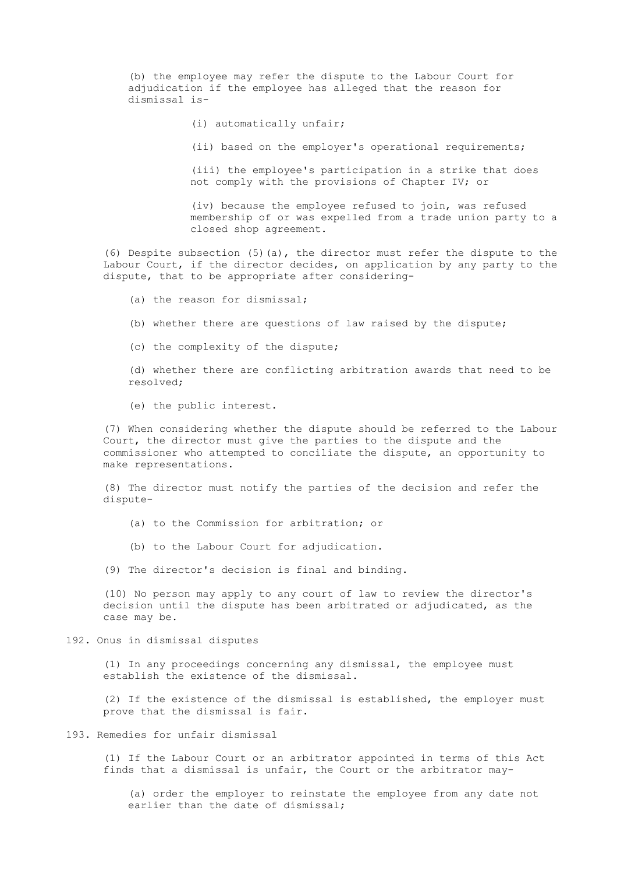(b) the employee may refer the dispute to the Labour Court for adjudication if the employee has alleged that the reason for dismissal is-

(i) automatically unfair;

(ii) based on the employer's operational requirements;

 (iii) the employee's participation in a strike that does not comply with the provisions of Chapter IV; or

 (iv) because the employee refused to join, was refused membership of or was expelled from a trade union party to a closed shop agreement.

 (6) Despite subsection (5)(a), the director must refer the dispute to the Labour Court, if the director decides, on application by any party to the dispute, that to be appropriate after considering-

- (a) the reason for dismissal;
- (b) whether there are questions of law raised by the dispute;
- (c) the complexity of the dispute;

 (d) whether there are conflicting arbitration awards that need to be resolved;

(e) the public interest.

 (7) When considering whether the dispute should be referred to the Labour Court, the director must give the parties to the dispute and the commissioner who attempted to conciliate the dispute, an opportunity to make representations.

 (8) The director must notify the parties of the decision and refer the dispute-

- (a) to the Commission for arbitration; or
- (b) to the Labour Court for adjudication.
- (9) The director's decision is final and binding.

 (10) No person may apply to any court of law to review the director's decision until the dispute has been arbitrated or adjudicated, as the case may be.

192. Onus in dismissal disputes

 (1) In any proceedings concerning any dismissal, the employee must establish the existence of the dismissal.

 (2) If the existence of the dismissal is established, the employer must prove that the dismissal is fair.

# 193. Remedies for unfair dismissal

 (1) If the Labour Court or an arbitrator appointed in terms of this Act finds that a dismissal is unfair, the Court or the arbitrator may-

 (a) order the employer to reinstate the employee from any date not earlier than the date of dismissal;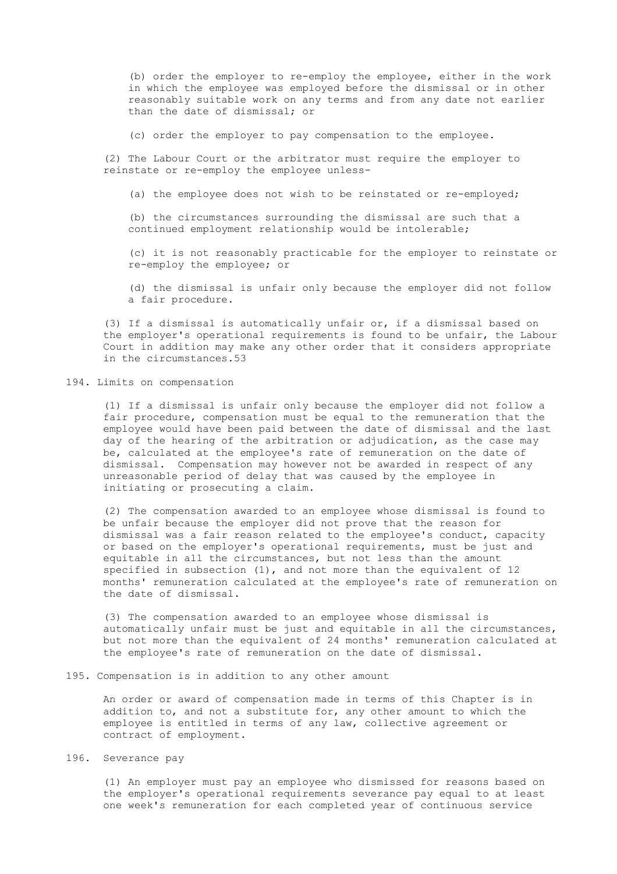(b) order the employer to re-employ the employee, either in the work in which the employee was employed before the dismissal or in other reasonably suitable work on any terms and from any date not earlier than the date of dismissal; or

(c) order the employer to pay compensation to the employee.

 (2) The Labour Court or the arbitrator must require the employer to reinstate or re-employ the employee unless-

(a) the employee does not wish to be reinstated or re-employed;

 (b) the circumstances surrounding the dismissal are such that a continued employment relationship would be intolerable;

 (c) it is not reasonably practicable for the employer to reinstate or re-employ the employee; or

 (d) the dismissal is unfair only because the employer did not follow a fair procedure.

 (3) If a dismissal is automatically unfair or, if a dismissal based on the employer's operational requirements is found to be unfair, the Labour Court in addition may make any other order that it considers appropriate in the circumstances.53

# 194. Limits on compensation

 (1) If a dismissal is unfair only because the employer did not follow a fair procedure, compensation must be equal to the remuneration that the employee would have been paid between the date of dismissal and the last day of the hearing of the arbitration or adjudication, as the case may be, calculated at the employee's rate of remuneration on the date of dismissal. Compensation may however not be awarded in respect of any unreasonable period of delay that was caused by the employee in initiating or prosecuting a claim.

 (2) The compensation awarded to an employee whose dismissal is found to be unfair because the employer did not prove that the reason for dismissal was a fair reason related to the employee's conduct, capacity or based on the employer's operational requirements, must be just and equitable in all the circumstances, but not less than the amount specified in subsection (1), and not more than the equivalent of 12 months' remuneration calculated at the employee's rate of remuneration on the date of dismissal.

 (3) The compensation awarded to an employee whose dismissal is automatically unfair must be just and equitable in all the circumstances, but not more than the equivalent of 24 months' remuneration calculated at the employee's rate of remuneration on the date of dismissal.

195. Compensation is in addition to any other amount

 An order or award of compensation made in terms of this Chapter is in addition to, and not a substitute for, any other amount to which the employee is entitled in terms of any law, collective agreement or contract of employment.

### 196. Severance pay

 (1) An employer must pay an employee who dismissed for reasons based on the employer's operational requirements severance pay equal to at least one week's remuneration for each completed year of continuous service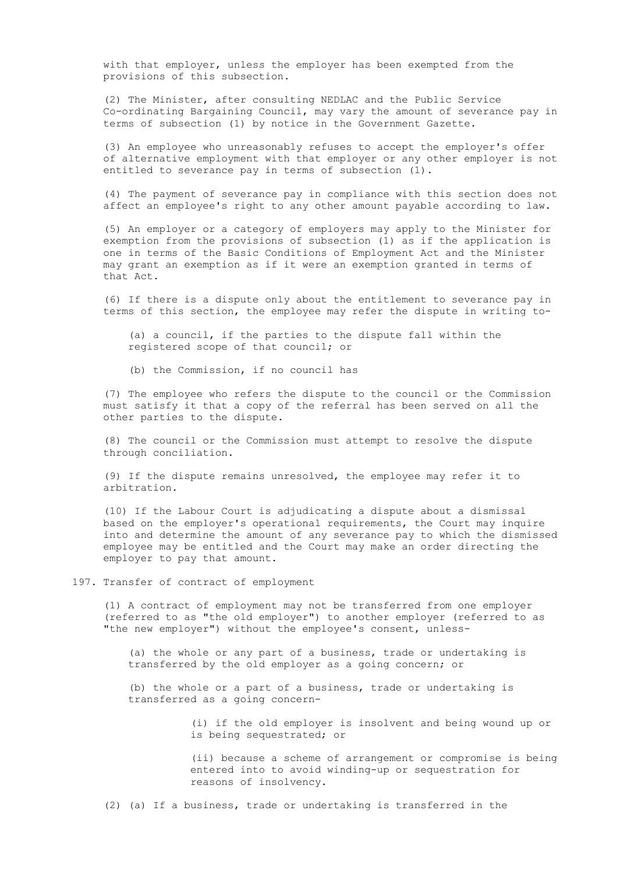with that employer, unless the employer has been exempted from the provisions of this subsection.

 (2) The Minister, after consulting NEDLAC and the Public Service Co-ordinating Bargaining Council, may vary the amount of severance pay in terms of subsection (1) by notice in the Government Gazette.

 (3) An employee who unreasonably refuses to accept the employer's offer of alternative employment with that employer or any other employer is not entitled to severance pay in terms of subsection (1).

 (4) The payment of severance pay in compliance with this section does not affect an employee's right to any other amount payable according to law.

 (5) An employer or a category of employers may apply to the Minister for exemption from the provisions of subsection (1) as if the application is one in terms of the Basic Conditions of Employment Act and the Minister may grant an exemption as if it were an exemption granted in terms of that Act.

 (6) If there is a dispute only about the entitlement to severance pay in terms of this section, the employee may refer the dispute in writing to-

 (a) a council, if the parties to the dispute fall within the registered scope of that council; or

(b) the Commission, if no council has

 (7) The employee who refers the dispute to the council or the Commission must satisfy it that a copy of the referral has been served on all the other parties to the dispute.

 (8) The council or the Commission must attempt to resolve the dispute through conciliation.

 (9) If the dispute remains unresolved, the employee may refer it to arbitration.

 (10) If the Labour Court is adjudicating a dispute about a dismissal based on the employer's operational requirements, the Court may inquire into and determine the amount of any severance pay to which the dismissed employee may be entitled and the Court may make an order directing the employer to pay that amount.

197. Transfer of contract of employment

 (1) A contract of employment may not be transferred from one employer (referred to as "the old employer") to another employer (referred to as "the new employer") without the employee's consent, unless-

 (a) the whole or any part of a business, trade or undertaking is transferred by the old employer as a going concern; or

 (b) the whole or a part of a business, trade or undertaking is transferred as a going concern-

> (i) if the old employer is insolvent and being wound up or is being sequestrated; or

 (ii) because a scheme of arrangement or compromise is being entered into to avoid winding-up or sequestration for reasons of insolvency.

(2) (a) If a business, trade or undertaking is transferred in the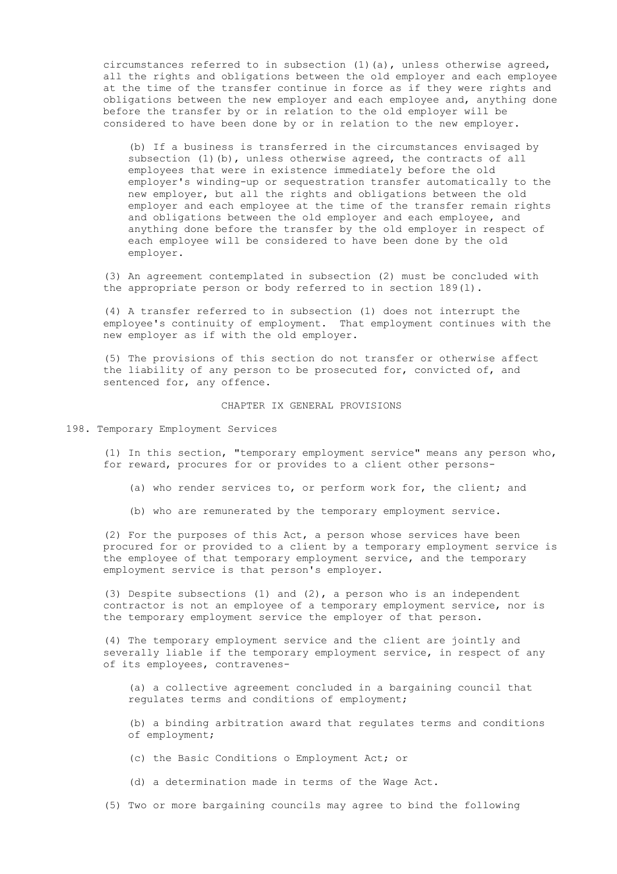circumstances referred to in subsection  $(1)(a)$ , unless otherwise agreed, all the rights and obligations between the old employer and each employee at the time of the transfer continue in force as if they were rights and obligations between the new employer and each employee and, anything done before the transfer by or in relation to the old employer will be considered to have been done by or in relation to the new employer.

 (b) If a business is transferred in the circumstances envisaged by subsection (1)(b), unless otherwise agreed, the contracts of all employees that were in existence immediately before the old employer's winding-up or sequestration transfer automatically to the new employer, but all the rights and obligations between the old employer and each employee at the time of the transfer remain rights and obligations between the old employer and each employee, and anything done before the transfer by the old employer in respect of each employee will be considered to have been done by the old employer.

 (3) An agreement contemplated in subsection (2) must be concluded with the appropriate person or body referred to in section 189(l).

 (4) A transfer referred to in subsection (1) does not interrupt the employee's continuity of employment. That employment continues with the new employer as if with the old employer.

 (5) The provisions of this section do not transfer or otherwise affect the liability of any person to be prosecuted for, convicted of, and sentenced for, any offence.

CHAPTER IX GENERAL PROVISIONS

198. Temporary Employment Services

 (1) In this section, "temporary employment service" means any person who, for reward, procures for or provides to a client other persons-

(a) who render services to, or perform work for, the client; and

(b) who are remunerated by the temporary employment service.

 (2) For the purposes of this Act, a person whose services have been procured for or provided to a client by a temporary employment service is the employee of that temporary employment service, and the temporary employment service is that person's employer.

 (3) Despite subsections (1) and (2), a person who is an independent contractor is not an employee of a temporary employment service, nor is the temporary employment service the employer of that person.

 (4) The temporary employment service and the client are jointly and severally liable if the temporary employment service, in respect of any of its employees, contravenes-

 (a) a collective agreement concluded in a bargaining council that regulates terms and conditions of employment;

 (b) a binding arbitration award that regulates terms and conditions of employment;

(c) the Basic Conditions o Employment Act; or

(d) a determination made in terms of the Wage Act.

(5) Two or more bargaining councils may agree to bind the following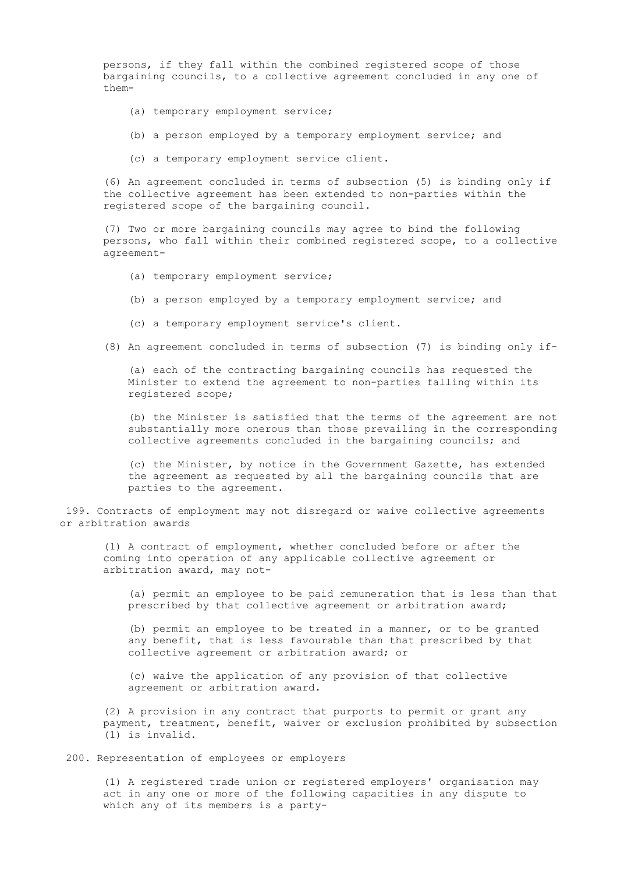persons, if they fall within the combined registered scope of those bargaining councils, to a collective agreement concluded in any one of them-

- (a) temporary employment service;
- (b) a person employed by a temporary employment service; and
- (c) a temporary employment service client.

 (6) An agreement concluded in terms of subsection (5) is binding only if the collective agreement has been extended to non-parties within the registered scope of the bargaining council.

 (7) Two or more bargaining councils may agree to bind the following persons, who fall within their combined registered scope, to a collective agreement-

- (a) temporary employment service;
- (b) a person employed by a temporary employment service; and
- (c) a temporary employment service's client.
- (8) An agreement concluded in terms of subsection (7) is binding only if-

 (a) each of the contracting bargaining councils has requested the Minister to extend the agreement to non-parties falling within its registered scope;

 (b) the Minister is satisfied that the terms of the agreement are not substantially more onerous than those prevailing in the corresponding collective agreements concluded in the bargaining councils; and

 (c) the Minister, by notice in the Government Gazette, has extended the agreement as requested by all the bargaining councils that are parties to the agreement.

 199. Contracts of employment may not disregard or waive collective agreements or arbitration awards

 (1) A contract of employment, whether concluded before or after the coming into operation of any applicable collective agreement or arbitration award, may not-

 (a) permit an employee to be paid remuneration that is less than that prescribed by that collective agreement or arbitration award;

 (b) permit an employee to be treated in a manner, or to be granted any benefit, that is less favourable than that prescribed by that collective agreement or arbitration award; or

 (c) waive the application of any provision of that collective agreement or arbitration award.

 (2) A provision in any contract that purports to permit or grant any payment, treatment, benefit, waiver or exclusion prohibited by subsection (1) is invalid.

200. Representation of employees or employers

 (1) A registered trade union or registered employers' organisation may act in any one or more of the following capacities in any dispute to which any of its members is a party-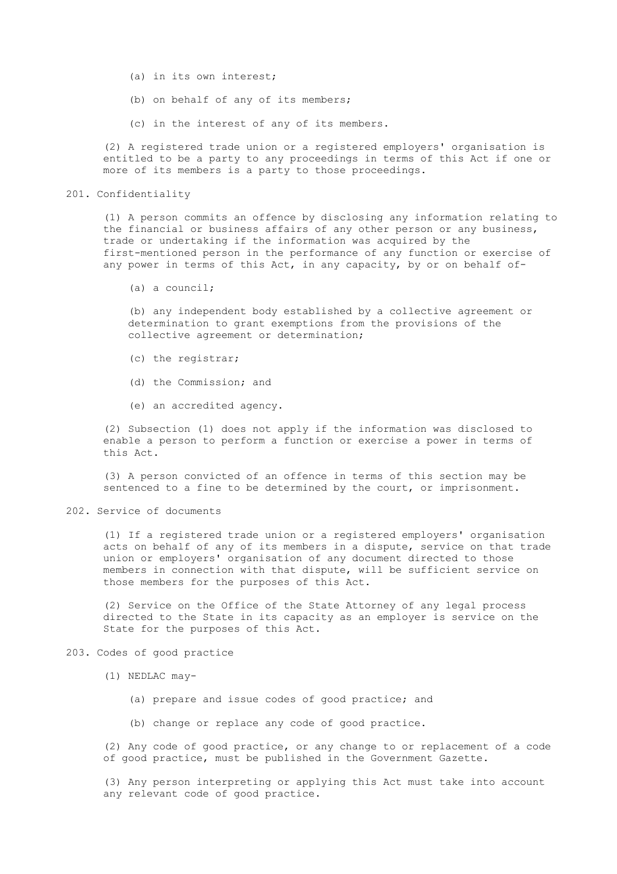- (a) in its own interest;
- (b) on behalf of any of its members;
- (c) in the interest of any of its members.

 (2) A registered trade union or a registered employers' organisation is entitled to be a party to any proceedings in terms of this Act if one or more of its members is a party to those proceedings.

#### 201. Confidentiality

 (1) A person commits an offence by disclosing any information relating to the financial or business affairs of any other person or any business, trade or undertaking if the information was acquired by the first-mentioned person in the performance of any function or exercise of any power in terms of this Act, in any capacity, by or on behalf of-

(a) a council;

 (b) any independent body established by a collective agreement or determination to grant exemptions from the provisions of the collective agreement or determination;

- (c) the registrar;
- (d) the Commission; and
- (e) an accredited agency.

 (2) Subsection (1) does not apply if the information was disclosed to enable a person to perform a function or exercise a power in terms of this Act.

 (3) A person convicted of an offence in terms of this section may be sentenced to a fine to be determined by the court, or imprisonment.

202. Service of documents

 (1) If a registered trade union or a registered employers' organisation acts on behalf of any of its members in a dispute, service on that trade union or employers' organisation of any document directed to those members in connection with that dispute, will be sufficient service on those members for the purposes of this Act.

 (2) Service on the Office of the State Attorney of any legal process directed to the State in its capacity as an employer is service on the State for the purposes of this Act.

### 203. Codes of good practice

- (1) NEDLAC may-
	- (a) prepare and issue codes of good practice; and
	- (b) change or replace any code of good practice.

 (2) Any code of good practice, or any change to or replacement of a code of good practice, must be published in the Government Gazette.

 (3) Any person interpreting or applying this Act must take into account any relevant code of good practice.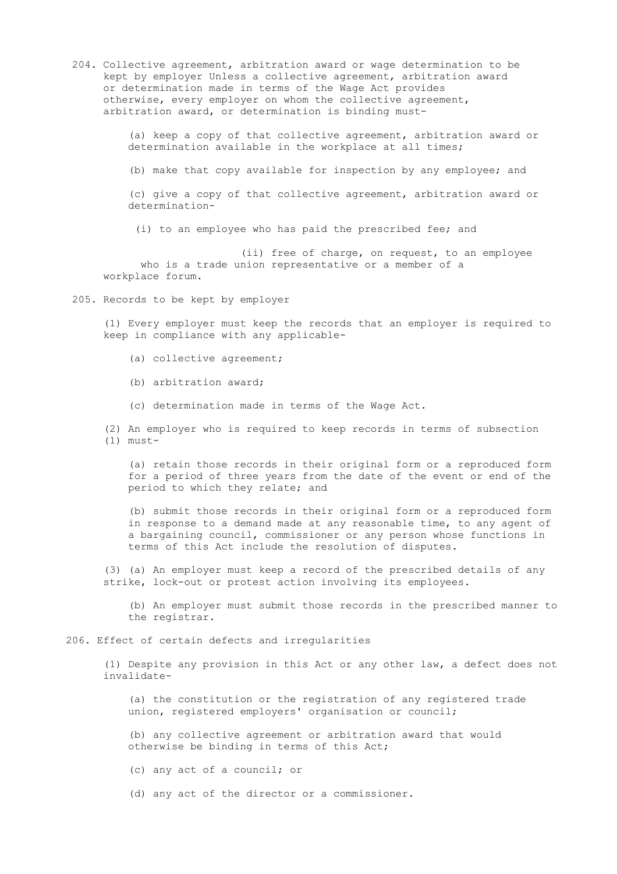204. Collective agreement, arbitration award or wage determination to be kept by employer Unless a collective agreement, arbitration award or determination made in terms of the Wage Act provides otherwise, every employer on whom the collective agreement, arbitration award, or determination is binding must-

> (a) keep a copy of that collective agreement, arbitration award or determination available in the workplace at all times;

(b) make that copy available for inspection by any employee; and

 (c) give a copy of that collective agreement, arbitration award or determination-

(i) to an employee who has paid the prescribed fee; and

 (ii) free of charge, on request, to an employee who is a trade union representative or a member of a workplace forum.

#### 205. Records to be kept by employer

 (1) Every employer must keep the records that an employer is required to keep in compliance with any applicable-

- (a) collective agreement;
- (b) arbitration award;
- (c) determination made in terms of the Wage Act.
- (2) An employer who is required to keep records in terms of subsection  $(1)$  must-

 (a) retain those records in their original form or a reproduced form for a period of three years from the date of the event or end of the period to which they relate; and

 (b) submit those records in their original form or a reproduced form in response to a demand made at any reasonable time, to any agent of a bargaining council, commissioner or any person whose functions in terms of this Act include the resolution of disputes.

 (3) (a) An employer must keep a record of the prescribed details of any strike, lock-out or protest action involving its employees.

 (b) An employer must submit those records in the prescribed manner to the registrar.

206. Effect of certain defects and irregularities

 (1) Despite any provision in this Act or any other law, a defect does not invalidate-

 (a) the constitution or the registration of any registered trade union, registered employers' organisation or council;

 (b) any collective agreement or arbitration award that would otherwise be binding in terms of this Act;

- (c) any act of a council; or
- (d) any act of the director or a commissioner.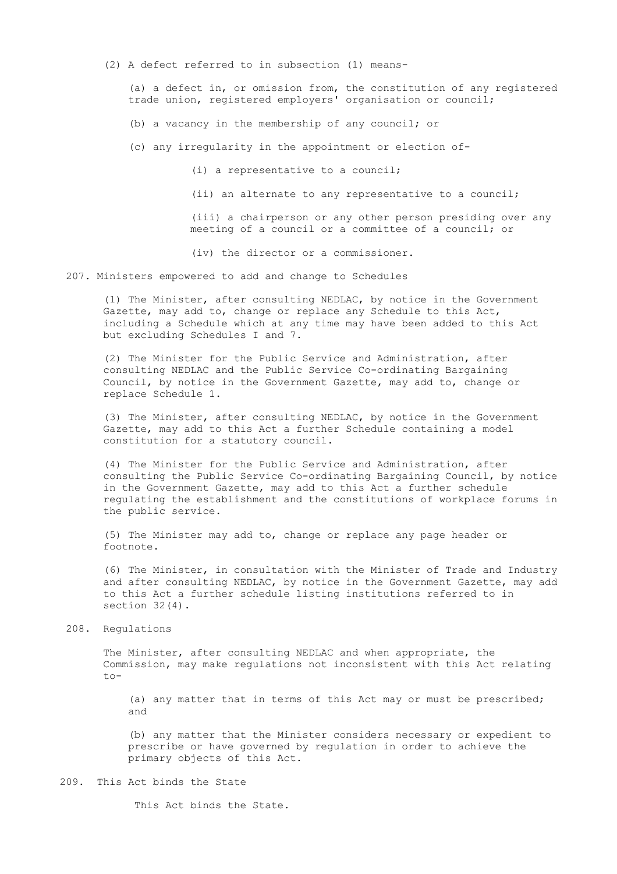(2) A defect referred to in subsection (1) means-

 (a) a defect in, or omission from, the constitution of any registered trade union, registered employers' organisation or council;

(b) a vacancy in the membership of any council; or

(c) any irregularity in the appointment or election of-

(i) a representative to a council;

(ii) an alternate to any representative to a council;

 (iii) a chairperson or any other person presiding over any meeting of a council or a committee of a council; or

(iv) the director or a commissioner.

207. Ministers empowered to add and change to Schedules

 (1) The Minister, after consulting NEDLAC, by notice in the Government Gazette, may add to, change or replace any Schedule to this Act, including a Schedule which at any time may have been added to this Act but excluding Schedules I and 7.

 (2) The Minister for the Public Service and Administration, after consulting NEDLAC and the Public Service Co-ordinating Bargaining Council, by notice in the Government Gazette, may add to, change or replace Schedule 1.

 (3) The Minister, after consulting NEDLAC, by notice in the Government Gazette, may add to this Act a further Schedule containing a model constitution for a statutory council.

 (4) The Minister for the Public Service and Administration, after consulting the Public Service Co-ordinating Bargaining Council, by notice in the Government Gazette, may add to this Act a further schedule regulating the establishment and the constitutions of workplace forums in the public service.

 (5) The Minister may add to, change or replace any page header or footnote.

 (6) The Minister, in consultation with the Minister of Trade and Industry and after consulting NEDLAC, by notice in the Government Gazette, may add to this Act a further schedule listing institutions referred to in section 32(4).

# 208. Regulations

 The Minister, after consulting NEDLAC and when appropriate, the Commission, may make regulations not inconsistent with this Act relating to-

 (a) any matter that in terms of this Act may or must be prescribed; and

 (b) any matter that the Minister considers necessary or expedient to prescribe or have governed by regulation in order to achieve the primary objects of this Act.

# 209. This Act binds the State

This Act binds the State.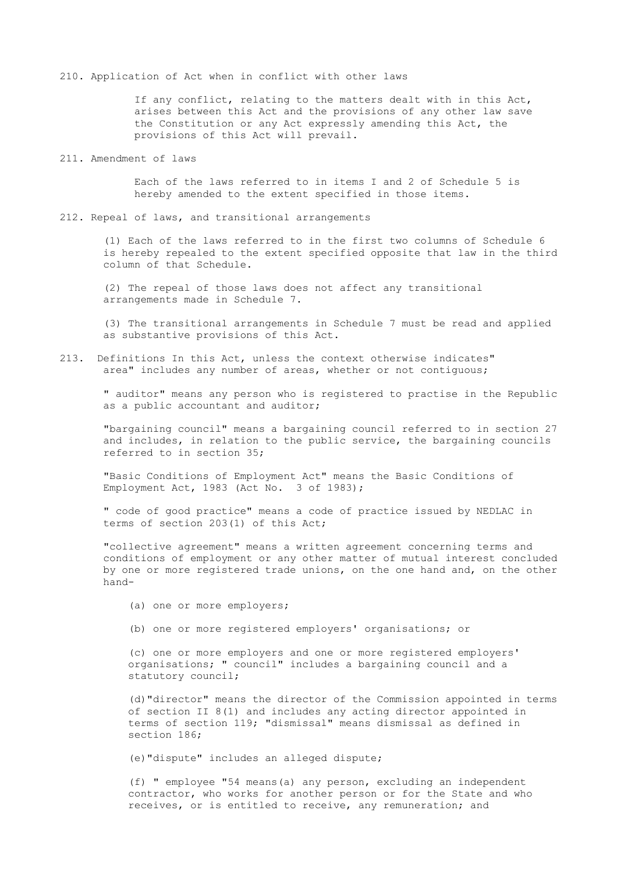210. Application of Act when in conflict with other laws

 If any conflict, relating to the matters dealt with in this Act, arises between this Act and the provisions of any other law save the Constitution or any Act expressly amending this Act, the provisions of this Act will prevail.

### 211. Amendment of laws

 Each of the laws referred to in items I and 2 of Schedule 5 is hereby amended to the extent specified in those items.

#### 212. Repeal of laws, and transitional arrangements

 (1) Each of the laws referred to in the first two columns of Schedule 6 is hereby repealed to the extent specified opposite that law in the third column of that Schedule.

 (2) The repeal of those laws does not affect any transitional arrangements made in Schedule 7.

 (3) The transitional arrangements in Schedule 7 must be read and applied as substantive provisions of this Act.

213. Definitions In this Act, unless the context otherwise indicates" area" includes any number of areas, whether or not contiguous;

> " auditor" means any person who is registered to practise in the Republic as a public accountant and auditor;

> "bargaining council" means a bargaining council referred to in section 27 and includes, in relation to the public service, the bargaining councils referred to in section 35;

 "Basic Conditions of Employment Act" means the Basic Conditions of Employment Act, 1983 (Act No. 3 of 1983);

 " code of good practice" means a code of practice issued by NEDLAC in terms of section 203(1) of this Act;

 "collective agreement" means a written agreement concerning terms and conditions of employment or any other matter of mutual interest concluded by one or more registered trade unions, on the one hand and, on the other hand-

- (a) one or more employers;
- (b) one or more registered employers' organisations; or

 (c) one or more employers and one or more registered employers' organisations; " council" includes a bargaining council and a statutory council;

 (d)"director" means the director of the Commission appointed in terms of section II 8(1) and includes any acting director appointed in terms of section 119; "dismissal" means dismissal as defined in section 186;

(e)"dispute" includes an alleged dispute;

 (f) " employee "54 means(a) any person, excluding an independent contractor, who works for another person or for the State and who receives, or is entitled to receive, any remuneration; and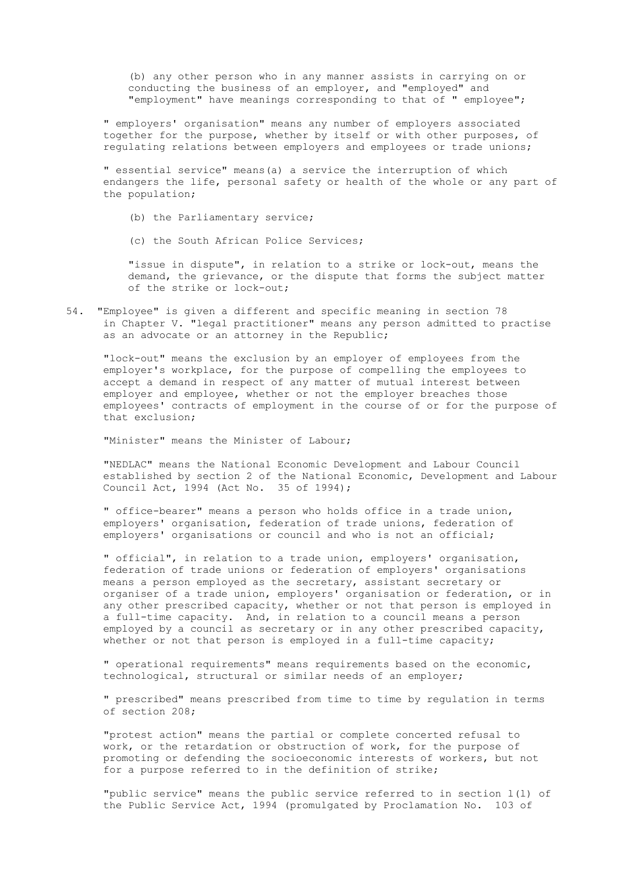(b) any other person who in any manner assists in carrying on or conducting the business of an employer, and "employed" and "employment" have meanings corresponding to that of " employee";

 " employers' organisation" means any number of employers associated together for the purpose, whether by itself or with other purposes, of regulating relations between employers and employees or trade unions;

 " essential service" means(a) a service the interruption of which endangers the life, personal safety or health of the whole or any part of the population;

- (b) the Parliamentary service;
- (c) the South African Police Services;

 "issue in dispute", in relation to a strike or lock-out, means the demand, the grievance, or the dispute that forms the subject matter of the strike or lock-out;

 54. "Employee" is given a different and specific meaning in section 78 in Chapter V. "legal practitioner" means any person admitted to practise as an advocate or an attorney in the Republic;

 "lock-out" means the exclusion by an employer of employees from the employer's workplace, for the purpose of compelling the employees to accept a demand in respect of any matter of mutual interest between employer and employee, whether or not the employer breaches those employees' contracts of employment in the course of or for the purpose of that exclusion;

"Minister" means the Minister of Labour;

 "NEDLAC" means the National Economic Development and Labour Council established by section 2 of the National Economic, Development and Labour Council Act, 1994 (Act No. 35 of 1994);

 " office-bearer" means a person who holds office in a trade union, employers' organisation, federation of trade unions, federation of employers' organisations or council and who is not an official;

 " official", in relation to a trade union, employers' organisation, federation of trade unions or federation of employers' organisations means a person employed as the secretary, assistant secretary or organiser of a trade union, employers' organisation or federation, or in any other prescribed capacity, whether or not that person is employed in a full-time capacity. And, in relation to a council means a person employed by a council as secretary or in any other prescribed capacity, whether or not that person is employed in a full-time capacity;

 " operational requirements" means requirements based on the economic, technological, structural or similar needs of an employer;

 " prescribed" means prescribed from time to time by regulation in terms of section 208;

 "protest action" means the partial or complete concerted refusal to work, or the retardation or obstruction of work, for the purpose of promoting or defending the socioeconomic interests of workers, but not for a purpose referred to in the definition of strike;

 "public service" means the public service referred to in section l(l) of the Public Service Act, 1994 (promulgated by Proclamation No. 103 of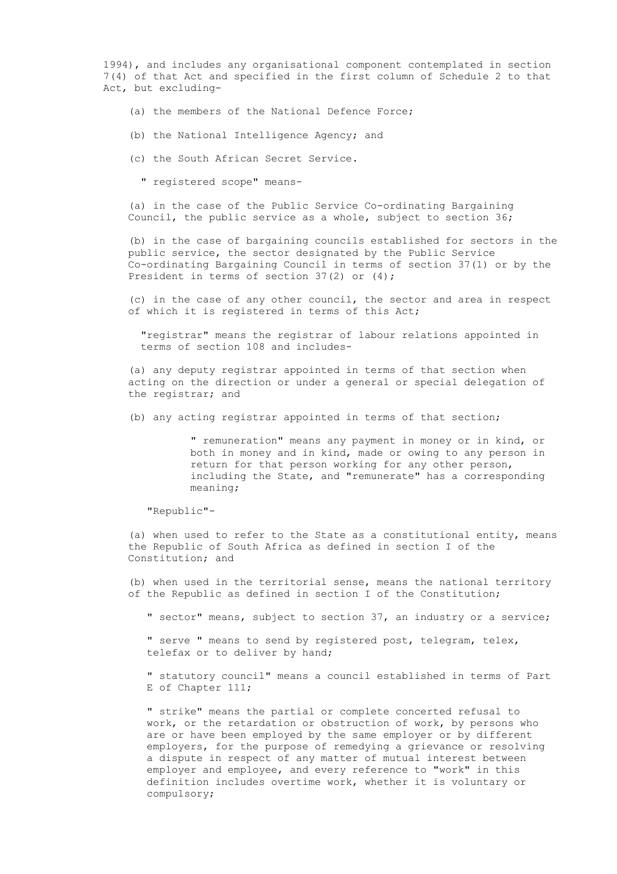1994), and includes any organisational component contemplated in section 7(4) of that Act and specified in the first column of Schedule 2 to that Act, but excluding-

- (a) the members of the National Defence Force;
- (b) the National Intelligence Agency; and
- (c) the South African Secret Service.

" registered scope" means-

 (a) in the case of the Public Service Co-ordinating Bargaining Council, the public service as a whole, subject to section 36;

 (b) in the case of bargaining councils established for sectors in the public service, the sector designated by the Public Service Co-ordinating Bargaining Council in terms of section 37(1) or by the President in terms of section 37(2) or (4);

 (c) in the case of any other council, the sector and area in respect of which it is registered in terms of this Act;

 "registrar" means the registrar of labour relations appointed in terms of section 108 and includes-

 (a) any deputy registrar appointed in terms of that section when acting on the direction or under a general or special delegation of the registrar; and

(b) any acting registrar appointed in terms of that section;

 " remuneration" means any payment in money or in kind, or both in money and in kind, made or owing to any person in return for that person working for any other person, including the State, and "remunerate" has a corresponding meaning;

"Republic"-

 (a) when used to refer to the State as a constitutional entity, means the Republic of South Africa as defined in section I of the Constitution; and

 (b) when used in the territorial sense, means the national territory of the Republic as defined in section I of the Constitution;

" sector" means, subject to section 37, an industry or a service;

 " serve " means to send by registered post, telegram, telex, telefax or to deliver by hand;

 " statutory council" means a council established in terms of Part E of Chapter 111;

 " strike" means the partial or complete concerted refusal to work, or the retardation or obstruction of work, by persons who are or have been employed by the same employer or by different employers, for the purpose of remedying a grievance or resolving a dispute in respect of any matter of mutual interest between employer and employee, and every reference to "work" in this definition includes overtime work, whether it is voluntary or compulsory;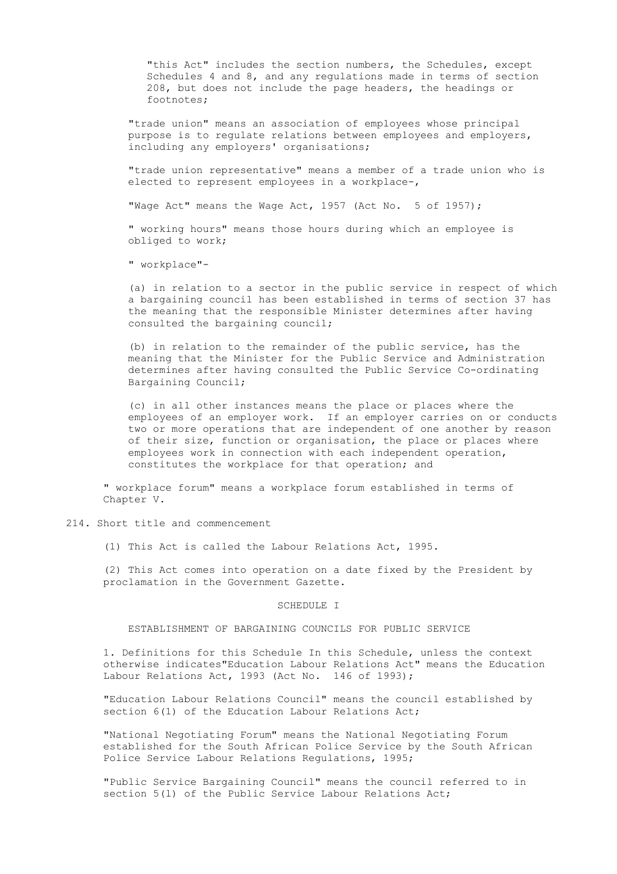"this Act" includes the section numbers, the Schedules, except Schedules 4 and 8, and any regulations made in terms of section 208, but does not include the page headers, the headings or footnotes;

 "trade union" means an association of employees whose principal purpose is to regulate relations between employees and employers, including any employers' organisations;

 "trade union representative" means a member of a trade union who is elected to represent employees in a workplace-,

"Wage Act" means the Wage Act, 1957 (Act No. 5 of 1957);

 " working hours" means those hours during which an employee is obliged to work;

" workplace"-

 (a) in relation to a sector in the public service in respect of which a bargaining council has been established in terms of section 37 has the meaning that the responsible Minister determines after having consulted the bargaining council;

 (b) in relation to the remainder of the public service, has the meaning that the Minister for the Public Service and Administration determines after having consulted the Public Service Co-ordinating Bargaining Council;

 (c) in all other instances means the place or places where the employees of an employer work. If an employer carries on or conducts two or more operations that are independent of one another by reason of their size, function or organisation, the place or places where employees work in connection with each independent operation, constitutes the workplace for that operation; and

 " workplace forum" means a workplace forum established in terms of Chapter V.

214. Short title and commencement

(1) This Act is called the Labour Relations Act, 1995.

 (2) This Act comes into operation on a date fixed by the President by proclamation in the Government Gazette.

### SCHEDULE I

#### ESTABLISHMENT OF BARGAINING COUNCILS FOR PUBLIC SERVICE

 1. Definitions for this Schedule In this Schedule, unless the context otherwise indicates"Education Labour Relations Act" means the Education Labour Relations Act, 1993 (Act No. 146 of 1993);

 "Education Labour Relations Council" means the council established by section 6(1) of the Education Labour Relations Act;

 "National Negotiating Forum" means the National Negotiating Forum established for the South African Police Service by the South African Police Service Labour Relations Regulations, 1995;

 "Public Service Bargaining Council" means the council referred to in section 5(1) of the Public Service Labour Relations Act;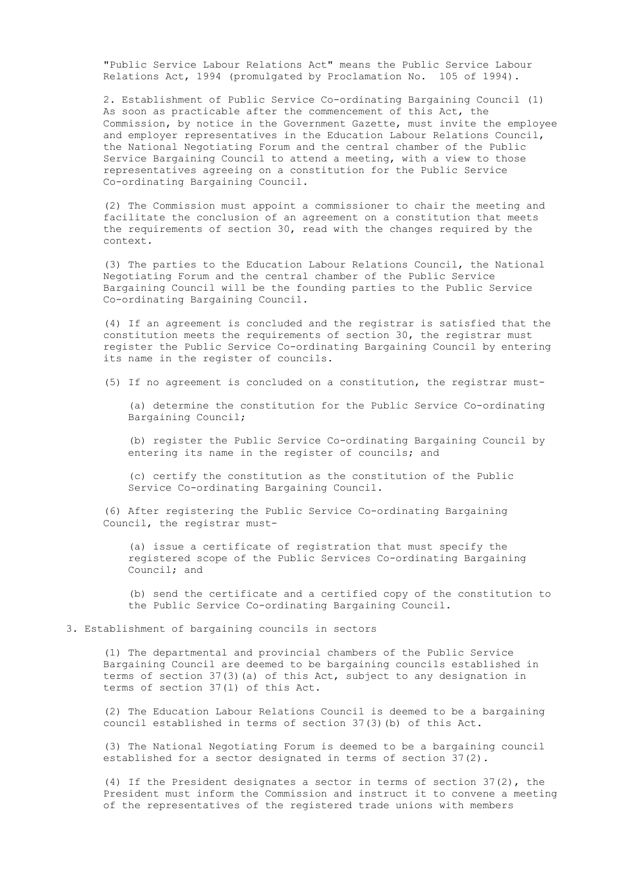"Public Service Labour Relations Act" means the Public Service Labour Relations Act, 1994 (promulgated by Proclamation No. 105 of 1994).

 2. Establishment of Public Service Co-ordinating Bargaining Council (1) As soon as practicable after the commencement of this Act, the Commission, by notice in the Government Gazette, must invite the employee and employer representatives in the Education Labour Relations Council, the National Negotiating Forum and the central chamber of the Public Service Bargaining Council to attend a meeting, with a view to those representatives agreeing on a constitution for the Public Service Co-ordinating Bargaining Council.

 (2) The Commission must appoint a commissioner to chair the meeting and facilitate the conclusion of an agreement on a constitution that meets the requirements of section 30, read with the changes required by the context.

 (3) The parties to the Education Labour Relations Council, the National Negotiating Forum and the central chamber of the Public Service Bargaining Council will be the founding parties to the Public Service Co-ordinating Bargaining Council.

 (4) If an agreement is concluded and the registrar is satisfied that the constitution meets the requirements of section 30, the registrar must register the Public Service Co-ordinating Bargaining Council by entering its name in the register of councils.

(5) If no agreement is concluded on a constitution, the registrar must-

 (a) determine the constitution for the Public Service Co-ordinating Bargaining Council;

 (b) register the Public Service Co-ordinating Bargaining Council by entering its name in the register of councils; and

 (c) certify the constitution as the constitution of the Public Service Co-ordinating Bargaining Council.

 (6) After registering the Public Service Co-ordinating Bargaining Council, the registrar must-

 (a) issue a certificate of registration that must specify the registered scope of the Public Services Co-ordinating Bargaining Council; and

 (b) send the certificate and a certified copy of the constitution to the Public Service Co-ordinating Bargaining Council.

### 3. Establishment of bargaining councils in sectors

 (1) The departmental and provincial chambers of the Public Service Bargaining Council are deemed to be bargaining councils established in terms of section 37(3)(a) of this Act, subject to any designation in terms of section 37(l) of this Act.

 (2) The Education Labour Relations Council is deemed to be a bargaining council established in terms of section 37(3)(b) of this Act.

 (3) The National Negotiating Forum is deemed to be a bargaining council established for a sector designated in terms of section 37(2).

 (4) If the President designates a sector in terms of section 37(2), the President must inform the Commission and instruct it to convene a meeting of the representatives of the registered trade unions with members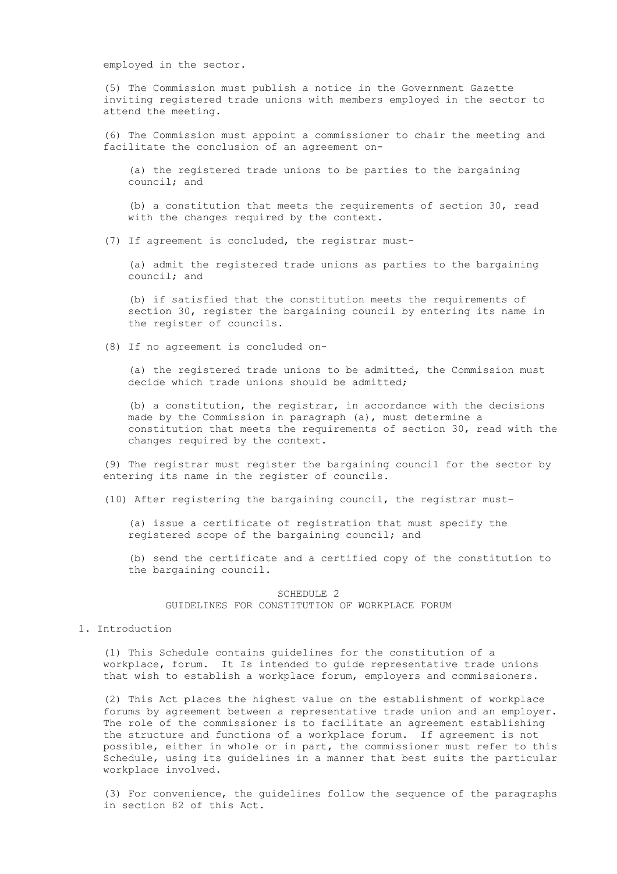employed in the sector.

 (5) The Commission must publish a notice in the Government Gazette inviting registered trade unions with members employed in the sector to attend the meeting.

 (6) The Commission must appoint a commissioner to chair the meeting and facilitate the conclusion of an agreement on-

 (a) the registered trade unions to be parties to the bargaining council; and

 (b) a constitution that meets the requirements of section 30, read with the changes required by the context.

(7) If agreement is concluded, the registrar must-

 (a) admit the registered trade unions as parties to the bargaining council; and

 (b) if satisfied that the constitution meets the requirements of section 30, register the bargaining council by entering its name in the register of councils.

(8) If no agreement is concluded on-

 (a) the registered trade unions to be admitted, the Commission must decide which trade unions should be admitted;

 (b) a constitution, the registrar, in accordance with the decisions made by the Commission in paragraph (a), must determine a constitution that meets the requirements of section 30, read with the changes required by the context.

 (9) The registrar must register the bargaining council for the sector by entering its name in the register of councils.

(10) After registering the bargaining council, the registrar must-

 (a) issue a certificate of registration that must specify the registered scope of the bargaining council; and

 (b) send the certificate and a certified copy of the constitution to the bargaining council.

 SCHEDULE 2 GUIDELINES FOR CONSTITUTION OF WORKPLACE FORUM

### 1. Introduction

 (1) This Schedule contains guidelines for the constitution of a workplace, forum. It Is intended to guide representative trade unions that wish to establish a workplace forum, employers and commissioners.

 (2) This Act places the highest value on the establishment of workplace forums by agreement between a representative trade union and an employer. The role of the commissioner is to facilitate an agreement establishing the structure and functions of a workplace forum. If agreement is not possible, either in whole or in part, the commissioner must refer to this Schedule, using its guidelines in a manner that best suits the particular workplace involved.

 (3) For convenience, the guidelines follow the sequence of the paragraphs in section 82 of this Act.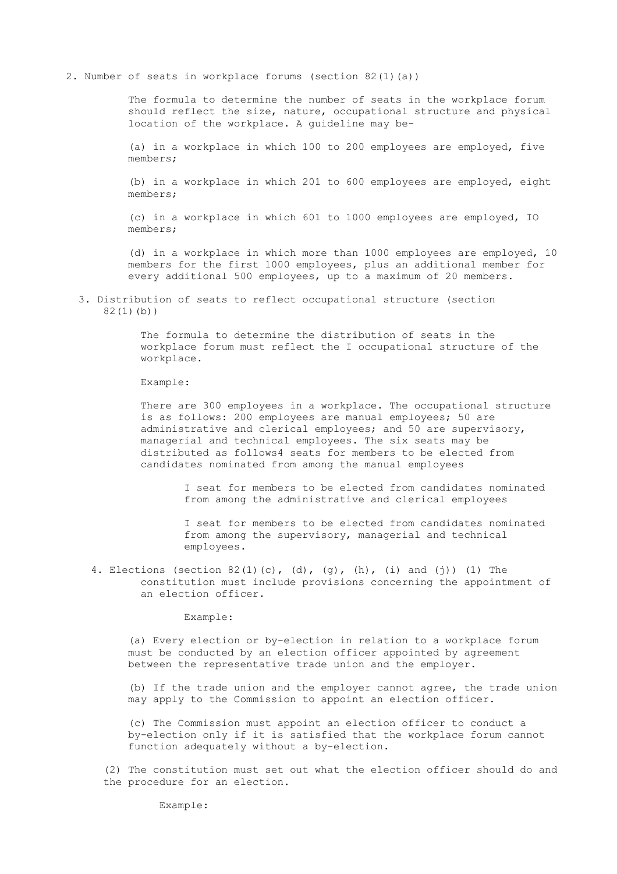2. Number of seats in workplace forums (section 82(1)(a))

 The formula to determine the number of seats in the workplace forum should reflect the size, nature, occupational structure and physical location of the workplace. A guideline may be-

 (a) in a workplace in which 100 to 200 employees are employed, five members;

 (b) in a workplace in which 201 to 600 employees are employed, eight members;

 (c) in a workplace in which 601 to 1000 employees are employed, IO members;

 (d) in a workplace in which more than 1000 employees are employed, 10 members for the first 1000 employees, plus an additional member for every additional 500 employees, up to a maximum of 20 members.

 3. Distribution of seats to reflect occupational structure (section 82(1)(b))

> The formula to determine the distribution of seats in the workplace forum must reflect the I occupational structure of the workplace.

Example:

 There are 300 employees in a workplace. The occupational structure is as follows: 200 employees are manual employees; 50 are administrative and clerical employees; and 50 are supervisory, managerial and technical employees. The six seats may be distributed as follows4 seats for members to be elected from candidates nominated from among the manual employees

> I seat for members to be elected from candidates nominated from among the administrative and clerical employees

> I seat for members to be elected from candidates nominated from among the supervisory, managerial and technical employees.

4. Elections (section 82(1)(c), (d), (g), (h), (i) and (j)) (1) The constitution must include provisions concerning the appointment of an election officer.

Example:

 (a) Every election or by-election in relation to a workplace forum must be conducted by an election officer appointed by agreement between the representative trade union and the employer.

 (b) If the trade union and the employer cannot agree, the trade union may apply to the Commission to appoint an election officer.

 (c) The Commission must appoint an election officer to conduct a by-election only if it is satisfied that the workplace forum cannot function adequately without a by-election.

 (2) The constitution must set out what the election officer should do and the procedure for an election.

Example: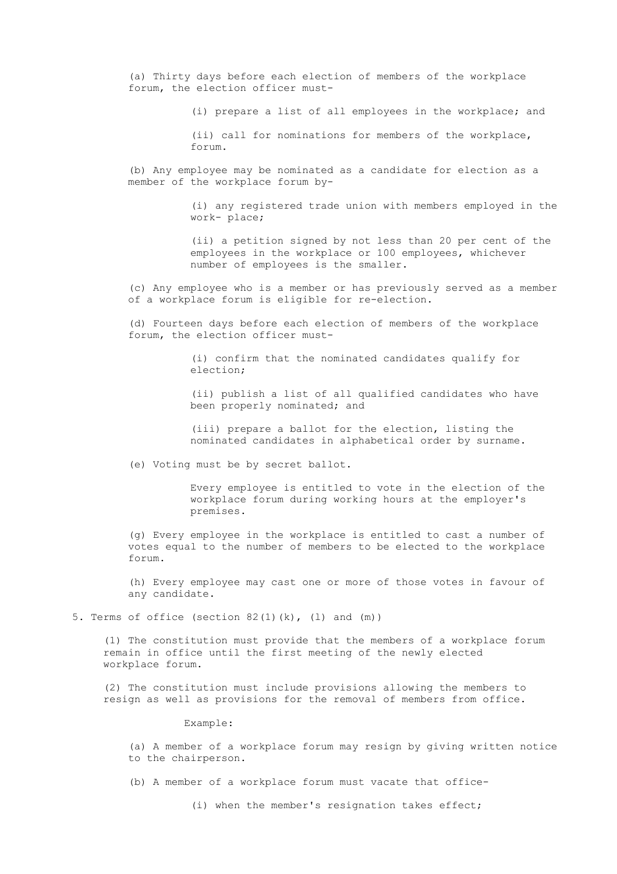(a) Thirty days before each election of members of the workplace forum, the election officer must-

(i) prepare a list of all employees in the workplace; and

 (ii) call for nominations for members of the workplace, forum.

 (b) Any employee may be nominated as a candidate for election as a member of the workplace forum by-

> (i) any registered trade union with members employed in the work- place;

 (ii) a petition signed by not less than 20 per cent of the employees in the workplace or 100 employees, whichever number of employees is the smaller.

 (c) Any employee who is a member or has previously served as a member of a workplace forum is eligible for re-election.

 (d) Fourteen days before each election of members of the workplace forum, the election officer must-

> (i) confirm that the nominated candidates qualify for election;

 (ii) publish a list of all qualified candidates who have been properly nominated; and

 (iii) prepare a ballot for the election, listing the nominated candidates in alphabetical order by surname.

(e) Voting must be by secret ballot.

 Every employee is entitled to vote in the election of the workplace forum during working hours at the employer's premises.

 (g) Every employee in the workplace is entitled to cast a number of votes equal to the number of members to be elected to the workplace forum.

 (h) Every employee may cast one or more of those votes in favour of any candidate.

5. Terms of office (section  $82(1)(k)$ ,  $(l)$  and  $(m)$ )

 (1) The constitution must provide that the members of a workplace forum remain in office until the first meeting of the newly elected workplace forum.

 (2) The constitution must include provisions allowing the members to resign as well as provisions for the removal of members from office.

Example:

 (a) A member of a workplace forum may resign by giving written notice to the chairperson.

(b) A member of a workplace forum must vacate that office-

(i) when the member's resignation takes effect;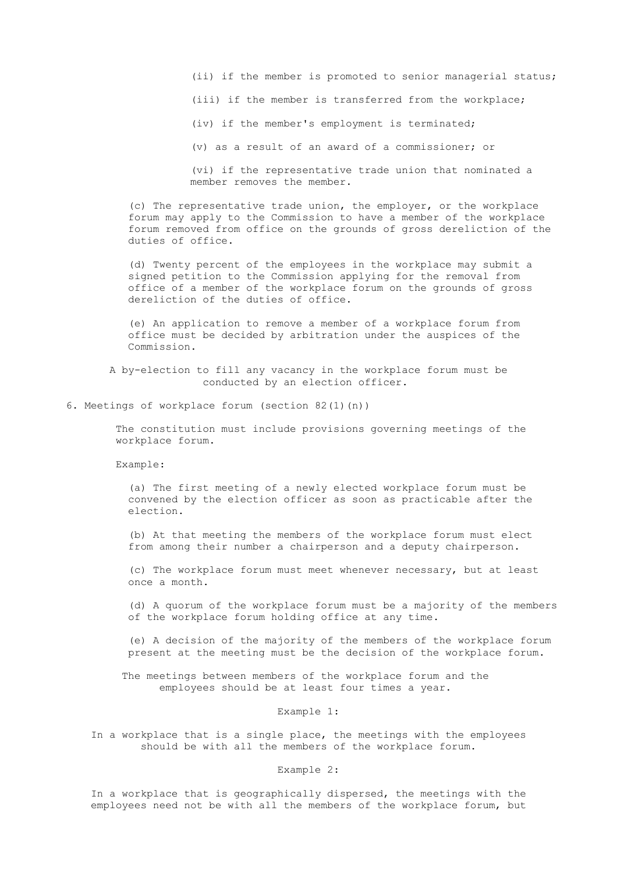(ii) if the member is promoted to senior managerial status; (iii) if the member is transferred from the workplace; (iv) if the member's employment is terminated; (v) as a result of an award of a commissioner; or (vi) if the representative trade union that nominated a member removes the member.

 (c) The representative trade union, the employer, or the workplace forum may apply to the Commission to have a member of the workplace forum removed from office on the grounds of gross dereliction of the duties of office.

 (d) Twenty percent of the employees in the workplace may submit a signed petition to the Commission applying for the removal from office of a member of the workplace forum on the grounds of gross dereliction of the duties of office.

 (e) An application to remove a member of a workplace forum from office must be decided by arbitration under the auspices of the Commission.

 A by-election to fill any vacancy in the workplace forum must be conducted by an election officer.

6. Meetings of workplace forum (section 82(1)(n))

 The constitution must include provisions governing meetings of the workplace forum.

Example:

 (a) The first meeting of a newly elected workplace forum must be convened by the election officer as soon as practicable after the election.

 (b) At that meeting the members of the workplace forum must elect from among their number a chairperson and a deputy chairperson.

 (c) The workplace forum must meet whenever necessary, but at least once a month.

 (d) A quorum of the workplace forum must be a majority of the members of the workplace forum holding office at any time.

 (e) A decision of the majority of the members of the workplace forum present at the meeting must be the decision of the workplace forum.

 The meetings between members of the workplace forum and the employees should be at least four times a year.

Example 1:

 In a workplace that is a single place, the meetings with the employees should be with all the members of the workplace forum.

# Example 2:

 In a workplace that is geographically dispersed, the meetings with the employees need not be with all the members of the workplace forum, but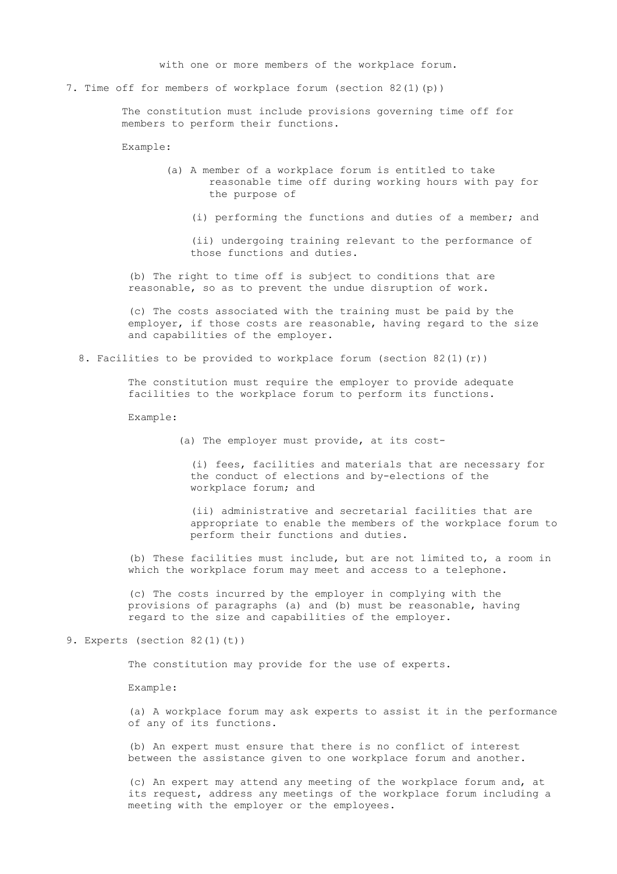with one or more members of the workplace forum.

7. Time off for members of workplace forum (section 82(1)(p))

 The constitution must include provisions governing time off for members to perform their functions.

Example:

- (a) A member of a workplace forum is entitled to take reasonable time off during working hours with pay for the purpose of
	- (i) performing the functions and duties of a member; and

 (ii) undergoing training relevant to the performance of those functions and duties.

 (b) The right to time off is subject to conditions that are reasonable, so as to prevent the undue disruption of work.

 (c) The costs associated with the training must be paid by the employer, if those costs are reasonable, having regard to the size and capabilities of the employer.

8. Facilities to be provided to workplace forum (section  $82(1)(r)$ )

The constitution must require the employer to provide adequate facilities to the workplace forum to perform its functions.

Example:

(a) The employer must provide, at its cost-

 (i) fees, facilities and materials that are necessary for the conduct of elections and by-elections of the workplace forum; and

 (ii) administrative and secretarial facilities that are appropriate to enable the members of the workplace forum to perform their functions and duties.

 (b) These facilities must include, but are not limited to, a room in which the workplace forum may meet and access to a telephone.

 (c) The costs incurred by the employer in complying with the provisions of paragraphs (a) and (b) must be reasonable, having regard to the size and capabilities of the employer.

### 9. Experts (section 82(1)(t))

The constitution may provide for the use of experts.

Example:

 (a) A workplace forum may ask experts to assist it in the performance of any of its functions.

 (b) An expert must ensure that there is no conflict of interest between the assistance given to one workplace forum and another.

 (c) An expert may attend any meeting of the workplace forum and, at its request, address any meetings of the workplace forum including a meeting with the employer or the employees.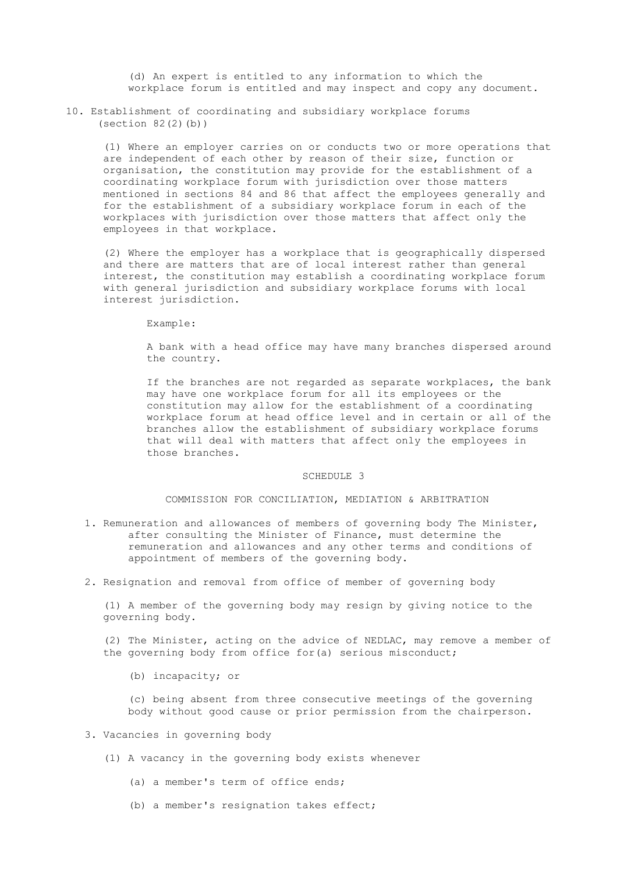(d) An expert is entitled to any information to which the workplace forum is entitled and may inspect and copy any document.

 10. Establishment of coordinating and subsidiary workplace forums  $(\text{section } 82(2)(b))$ 

 (1) Where an employer carries on or conducts two or more operations that are independent of each other by reason of their size, function or organisation, the constitution may provide for the establishment of a coordinating workplace forum with jurisdiction over those matters mentioned in sections 84 and 86 that affect the employees generally and for the establishment of a subsidiary workplace forum in each of the workplaces with jurisdiction over those matters that affect only the employees in that workplace.

 (2) Where the employer has a workplace that is geographically dispersed and there are matters that are of local interest rather than general interest, the constitution may establish a coordinating workplace forum with general jurisdiction and subsidiary workplace forums with local interest jurisdiction.

Example:

 A bank with a head office may have many branches dispersed around the country.

 If the branches are not regarded as separate workplaces, the bank may have one workplace forum for all its employees or the constitution may allow for the establishment of a coordinating workplace forum at head office level and in certain or all of the branches allow the establishment of subsidiary workplace forums that will deal with matters that affect only the employees in those branches.

### SCHEDULE 3

# COMMISSION FOR CONCILIATION, MEDIATION & ARBITRATION

- 1. Remuneration and allowances of members of governing body The Minister, after consulting the Minister of Finance, must determine the remuneration and allowances and any other terms and conditions of appointment of members of the governing body.
- 2. Resignation and removal from office of member of governing body

 (1) A member of the governing body may resign by giving notice to the governing body.

 (2) The Minister, acting on the advice of NEDLAC, may remove a member of the governing body from office for(a) serious misconduct;

(b) incapacity; or

 (c) being absent from three consecutive meetings of the governing body without good cause or prior permission from the chairperson.

- 3. Vacancies in governing body
	- (1) A vacancy in the governing body exists whenever
		- (a) a member's term of office ends;
		- (b) a member's resignation takes effect;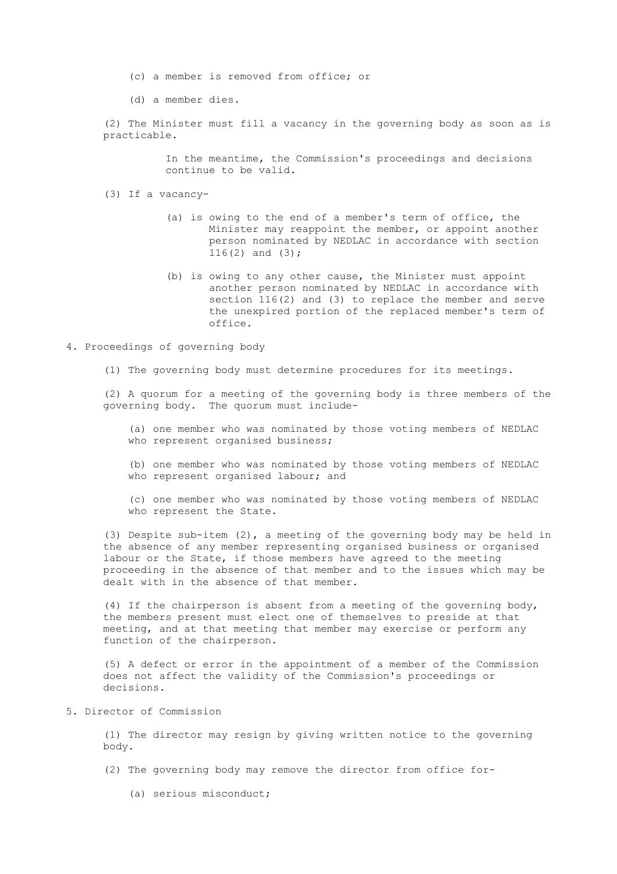- (c) a member is removed from office; or
- (d) a member dies.

 (2) The Minister must fill a vacancy in the governing body as soon as is practicable.

> In the meantime, the Commission's proceedings and decisions continue to be valid.

- (3) If a vacancy-
	- (a) is owing to the end of a member's term of office, the Minister may reappoint the member, or appoint another person nominated by NEDLAC in accordance with section 116(2) and (3);
	- (b) is owing to any other cause, the Minister must appoint another person nominated by NEDLAC in accordance with section 116(2) and (3) to replace the member and serve the unexpired portion of the replaced member's term of office.

# 4. Proceedings of governing body

(1) The governing body must determine procedures for its meetings.

 (2) A quorum for a meeting of the governing body is three members of the governing body. The quorum must include-

 (a) one member who was nominated by those voting members of NEDLAC who represent organised business;

 (b) one member who was nominated by those voting members of NEDLAC who represent organised labour; and

 (c) one member who was nominated by those voting members of NEDLAC who represent the State.

 (3) Despite sub-item (2), a meeting of the governing body may be held in the absence of any member representing organised business or organised labour or the State, if those members have agreed to the meeting proceeding in the absence of that member and to the issues which may be dealt with in the absence of that member.

 (4) If the chairperson is absent from a meeting of the governing body, the members present must elect one of themselves to preside at that meeting, and at that meeting that member may exercise or perform any function of the chairperson.

 (5) A defect or error in the appointment of a member of the Commission does not affect the validity of the Commission's proceedings or decisions.

5. Director of Commission

 (1) The director may resign by giving written notice to the governing body.

- (2) The governing body may remove the director from office for-
	- (a) serious misconduct;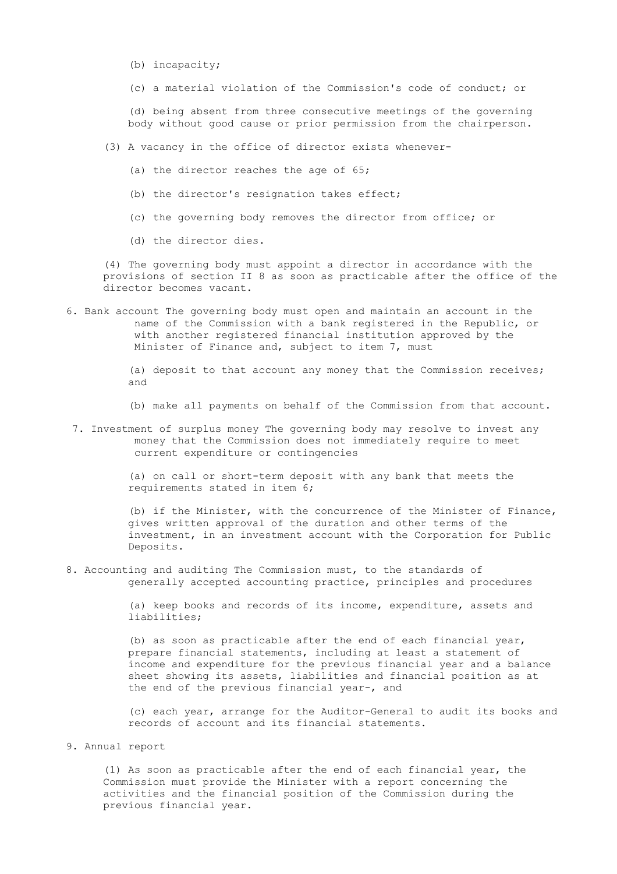- (b) incapacity;
- (c) a material violation of the Commission's code of conduct; or

 (d) being absent from three consecutive meetings of the governing body without good cause or prior permission from the chairperson.

- (3) A vacancy in the office of director exists whenever-
	- (a) the director reaches the age of 65;
	- (b) the director's resignation takes effect;
	- (c) the governing body removes the director from office; or
	- (d) the director dies.

 (4) The governing body must appoint a director in accordance with the provisions of section II 8 as soon as practicable after the office of the director becomes vacant.

 6. Bank account The governing body must open and maintain an account in the name of the Commission with a bank registered in the Republic, or with another registered financial institution approved by the Minister of Finance and, subject to item 7, must

> (a) deposit to that account any money that the Commission receives; and

- (b) make all payments on behalf of the Commission from that account.
- 7. Investment of surplus money The governing body may resolve to invest any money that the Commission does not immediately require to meet current expenditure or contingencies

 (a) on call or short-term deposit with any bank that meets the requirements stated in item 6;

 (b) if the Minister, with the concurrence of the Minister of Finance, gives written approval of the duration and other terms of the investment, in an investment account with the Corporation for Public Deposits.

 8. Accounting and auditing The Commission must, to the standards of generally accepted accounting practice, principles and procedures

> (a) keep books and records of its income, expenditure, assets and liabilities;

 (b) as soon as practicable after the end of each financial year, prepare financial statements, including at least a statement of income and expenditure for the previous financial year and a balance sheet showing its assets, liabilities and financial position as at the end of the previous financial year-, and

 (c) each year, arrange for the Auditor-General to audit its books and records of account and its financial statements.

# 9. Annual report

 (1) As soon as practicable after the end of each financial year, the Commission must provide the Minister with a report concerning the activities and the financial position of the Commission during the previous financial year.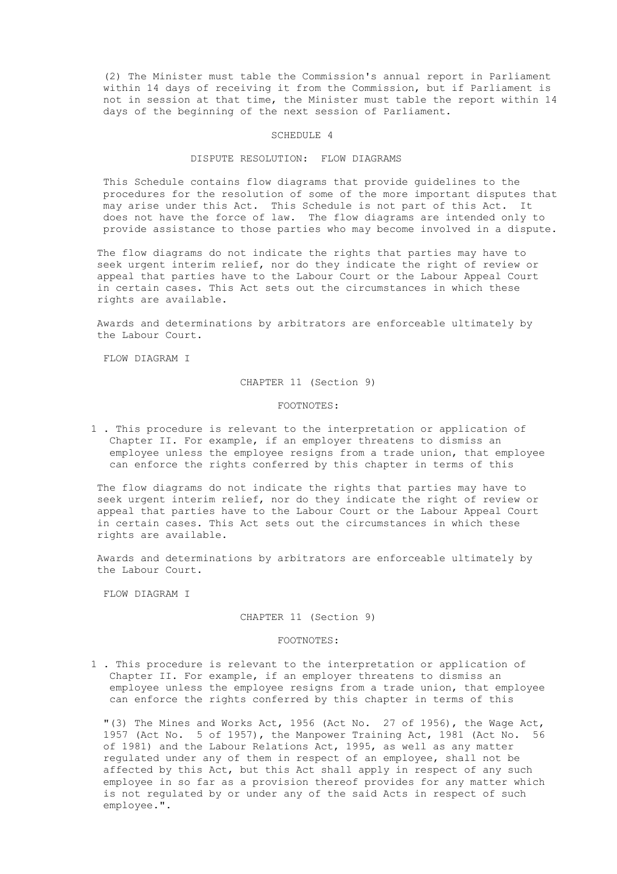(2) The Minister must table the Commission's annual report in Parliament within 14 days of receiving it from the Commission, but if Parliament is not in session at that time, the Minister must table the report within 14 days of the beginning of the next session of Parliament.

# SCHEDULE 4

### DISPUTE RESOLUTION: FLOW DIAGRAMS

 This Schedule contains flow diagrams that provide guidelines to the procedures for the resolution of some of the more important disputes that may arise under this Act. This Schedule is not part of this Act. It does not have the force of law. The flow diagrams are intended only to provide assistance to those parties who may become involved in a dispute.

 The flow diagrams do not indicate the rights that parties may have to seek urgent interim relief, nor do they indicate the right of review or appeal that parties have to the Labour Court or the Labour Appeal Court in certain cases. This Act sets out the circumstances in which these rights are available.

 Awards and determinations by arbitrators are enforceable ultimately by the Labour Court.

FLOW DIAGRAM I

# CHAPTER 11 (Section 9)

# FOOTNOTES:

 1 . This procedure is relevant to the interpretation or application of Chapter II. For example, if an employer threatens to dismiss an employee unless the employee resigns from a trade union, that employee can enforce the rights conferred by this chapter in terms of this

 The flow diagrams do not indicate the rights that parties may have to seek urgent interim relief, nor do they indicate the right of review or appeal that parties have to the Labour Court or the Labour Appeal Court in certain cases. This Act sets out the circumstances in which these rights are available.

 Awards and determinations by arbitrators are enforceable ultimately by the Labour Court.

FLOW DIAGRAM I

#### CHAPTER 11 (Section 9)

# FOOTNOTES:

 1 . This procedure is relevant to the interpretation or application of Chapter II. For example, if an employer threatens to dismiss an employee unless the employee resigns from a trade union, that employee can enforce the rights conferred by this chapter in terms of this

 "(3) The Mines and Works Act, 1956 (Act No. 27 of 1956), the Wage Act, 1957 (Act No. 5 of 1957), the Manpower Training Act, 1981 (Act No. 56 of 1981) and the Labour Relations Act, 1995, as well as any matter regulated under any of them in respect of an employee, shall not be affected by this Act, but this Act shall apply in respect of any such employee in so far as a provision thereof provides for any matter which is not regulated by or under any of the said Acts in respect of such employee.".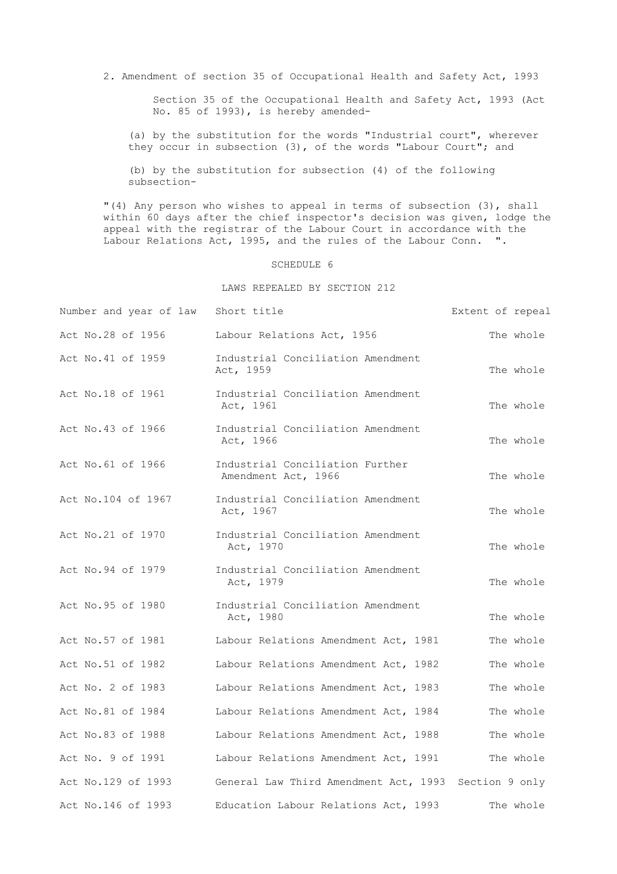2. Amendment of section 35 of Occupational Health and Safety Act, 1993

 Section 35 of the Occupational Health and Safety Act, 1993 (Act No. 85 of 1993), is hereby amended-

 (a) by the substitution for the words "Industrial court", wherever they occur in subsection (3), of the words "Labour Court"; and

 (b) by the substitution for subsection (4) of the following subsection-

 "(4) Any person who wishes to appeal in terms of subsection (3), shall within 60 days after the chief inspector's decision was given, lodge the appeal with the registrar of the Labour Court in accordance with the Labour Relations Act, 1995, and the rules of the Labour Conn. ".

#### SCHEDULE 6

#### LAWS REPEALED BY SECTION 212

| Number and year of law | Short title                                            | Extent of repeal |
|------------------------|--------------------------------------------------------|------------------|
| Act No.28 of 1956      | Labour Relations Act, 1956                             | The whole        |
| Act No.41 of 1959      | Industrial Conciliation Amendment<br>Act, 1959         | The whole        |
| Act No.18 of 1961      | Industrial Conciliation Amendment<br>Act, 1961         | The whole        |
| Act No.43 of 1966      | Industrial Conciliation Amendment<br>Act, 1966         | The whole        |
| Act No.61 of 1966      | Industrial Conciliation Further<br>Amendment Act, 1966 | The whole        |
| Act No.104 of 1967     | Industrial Conciliation Amendment<br>Act, 1967         | The whole        |
| Act No.21 of 1970      | Industrial Conciliation Amendment<br>Act, 1970         | The whole        |
| Act No.94 of 1979      | Industrial Conciliation Amendment<br>Act, 1979         | The whole        |
| Act No.95 of 1980      | Industrial Conciliation Amendment<br>Act, 1980         | The whole        |
| Act No.57 of 1981      | Labour Relations Amendment Act, 1981                   | The whole        |
| Act No.51 of 1982      | Labour Relations Amendment Act, 1982                   | The whole        |
| Act No. 2 of 1983      | Labour Relations Amendment Act, 1983                   | The whole        |
| Act No.81 of 1984      | Labour Relations Amendment Act, 1984                   | The whole        |
| Act No.83 of 1988      | Labour Relations Amendment Act, 1988                   | The whole        |
| Act No. 9 of 1991      | Labour Relations Amendment Act, 1991                   | The whole        |
| Act No.129 of 1993     | General Law Third Amendment Act, 1993 Section 9 only   |                  |
| Act No.146 of 1993     | Education Labour Relations Act, 1993                   | The whole        |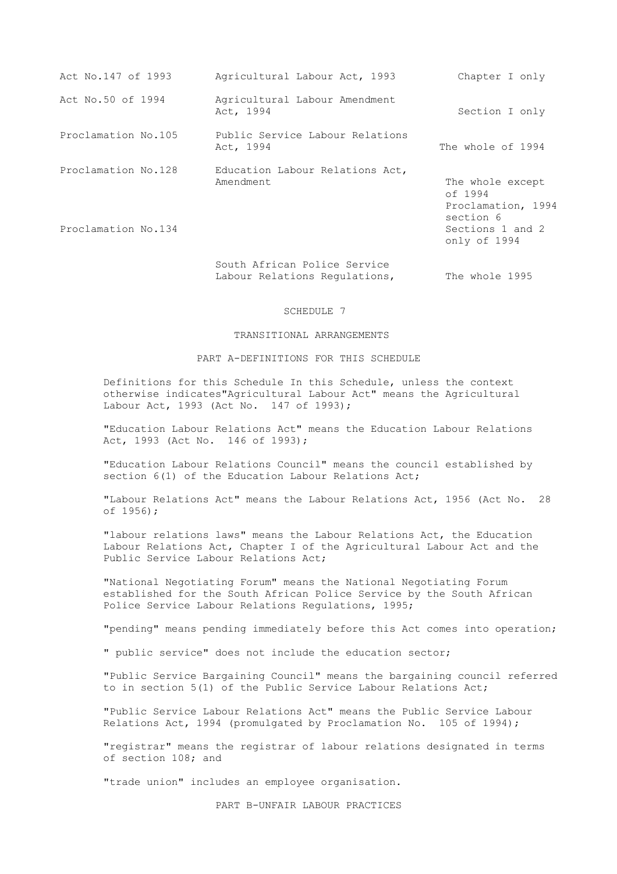| Act No.147 of 1993                         | Agricultural Labour Act, 1993                | Chapter I only                                                                                     |
|--------------------------------------------|----------------------------------------------|----------------------------------------------------------------------------------------------------|
| Act No.50 of 1994                          | Agricultural Labour Amendment<br>Act, 1994   | Section I only                                                                                     |
| Proclamation No.105                        | Public Service Labour Relations<br>Act, 1994 | The whole of 1994                                                                                  |
| Proclamation No.128<br>Proclamation No.134 | Education Labour Relations Act,<br>Amendment | The whole except<br>of 1994<br>Proclamation, 1994<br>section 6<br>Sections 1 and 2<br>only of 1994 |
|                                            | South African Police Service                 |                                                                                                    |

SCHEDULE 7

Labour Relations Regulations, The whole 1995

# TRANSITIONAL ARRANGEMENTS

### PART A-DEFINITIONS FOR THIS SCHEDULE

 Definitions for this Schedule In this Schedule, unless the context otherwise indicates"Agricultural Labour Act" means the Agricultural Labour Act, 1993 (Act No. 147 of 1993);

 "Education Labour Relations Act" means the Education Labour Relations Act, 1993 (Act No. 146 of 1993);

 "Education Labour Relations Council" means the council established by section 6(1) of the Education Labour Relations Act;

 "Labour Relations Act" means the Labour Relations Act, 1956 (Act No. 28 of 1956);

 "labour relations laws" means the Labour Relations Act, the Education Labour Relations Act, Chapter I of the Agricultural Labour Act and the Public Service Labour Relations Act;

 "National Negotiating Forum" means the National Negotiating Forum established for the South African Police Service by the South African Police Service Labour Relations Regulations, 1995;

"pending" means pending immediately before this Act comes into operation;

" public service" does not include the education sector;

 "Public Service Bargaining Council" means the bargaining council referred to in section 5(1) of the Public Service Labour Relations Act;

 "Public Service Labour Relations Act" means the Public Service Labour Relations Act, 1994 (promulgated by Proclamation No. 105 of 1994);

 "registrar" means the registrar of labour relations designated in terms of section 108; and

"trade union" includes an employee organisation.

PART B-UNFAIR LABOUR PRACTICES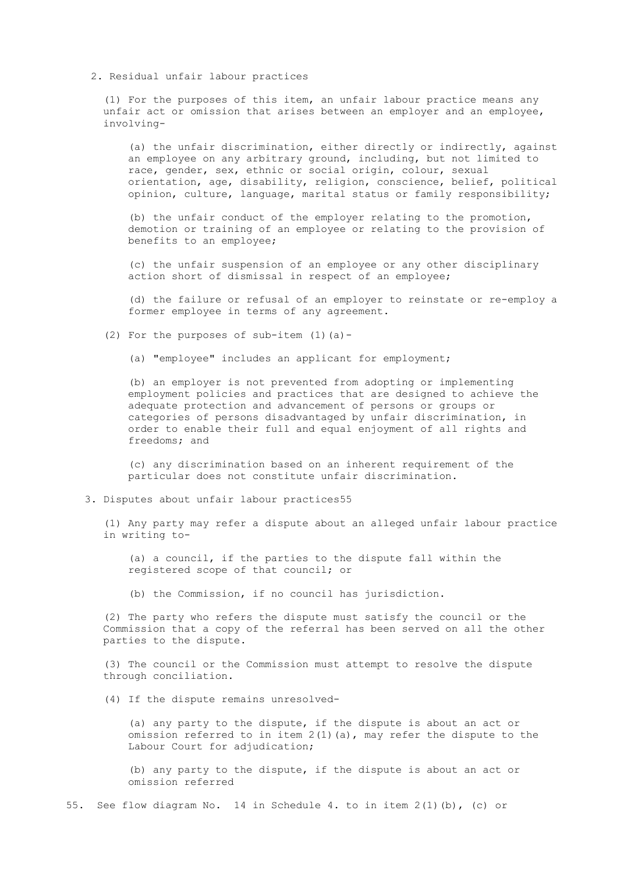2. Residual unfair labour practices

 (1) For the purposes of this item, an unfair labour practice means any unfair act or omission that arises between an employer and an employee, involving-

 (a) the unfair discrimination, either directly or indirectly, against an employee on any arbitrary ground, including, but not limited to race, gender, sex, ethnic or social origin, colour, sexual orientation, age, disability, religion, conscience, belief, political opinion, culture, language, marital status or family responsibility;

 (b) the unfair conduct of the employer relating to the promotion, demotion or training of an employee or relating to the provision of benefits to an employee;

 (c) the unfair suspension of an employee or any other disciplinary action short of dismissal in respect of an employee;

 (d) the failure or refusal of an employer to reinstate or re-employ a former employee in terms of any agreement.

(2) For the purposes of sub-item  $(1)(a)$ -

(a) "employee" includes an applicant for employment;

 (b) an employer is not prevented from adopting or implementing employment policies and practices that are designed to achieve the adequate protection and advancement of persons or groups or categories of persons disadvantaged by unfair discrimination, in order to enable their full and equal enjoyment of all rights and freedoms; and

 (c) any discrimination based on an inherent requirement of the particular does not constitute unfair discrimination.

# 3. Disputes about unfair labour practices55

 (1) Any party may refer a dispute about an alleged unfair labour practice in writing to-

 (a) a council, if the parties to the dispute fall within the registered scope of that council; or

(b) the Commission, if no council has jurisdiction.

 (2) The party who refers the dispute must satisfy the council or the Commission that a copy of the referral has been served on all the other parties to the dispute.

 (3) The council or the Commission must attempt to resolve the dispute through conciliation.

(4) If the dispute remains unresolved-

 (a) any party to the dispute, if the dispute is about an act or omission referred to in item  $2(1)(a)$ , may refer the dispute to the Labour Court for adjudication;

 (b) any party to the dispute, if the dispute is about an act or omission referred

55. See flow diagram No. 14 in Schedule 4. to in item 2(1)(b), (c) or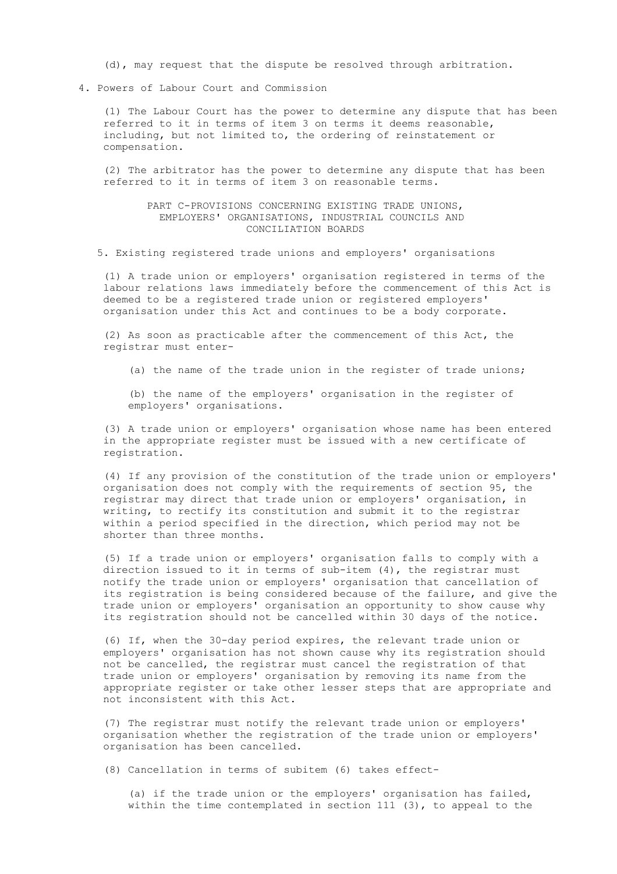(d), may request that the dispute be resolved through arbitration.

4. Powers of Labour Court and Commission

 (1) The Labour Court has the power to determine any dispute that has been referred to it in terms of item 3 on terms it deems reasonable, including, but not limited to, the ordering of reinstatement or compensation.

 (2) The arbitrator has the power to determine any dispute that has been referred to it in terms of item 3 on reasonable terms.

# PART C-PROVISIONS CONCERNING EXISTING TRADE UNIONS, EMPLOYERS' ORGANISATIONS, INDUSTRIAL COUNCILS AND CONCILIATION BOARDS

5. Existing registered trade unions and employers' organisations

 (1) A trade union or employers' organisation registered in terms of the labour relations laws immediately before the commencement of this Act is deemed to be a registered trade union or registered employers' organisation under this Act and continues to be a body corporate.

 (2) As soon as practicable after the commencement of this Act, the registrar must enter-

(a) the name of the trade union in the register of trade unions;

 (b) the name of the employers' organisation in the register of employers' organisations.

 (3) A trade union or employers' organisation whose name has been entered in the appropriate register must be issued with a new certificate of registration.

 (4) If any provision of the constitution of the trade union or employers' organisation does not comply with the requirements of section 95, the registrar may direct that trade union or employers' organisation, in writing, to rectify its constitution and submit it to the registrar within a period specified in the direction, which period may not be shorter than three months.

 (5) If a trade union or employers' organisation falls to comply with a direction issued to it in terms of sub-item (4), the registrar must notify the trade union or employers' organisation that cancellation of its registration is being considered because of the failure, and give the trade union or employers' organisation an opportunity to show cause why its registration should not be cancelled within 30 days of the notice.

 (6) If, when the 30-day period expires, the relevant trade union or employers' organisation has not shown cause why its registration should not be cancelled, the registrar must cancel the registration of that trade union or employers' organisation by removing its name from the appropriate register or take other lesser steps that are appropriate and not inconsistent with this Act.

 (7) The registrar must notify the relevant trade union or employers' organisation whether the registration of the trade union or employers' organisation has been cancelled.

(8) Cancellation in terms of subitem (6) takes effect-

 (a) if the trade union or the employers' organisation has failed, within the time contemplated in section  $111$   $(3)$ , to appeal to the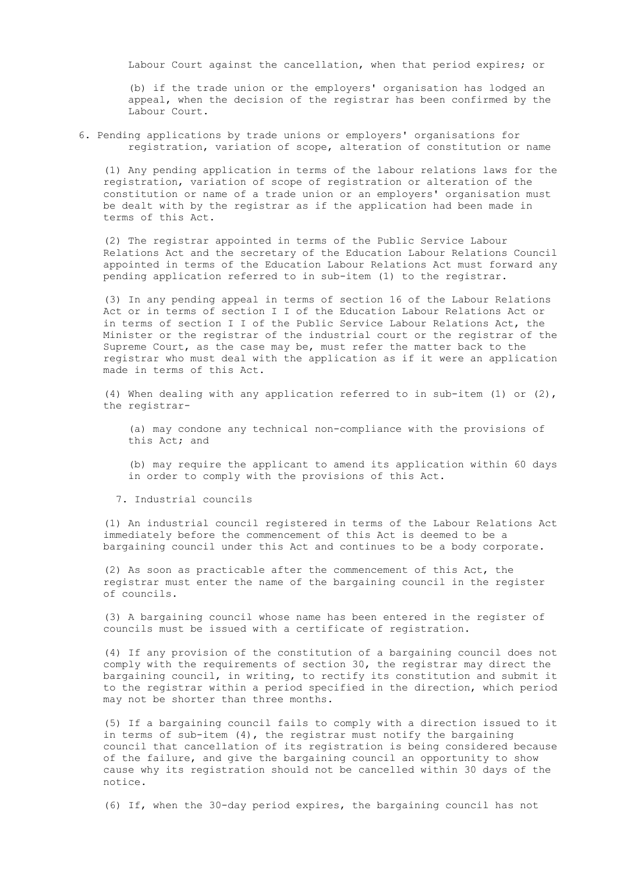Labour Court against the cancellation, when that period expires; or

 (b) if the trade union or the employers' organisation has lodged an appeal, when the decision of the registrar has been confirmed by the Labour Court.

 6. Pending applications by trade unions or employers' organisations for registration, variation of scope, alteration of constitution or name

 (1) Any pending application in terms of the labour relations laws for the registration, variation of scope of registration or alteration of the constitution or name of a trade union or an employers' organisation must be dealt with by the registrar as if the application had been made in terms of this Act.

 (2) The registrar appointed in terms of the Public Service Labour Relations Act and the secretary of the Education Labour Relations Council appointed in terms of the Education Labour Relations Act must forward any pending application referred to in sub-item (1) to the registrar.

 (3) In any pending appeal in terms of section 16 of the Labour Relations Act or in terms of section I I of the Education Labour Relations Act or in terms of section I I of the Public Service Labour Relations Act, the Minister or the registrar of the industrial court or the registrar of the Supreme Court, as the case may be, must refer the matter back to the registrar who must deal with the application as if it were an application made in terms of this Act.

(4) When dealing with any application referred to in sub-item (1) or  $(2)$ , the registrar-

 (a) may condone any technical non-compliance with the provisions of this Act; and

 (b) may require the applicant to amend its application within 60 days in order to comply with the provisions of this Act.

7. Industrial councils

 (1) An industrial council registered in terms of the Labour Relations Act immediately before the commencement of this Act is deemed to be a bargaining council under this Act and continues to be a body corporate.

 (2) As soon as practicable after the commencement of this Act, the registrar must enter the name of the bargaining council in the register of councils.

 (3) A bargaining council whose name has been entered in the register of councils must be issued with a certificate of registration.

 (4) If any provision of the constitution of a bargaining council does not comply with the requirements of section 30, the registrar may direct the bargaining council, in writing, to rectify its constitution and submit it to the registrar within a period specified in the direction, which period may not be shorter than three months.

 (5) If a bargaining council fails to comply with a direction issued to it in terms of sub-item  $(4)$ , the registrar must notify the bargaining council that cancellation of its registration is being considered because of the failure, and give the bargaining council an opportunity to show cause why its registration should not be cancelled within 30 days of the notice.

(6) If, when the 30-day period expires, the bargaining council has not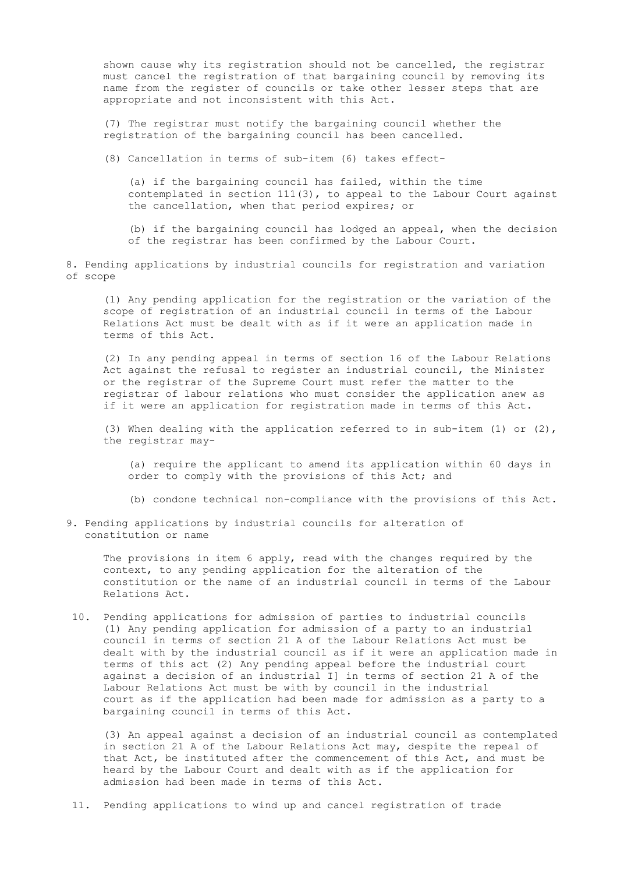shown cause why its registration should not be cancelled, the registrar must cancel the registration of that bargaining council by removing its name from the register of councils or take other lesser steps that are appropriate and not inconsistent with this Act.

 (7) The registrar must notify the bargaining council whether the registration of the bargaining council has been cancelled.

(8) Cancellation in terms of sub-item (6) takes effect-

 (a) if the bargaining council has failed, within the time contemplated in section 111(3), to appeal to the Labour Court against the cancellation, when that period expires; or

 (b) if the bargaining council has lodged an appeal, when the decision of the registrar has been confirmed by the Labour Court.

 8. Pending applications by industrial councils for registration and variation of scope

 (1) Any pending application for the registration or the variation of the scope of registration of an industrial council in terms of the Labour Relations Act must be dealt with as if it were an application made in terms of this Act.

 (2) In any pending appeal in terms of section 16 of the Labour Relations Act against the refusal to register an industrial council, the Minister or the registrar of the Supreme Court must refer the matter to the registrar of labour relations who must consider the application anew as if it were an application for registration made in terms of this Act.

(3) When dealing with the application referred to in sub-item (1) or (2), the registrar may-

 (a) require the applicant to amend its application within 60 days in order to comply with the provisions of this Act; and

(b) condone technical non-compliance with the provisions of this Act.

 9. Pending applications by industrial councils for alteration of constitution or name

 The provisions in item 6 apply, read with the changes required by the context, to any pending application for the alteration of the constitution or the name of an industrial council in terms of the Labour Relations Act.

 10. Pending applications for admission of parties to industrial councils (1) Any pending application for admission of a party to an industrial council in terms of section 21 A of the Labour Relations Act must be dealt with by the industrial council as if it were an application made in terms of this act (2) Any pending appeal before the industrial court against a decision of an industrial I] in terms of section 21 A of the Labour Relations Act must be with by council in the industrial court as if the application had been made for admission as a party to a bargaining council in terms of this Act.

 (3) An appeal against a decision of an industrial council as contemplated in section 21 A of the Labour Relations Act may, despite the repeal of that Act, be instituted after the commencement of this Act, and must be heard by the Labour Court and dealt with as if the application for admission had been made in terms of this Act.

11. Pending applications to wind up and cancel registration of trade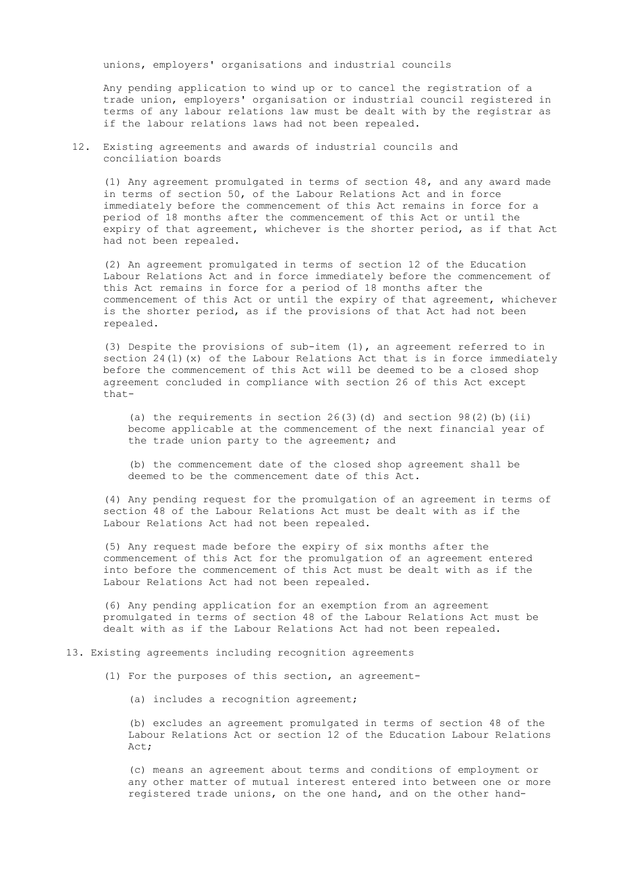unions, employers' organisations and industrial councils

 Any pending application to wind up or to cancel the registration of a trade union, employers' organisation or industrial council registered in terms of any labour relations law must be dealt with by the registrar as if the labour relations laws had not been repealed.

 12. Existing agreements and awards of industrial councils and conciliation boards

 (1) Any agreement promulgated in terms of section 48, and any award made in terms of section 50, of the Labour Relations Act and in force immediately before the commencement of this Act remains in force for a period of 18 months after the commencement of this Act or until the expiry of that agreement, whichever is the shorter period, as if that Act had not been repealed.

 (2) An agreement promulgated in terms of section 12 of the Education Labour Relations Act and in force immediately before the commencement of this Act remains in force for a period of 18 months after the commencement of this Act or until the expiry of that agreement, whichever is the shorter period, as if the provisions of that Act had not been repealed.

 (3) Despite the provisions of sub-item (1), an agreement referred to in section  $24(1)(x)$  of the Labour Relations Act that is in force immediately before the commencement of this Act will be deemed to be a closed shop agreement concluded in compliance with section 26 of this Act except that-

(a) the requirements in section  $26(3)(d)$  and section  $98(2)(b)(ii)$  become applicable at the commencement of the next financial year of the trade union party to the agreement; and

 (b) the commencement date of the closed shop agreement shall be deemed to be the commencement date of this Act.

 (4) Any pending request for the promulgation of an agreement in terms of section 48 of the Labour Relations Act must be dealt with as if the Labour Relations Act had not been repealed.

 (5) Any request made before the expiry of six months after the commencement of this Act for the promulgation of an agreement entered into before the commencement of this Act must be dealt with as if the Labour Relations Act had not been repealed.

 (6) Any pending application for an exemption from an agreement promulgated in terms of section 48 of the Labour Relations Act must be dealt with as if the Labour Relations Act had not been repealed.

#### 13. Existing agreements including recognition agreements

(1) For the purposes of this section, an agreement-

(a) includes a recognition agreement;

 (b) excludes an agreement promulgated in terms of section 48 of the Labour Relations Act or section 12 of the Education Labour Relations Act;

 (c) means an agreement about terms and conditions of employment or any other matter of mutual interest entered into between one or more registered trade unions, on the one hand, and on the other hand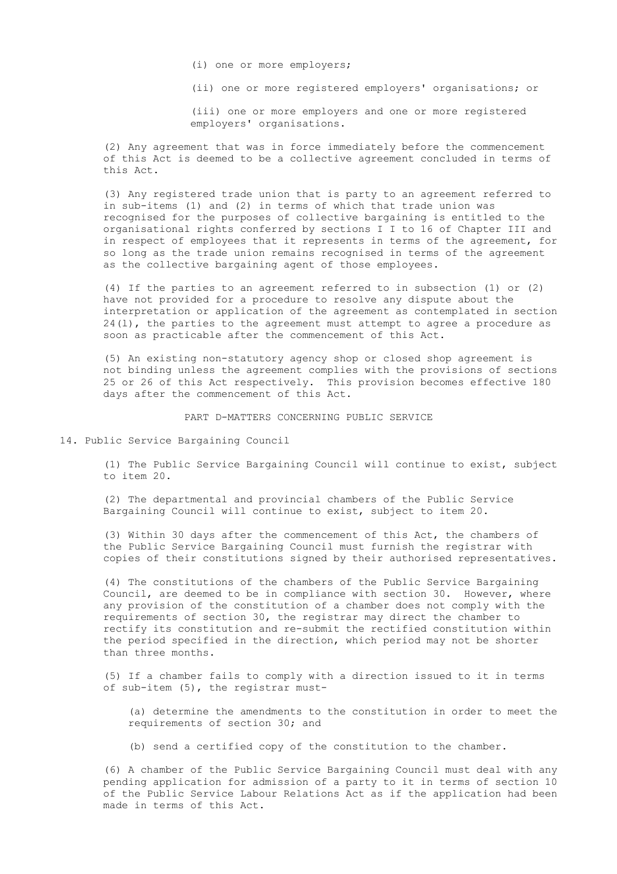(i) one or more employers;

(ii) one or more registered employers' organisations; or

 (iii) one or more employers and one or more registered employers' organisations.

 (2) Any agreement that was in force immediately before the commencement of this Act is deemed to be a collective agreement concluded in terms of this Act.

 (3) Any registered trade union that is party to an agreement referred to in sub-items (1) and (2) in terms of which that trade union was recognised for the purposes of collective bargaining is entitled to the organisational rights conferred by sections I I to 16 of Chapter III and in respect of employees that it represents in terms of the agreement, for so long as the trade union remains recognised in terms of the agreement as the collective bargaining agent of those employees.

 (4) If the parties to an agreement referred to in subsection (1) or (2) have not provided for a procedure to resolve any dispute about the interpretation or application of the agreement as contemplated in section 24(l), the parties to the agreement must attempt to agree a procedure as soon as practicable after the commencement of this Act.

 (5) An existing non-statutory agency shop or closed shop agreement is not binding unless the agreement complies with the provisions of sections 25 or 26 of this Act respectively. This provision becomes effective 180 days after the commencement of this Act.

PART D-MATTERS CONCERNING PUBLIC SERVICE

14. Public Service Bargaining Council

 (1) The Public Service Bargaining Council will continue to exist, subject to item 20.

 (2) The departmental and provincial chambers of the Public Service Bargaining Council will continue to exist, subject to item 20.

 (3) Within 30 days after the commencement of this Act, the chambers of the Public Service Bargaining Council must furnish the registrar with copies of their constitutions signed by their authorised representatives.

 (4) The constitutions of the chambers of the Public Service Bargaining Council, are deemed to be in compliance with section 30. However, where any provision of the constitution of a chamber does not comply with the requirements of section 30, the registrar may direct the chamber to rectify its constitution and re-submit the rectified constitution within the period specified in the direction, which period may not be shorter than three months.

 (5) If a chamber fails to comply with a direction issued to it in terms of sub-item (5), the registrar must-

 (a) determine the amendments to the constitution in order to meet the requirements of section 30; and

(b) send a certified copy of the constitution to the chamber.

 (6) A chamber of the Public Service Bargaining Council must deal with any pending application for admission of a party to it in terms of section 10 of the Public Service Labour Relations Act as if the application had been made in terms of this Act.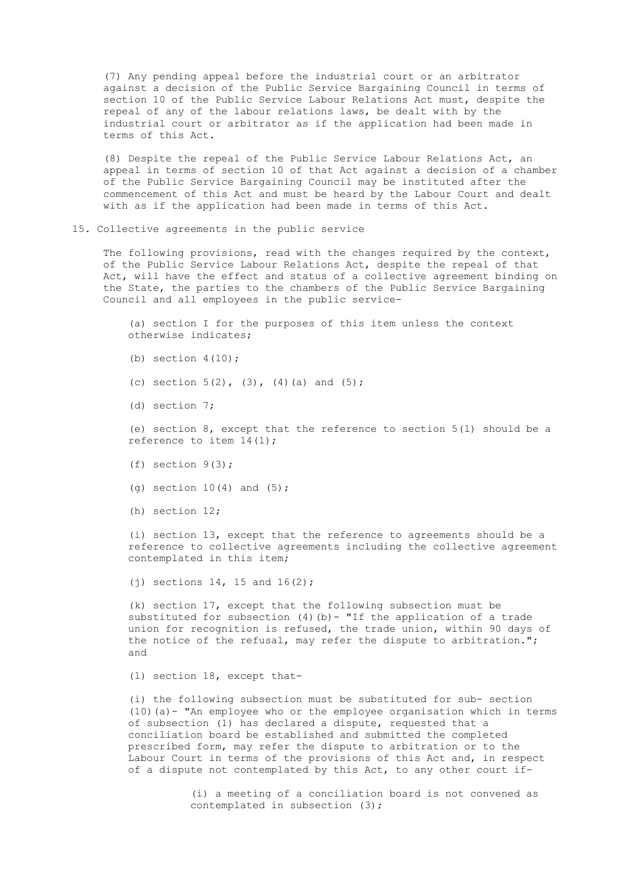(7) Any pending appeal before the industrial court or an arbitrator against a decision of the Public Service Bargaining Council in terms of section 10 of the Public Service Labour Relations Act must, despite the repeal of any of the labour relations laws, be dealt with by the industrial court or arbitrator as if the application had been made in terms of this Act.

 (8) Despite the repeal of the Public Service Labour Relations Act, an appeal in terms of section 10 of that Act against a decision of a chamber of the Public Service Bargaining Council may be instituted after the commencement of this Act and must be heard by the Labour Court and dealt with as if the application had been made in terms of this Act.

15. Collective agreements in the public service

 The following provisions, read with the changes required by the context, of the Public Service Labour Relations Act, despite the repeal of that Act, will have the effect and status of a collective agreement binding on the State, the parties to the chambers of the Public Service Bargaining Council and all employees in the public service-

 (a) section I for the purposes of this item unless the context otherwise indicates;

- (b) section  $4(10)$ ;
- (c) section  $5(2)$ ,  $(3)$ ,  $(4)$  (a) and  $(5)$ ;
- (d) section 7;

 (e) section 8, except that the reference to section 5(l) should be a reference to item 14(l);

- (f) section 9(3);
- (g) section  $10(4)$  and  $(5)$ ;
- (h) section 12;

 (i) section 13, except that the reference to agreements should be a reference to collective agreements including the collective agreement contemplated in this item;

(j) sections  $14, 15$  and  $16(2)$ ;

 (k) section 17, except that the following subsection must be substituted for subsection (4)(b)- "If the application of a trade union for recognition is refused, the trade union, within 90 days of the notice of the refusal, may refer the dispute to arbitration."; and

(l) section 18, except that-

 (i) the following subsection must be substituted for sub- section (10)(a)- "An employee who or the employee organisation which in terms of subsection (1) has declared a dispute, requested that a conciliation board be established and submitted the completed prescribed form, may refer the dispute to arbitration or to the Labour Court in terms of the provisions of this Act and, in respect of a dispute not contemplated by this Act, to any other court if-

> (i) a meeting of a conciliation board is not convened as contemplated in subsection (3);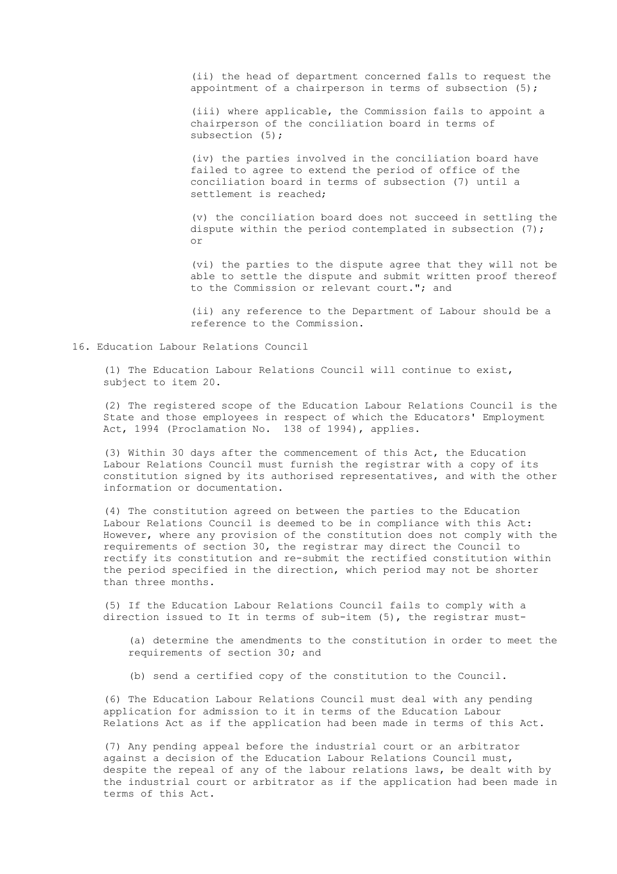(ii) the head of department concerned falls to request the appointment of a chairperson in terms of subsection (5);

 (iii) where applicable, the Commission fails to appoint a chairperson of the conciliation board in terms of subsection (5);

 (iv) the parties involved in the conciliation board have failed to agree to extend the period of office of the conciliation board in terms of subsection (7) until a settlement is reached:

 (v) the conciliation board does not succeed in settling the dispute within the period contemplated in subsection (7); or

> (vi) the parties to the dispute agree that they will not be able to settle the dispute and submit written proof thereof to the Commission or relevant court."; and

 (ii) any reference to the Department of Labour should be a reference to the Commission.

## 16. Education Labour Relations Council

 (1) The Education Labour Relations Council will continue to exist, subject to item 20.

 (2) The registered scope of the Education Labour Relations Council is the State and those employees in respect of which the Educators' Employment Act, 1994 (Proclamation No. 138 of 1994), applies.

 (3) Within 30 days after the commencement of this Act, the Education Labour Relations Council must furnish the registrar with a copy of its constitution signed by its authorised representatives, and with the other information or documentation.

 (4) The constitution agreed on between the parties to the Education Labour Relations Council is deemed to be in compliance with this Act: However, where any provision of the constitution does not comply with the requirements of section 30, the registrar may direct the Council to rectify its constitution and re-submit the rectified constitution within the period specified in the direction, which period may not be shorter than three months.

 (5) If the Education Labour Relations Council fails to comply with a direction issued to It in terms of sub-item (5), the registrar must-

 (a) determine the amendments to the constitution in order to meet the requirements of section 30; and

(b) send a certified copy of the constitution to the Council.

 (6) The Education Labour Relations Council must deal with any pending application for admission to it in terms of the Education Labour Relations Act as if the application had been made in terms of this Act.

 (7) Any pending appeal before the industrial court or an arbitrator against a decision of the Education Labour Relations Council must, despite the repeal of any of the labour relations laws, be dealt with by the industrial court or arbitrator as if the application had been made in terms of this Act.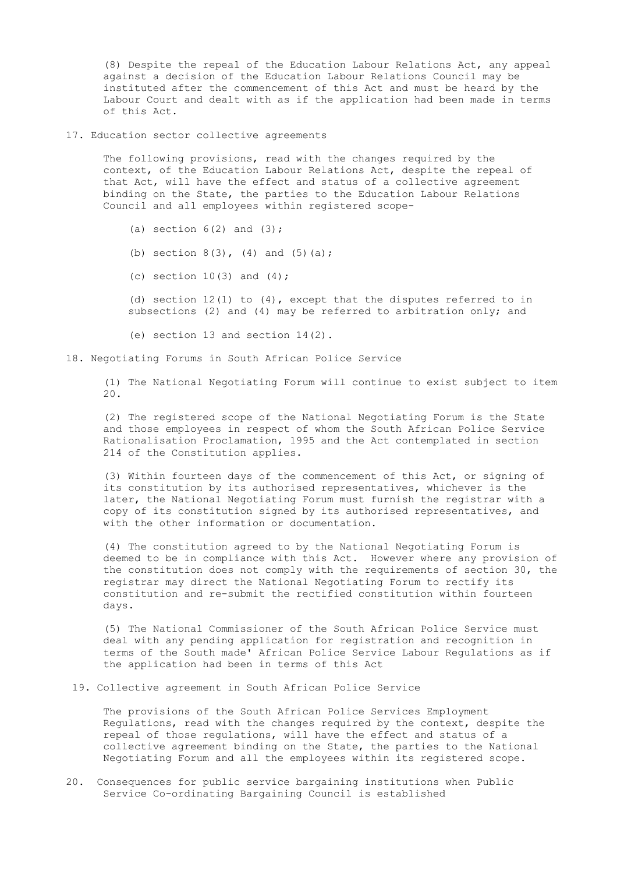(8) Despite the repeal of the Education Labour Relations Act, any appeal against a decision of the Education Labour Relations Council may be instituted after the commencement of this Act and must be heard by the Labour Court and dealt with as if the application had been made in terms of this Act.

#### 17. Education sector collective agreements

 The following provisions, read with the changes required by the context, of the Education Labour Relations Act, despite the repeal of that Act, will have the effect and status of a collective agreement binding on the State, the parties to the Education Labour Relations Council and all employees within registered scope-

- (a) section  $6(2)$  and  $(3)$ ;
- (b) section  $8(3)$ ,  $(4)$  and  $(5)$   $(a)$ ;
- (c) section  $10(3)$  and  $(4)$ ;

(d) section  $12(1)$  to  $(4)$ , except that the disputes referred to in subsections (2) and (4) may be referred to arbitration only; and

(e) section 13 and section 14(2).

### 18. Negotiating Forums in South African Police Service

 (1) The National Negotiating Forum will continue to exist subject to item 20.

 (2) The registered scope of the National Negotiating Forum is the State and those employees in respect of whom the South African Police Service Rationalisation Proclamation, 1995 and the Act contemplated in section 214 of the Constitution applies.

 (3) Within fourteen days of the commencement of this Act, or signing of its constitution by its authorised representatives, whichever is the later, the National Negotiating Forum must furnish the registrar with a copy of its constitution signed by its authorised representatives, and with the other information or documentation.

 (4) The constitution agreed to by the National Negotiating Forum is deemed to be in compliance with this Act. However where any provision of the constitution does not comply with the requirements of section 30, the registrar may direct the National Negotiating Forum to rectify its constitution and re-submit the rectified constitution within fourteen days.

 (5) The National Commissioner of the South African Police Service must deal with any pending application for registration and recognition in terms of the South made' African Police Service Labour Regulations as if the application had been in terms of this Act

## 19. Collective agreement in South African Police Service

 The provisions of the South African Police Services Employment Regulations, read with the changes required by the context, despite the repeal of those regulations, will have the effect and status of a collective agreement binding on the State, the parties to the National Negotiating Forum and all the employees within its registered scope.

 20. Consequences for public service bargaining institutions when Public Service Co-ordinating Bargaining Council is established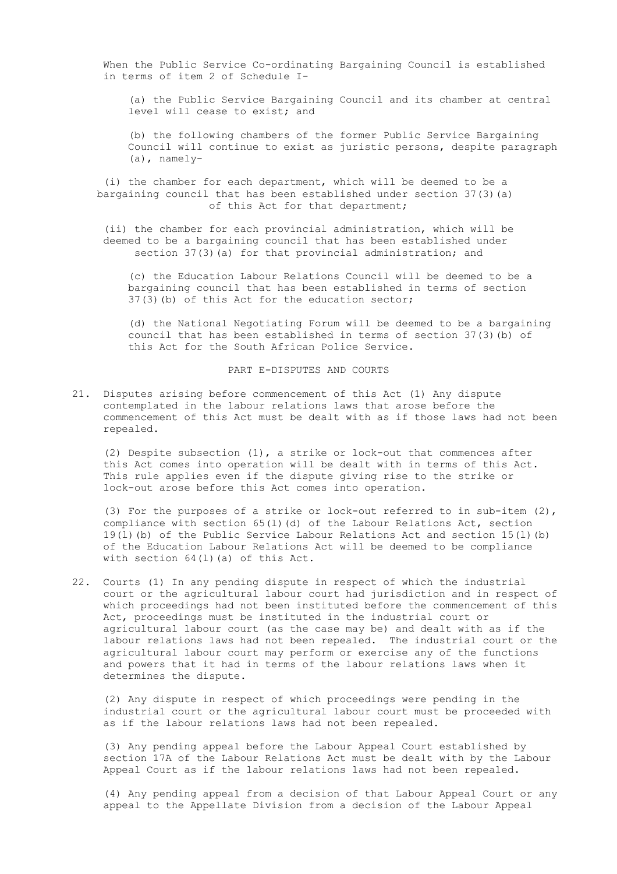When the Public Service Co-ordinating Bargaining Council is established in terms of item 2 of Schedule I-

 (a) the Public Service Bargaining Council and its chamber at central level will cease to exist; and

 (b) the following chambers of the former Public Service Bargaining Council will continue to exist as juristic persons, despite paragraph (a), namely-

 (i) the chamber for each department, which will be deemed to be a bargaining council that has been established under section 37(3)(a) of this Act for that department;

 (ii) the chamber for each provincial administration, which will be deemed to be a bargaining council that has been established under section 37(3)(a) for that provincial administration; and

 (c) the Education Labour Relations Council will be deemed to be a bargaining council that has been established in terms of section 37(3)(b) of this Act for the education sector;

 (d) the National Negotiating Forum will be deemed to be a bargaining council that has been established in terms of section 37(3)(b) of this Act for the South African Police Service.

PART E-DISPUTES AND COURTS

 21. Disputes arising before commencement of this Act (1) Any dispute contemplated in the labour relations laws that arose before the commencement of this Act must be dealt with as if those laws had not been repealed.

(2) Despite subsection  $(1)$ , a strike or lock-out that commences after this Act comes into operation will be dealt with in terms of this Act. This rule applies even if the dispute giving rise to the strike or lock-out arose before this Act comes into operation.

(3) For the purposes of a strike or lock-out referred to in sub-item  $(2)$ , compliance with section 65(l)(d) of the Labour Relations Act, section 19(l)(b) of the Public Service Labour Relations Act and section 15(l)(b) of the Education Labour Relations Act will be deemed to be compliance with section 64(1)(a) of this Act.

 22. Courts (1) In any pending dispute in respect of which the industrial court or the agricultural labour court had jurisdiction and in respect of which proceedings had not been instituted before the commencement of this Act, proceedings must be instituted in the industrial court or agricultural labour court (as the case may be) and dealt with as if the labour relations laws had not been repealed. The industrial court or the agricultural labour court may perform or exercise any of the functions and powers that it had in terms of the labour relations laws when it determines the dispute.

 (2) Any dispute in respect of which proceedings were pending in the industrial court or the agricultural labour court must be proceeded with as if the labour relations laws had not been repealed.

 (3) Any pending appeal before the Labour Appeal Court established by section 17A of the Labour Relations Act must be dealt with by the Labour Appeal Court as if the labour relations laws had not been repealed.

 (4) Any pending appeal from a decision of that Labour Appeal Court or any appeal to the Appellate Division from a decision of the Labour Appeal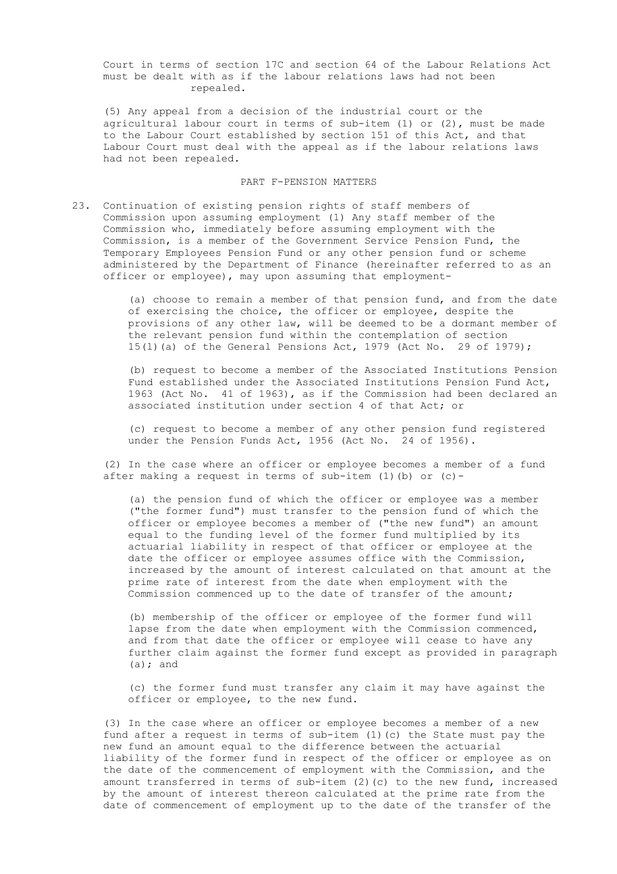Court in terms of section 17C and section 64 of the Labour Relations Act must be dealt with as if the labour relations laws had not been repealed.

 (5) Any appeal from a decision of the industrial court or the agricultural labour court in terms of sub-item (1) or (2), must be made to the Labour Court established by section 151 of this Act, and that Labour Court must deal with the appeal as if the labour relations laws had not been repealed.

## PART F-PENSION MATTERS

 23. Continuation of existing pension rights of staff members of Commission upon assuming employment (1) Any staff member of the Commission who, immediately before assuming employment with the Commission, is a member of the Government Service Pension Fund, the Temporary Employees Pension Fund or any other pension fund or scheme administered by the Department of Finance (hereinafter referred to as an officer or employee), may upon assuming that employment-

> (a) choose to remain a member of that pension fund, and from the date of exercising the choice, the officer or employee, despite the provisions of any other law, will be deemed to be a dormant member of the relevant pension fund within the contemplation of section 15(l)(a) of the General Pensions Act, 1979 (Act No. 29 of 1979);

> (b) request to become a member of the Associated Institutions Pension Fund established under the Associated Institutions Pension Fund Act, 1963 (Act No. 41 of 1963), as if the Commission had been declared an associated institution under section 4 of that Act; or

 (c) request to become a member of any other pension fund registered under the Pension Funds Act, 1956 (Act No. 24 of 1956).

 (2) In the case where an officer or employee becomes a member of a fund after making a request in terms of sub-item (1)(b) or (c)-

 (a) the pension fund of which the officer or employee was a member ("the former fund") must transfer to the pension fund of which the officer or employee becomes a member of ("the new fund") an amount equal to the funding level of the former fund multiplied by its actuarial liability in respect of that officer or employee at the date the officer or employee assumes office with the Commission, increased by the amount of interest calculated on that amount at the prime rate of interest from the date when employment with the Commission commenced up to the date of transfer of the amount;

 (b) membership of the officer or employee of the former fund will lapse from the date when employment with the Commission commenced, and from that date the officer or employee will cease to have any further claim against the former fund except as provided in paragraph (a); and

 (c) the former fund must transfer any claim it may have against the officer or employee, to the new fund.

 (3) In the case where an officer or employee becomes a member of a new fund after a request in terms of sub-item (1)(c) the State must pay the new fund an amount equal to the difference between the actuarial liability of the former fund in respect of the officer or employee as on the date of the commencement of employment with the Commission, and the amount transferred in terms of sub-item (2)(c) to the new fund, increased by the amount of interest thereon calculated at the prime rate from the date of commencement of employment up to the date of the transfer of the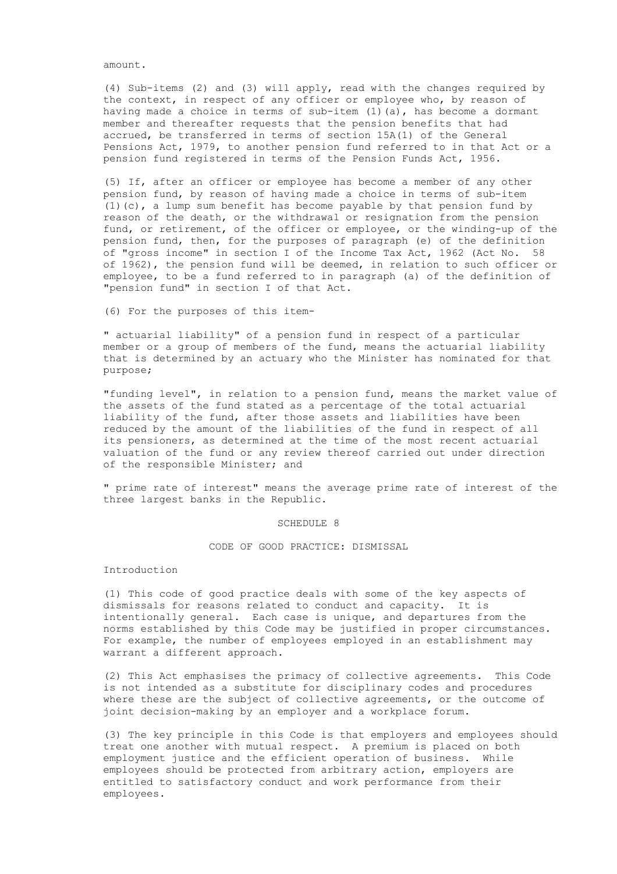amount.

 (4) Sub-items (2) and (3) will apply, read with the changes required by the context, in respect of any officer or employee who, by reason of having made a choice in terms of sub-item  $(1)$   $(a)$ , has become a dormant member and thereafter requests that the pension benefits that had accrued, be transferred in terms of section 15A(1) of the General Pensions Act, 1979, to another pension fund referred to in that Act or a pension fund registered in terms of the Pension Funds Act, 1956.

 (5) If, after an officer or employee has become a member of any other pension fund, by reason of having made a choice in terms of sub-item (1)(c), a lump sum benefit has become payable by that pension fund by reason of the death, or the withdrawal or resignation from the pension fund, or retirement, of the officer or employee, or the winding-up of the pension fund, then, for the purposes of paragraph (e) of the definition of "gross income" in section I of the Income Tax Act, 1962 (Act No. 58 of 1962), the pension fund will be deemed, in relation to such officer or employee, to be a fund referred to in paragraph (a) of the definition of "pension fund" in section I of that Act.

(6) For the purposes of this item-

 " actuarial liability" of a pension fund in respect of a particular member or a group of members of the fund, means the actuarial liability that is determined by an actuary who the Minister has nominated for that purpose;

 "funding level", in relation to a pension fund, means the market value of the assets of the fund stated as a percentage of the total actuarial liability of the fund, after those assets and liabilities have been reduced by the amount of the liabilities of the fund in respect of all its pensioners, as determined at the time of the most recent actuarial valuation of the fund or any review thereof carried out under direction of the responsible Minister; and

 " prime rate of interest" means the average prime rate of interest of the three largest banks in the Republic.

SCHEDULE 8

#### CODE OF GOOD PRACTICE: DISMISSAL

Introduction

 (1) This code of good practice deals with some of the key aspects of dismissals for reasons related to conduct and capacity. It is intentionally general. Each case is unique, and departures from the norms established by this Code may be justified in proper circumstances. For example, the number of employees employed in an establishment may warrant a different approach.

 (2) This Act emphasises the primacy of collective agreements. This Code is not intended as a substitute for disciplinary codes and procedures where these are the subject of collective agreements, or the outcome of joint decision-making by an employer and a workplace forum.

 (3) The key principle in this Code is that employers and employees should treat one another with mutual respect. A premium is placed on both employment justice and the efficient operation of business. While employees should be protected from arbitrary action, employers are entitled to satisfactory conduct and work performance from their employees.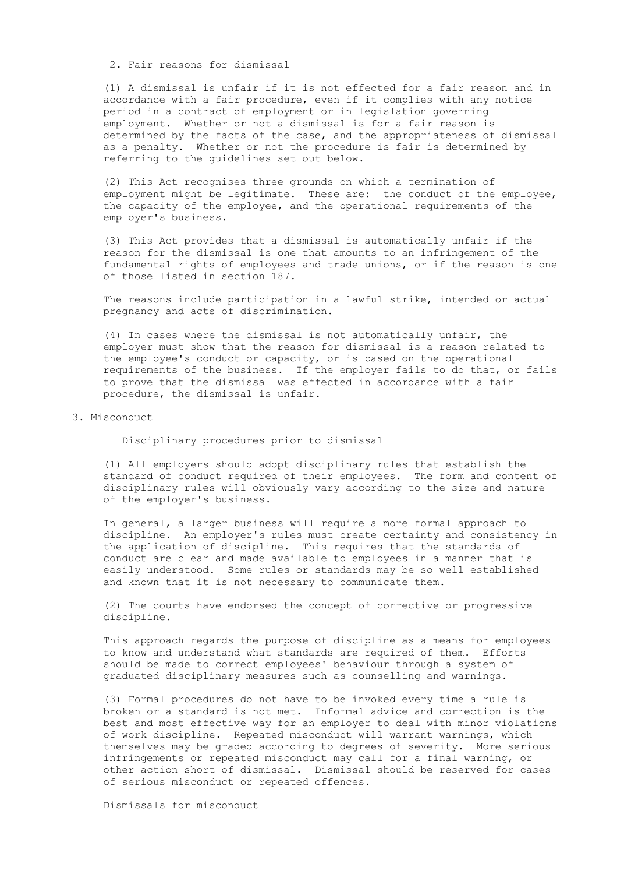2. Fair reasons for dismissal

 (1) A dismissal is unfair if it is not effected for a fair reason and in accordance with a fair procedure, even if it complies with any notice period in a contract of employment or in legislation governing employment. Whether or not a dismissal is for a fair reason is determined by the facts of the case, and the appropriateness of dismissal as a penalty. Whether or not the procedure is fair is determined by referring to the guidelines set out below.

 (2) This Act recognises three grounds on which a termination of employment might be legitimate. These are: the conduct of the employee, the capacity of the employee, and the operational requirements of the employer's business.

 (3) This Act provides that a dismissal is automatically unfair if the reason for the dismissal is one that amounts to an infringement of the fundamental rights of employees and trade unions, or if the reason is one of those listed in section 187.

 The reasons include participation in a lawful strike, intended or actual pregnancy and acts of discrimination.

 (4) In cases where the dismissal is not automatically unfair, the employer must show that the reason for dismissal is a reason related to the employee's conduct or capacity, or is based on the operational requirements of the business. If the employer fails to do that, or fails to prove that the dismissal was effected in accordance with a fair procedure, the dismissal is unfair.

3. Misconduct

Disciplinary procedures prior to dismissal

 (1) All employers should adopt disciplinary rules that establish the standard of conduct required of their employees. The form and content of disciplinary rules will obviously vary according to the size and nature of the employer's business.

 In general, a larger business will require a more formal approach to discipline. An employer's rules must create certainty and consistency in the application of discipline. This requires that the standards of conduct are clear and made available to employees in a manner that is easily understood. Some rules or standards may be so well established and known that it is not necessary to communicate them.

 (2) The courts have endorsed the concept of corrective or progressive discipline.

 This approach regards the purpose of discipline as a means for employees to know and understand what standards are required of them. Efforts should be made to correct employees' behaviour through a system of graduated disciplinary measures such as counselling and warnings.

 (3) Formal procedures do not have to be invoked every time a rule is broken or a standard is not met. Informal advice and correction is the best and most effective way for an employer to deal with minor violations of work discipline. Repeated misconduct will warrant warnings, which themselves may be graded according to degrees of severity. More serious infringements or repeated misconduct may call for a final warning, or other action short of dismissal. Dismissal should be reserved for cases of serious misconduct or repeated offences.

Dismissals for misconduct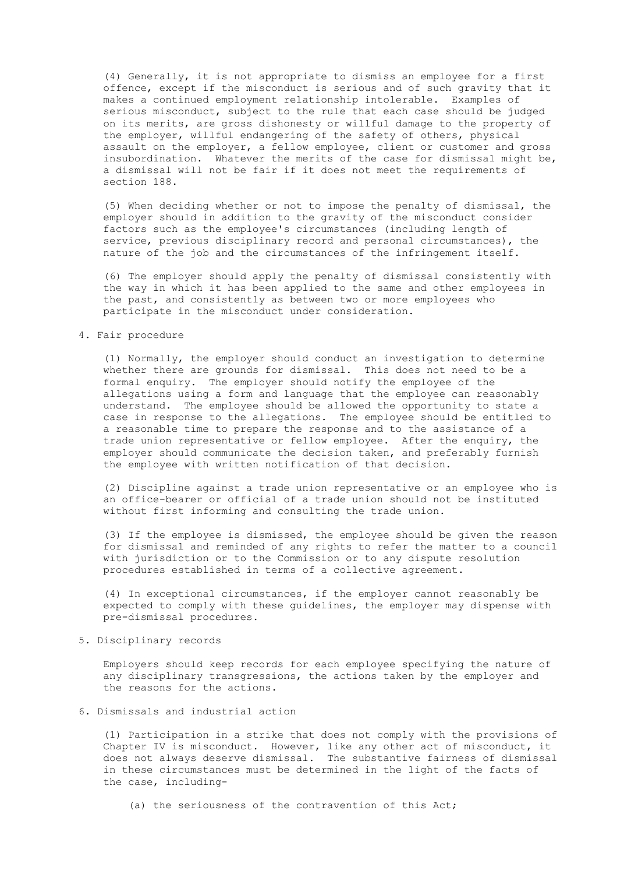(4) Generally, it is not appropriate to dismiss an employee for a first offence, except if the misconduct is serious and of such gravity that it makes a continued employment relationship intolerable. Examples of serious misconduct, subject to the rule that each case should be judged on its merits, are gross dishonesty or willful damage to the property of the employer, willful endangering of the safety of others, physical assault on the employer, a fellow employee, client or customer and gross insubordination. Whatever the merits of the case for dismissal might be, a dismissal will not be fair if it does not meet the requirements of section 188.

 (5) When deciding whether or not to impose the penalty of dismissal, the employer should in addition to the gravity of the misconduct consider factors such as the employee's circumstances (including length of service, previous disciplinary record and personal circumstances), the nature of the job and the circumstances of the infringement itself.

 (6) The employer should apply the penalty of dismissal consistently with the way in which it has been applied to the same and other employees in the past, and consistently as between two or more employees who participate in the misconduct under consideration.

# 4. Fair procedure

 (1) Normally, the employer should conduct an investigation to determine whether there are grounds for dismissal. This does not need to be a formal enquiry. The employer should notify the employee of the allegations using a form and language that the employee can reasonably understand. The employee should be allowed the opportunity to state a case in response to the allegations. The employee should be entitled to a reasonable time to prepare the response and to the assistance of a trade union representative or fellow employee. After the enquiry, the employer should communicate the decision taken, and preferably furnish the employee with written notification of that decision.

 (2) Discipline against a trade union representative or an employee who is an office-bearer or official of a trade union should not be instituted without first informing and consulting the trade union.

 (3) If the employee is dismissed, the employee should be given the reason for dismissal and reminded of any rights to refer the matter to a council with jurisdiction or to the Commission or to any dispute resolution procedures established in terms of a collective agreement.

 (4) In exceptional circumstances, if the employer cannot reasonably be expected to comply with these guidelines, the employer may dispense with pre-dismissal procedures.

5. Disciplinary records

 Employers should keep records for each employee specifying the nature of any disciplinary transgressions, the actions taken by the employer and the reasons for the actions.

6. Dismissals and industrial action

 (1) Participation in a strike that does not comply with the provisions of Chapter IV is misconduct. However, like any other act of misconduct, it does not always deserve dismissal. The substantive fairness of dismissal in these circumstances must be determined in the light of the facts of the case, including-

(a) the seriousness of the contravention of this Act;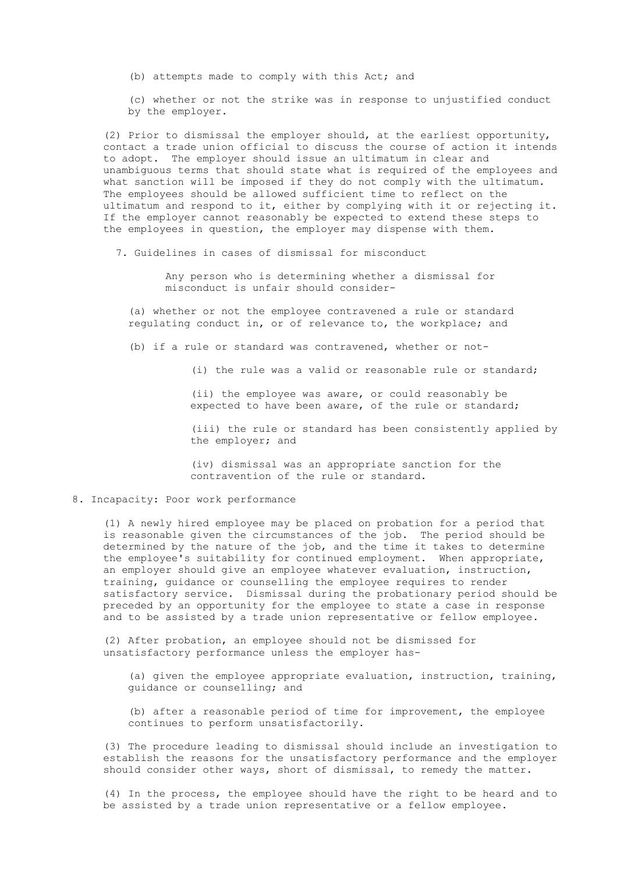(b) attempts made to comply with this Act; and

 (c) whether or not the strike was in response to unjustified conduct by the employer.

 (2) Prior to dismissal the employer should, at the earliest opportunity, contact a trade union official to discuss the course of action it intends to adopt. The employer should issue an ultimatum in clear and unambiguous terms that should state what is required of the employees and what sanction will be imposed if they do not comply with the ultimatum. The employees should be allowed sufficient time to reflect on the ultimatum and respond to it, either by complying with it or rejecting it. If the employer cannot reasonably be expected to extend these steps to the employees in question, the employer may dispense with them.

7. Guidelines in cases of dismissal for misconduct

 Any person who is determining whether a dismissal for misconduct is unfair should consider-

 (a) whether or not the employee contravened a rule or standard regulating conduct in, or of relevance to, the workplace; and

(b) if a rule or standard was contravened, whether or not-

(i) the rule was a valid or reasonable rule or standard;

 (ii) the employee was aware, or could reasonably be expected to have been aware, of the rule or standard;

 (iii) the rule or standard has been consistently applied by the employer; and

 (iv) dismissal was an appropriate sanction for the contravention of the rule or standard.

#### 8. Incapacity: Poor work performance

 (1) A newly hired employee may be placed on probation for a period that is reasonable given the circumstances of the job. The period should be determined by the nature of the job, and the time it takes to determine the employee's suitability for continued employment. When appropriate, an employer should give an employee whatever evaluation, instruction, training, guidance or counselling the employee requires to render satisfactory service. Dismissal during the probationary period should be preceded by an opportunity for the employee to state a case in response and to be assisted by a trade union representative or fellow employee.

 (2) After probation, an employee should not be dismissed for unsatisfactory performance unless the employer has-

 (a) given the employee appropriate evaluation, instruction, training, guidance or counselling; and

 (b) after a reasonable period of time for improvement, the employee continues to perform unsatisfactorily.

 (3) The procedure leading to dismissal should include an investigation to establish the reasons for the unsatisfactory performance and the employer should consider other ways, short of dismissal, to remedy the matter.

 (4) In the process, the employee should have the right to be heard and to be assisted by a trade union representative or a fellow employee.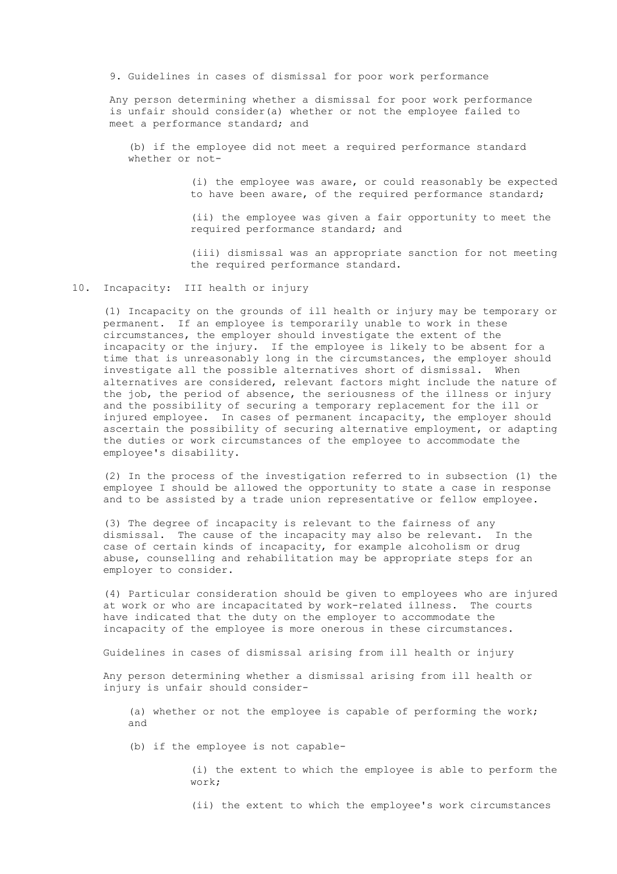9. Guidelines in cases of dismissal for poor work performance

 Any person determining whether a dismissal for poor work performance is unfair should consider(a) whether or not the employee failed to meet a performance standard; and

 (b) if the employee did not meet a required performance standard whether or not-

> (i) the employee was aware, or could reasonably be expected to have been aware, of the required performance standard;

 (ii) the employee was given a fair opportunity to meet the required performance standard; and

 (iii) dismissal was an appropriate sanction for not meeting the required performance standard.

10. Incapacity: III health or injury

 (1) Incapacity on the grounds of ill health or injury may be temporary or permanent. If an employee is temporarily unable to work in these circumstances, the employer should investigate the extent of the incapacity or the injury. If the employee is likely to be absent for a time that is unreasonably long in the circumstances, the employer should investigate all the possible alternatives short of dismissal. When alternatives are considered, relevant factors might include the nature of the job, the period of absence, the seriousness of the illness or injury and the possibility of securing a temporary replacement for the ill or injured employee. In cases of permanent incapacity, the employer should ascertain the possibility of securing alternative employment, or adapting the duties or work circumstances of the employee to accommodate the employee's disability.

 (2) In the process of the investigation referred to in subsection (1) the employee I should be allowed the opportunity to state a case in response and to be assisted by a trade union representative or fellow employee.

 (3) The degree of incapacity is relevant to the fairness of any dismissal. The cause of the incapacity may also be relevant. In the case of certain kinds of incapacity, for example alcoholism or drug abuse, counselling and rehabilitation may be appropriate steps for an employer to consider.

 (4) Particular consideration should be given to employees who are injured at work or who are incapacitated by work-related illness. The courts have indicated that the duty on the employer to accommodate the incapacity of the employee is more onerous in these circumstances.

Guidelines in cases of dismissal arising from ill health or injury

 Any person determining whether a dismissal arising from ill health or injury is unfair should consider-

 (a) whether or not the employee is capable of performing the work; and

(b) if the employee is not capable-

 (i) the extent to which the employee is able to perform the work;

(ii) the extent to which the employee's work circumstances